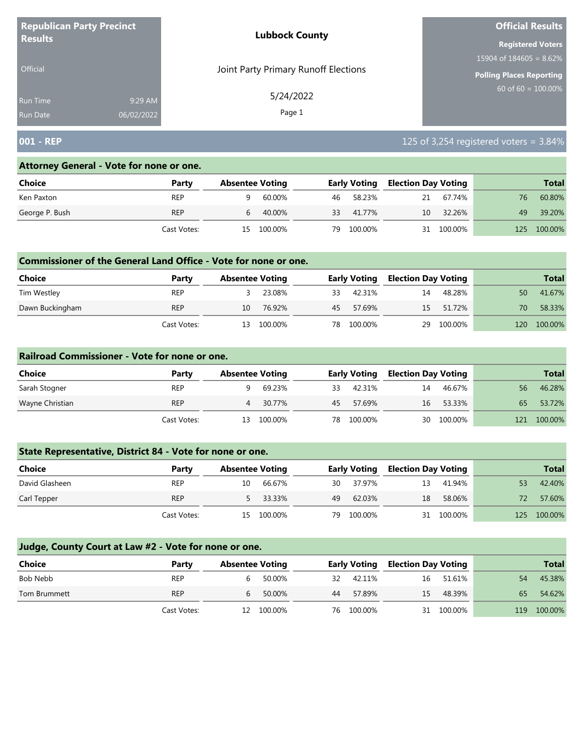| <b>Republican Party Precinct</b><br><b>Results</b> |                       | <b>Lubbock County</b>                | <b>Official Results</b>    |  |  |
|----------------------------------------------------|-----------------------|--------------------------------------|----------------------------|--|--|
|                                                    |                       |                                      | <b>Registered Voters</b>   |  |  |
|                                                    |                       |                                      | 15904 of $184605 = 8.62\%$ |  |  |
| <b>Official</b>                                    |                       | Joint Party Primary Runoff Elections | Polling Places Reporting   |  |  |
| <b>Run Time</b><br><b>Run Date</b>                 | 9:29 AM<br>06/02/2022 | 5/24/2022<br>Page 1                  | 60 of $60 = 100.00\%$      |  |  |

# **001 - REP** 125 of 3,254 registered voters = 3.84%

#### **Attorney General - Vote for none or one.**

| Choice         | Party       |    | <b>Absentee Voting</b> |    | <b>Early Voting</b> |    | <b>Election Day Voting</b> |     | <b>Total</b> |
|----------------|-------------|----|------------------------|----|---------------------|----|----------------------------|-----|--------------|
|                |             |    |                        |    |                     |    |                            |     |              |
| Ken Paxton     | REP         |    | 60.00%                 | 46 | 58.23%              | 21 | 67.74%                     | 76  | 60.80%       |
| George P. Bush | <b>REP</b>  | 6  | 40.00%                 | 33 | 41.77%              | 10 | 32.26%                     | 49  | 39.20%       |
|                | Cast Votes: | 15 | 100.00%                | 79 | 100.00%             |    | 31 100.00%                 | 125 | 100.00%      |

#### **Commissioner of the General Land Office - Vote for none or one.**

| <b>Choice</b>   | Party       | <b>Absentee Voting</b> |         | <b>Early Voting</b> |         | Election Day Voting |           | <b>Total</b> |         |
|-----------------|-------------|------------------------|---------|---------------------|---------|---------------------|-----------|--------------|---------|
| Tim Westley     | REP         |                        | 23.08%  | 33                  | 42.31%  | 14                  | 48.28%    | 50           | 41.67%  |
| Dawn Buckingham | <b>REP</b>  | 10                     | 76.92%  | 45                  | 57.69%  |                     | 15 51.72% | 70           | 58.33%  |
|                 | Cast Votes: | 13                     | 100.00% | 78                  | 100.00% | 29                  | 100.00%   | 120          | 100.00% |

#### **Railroad Commissioner - Vote for none or one.**

| Choice          | Party       | <b>Absentee Voting</b> |         |    | <b>Early Voting</b> |    | <b>Election Day Voting</b> |     | <b>Total</b> |
|-----------------|-------------|------------------------|---------|----|---------------------|----|----------------------------|-----|--------------|
| Sarah Stogner   | <b>REP</b>  |                        | 69.23%  | 33 | 42.31%              | 14 | 46.67%                     | 56  | 46.28%       |
| Wayne Christian | <b>REP</b>  | 4                      | 30.77%  | 45 | 57.69%              | 16 | 53.33%                     | 65  | 53.72%       |
|                 | Cast Votes: | 13                     | 100.00% | 78 | 100.00%             |    | 30 100.00%                 | 121 | 100.00%      |

## **State Representative, District 84 - Vote for none or one.**

| Choice         | Party       | <b>Absentee Voting</b> |            |     | <b>Early Voting</b> |    | <b>Election Day Voting</b> |     | <b>Total</b> |
|----------------|-------------|------------------------|------------|-----|---------------------|----|----------------------------|-----|--------------|
| David Glasheen | <b>REP</b>  | 10                     | 66.67%     | 30  | 37.97%              | 13 | 41.94%                     | 53  | 42.40%       |
| Carl Tepper    | <b>REP</b>  |                        | 33.33%     | 49  | 62.03%              | 18 | 58.06%                     | 72. | 57.60%       |
|                | Cast Votes: |                        | 15 100.00% | 79. | 100.00%             |    | 31 100.00%                 | 125 | 100.00%      |

| <b>Choice</b> | Party       | <b>Absentee Voting</b> |            |    | Early Voting |    | <b>Election Day Voting</b> |     | <b>Total</b> |
|---------------|-------------|------------------------|------------|----|--------------|----|----------------------------|-----|--------------|
| Bob Nebb      | <b>REP</b>  |                        | 50.00%     | 32 | 42.11%       | 16 | 51.61%                     | 54  | 45.38%       |
| Tom Brummett  | <b>REP</b>  | 6                      | 50.00%     | 44 | 57.89%       | 15 | 48.39%                     | 65  | 54.62%       |
|               | Cast Votes: |                        | 12 100.00% |    | 76 100.00%   |    | 31 100.00%                 | 119 | 100.00%      |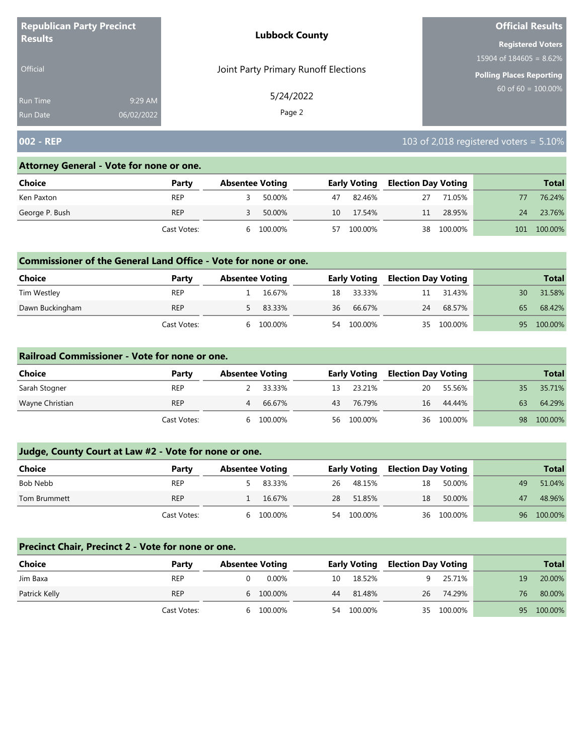| <b>Republican Party Precinct</b> |            | <b>Lubbock County</b>                | <b>Official Results</b>         |
|----------------------------------|------------|--------------------------------------|---------------------------------|
| <b>Results</b>                   |            |                                      | <b>Registered Voters</b>        |
|                                  |            |                                      | 15904 of $184605 = 8.62\%$      |
| <b>Official</b>                  |            | Joint Party Primary Runoff Elections | <b>Polling Places Reporting</b> |
| Run Time                         | 9:29 AM    | 5/24/2022<br>Page 2                  | 60 of 60 = $100.00\%$           |
| <b>Run Date</b>                  | 06/02/2022 |                                      |                                 |

## **002 - REP** 103 of 2,018 registered voters = 5.10%

#### **Attorney General - Vote for none or one.**

| Choice         | Party       | <b>Absentee Voting</b> |           |    | <b>Early Voting</b> |    | <b>Election Day Voting</b> |     | <b>Total</b> |
|----------------|-------------|------------------------|-----------|----|---------------------|----|----------------------------|-----|--------------|
| Ken Paxton     | <b>REP</b>  |                        | 50.00%    | 47 | 82.46%              | 27 | 71.05%                     |     | 76.24%       |
| George P. Bush | <b>REP</b>  |                        | 50.00%    | 10 | 17.54%              | 11 | 28.95%                     | 24  | 23.76%       |
|                | Cast Votes: |                        | 6 100.00% | 57 | 100.00%             |    | 38 100.00%                 | 101 | 100.00%      |

#### **Commissioner of the General Land Office - Vote for none or one.**

| <b>Choice</b>   | Party       | <b>Absentee Voting</b> |          |    | <b>Early Voting</b> |    | Election Day Voting |    | <b>Total</b> |
|-----------------|-------------|------------------------|----------|----|---------------------|----|---------------------|----|--------------|
| Tim Westley     | REP         |                        | 16.67%   |    | 18 33.33%           | 11 | 31.43%              | 30 | 31.58%       |
| Dawn Buckingham | <b>REP</b>  |                        | 5 83.33% | 36 | 66.67%              | 24 | 68.57%              | 65 | 68.42%       |
|                 | Cast Votes: |                        | 100.00%  | 54 | 100.00%             |    | 35 100.00%          | 95 | 100.00%      |

#### **Railroad Commissioner - Vote for none or one.**

| Choice          | Party       | <b>Absentee Voting</b> |          | <b>Early Voting</b> |            | <b>Election Day Voting</b> |            |    | <b>Total</b> |
|-----------------|-------------|------------------------|----------|---------------------|------------|----------------------------|------------|----|--------------|
| Sarah Stogner   | <b>REP</b>  |                        | 2 33.33% | 13                  | 23.21%     | 20                         | 55.56%     | 35 | 35.71%       |
| Wayne Christian | <b>REP</b>  | 4                      | 66.67%   | 43                  | 76.79%     | 16                         | 44.44%     | 63 | 64.29%       |
|                 | Cast Votes: | <sub>b</sub>           | 100.00%  |                     | 56 100.00% |                            | 36 100.00% | 98 | 100.00%      |

## **Judge, County Court at Law #2 - Vote for none or one.**

| <b>Choice</b> | Party       | <b>Absentee Voting</b> |         | <b>Early Voting</b> |         | <b>Election Day Voting</b> |            |    | <b>Total</b> |
|---------------|-------------|------------------------|---------|---------------------|---------|----------------------------|------------|----|--------------|
| Bob Nebb      | <b>REP</b>  |                        | 83.33%  | 26                  | 48.15%  | 18                         | 50.00%     | 49 | 51.04%       |
| Tom Brummett  | <b>REP</b>  |                        | 16.67%  | 28                  | 51.85%  | 18                         | 50.00%     | 47 | 48.96%       |
|               | Cast Votes: | h                      | 100.00% | 54                  | 100.00% |                            | 36 100.00% |    | 96 100.00%   |

## **Precinct Chair, Precinct 2 - Vote for none or one.**

| Choice        | Party       | <b>Absentee Voting</b> |           |    | <b>Early Voting</b> |    | <b>Election Day Voting</b> |    | <b>Total</b> |
|---------------|-------------|------------------------|-----------|----|---------------------|----|----------------------------|----|--------------|
| Jim Baxa      | <b>REP</b>  |                        | $0.00\%$  | 10 | 18.52%              |    | 9 25.71%                   | 19 | 20.00%       |
| Patrick Kelly | <b>REP</b>  |                        | 6 100.00% | 44 | 81.48%              | 26 | 74.29%                     | 76 | 80.00%       |
|               | Cast Votes: | <sub>6</sub>           | 100.00%   |    | 54 100.00%          |    | 35 100.00%                 |    | 95 100.00%   |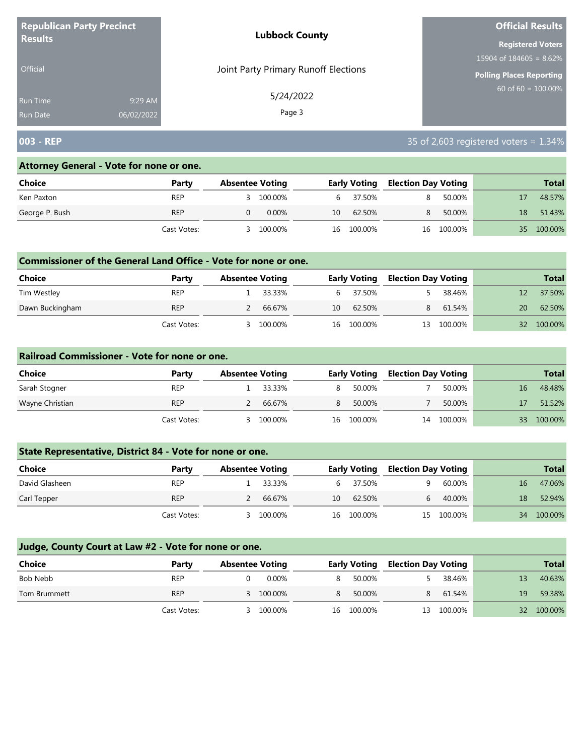| <b>Republican Party Precinct</b>                        | <b>Lubbock County</b><br><b>Results</b> |                                 |
|---------------------------------------------------------|-----------------------------------------|---------------------------------|
|                                                         |                                         | <b>Registered Voters</b>        |
|                                                         |                                         | 15904 of $184605 = 8.62\%$      |
| Joint Party Primary Runoff Elections<br><b>Official</b> |                                         | <b>Polling Places Reporting</b> |
| 9:29 AM<br>Run Time<br>06/02/2022<br><b>Run Date</b>    | 5/24/2022<br>Page 3                     | 60 of 60 = $100.00\%$           |

## **003 - REP** 35 of 2,603 registered voters = 1.34%

#### **Attorney General - Vote for none or one.**

| Choice         | Party       | <b>Absentee Voting</b> |          | <b>Early Voting</b> |            | <b>Election Day Voting</b> |         |    | <b>Total</b> |
|----------------|-------------|------------------------|----------|---------------------|------------|----------------------------|---------|----|--------------|
| Ken Paxton     | <b>REP</b>  |                        | 100.00%  |                     | 6 37.50%   | R.                         | 50.00%  |    | 48.57%       |
| George P. Bush | <b>REP</b>  |                        | $0.00\%$ | 10                  | 62.50%     | 8                          | 50.00%  | 18 | 51.43%       |
|                | Cast Votes: |                        | 100.00%  |                     | 16 100.00% | 16                         | 100.00% | 35 | 100.00%      |

#### **Commissioner of the General Land Office - Vote for none or one.**

| Choice          | Party       | <b>Absentee Voting</b> |         |    | <b>Early Voting</b> |    | <b>Election Day Voting</b> |    | <b>Total</b> |
|-----------------|-------------|------------------------|---------|----|---------------------|----|----------------------------|----|--------------|
| Tim Westley     | <b>REP</b>  |                        | 33.33%  |    | 6 37.50%            |    | 38.46%                     |    | 37.50%       |
| Dawn Buckingham | <b>REP</b>  |                        | 66.67%  | 10 | 62.50%              | 8  | 61.54%                     | 20 | 62.50%       |
|                 | Cast Votes: |                        | 100.00% | 16 | 100.00%             | 13 | 100.00%                    | 32 | 100.00%      |

#### **Railroad Commissioner - Vote for none or one.**

| Choice          | Party       | <b>Absentee Voting</b> |         |    | <b>Early Voting</b> | <b>Election Day Voting</b> |         |    | <b>Total</b> |
|-----------------|-------------|------------------------|---------|----|---------------------|----------------------------|---------|----|--------------|
| Sarah Stogner   | <b>REP</b>  |                        | 33.33%  |    | 50.00%              |                            | 50.00%  | 16 | 48.48%       |
| Wayne Christian | <b>REP</b>  |                        | 66.67%  | 8  | 50.00%              |                            | 50.00%  |    | 51.52%       |
|                 | Cast Votes: |                        | 100.00% | 16 | 100.00%             | 14                         | 100.00% | 33 | 100.00%      |

## **State Representative, District 84 - Vote for none or one.**

| Choice         | Party       | <b>Absentee Voting</b> |         |    | <b>Early Voting</b> | <b>Election Day Voting</b> |            |    | <b>Total</b> |
|----------------|-------------|------------------------|---------|----|---------------------|----------------------------|------------|----|--------------|
| David Glasheen | <b>REP</b>  |                        | 33.33%  |    | 6 37.50%            |                            | 60.00%     | 16 | 47.06%       |
| Carl Tepper    | <b>REP</b>  |                        | 66.67%  | 10 | 62.50%              |                            | 40.00%     | 18 | 52.94%       |
|                | Cast Votes: |                        | 100.00% | 16 | 100.00%             |                            | 15 100.00% | 34 | 100.00%      |

| Choice       | Party       | <b>Absentee Voting</b> |           |   | <b>Early Voting</b> |    | <b>Election Day Voting</b> |              | <b>Total</b> |
|--------------|-------------|------------------------|-----------|---|---------------------|----|----------------------------|--------------|--------------|
| Bob Nebb     | <b>REP</b>  |                        | 0.00%     |   | 50.00%              |    | 38.46%                     | 13           | 40.63%       |
| Tom Brummett | <b>REP</b>  |                        | 3 100.00% | 8 | 50.00%              | 8  | 61.54%                     | 19           | 59.38%       |
|              | Cast Votes: |                        | 100.00%   |   | 16 100.00%          | 13 | 100.00%                    | $32^{\circ}$ | 100.00%      |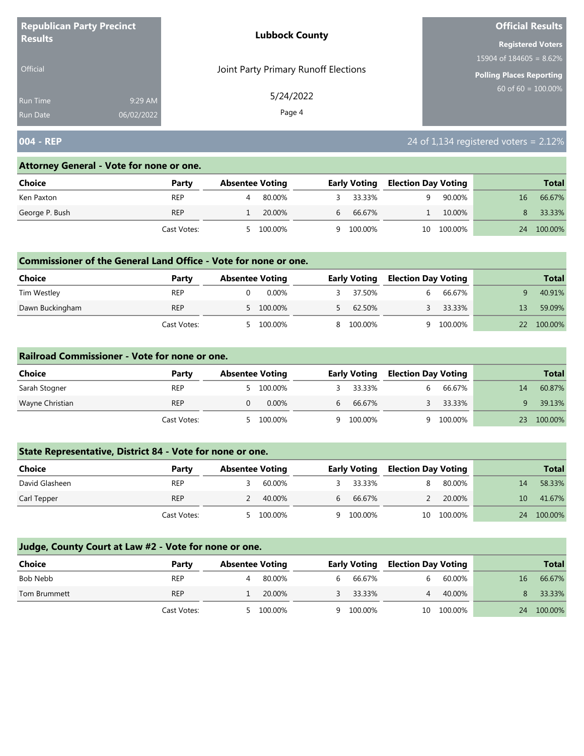| <b>Republican Party Precinct</b><br><b>Lubbock County</b><br><b>Results</b> |            |                                      | <b>Official Results</b>    |
|-----------------------------------------------------------------------------|------------|--------------------------------------|----------------------------|
|                                                                             |            |                                      | <b>Registered Voters</b>   |
|                                                                             |            |                                      | 15904 of $184605 = 8.62\%$ |
| Official                                                                    |            | Joint Party Primary Runoff Elections | Polling Places Reporting   |
| <b>Run Time</b>                                                             | 9:29 AM    | 5/24/2022                            | $60$ of 60 = 100.00%       |
| <b>Run Date</b>                                                             | 06/02/2022 | Page 4                               |                            |

# **004 - REP** 24 of 1,134 registered voters = 2.12%

#### **Attorney General - Vote for none or one.**

| <b>Choice</b>  | Party       | <b>Absentee Voting</b> |                | <b>Early Voting</b> | <b>Election Day Voting</b> |            |    | <b>Total</b> |
|----------------|-------------|------------------------|----------------|---------------------|----------------------------|------------|----|--------------|
| Ken Paxton     | <b>REP</b>  | 80.00%                 |                | 33.33%              |                            | 90.00%     | 16 | 66.67%       |
| George P. Bush | <b>REP</b>  | 20.00%                 | 6 <sup>1</sup> | 66.67%              |                            | 10.00%     | 8  | 33.33%       |
|                | Cast Votes: | 5 100.00%              |                | 9 100.00%           |                            | 10 100.00% | 24 | 100.00%      |

#### **Commissioner of the General Land Office - Vote for none or one.**

| Choice          | Party       | <b>Absentee Voting</b> | <b>Early Voting</b> | <b>Election Day Voting</b> |         |    | <b>Total</b> |
|-----------------|-------------|------------------------|---------------------|----------------------------|---------|----|--------------|
| Tim Westley     | <b>REP</b>  | 0.00%                  | 37.50%              |                            | 66.67%  |    | 40.91%       |
| Dawn Buckingham | <b>REP</b>  | 5 100.00%              | 62.50%              |                            | 33.33%  |    | 59.09%       |
|                 | Cast Votes: | 100.00%                | 8 100.00%           |                            | 100.00% | 22 | 100.00%      |

#### **Railroad Commissioner - Vote for none or one.**

| <b>Choice</b>   | Party       | <b>Absentee Voting</b> |          |    | <b>Early Voting</b> |   | <b>Election Day Voting</b> |    | <b>Total</b> |
|-----------------|-------------|------------------------|----------|----|---------------------|---|----------------------------|----|--------------|
| Sarah Stogner   | <b>REP</b>  |                        | 100.00%  |    | 33.33%              |   | 66.67%                     | 14 | 60.87%       |
| Wayne Christian | <b>REP</b>  |                        | $0.00\%$ | h. | 66.67%              |   | 33.33%                     |    | 39.13%       |
|                 | Cast Votes: |                        | 100.00%  |    | 9 100.00%           | a | 100.00%                    | 23 | 100.00%      |

## **State Representative, District 84 - Vote for none or one.**

| Choice         | Party       | <b>Absentee Voting</b> |        | <b>Early Voting</b> | <b>Election Day Voting</b> |            |    | <b>Total</b> |
|----------------|-------------|------------------------|--------|---------------------|----------------------------|------------|----|--------------|
| David Glasheen | <b>REP</b>  |                        | 60.00% | 33.33%              |                            | 80.00%     | 14 | 58.33%       |
| Carl Tepper    | <b>REP</b>  | 40.00%                 |        | 66.67%              |                            | 20.00%     | 10 | 41.67%       |
|                | Cast Votes: | 100.00%                |        | 100.00%             |                            | 10 100.00% | 24 | 100.00%      |

| <b>Choice</b> | Party       | <b>Absentee Voting</b> |         |   | <b>Early Voting</b> |    | <b>Election Day Voting</b> |    | <b>Total</b> |
|---------------|-------------|------------------------|---------|---|---------------------|----|----------------------------|----|--------------|
| Bob Nebb      | <b>REP</b>  |                        | 80.00%  | 6 | 66.67%              | h. | 60.00%                     | 16 | 66.67%       |
| Tom Brummett  | <b>REP</b>  |                        | 20.00%  |   | 33.33%              | 4  | 40.00%                     |    | 33.33%       |
|               | Cast Votes: |                        | 100.00% | a | 100.00%             | 10 | 100.00%                    | 24 | 100.00%      |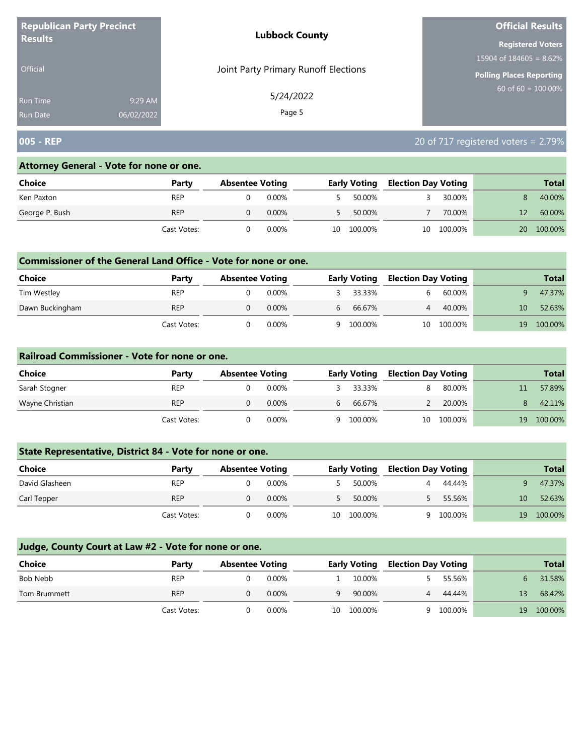| <b>Republican Party Precinct</b>   |                       | <b>Lubbock County</b>                | <b>Official Results</b>         |
|------------------------------------|-----------------------|--------------------------------------|---------------------------------|
| <b>Results</b>                     |                       |                                      | <b>Registered Voters</b>        |
|                                    |                       |                                      | 15904 of $184605 = 8.62\%$      |
| <b>Official</b>                    |                       | Joint Party Primary Runoff Elections | <b>Polling Places Reporting</b> |
| <b>Run Time</b><br><b>Run Date</b> | 9:29 AM<br>06/02/2022 | 5/24/2022<br>Page 5                  | 60 of 60 = $100.00\%$           |

## **005 - REP** 20 of 717 registered voters = 2.79%

## **Attorney General - Vote for none or one.**

| Choice         | Party       | <b>Absentee Voting</b> |       | <b>Early Voting</b> |         | <b>Election Day Voting</b> |         |    | <b>Total</b> |
|----------------|-------------|------------------------|-------|---------------------|---------|----------------------------|---------|----|--------------|
| Ken Paxton     | <b>REP</b>  |                        | 0.00% |                     | 50.00%  |                            | 30.00%  |    | 40.00%       |
| George P. Bush | <b>REP</b>  |                        | 0.00% |                     | 50.00%  |                            | 70.00%  |    | 60.00%       |
|                | Cast Votes: |                        | 0.00% | 10                  | 100.00% | 10                         | 100.00% | 20 | 100.00%      |

#### **Commissioner of the General Land Office - Vote for none or one.**

| Choice          | Party       | <b>Absentee Voting</b> |          |   | <b>Early Voting</b> |    | <b>Election Day Voting</b> |    | <b>Total</b> |
|-----------------|-------------|------------------------|----------|---|---------------------|----|----------------------------|----|--------------|
| Tim Westley     | REP         |                        | $0.00\%$ |   | 33.33%              |    | 60.00%                     |    | 47.37%       |
| Dawn Buckingham | <b>REP</b>  |                        | $0.00\%$ | b | 66.67%              |    | 40.00%                     | 10 | 52.63%       |
|                 | Cast Votes: |                        | 0.00%    | a | 100.00%             | 10 | 100.00%                    | 19 | 100.00%      |

#### **Railroad Commissioner - Vote for none or one.**

| Choice          | Party       | <b>Absentee Voting</b> |          | <b>Early Voting</b> |           | <b>Election Day Voting</b> |         |    | <b>Total</b> |
|-----------------|-------------|------------------------|----------|---------------------|-----------|----------------------------|---------|----|--------------|
| Sarah Stogner   | <b>REP</b>  |                        | 0.00%    |                     | 33.33%    |                            | 80.00%  |    | 57.89%       |
| Wayne Christian | <b>REP</b>  |                        | $0.00\%$ | b                   | 66.67%    |                            | 20.00%  |    | 42.11%       |
|                 | Cast Votes: |                        | $0.00\%$ |                     | 9 100.00% | 10                         | 100.00% | 19 | 100.00%      |

## **State Representative, District 84 - Vote for none or one.**

| Choice         | Party       | <b>Absentee Voting</b> |          |    | <b>Early Voting</b> |  | <b>Election Day Voting</b> |    | <b>Total</b> |
|----------------|-------------|------------------------|----------|----|---------------------|--|----------------------------|----|--------------|
| David Glasheen | <b>REP</b>  |                        | $0.00\%$ |    | 50.00%              |  | 44.44%                     |    | 47.37%       |
| Carl Tepper    | <b>REP</b>  |                        | 0.00%    |    | 50.00%              |  | 55.56%                     | 10 | 52.63%       |
|                | Cast Votes: |                        | $0.00\%$ | 10 | 100.00%             |  | 9 100.00%                  | 19 | 100.00%      |

| <b>Choice</b> | Party       | <b>Absentee Voting</b> |          |    | <b>Early Voting</b> |   | <b>Election Day Voting</b> |    | <b>Total</b> |
|---------------|-------------|------------------------|----------|----|---------------------|---|----------------------------|----|--------------|
| Bob Nebb      | <b>REP</b>  |                        | 0.00%    |    | 10.00%              |   | 55.56%                     |    | 31.58%       |
| Tom Brummett  | <b>REP</b>  |                        | $0.00\%$ | a  | 90.00%              | 4 | 44.44%                     | 13 | 68.42%       |
|               | Cast Votes: |                        | $0.00\%$ | 10 | 100.00%             |   | 9 100.00%                  | 19 | 100.00%      |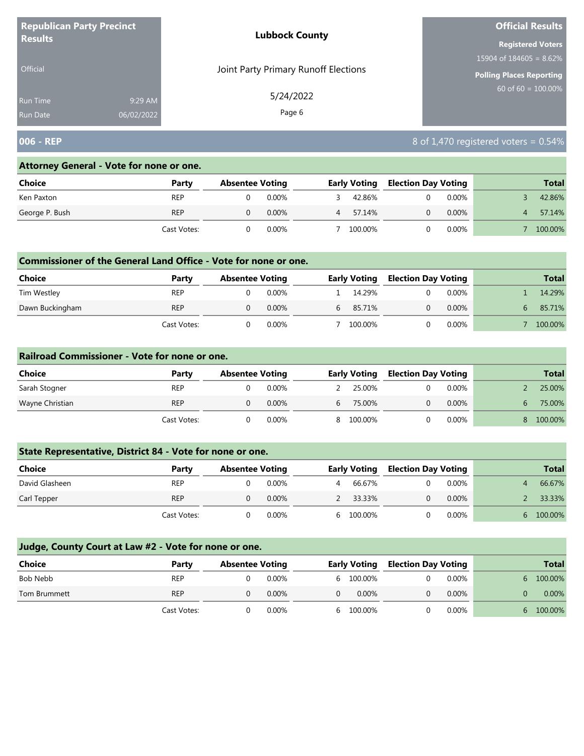| <b>Republican Party Precinct</b> |            | <b>Lubbock County</b>                | <b>Official Results</b>    |
|----------------------------------|------------|--------------------------------------|----------------------------|
| <b>Results</b>                   |            |                                      | <b>Registered Voters</b>   |
|                                  |            |                                      | 15904 of $184605 = 8.62\%$ |
| <b>Official</b>                  |            | Joint Party Primary Runoff Elections | Polling Places Reporting   |
| <b>Run Time</b>                  | 9:29 AM    | 5/24/2022                            | $60$ of 60 = 100.00%       |
| <b>Run Date</b>                  | 06/02/2022 | Page 6                               |                            |

## **006 - REP** 8 of 1,470 registered voters = 0.54%

#### **Attorney General - Vote for none or one.**

| <b>Choice</b>  | Party       | <b>Absentee Voting</b> |          |   | <b>Early Voting</b> |  | <b>Election Day Voting</b> |  | <b>Total</b> |
|----------------|-------------|------------------------|----------|---|---------------------|--|----------------------------|--|--------------|
| Ken Paxton     | <b>REP</b>  |                        | $0.00\%$ |   | 42.86%              |  | $0.00\%$                   |  | 42.86%       |
| George P. Bush | <b>REP</b>  |                        | $0.00\%$ | 4 | 57.14%              |  | $0.00\%$                   |  | 57.14%       |
|                | Cast Votes: |                        | 0.00%    |   | 100.00%             |  | $0.00\%$                   |  | 100.00%      |

#### **Commissioner of the General Land Office - Vote for none or one.**

| <b>Choice</b>   | Party       | <b>Absentee Voting</b> |          |    | <b>Early Voting</b> |  | <b>Election Day Voting</b> | <b>Total</b> |
|-----------------|-------------|------------------------|----------|----|---------------------|--|----------------------------|--------------|
| Tim Westley     | <b>REP</b>  |                        | 0.00%    |    | 14.29%              |  | $0.00\%$                   | 14.29%       |
| Dawn Buckingham | <b>REP</b>  |                        | $0.00\%$ | b. | 85.71%              |  | $0.00\%$                   | 85.71%       |
|                 | Cast Votes: |                        | 0.00%    |    | 100.00%             |  | $0.00\%$                   | 100.00%      |

#### **Railroad Commissioner - Vote for none or one.**

| <b>Choice</b>   | Party       | <b>Absentee Voting</b> |          |            | <b>Early Voting</b> |  | <b>Election Day Voting</b> | <b>Total</b> |
|-----------------|-------------|------------------------|----------|------------|---------------------|--|----------------------------|--------------|
| Sarah Stogner   | <b>REP</b>  |                        | $0.00\%$ |            | 25.00%              |  | $0.00\%$                   | 25.00%       |
| Wayne Christian | <b>REP</b>  |                        | $0.00\%$ | $\sqrt{6}$ | 75.00%              |  | $0.00\%$                   | 75.00%       |
|                 | Cast Votes: |                        | $0.00\%$ |            | 8 100.00%           |  | $0.00\%$                   | 100.00%      |

## **State Representative, District 84 - Vote for none or one.**

| Choice         | Party       | <b>Absentee Voting</b> |          |   | <b>Early Voting</b> |  | <b>Election Day Voting</b> | <b>Total</b> |
|----------------|-------------|------------------------|----------|---|---------------------|--|----------------------------|--------------|
| David Glasheen | <b>REP</b>  |                        | $0.00\%$ | 4 | 66.67%              |  | 0.00%                      | 66.67%       |
| Carl Tepper    | <b>REP</b>  |                        | 0.00%    |   | 33.33%              |  | $0.00\%$                   | 33.33%       |
|                | Cast Votes: |                        | $0.00\%$ |   | 100.00%             |  | $0.00\%$                   | 100.00%      |

| <b>Choice</b> | Party       | <b>Absentee Voting</b> |          | <b>Early Voting</b> |          | <b>Election Day Voting</b> |   | <b>Total</b> |
|---------------|-------------|------------------------|----------|---------------------|----------|----------------------------|---|--------------|
| Bob Nebb      | <b>REP</b>  |                        | $0.00\%$ | 6 100.00%           | 0        | 0.00%                      |   | 6 100.00%    |
| Tom Brummett  | <b>REP</b>  |                        | 0.00%    | $0.00\%$            | $\Omega$ | $0.00\%$                   |   | $0.00\%$     |
|               | Cast Votes: |                        | 0.00%    | 6 100.00%           |          | 0.00%                      | h | 100.00%      |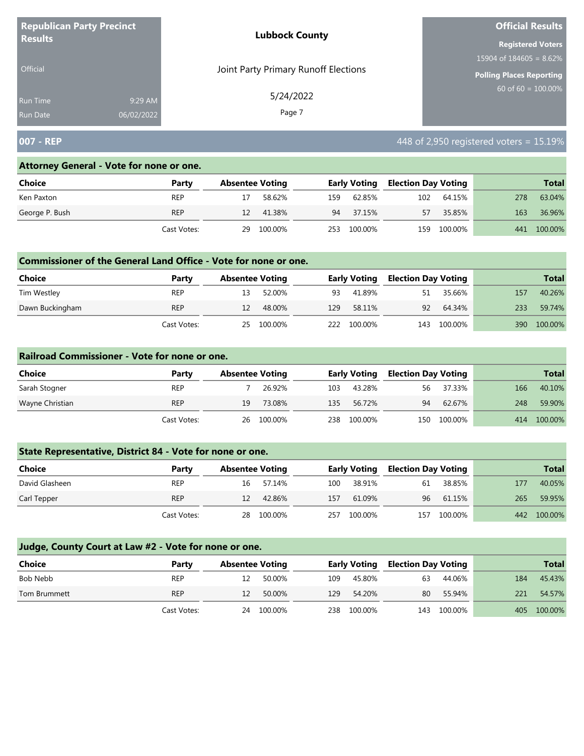| <b>Republican Party Precinct</b> |            | <b>Lubbock County</b>                | <b>Official Results</b>         |  |  |
|----------------------------------|------------|--------------------------------------|---------------------------------|--|--|
| <b>Results</b>                   |            |                                      | <b>Registered Voters</b>        |  |  |
|                                  |            |                                      | 15904 of $184605 = 8.62\%$      |  |  |
| <b>Official</b>                  |            | Joint Party Primary Runoff Elections | <b>Polling Places Reporting</b> |  |  |
| Run Time                         | 9:29 AM    | 5/24/2022                            | 60 of 60 = $100.00\%$           |  |  |
| <b>Run Date</b>                  | 06/02/2022 | Page 7                               |                                 |  |  |

## **007 - REP 1007 - REP 1007 - REP 1008 - And 1008 and 1008 and 1008 and 1008 and 1008 and 1008 and 1008 and 1008 and 1008 and 1008 and 1008 and 1008 and 1008 and 1008 and 1008 and 1008 and 1008 and 1008 and 1008 and 1**

#### **Attorney General - Vote for none or one.**

| Choice         | Party       | <b>Absentee Voting</b> |         |     | <b>Early Voting</b> |     | <b>Election Day Voting</b> |     | <b>Total</b> |
|----------------|-------------|------------------------|---------|-----|---------------------|-----|----------------------------|-----|--------------|
| Ken Paxton     | <b>REP</b>  |                        | 58.62%  | 159 | 62.85%              | 102 | 64.15%                     | 278 | 63.04%       |
| George P. Bush | <b>REP</b>  | 12                     | 41.38%  | 94  | 37.15%              | 57  | 35.85%                     | 163 | 36.96%       |
|                | Cast Votes: | 29                     | 100.00% | 253 | 100.00%             | 159 | 100.00%                    | 441 | 100.00%      |

#### **Commissioner of the General Land Office - Vote for none or one.**

| <b>Choice</b>   | Party       | <b>Absentee Voting</b> |         |     | Early Voting |     | <b>Election Day Voting</b> |     | <b>Total</b> |
|-----------------|-------------|------------------------|---------|-----|--------------|-----|----------------------------|-----|--------------|
| Tim Westley     | <b>REP</b>  |                        | 52.00%  | 93  | 41.89%       | 51  | 35.66%                     | 157 | 40.26%       |
| Dawn Buckingham | <b>REP</b>  | 12                     | 48.00%  | 129 | 58.11%       | 92  | 64.34%                     | 233 | 59.74%       |
|                 | Cast Votes: | 25                     | 100.00% | 222 | 100.00%      | 143 | 100.00%                    | 390 | 100.00%      |

#### **Railroad Commissioner - Vote for none or one.**

| Choice          | Party       | <b>Absentee Voting</b> |            |     | <b>Early Voting</b> |    | <b>Election Day Voting</b> |     | <b>Total</b> |
|-----------------|-------------|------------------------|------------|-----|---------------------|----|----------------------------|-----|--------------|
| Sarah Stogner   | REP         |                        | 26.92%     | 103 | 43.28%              | 56 | 37.33%                     | 166 | 40.10%       |
| Wayne Christian | <b>REP</b>  | 19                     | 73.08%     | 135 | 56.72%              | 94 | 62.67%                     | 248 | 59.90%       |
|                 | Cast Votes: |                        | 26 100.00% | 238 | 100.00%             |    | 150 100.00%                | 414 | 100.00%      |

## **State Representative, District 84 - Vote for none or one.**

| <b>Choice</b>  | Party       | <b>Absentee Voting</b> |         |     | <b>Early Voting</b> |     | <b>Election Day Voting</b> |     | <b>Total</b> |
|----------------|-------------|------------------------|---------|-----|---------------------|-----|----------------------------|-----|--------------|
| David Glasheen | <b>REP</b>  | 16                     | 57.14%  | 100 | 38.91%              | 61  | 38.85%                     | 177 | 40.05%       |
| Carl Tepper    | <b>REP</b>  | 12                     | 42.86%  | 157 | 61.09%              | 96  | 61.15%                     | 265 | 59.95%       |
|                | Cast Votes: | 28.                    | 100.00% | 257 | 100.00%             | 157 | 100.00%                    |     | 442 100.00%  |

| Choice       | Party       | <b>Absentee Voting</b> |            |     | <b>Early Voting</b> |     | <b>Election Day Voting</b> |     | <b>Total</b> |
|--------------|-------------|------------------------|------------|-----|---------------------|-----|----------------------------|-----|--------------|
| Bob Nebb     | <b>REP</b>  | 12                     | 50.00%     | 109 | 45.80%              | 63  | 44.06%                     | 184 | 45.43%       |
| Tom Brummett | <b>REP</b>  | 12                     | 50.00%     | 129 | 54.20%              | 80  | 55.94%                     | 221 | 54.57%       |
|              | Cast Votes: |                        | 24 100.00% | 238 | 100.00%             | 143 | 100.00%                    |     | 405 100.00%  |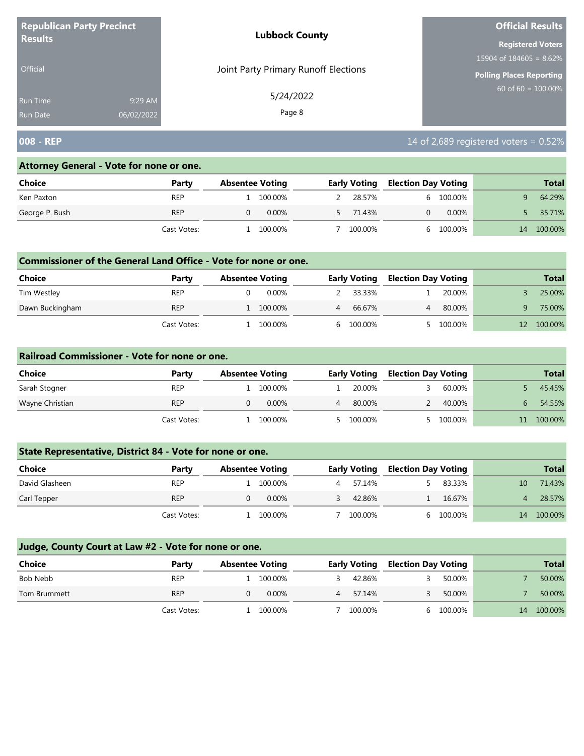| <b>Republican Party Precinct</b> |            | <b>Lubbock County</b>                | <b>Official Results</b>    |  |  |
|----------------------------------|------------|--------------------------------------|----------------------------|--|--|
| <b>Results</b>                   |            |                                      | <b>Registered Voters</b>   |  |  |
|                                  |            |                                      | 15904 of $184605 = 8.62\%$ |  |  |
| <b>Official</b>                  |            | Joint Party Primary Runoff Elections | Polling Places Reporting   |  |  |
| <b>Run Time</b>                  | 9:29 AM    | 5/24/2022                            | $60$ of 60 = 100.00%       |  |  |
| <b>Run Date</b>                  | 06/02/2022 | Page 8                               |                            |  |  |

## **008 - REP** 14 of 2,689 registered voters = 0.52%

#### **Attorney General - Vote for none or one.**

| <b>Choice</b>  | Party       | <b>Absentee Voting</b> |          | <b>Early Voting</b> | <b>Election Day Voting</b> |          |    | <b>Total</b> |
|----------------|-------------|------------------------|----------|---------------------|----------------------------|----------|----|--------------|
| Ken Paxton     | <b>REP</b>  | 100.00%                |          | 28.57%              |                            | 100.00%  |    | 64.29%       |
| George P. Bush | <b>REP</b>  |                        | $0.00\%$ | 71.43%              |                            | $0.00\%$ |    | 35.71%       |
|                | Cast Votes: | 100.00%                |          | 100.00%             |                            | 100.00%  | 14 | 100.00%      |

#### **Commissioner of the General Land Office - Vote for none or one.**

| <b>Choice</b>   | Party       | <b>Absentee Voting</b> |       | <b>Early Voting</b> |  | <b>Election Day Voting</b> | <b>Total</b> |
|-----------------|-------------|------------------------|-------|---------------------|--|----------------------------|--------------|
| Tim Westley     | <b>REP</b>  |                        | 0.00% | 33.33%              |  | 20.00%                     | 25.00%       |
| Dawn Buckingham | <b>REP</b>  | 100.00%                |       | 66.67%              |  | 80.00%                     | 75.00%       |
|                 | Cast Votes: | 100.00%                |       | 100.00%             |  | 100.00%                    | 100.00%      |

#### **Railroad Commissioner - Vote for none or one.**

| Choice          | Party       | <b>Absentee Voting</b> |          | <b>Early Voting</b> |  | <b>Election Day Voting</b> |  | <b>Total</b> |
|-----------------|-------------|------------------------|----------|---------------------|--|----------------------------|--|--------------|
| Sarah Stogner   | <b>REP</b>  |                        | 100.00%  | 20.00%              |  | 60.00%                     |  | 45.45%       |
| Wayne Christian | <b>REP</b>  |                        | $0.00\%$ | 80.00%              |  | 40.00%                     |  | 54.55%       |
|                 | Cast Votes: |                        | 100.00%  | 5 100.00%           |  | 100.00%                    |  | 100.00%      |

## **State Representative, District 84 - Vote for none or one.**

| Choice         | Party       | <b>Absentee Voting</b> |         | <b>Early Voting</b> |  | <b>Election Day Voting</b> |    | <b>Total</b> |
|----------------|-------------|------------------------|---------|---------------------|--|----------------------------|----|--------------|
| David Glasheen | REP         |                        | 100.00% | 57.14%              |  | 83.33%                     | 10 | 71.43%       |
| Carl Tepper    | <b>REP</b>  |                        | 0.00%   | 42.86%              |  | 16.67%                     |    | 28.57%       |
|                | Cast Votes: |                        | 100.00% | 100.00%             |  | 6 100.00%                  | 14 | 100.00%      |

| Choice       | Party       | <b>Absentee Voting</b> |          |   | <b>Early Voting</b> |  | <b>Election Day Voting</b> |    | <b>Total</b> |
|--------------|-------------|------------------------|----------|---|---------------------|--|----------------------------|----|--------------|
| Bob Nebb     | <b>REP</b>  |                        | 100.00%  |   | 42.86%              |  | 50.00%                     |    | 50.00%       |
| Tom Brummett | <b>REP</b>  |                        | $0.00\%$ | 4 | 57.14%              |  | 50.00%                     |    | 50.00%       |
|              | Cast Votes: |                        | 100.00%  |   | 100.00%             |  | 6 100.00%                  | 14 | 100.00%      |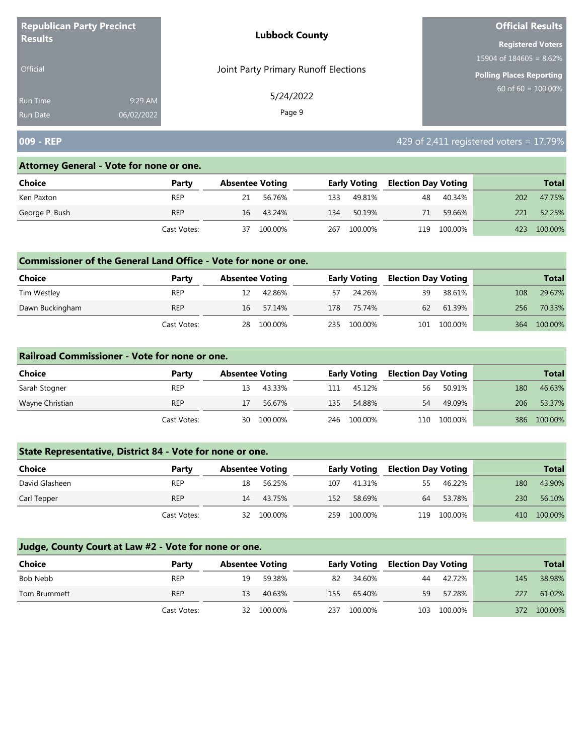| <b>Republican Party Precinct</b><br><b>Results</b> |            | <b>Lubbock County</b>                | <b>Official Results</b>    |  |  |
|----------------------------------------------------|------------|--------------------------------------|----------------------------|--|--|
|                                                    |            |                                      | <b>Registered Voters</b>   |  |  |
|                                                    |            | Joint Party Primary Runoff Elections | 15904 of $184605 = 8.62\%$ |  |  |
| Official                                           |            | <b>Polling Places Reporting</b>      |                            |  |  |
| Run Time                                           | 9:29 AM    | 5/24/2022                            | 60 of $60 = 100.00\%$      |  |  |
| <b>Run Date</b>                                    | 06/02/2022 | Page 9                               |                            |  |  |

## **009 - REP 17.79% 18.1 and 2009 - REP 429 of 2,411 registered voters = 17.79%**

#### **Attorney General - Vote for none or one.**

| Choice         | Party       | <b>Absentee Voting</b> |         |     | <b>Early Voting</b> |     | <b>Election Day Voting</b> |     | <b>Total</b> |
|----------------|-------------|------------------------|---------|-----|---------------------|-----|----------------------------|-----|--------------|
| Ken Paxton     | <b>REP</b>  | 21                     | 56.76%  | 133 | 49.81%              | 48  | 40.34%                     | 202 | 47.75%       |
| George P. Bush | <b>REP</b>  | 16                     | 43.24%  | 134 | 50.19%              | 71  | 59.66%                     | 221 | 52.25%       |
|                | Cast Votes: | 37                     | 100.00% | 267 | 100.00%             | 119 | 100.00%                    | 423 | 100.00%      |

#### **Commissioner of the General Land Office - Vote for none or one.**

| <b>Choice</b>   | Party       | <b>Absentee Voting</b> |         |    | <b>Early Voting</b> | <b>Election Day Voting</b> |             |     | <b>Total</b> |
|-----------------|-------------|------------------------|---------|----|---------------------|----------------------------|-------------|-----|--------------|
| Tim Westley     | <b>REP</b>  | 12                     | 42.86%  | 57 | 24.26%              | 39                         | 38.61%      | 108 | 29.67%       |
| Dawn Buckingham | <b>REP</b>  | 16                     | 57.14%  |    | 178 75.74%          | 62                         | 61.39%      | 256 | 70.33%       |
|                 | Cast Votes: | 28                     | 100.00% |    | 235 100.00%         |                            | 101 100.00% | 364 | 100.00%      |

#### **Railroad Commissioner - Vote for none or one.**

| Choice          | Party       | <b>Absentee Voting</b> |         |     | <b>Early Voting</b> |    | <b>Election Day Voting</b> |     | <b>Total</b> |
|-----------------|-------------|------------------------|---------|-----|---------------------|----|----------------------------|-----|--------------|
| Sarah Stogner   | <b>REP</b>  | 13                     | 43.33%  | 111 | 45.12%              | 56 | 50.91%                     | 180 | 46.63%       |
| Wayne Christian | <b>REP</b>  |                        | 56.67%  | 135 | 54.88%              | 54 | 49.09%                     | 206 | 53.37%       |
|                 | Cast Votes: | 30                     | 100.00% | 246 | 100.00%             |    | 110 100.00%                | 386 | 100.00%      |

## **State Representative, District 84 - Vote for none or one.**

| Choice         | Party       | <b>Absentee Voting</b> |         |     | <b>Early Voting</b> |    | <b>Election Day Voting</b> |     | <b>Total</b> |
|----------------|-------------|------------------------|---------|-----|---------------------|----|----------------------------|-----|--------------|
| David Glasheen | <b>REP</b>  | 18                     | 56.25%  | 107 | 41.31%              | 55 | 46.22%                     | 180 | 43.90%       |
| Carl Tepper    | <b>REP</b>  | 14                     | 43.75%  | 152 | 58.69%              | 64 | 53.78%                     | 230 | 56.10%       |
|                | Cast Votes: | 32                     | 100.00% | 259 | 100.00%             |    | 119 100.00%                | 410 | 100.00%      |

| Choice       | Party       | <b>Absentee Voting</b> |            |     | <b>Early Voting</b> |     | <b>Election Day Voting</b> |     | <b>Total</b> |
|--------------|-------------|------------------------|------------|-----|---------------------|-----|----------------------------|-----|--------------|
| Bob Nebb     | <b>REP</b>  | 19                     | 59.38%     | 82  | 34.60%              | 44  | 42.72%                     | 145 | 38.98%       |
| Tom Brummett | <b>REP</b>  | 13                     | 40.63%     | 155 | 65.40%              | 59  | 57.28%                     | 227 | 61.02%       |
|              | Cast Votes: |                        | 32 100.00% | 237 | 100.00%             | 103 | 100.00%                    |     | 372 100.00%  |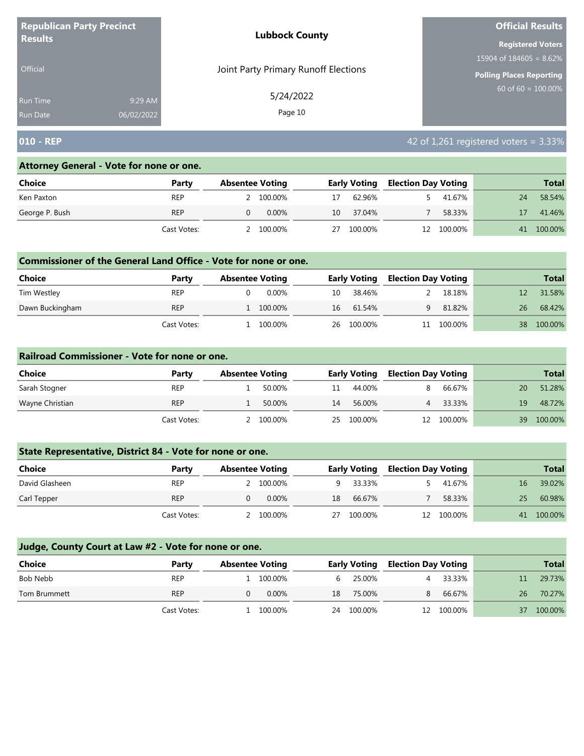| <b>Republican Party Precinct</b><br><b>Results</b> |            | <b>Lubbock County</b>                | <b>Official Results</b>    |  |  |
|----------------------------------------------------|------------|--------------------------------------|----------------------------|--|--|
|                                                    |            |                                      | <b>Registered Voters</b>   |  |  |
|                                                    |            | Joint Party Primary Runoff Elections | 15904 of $184605 = 8.62\%$ |  |  |
| <b>Official</b>                                    |            | Polling Places Reporting             |                            |  |  |
| <b>Run Time</b>                                    | 9:29 AM    | 5/24/2022                            | $60$ of 60 = 100.00%       |  |  |
| <b>Run Date</b>                                    | 06/02/2022 | Page 10                              |                            |  |  |

# **010 - REP** 42 of 1,261 registered voters = 3.33%

#### **Attorney General - Vote for none or one.**

| <b>Choice</b>  | Party       | <b>Absentee Voting</b> |    | <b>Early Voting</b> |    | <b>Election Day Voting</b> |    | <b>Total</b> |
|----------------|-------------|------------------------|----|---------------------|----|----------------------------|----|--------------|
| Ken Paxton     | <b>REP</b>  | 100.00%                | 17 | 62.96%              |    | 41.67%                     | 24 | 58.54%       |
| George P. Bush | <b>REP</b>  | $0.00\%$               | 10 | 37.04%              |    | 58.33%                     |    | 41.46%       |
|                | Cast Votes: | 100.00%                | 27 | 100.00%             | 12 | 100.00%                    |    | 41 100.00%   |

#### **Commissioner of the General Land Office - Vote for none or one.**

| <b>Choice</b>   | Party       | <b>Absentee Voting</b> |          |    | <b>Early Voting</b> | <b>Election Day Voting</b> |         |    | <b>Total</b> |
|-----------------|-------------|------------------------|----------|----|---------------------|----------------------------|---------|----|--------------|
| Tim Westley     | <b>REP</b>  |                        | $0.00\%$ | 10 | 38.46%              |                            | 18.18%  |    | 31.58%       |
| Dawn Buckingham | <b>REP</b>  | 100.00%                |          | 16 | 61.54%              |                            | 81.82%  | 26 | 68.42%       |
|                 | Cast Votes: | 100.00%                |          |    | 26 100.00%          |                            | 100.00% | 38 | 100.00%      |

#### **Railroad Commissioner - Vote for none or one.**

| <b>Choice</b>   | Party       | <b>Absentee Voting</b> |         |    | <b>Early Voting</b> |    | <b>Election Day Voting</b> |    | <b>Total</b> |
|-----------------|-------------|------------------------|---------|----|---------------------|----|----------------------------|----|--------------|
| Sarah Stogner   | <b>REP</b>  |                        | 50.00%  |    | 44.00%              |    | 66.67%                     | 20 | 51.28%       |
| Wayne Christian | <b>REP</b>  |                        | 50.00%  | 14 | 56.00%              |    | 33.33%                     | 19 | 48.72%       |
|                 | Cast Votes: |                        | 100.00% | 25 | 100.00%             | 12 | 100.00%                    | 39 | 100.00%      |

## **State Representative, District 84 - Vote for none or one.**

| <b>Choice</b>  | Party       | <b>Absentee Voting</b> |           |    | <b>Early Voting</b> |  | <b>Election Day Voting</b> |    | <b>Total</b> |
|----------------|-------------|------------------------|-----------|----|---------------------|--|----------------------------|----|--------------|
| David Glasheen | <b>REP</b>  |                        | 2 100.00% |    | 33.33%              |  | 41.67%                     | 16 | 39.02%       |
| Carl Tepper    | <b>REP</b>  |                        | 0.00%     | 18 | 66.67%              |  | 58.33%                     | 25 | 60.98%       |
|                | Cast Votes: |                        | 100.00%   | 27 | 100.00%             |  | 12 100.00%                 | 41 | 100.00%      |

| <b>Choice</b> | Party       | <b>Absentee Voting</b> |           |    | <b>Early Voting</b> |   | <b>Election Day Voting</b> |    | <b>Total</b> |
|---------------|-------------|------------------------|-----------|----|---------------------|---|----------------------------|----|--------------|
| Bob Nebb      | <b>REP</b>  |                        | 1 100,00% |    | 6 25.00%            | 4 | 33.33%                     | 11 | 29.73%       |
| Tom Brummett  | <b>REP</b>  |                        | $0.00\%$  | 18 | 75.00%              | 8 | 66.67%                     | 26 | 70.27%       |
|               | Cast Votes: |                        | 1 100,00% |    | 24 100.00%          |   | 12 100.00%                 | 37 | 100.00%      |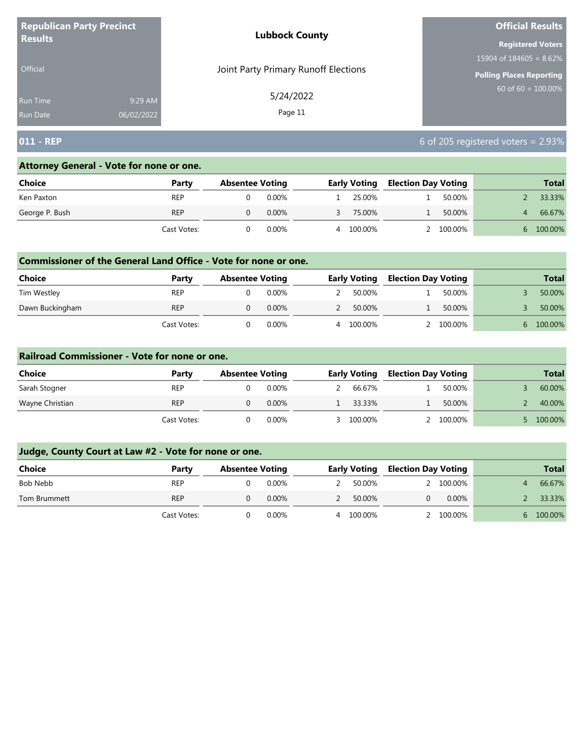| <b>Republican Party Precinct</b> |         | <b>Lubbock County</b>                | <b>Official Results</b>    |
|----------------------------------|---------|--------------------------------------|----------------------------|
| <b>Results</b>                   |         |                                      | <b>Registered Voters</b>   |
|                                  |         |                                      | 15904 of $184605 = 8.62\%$ |
| <b>Official</b>                  |         | Joint Party Primary Runoff Elections | Polling Places Reporting   |
| Run Time                         | 9:29 AM | 5/24/2022                            | $60$ of 60 = 100.00%       |
| 06/02/2022<br><b>Run Date</b>    |         | Page 11                              |                            |

# **011 - REP** 6 of 205 registered voters = 2.93%

## **Attorney General - Vote for none or one.**

| Choice         | Party       | <b>Absentee Voting</b> |       |   | <b>Early Voting</b> | <b>Election Day Voting</b> |           | <b>Total</b> |
|----------------|-------------|------------------------|-------|---|---------------------|----------------------------|-----------|--------------|
| Ken Paxton     | <b>REP</b>  |                        | 0.00% |   | 25.00%              |                            | 50.00%    | 33.33%       |
| George P. Bush | <b>REP</b>  |                        | 0.00% |   | 75.00%              |                            | 50.00%    | 66.67%       |
|                | Cast Votes: |                        | 0.00% | 4 | 100.00%             |                            | 2 100.00% | 100.00%      |

#### **Commissioner of the General Land Office - Vote for none or one.**

| Choice          | Party       | <b>Absentee Voting</b> |          |                | <b>Early Voting</b> | <b>Election Day Voting</b> |         |  | <b>Total</b> |
|-----------------|-------------|------------------------|----------|----------------|---------------------|----------------------------|---------|--|--------------|
| Tim Westley     | <b>REP</b>  |                        | $0.00\%$ |                | 50.00%              |                            | 50.00%  |  | 50.00%       |
| Dawn Buckingham | <b>REP</b>  |                        | $0.00\%$ |                | 50.00%              |                            | 50.00%  |  | 50.00%       |
|                 | Cast Votes: |                        | 0.00%    | $\overline{4}$ | 100.00%             |                            | 100.00% |  | 100.00%      |

#### **Railroad Commissioner - Vote for none or one.**

| Choice          | Party       | <b>Absentee Voting</b> |          | <b>Early Voting</b> | <b>Election Day Voting</b> |           | <b>Total</b> |
|-----------------|-------------|------------------------|----------|---------------------|----------------------------|-----------|--------------|
| Sarah Stogner   | <b>REP</b>  |                        | 0.00%    | 66.67%              |                            | 50.00%    | 60.00%       |
| Wayne Christian | <b>REP</b>  |                        | $0.00\%$ | 33.33%              |                            | 50.00%    | 40.00%       |
|                 | Cast Votes: |                        | $0.00\%$ | 3 100.00%           |                            | 2 100,00% | 100.00%      |

| <b>Choice</b> | Party       | <b>Absentee Voting</b> |          | <b>Early Voting</b> | <b>Election Day Voting</b> |           | <b>Total</b> |
|---------------|-------------|------------------------|----------|---------------------|----------------------------|-----------|--------------|
| Bob Nebb      | <b>REP</b>  |                        | $0.00\%$ | 50.00%              |                            | 2 100,00% | 66.67%       |
| Tom Brummett  | <b>REP</b>  |                        | $0.00\%$ | 50.00%              |                            | $0.00\%$  | 33.33%       |
|               | Cast Votes: |                        | 0.00%    | 100.00%             |                            | 2 100.00% | 6 100.00%    |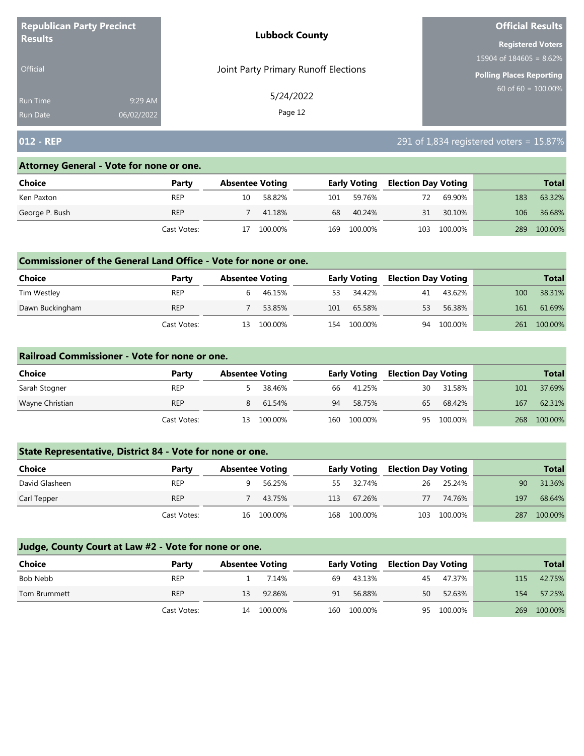| <b>Republican Party Precinct</b><br><b>Results</b> |         | <b>Lubbock County</b>                | <b>Official Results</b>                                       |  |  |  |
|----------------------------------------------------|---------|--------------------------------------|---------------------------------------------------------------|--|--|--|
|                                                    |         |                                      | 15904 of $184605 = 8.62\%$<br><b>Polling Places Reporting</b> |  |  |  |
|                                                    |         |                                      |                                                               |  |  |  |
| <b>Official</b>                                    |         | Joint Party Primary Runoff Elections | <b>Registered Voters</b>                                      |  |  |  |
| <b>Run Time</b>                                    | 9:29 AM | 5/24/2022                            | $60$ of 60 = 100.00%                                          |  |  |  |
| <b>Run Date</b><br>06/02/2022                      |         | Page 12                              |                                                               |  |  |  |

# **012 - REP** 291 of 1,834 registered voters = 15.87%

#### **Attorney General - Vote for none or one.**

| Choice         | Party       |    | <b>Absentee Voting</b> |     | <b>Early Voting</b> | <b>Election Day Voting</b> |         |     | <b>Total</b> |
|----------------|-------------|----|------------------------|-----|---------------------|----------------------------|---------|-----|--------------|
| Ken Paxton     | <b>REP</b>  | 10 | 58.82%                 | 101 | 59.76%              | 72                         | 69.90%  | 183 | 63.32%       |
| George P. Bush | <b>REP</b>  |    | 41.18%                 | 68  | 40.24%              | 31                         | 30.10%  | 106 | 36.68%       |
|                | Cast Votes: | 17 | 100.00%                | 169 | 100.00%             | 103                        | 100.00% | 289 | 100.00%      |

#### **Commissioner of the General Land Office - Vote for none or one.**

| <b>Choice</b>   | Party       | <b>Absentee Voting</b> |         |     | <b>Early Voting</b> | <b>Election Day Voting</b> |         |     | <b>Total</b> |
|-----------------|-------------|------------------------|---------|-----|---------------------|----------------------------|---------|-----|--------------|
| Tim Westley     | <b>REP</b>  |                        | 46.15%  | 53  | 34.42%              | 41                         | 43.62%  | 100 | 38.31%       |
| Dawn Buckingham | <b>REP</b>  |                        | 53.85%  | 101 | 65.58%              | 53                         | 56.38%  | 161 | 61.69%       |
|                 | Cast Votes: | 13                     | 100.00% | 154 | 100.00%             | 94                         | 100.00% | 261 | 100.00%      |

#### **Railroad Commissioner - Vote for none or one.**

| <b>Choice</b>   | Party       | <b>Absentee Voting</b> |         |    | <b>Early Voting</b> | <b>Election Day Voting</b> |            |     | <b>Total</b> |
|-----------------|-------------|------------------------|---------|----|---------------------|----------------------------|------------|-----|--------------|
| Sarah Stogner   | <b>REP</b>  |                        | 38.46%  | 66 | 41.25%              | 30                         | 31.58%     | 101 | 37.69%       |
| Wayne Christian | <b>REP</b>  | 8                      | 61.54%  | 94 | 58.75%              | 65                         | 68.42%     | 167 | 62.31%       |
|                 | Cast Votes: | 13                     | 100.00% |    | 160 100.00%         |                            | 95 100.00% | 268 | 100.00%      |

## **State Representative, District 84 - Vote for none or one.**

| Choice         | Party       | <b>Absentee Voting</b> |            |     | <b>Early Voting</b> | <b>Election Day Voting</b> |         |     | <b>Total</b> |
|----------------|-------------|------------------------|------------|-----|---------------------|----------------------------|---------|-----|--------------|
| David Glasheen | <b>REP</b>  |                        | 56.25%     | 55. | 32.74%              | 26                         | 25.24%  | 90  | 31.36%       |
| Carl Tepper    | <b>REP</b>  |                        | 43.75%     | 113 | 67.26%              | 77                         | 74.76%  | 197 | 68.64%       |
|                | Cast Votes: |                        | 16 100.00% | 168 | 100.00%             | 103                        | 100.00% | 287 | 100.00%      |

| Choice       | Party       | <b>Absentee Voting</b> |            |    | <b>Early Voting</b> | <b>Election Day Voting</b> |            |     | <b>Total</b> |
|--------------|-------------|------------------------|------------|----|---------------------|----------------------------|------------|-----|--------------|
| Bob Nebb     | <b>REP</b>  |                        | 7.14%      | 69 | 43.13%              | 45                         | 47.37%     | 115 | 42.75%       |
| Tom Brummett | <b>REP</b>  | 13                     | 92.86%     | 91 | 56.88%              | 50                         | 52.63%     | 154 | 57.25%       |
|              | Cast Votes: |                        | 14 100.00% |    | 160 100.00%         |                            | 95 100.00% | 269 | 100.00%      |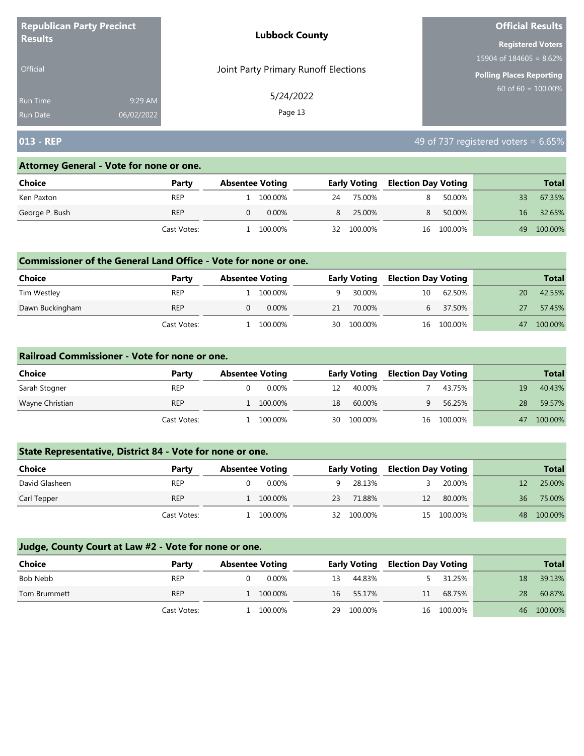| <b>Republican Party Precinct</b> |         | <b>Lubbock County</b>                | <b>Official Results</b>                          |
|----------------------------------|---------|--------------------------------------|--------------------------------------------------|
| <b>Results</b>                   |         |                                      | <b>Registered Voters</b>                         |
|                                  |         |                                      | 15904 of $184605 = 8.62\%$                       |
| <b>Official</b>                  |         | Joint Party Primary Runoff Elections | Polling Places Reporting<br>$60$ of 60 = 100.00% |
| Run Time                         | 9:29 AM | 5/24/2022                            |                                                  |
| 06/02/2022<br><b>Run Date</b>    |         | Page 13                              |                                                  |

# **013 - REP** 49 of 737 registered voters = 6.65%

#### **Attorney General - Vote for none or one.**

| Choice         | Party       | <b>Absentee Voting</b> |          |    | <b>Early Voting</b> | <b>Election Day Voting</b> |            |    | <b>Total</b> |
|----------------|-------------|------------------------|----------|----|---------------------|----------------------------|------------|----|--------------|
| Ken Paxton     | <b>REP</b>  |                        | 100.00%  | 24 | 75.00%              |                            | 50.00%     | 33 | 67.35%       |
| George P. Bush | <b>REP</b>  |                        | $0.00\%$ | 8  | 25.00%              | 8.                         | 50.00%     | 16 | 32.65%       |
|                | Cast Votes: |                        | 100.00%  | 32 | 100.00%             |                            | 16 100.00% | 49 | 100.00%      |

#### **Commissioner of the General Land Office - Vote for none or one.**

| <b>Choice</b>   | Party       | <b>Absentee Voting</b> |          |    | <b>Early Voting</b> | <b>Election Day Voting</b> |            |    | <b>Total</b> |
|-----------------|-------------|------------------------|----------|----|---------------------|----------------------------|------------|----|--------------|
| Tim Westley     | <b>REP</b>  |                        | 100.00%  |    | 30.00%              | 10                         | 62.50%     | 20 | 42.55%       |
| Dawn Buckingham | <b>REP</b>  |                        | $0.00\%$ | 21 | 70.00%              |                            | 37.50%     | 27 | 57.45%       |
|                 | Cast Votes: |                        | 100.00%  |    | 30 100.00%          |                            | 16 100.00% | 47 | 100.00%      |

#### **Railroad Commissioner - Vote for none or one.**

| Choice          | Party       | <b>Absentee Voting</b> |    | <b>Early Voting</b> | <b>Election Day Voting</b> |            |    | <b>Total</b> |
|-----------------|-------------|------------------------|----|---------------------|----------------------------|------------|----|--------------|
| Sarah Stogner   | <b>REP</b>  | $0.00\%$               | 12 | 40.00%              |                            | 43.75%     | 19 | 40.43%       |
| Wayne Christian | <b>REP</b>  | 1 100.00%              | 18 | 60.00%              |                            | 56.25%     | 28 | 59.57%       |
|                 | Cast Votes: | 100.00%                |    | 30 100.00%          |                            | 16 100.00% | 47 | 100.00%      |

## **State Representative, District 84 - Vote for none or one.**

| Choice         | Party       | <b>Absentee Voting</b> |         |    | <b>Early Voting</b> | <b>Election Day Voting</b> |            |    | <b>Total</b> |
|----------------|-------------|------------------------|---------|----|---------------------|----------------------------|------------|----|--------------|
| David Glasheen | <b>REP</b>  |                        | 0.00%   |    | 28.13%              |                            | 20.00%     |    | 25.00%       |
| Carl Tepper    | <b>REP</b>  |                        | 100.00% | 23 | 71.88%              | 12                         | 80.00%     | 36 | 75.00%       |
|                | Cast Votes: |                        | 100.00% | 32 | 100.00%             |                            | 15 100.00% | 48 | 100.00%      |

| <b>Choice</b> | Party       | <b>Absentee Voting</b> |     | <b>Early Voting</b> | <b>Election Day Voting</b> |            |    | <b>Total</b> |
|---------------|-------------|------------------------|-----|---------------------|----------------------------|------------|----|--------------|
| Bob Nebb      | <b>REP</b>  | 0.00%                  | 13. | 44.83%              |                            | 31.25%     | 18 | 39.13%       |
| Tom Brummett  | <b>REP</b>  | 1 100.00%              | 16  | 55.17%              | 11                         | 68.75%     | 28 | 60.87%       |
|               | Cast Votes: | 1 100,00%              | 29  | 100.00%             |                            | 16 100.00% |    | 46 100.00%   |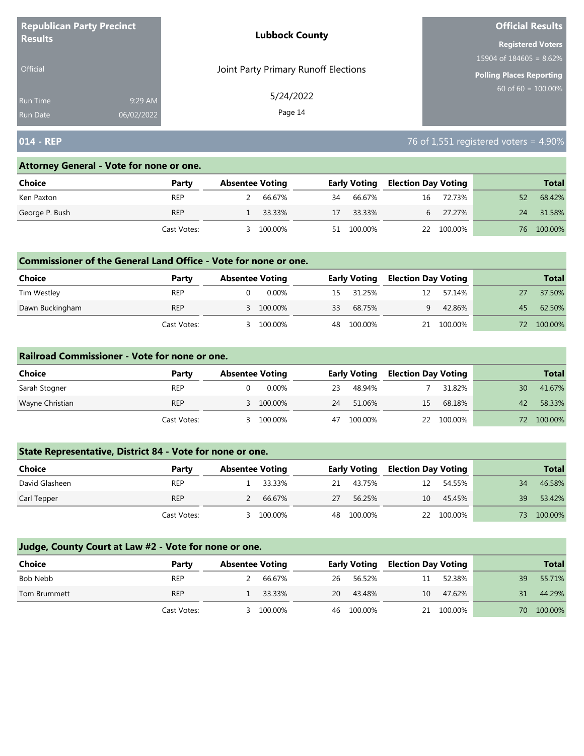| <b>Republican Party Precinct</b> |            | <b>Lubbock County</b>                | <b>Official Results</b>    |  |  |
|----------------------------------|------------|--------------------------------------|----------------------------|--|--|
| <b>Results</b>                   |            |                                      | <b>Registered Voters</b>   |  |  |
|                                  |            |                                      | 15904 of $184605 = 8.62\%$ |  |  |
| <b>Official</b>                  |            | Joint Party Primary Runoff Elections | Polling Places Reporting   |  |  |
| Run Time                         | 9:29 AM    | 5/24/2022                            | $60$ of 60 = 100.00%       |  |  |
| <b>Run Date</b>                  | 06/02/2022 | Page 14                              |                            |  |  |

## **014 - REP** 76 of 1,551 registered voters = 4.90%

#### **Attorney General - Vote for none or one.**

| Choice         | Party       | <b>Absentee Voting</b> |    | <b>Early Voting</b> | <b>Election Day Voting</b> |            |    | <b>Total</b> |
|----------------|-------------|------------------------|----|---------------------|----------------------------|------------|----|--------------|
| Ken Paxton     | <b>REP</b>  | 66.67%                 | 34 | 66.67%              | 16                         | 72.73%     | 52 | 68.42%       |
| George P. Bush | <b>REP</b>  | 33.33%                 | 17 | 33.33%              |                            | 27.27%     | 24 | 31.58%       |
|                | Cast Votes: | 100.00%                | 51 | 100.00%             |                            | 22 100.00% | 76 | 100.00%      |

#### **Commissioner of the General Land Office - Vote for none or one.**

| Choice          | Party       | <b>Absentee Voting</b> |           |    | <b>Early Voting</b> | <b>Election Day Voting</b> |         |     | <b>Total</b> |
|-----------------|-------------|------------------------|-----------|----|---------------------|----------------------------|---------|-----|--------------|
| Tim Westley     | <b>REP</b>  |                        | $0.00\%$  | 15 | 31.25%              | 12                         | 57.14%  |     | 37.50%       |
| Dawn Buckingham | <b>REP</b>  |                        | 3 100.00% | 33 | 68.75%              | q                          | 42.86%  | 45  | 62.50%       |
|                 | Cast Votes: |                        | 100.00%   | 48 | 100.00%             | 21                         | 100.00% | 72. | 100.00%      |

#### **Railroad Commissioner - Vote for none or one.**

| Choice          | Party       | <b>Absentee Voting</b> |    | <b>Early Voting</b> | <b>Election Day Voting</b> |            |    | <b>Total</b> |
|-----------------|-------------|------------------------|----|---------------------|----------------------------|------------|----|--------------|
| Sarah Stogner   | <b>REP</b>  | 0.00%                  | 23 | 48.94%              |                            | 31.82%     | 30 | 41.67%       |
| Wayne Christian | <b>REP</b>  | 3 100.00%              | 24 | 51.06%              | 15                         | 68.18%     | 42 | 58.33%       |
|                 | Cast Votes: | 100.00%                | 47 | 100.00%             |                            | 22 100.00% | 72 | 100.00%      |

## **State Representative, District 84 - Vote for none or one.**

| Choice         | Party       | <b>Absentee Voting</b> |         |    | <b>Early Voting</b> | <b>Election Day Voting</b> |            |    | <b>Total</b> |  |
|----------------|-------------|------------------------|---------|----|---------------------|----------------------------|------------|----|--------------|--|
| David Glasheen | <b>REP</b>  |                        | 33.33%  | 21 | 43.75%              | 12                         | 54.55%     | 34 | 46.58%       |  |
| Carl Tepper    | <b>REP</b>  |                        | 66.67%  | 27 | 56.25%              | 10                         | 45.45%     | 39 | 53.42%       |  |
|                | Cast Votes: |                        | 100.00% | 48 | 100.00%             |                            | 22 100.00% | 73 | 100.00%      |  |

| <b>Choice</b> | Party       | <b>Absentee Voting</b> |         |    | <b>Early Voting</b> | <b>Election Day Voting</b> |            |    | <b>Total</b> |
|---------------|-------------|------------------------|---------|----|---------------------|----------------------------|------------|----|--------------|
| Bob Nebb      | <b>REP</b>  | $\mathcal{L}$          | 66.67%  | 26 | 56.52%              | 11                         | 52.38%     | 39 | 55.71%       |
| Tom Brummett  | <b>REP</b>  |                        | 33.33%  | 20 | 43.48%              | 10                         | 47.62%     | 31 | 44.29%       |
|               | Cast Votes: |                        | 100.00% |    | 46 100.00%          |                            | 21 100.00% | 70 | 100.00%      |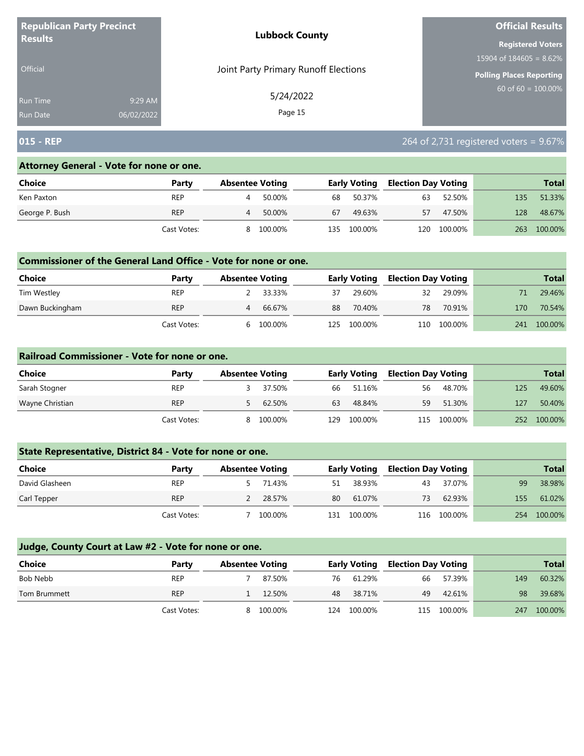| <b>Republican Party Precinct</b> |            | <b>Lubbock County</b>                | <b>Official Results</b>         |  |  |
|----------------------------------|------------|--------------------------------------|---------------------------------|--|--|
| <b>Results</b>                   |            |                                      | <b>Registered Voters</b>        |  |  |
|                                  |            |                                      | $15904$ of 184605 = 8.62%       |  |  |
| <b>Official</b>                  |            | Joint Party Primary Runoff Elections | <b>Polling Places Reporting</b> |  |  |
| Run Time                         | 9:29 AM    | 5/24/2022                            | $60 \text{ of } 60 = 100.00\%$  |  |  |
| <b>Run Date</b>                  | 06/02/2022 | Page 15                              |                                 |  |  |

# **015 - REP** 264 of 2,731 registered voters = 9.67%

#### **Attorney General - Vote for none or one.**

| Choice         | Party       |   | <b>Absentee Voting</b> |      | <b>Early Voting</b> | <b>Election Day Voting</b> |         |     | <b>Total</b> |
|----------------|-------------|---|------------------------|------|---------------------|----------------------------|---------|-----|--------------|
| Ken Paxton     | <b>REP</b>  |   | 50.00%                 | 68   | 50.37%              | 63                         | 52.50%  | 135 | 51.33%       |
| George P. Bush | <b>REP</b>  |   | 50.00%                 | 67   | 49.63%              | 57                         | 47.50%  | 128 | 48.67%       |
|                | Cast Votes: | 8 | 100.00%                | 135. | 100.00%             | 120                        | 100.00% | 263 | 100.00%      |

#### **Commissioner of the General Land Office - Vote for none or one.**

| <b>Choice</b>   | Party       | <b>Absentee Voting</b> |         |    | <b>Early Voting</b> | <b>Election Day Voting</b> |         |     | <b>Total</b> |
|-----------------|-------------|------------------------|---------|----|---------------------|----------------------------|---------|-----|--------------|
| Tim Westley     | <b>REP</b>  |                        | 33.33%  | 37 | 29.60%              | 32                         | 29.09%  |     | 29.46%       |
| Dawn Buckingham | <b>REP</b>  | 4                      | 66.67%  | 88 | 70.40%              | 78                         | 70.91%  | 170 | 70.54%       |
|                 | Cast Votes: | h                      | 100.00% |    | 125 100.00%         | 110                        | 100.00% | 241 | 100.00%      |

#### **Railroad Commissioner - Vote for none or one.**

| Choice          | Party       | <b>Absentee Voting</b> |         |      | <b>Early Voting</b> | <b>Election Day Voting</b> |         |     | <b>Total</b> |
|-----------------|-------------|------------------------|---------|------|---------------------|----------------------------|---------|-----|--------------|
| Sarah Stogner   | <b>REP</b>  |                        | 37.50%  |      | 66 51.16%           | 56                         | 48.70%  | 125 | 49.60%       |
| Wayne Christian | <b>REP</b>  |                        | 62.50%  | 63   | 48.84%              | 59                         | 51.30%  | 127 | 50.40%       |
|                 | Cast Votes: | 8                      | 100.00% | 129. | 100.00%             | 115                        | 100.00% | 252 | 100.00%      |

## **State Representative, District 84 - Vote for none or one.**

| Choice         | Party       | <b>Absentee Voting</b> |         |     | <b>Early Voting</b> | <b>Election Day Voting</b> |             |     | <b>Total</b> |
|----------------|-------------|------------------------|---------|-----|---------------------|----------------------------|-------------|-----|--------------|
| David Glasheen | <b>REP</b>  |                        | 71.43%  | 51  | 38.93%              | 43                         | 37.07%      | 99  | 38.98%       |
| Carl Tepper    | <b>REP</b>  |                        | 28.57%  | 80  | 61.07%              | 73                         | 62.93%      | 155 | 61.02%       |
|                | Cast Votes: |                        | 100.00% | 131 | 100.00%             |                            | 116 100.00% | 254 | 100.00%      |

| <b>Choice</b> | Party       | <b>Absentee Voting</b> |         |     | <b>Early Voting</b> | <b>Election Day Voting</b> |             |     | <b>Total</b> |
|---------------|-------------|------------------------|---------|-----|---------------------|----------------------------|-------------|-----|--------------|
| Bob Nebb      | <b>REP</b>  |                        | 87.50%  | 76  | 61.29%              | 66                         | 57.39%      | 149 | 60.32%       |
| Tom Brummett  | <b>REP</b>  |                        | 12.50%  | 48  | 38.71%              | 49                         | 42.61%      | 98  | 39.68%       |
|               | Cast Votes: | 8.                     | 100.00% | 124 | 100.00%             |                            | 115 100.00% | 247 | 100.00%      |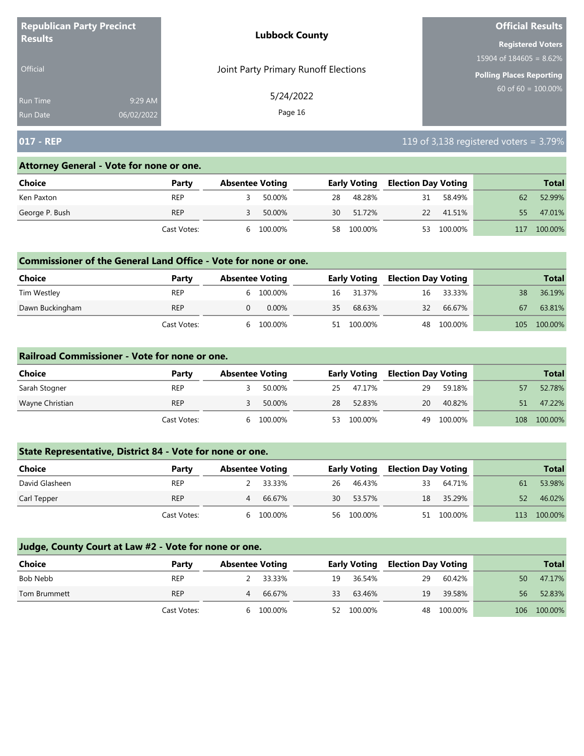| <b>Republican Party Precinct</b> |            | <b>Lubbock County</b>                | <b>Official Results</b>         |  |  |
|----------------------------------|------------|--------------------------------------|---------------------------------|--|--|
| <b>Results</b>                   |            |                                      | <b>Registered Voters</b>        |  |  |
|                                  |            |                                      | 15904 of $184605 = 8.62\%$      |  |  |
| <b>Official</b>                  |            | Joint Party Primary Runoff Elections | <b>Polling Places Reporting</b> |  |  |
| <b>Run Time</b>                  | 9:29 AM    | 5/24/2022                            | $60$ of 60 = $100.00\%$         |  |  |
| <b>Run Date</b>                  | 06/02/2022 | Page 16                              |                                 |  |  |

# **017 - REP** 119 of 3,138 registered voters = 3.79%

#### **Attorney General - Vote for none or one.**

| Choice         | Party       |   | <b>Absentee Voting</b> |    | <b>Early Voting</b> | <b>Election Day Voting</b> |           |     | <b>Total</b> |
|----------------|-------------|---|------------------------|----|---------------------|----------------------------|-----------|-----|--------------|
| Ken Paxton     | <b>REP</b>  |   | 50.00%                 | 28 | 48.28%              | 31                         | 58.49%    | 62  | 52.99%       |
| George P. Bush | <b>REP</b>  |   | 50.00%                 | 30 | 51.72%              |                            | 22 41.51% | 55  | 47.01%       |
|                | Cast Votes: | h | 100.00%                | 58 | 100.00%             | 53                         | 100.00%   | 117 | 100.00%      |

#### **Commissioner of the General Land Office - Vote for none or one.**

| Choice          | Party       | <b>Absentee Voting</b> |           |    | <b>Early Voting</b> | <b>Election Day Voting</b> |            |     | <b>Total</b> |
|-----------------|-------------|------------------------|-----------|----|---------------------|----------------------------|------------|-----|--------------|
| Tim Westley     | <b>REP</b>  |                        | 6 100.00% |    | 16 31.37%           | 16                         | 33.33%     | 38  | 36.19%       |
| Dawn Buckingham | <b>REP</b>  |                        | 0.00%     | 35 | 68.63%              | 32                         | 66.67%     | 67  | 63.81%       |
|                 | Cast Votes: |                        | 6 100.00% |    | 51 100.00%          |                            | 48 100.00% | 105 | 100.00%      |

#### **Railroad Commissioner - Vote for none or one.**

| Choice          | Party       | <b>Absentee Voting</b> |         |     | <b>Early Voting</b> | <b>Election Day Voting</b> |         |     | <b>Total</b> |
|-----------------|-------------|------------------------|---------|-----|---------------------|----------------------------|---------|-----|--------------|
| Sarah Stogner   | <b>REP</b>  |                        | 50.00%  | 25  | 47.17%              | 29                         | 59.18%  |     | 52.78%       |
| Wayne Christian | <b>REP</b>  |                        | 50.00%  | 28  | 52.83%              | 20                         | 40.82%  | 51  | 47.22%       |
|                 | Cast Votes: | <sub>h</sub>           | 100.00% | 53. | 100.00%             | 49                         | 100.00% | 108 | 100.00%      |

## **State Representative, District 84 - Vote for none or one.**

| Choice         | Party       | <b>Absentee Voting</b> |    | <b>Early Voting</b> | <b>Election Day Voting</b> |            |     | <b>Total</b> |
|----------------|-------------|------------------------|----|---------------------|----------------------------|------------|-----|--------------|
| David Glasheen | <b>REP</b>  | 33.33%                 | 26 | 46.43%              | 33                         | 64.71%     | 61  | 53.98%       |
| Carl Tepper    | <b>REP</b>  | 66.67%<br>4            | 30 | 53.57%              | 18                         | 35.29%     | 52  | 46.02%       |
|                | Cast Votes: | 100.00%<br>h           |    | 56 100.00%          |                            | 51 100.00% | 113 | 100.00%      |

| <b>Choice</b> | Party       | <b>Absentee Voting</b> |          |    | <b>Early Voting</b> | <b>Election Day Voting</b> |            |    | <b>Total</b> |
|---------------|-------------|------------------------|----------|----|---------------------|----------------------------|------------|----|--------------|
| Bob Nebb      | <b>REP</b>  |                        | 2 33.33% | 19 | 36.54%              | 29                         | 60.42%     | 50 | 47.17%       |
| Tom Brummett  | <b>REP</b>  | 4                      | 66.67%   | 33 | 63.46%              | 19                         | 39.58%     | 56 | 52.83%       |
|               | Cast Votes: | h                      | 100.00%  |    | 52 100.00%          |                            | 48 100.00% |    | 106 100.00%  |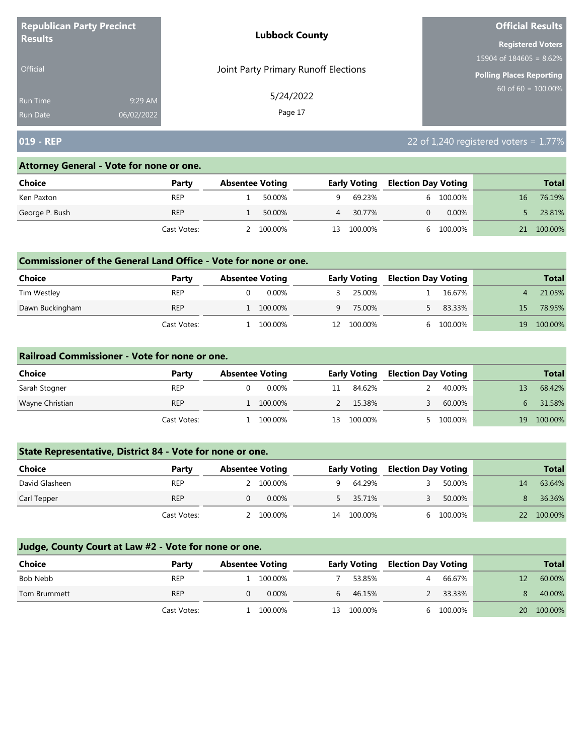| <b>Republican Party Precinct</b> |            | <b>Lubbock County</b>                | <b>Official Results</b>         |  |  |
|----------------------------------|------------|--------------------------------------|---------------------------------|--|--|
| <b>Results</b>                   |            |                                      | <b>Registered Voters</b>        |  |  |
|                                  |            |                                      | 15904 of $184605 = 8.62\%$      |  |  |
| Official                         |            | Joint Party Primary Runoff Elections | <b>Polling Places Reporting</b> |  |  |
| Run Time                         | 9:29 AM    | 5/24/2022                            | $60 \text{ of } 60 = 100.00\%$  |  |  |
| <b>Run Date</b>                  | 06/02/2022 | Page 17                              |                                 |  |  |

# **019 - REP** 22 of 1,240 registered voters = 1.77%

#### **Attorney General - Vote for none or one.**

| Choice         | Party       | <b>Absentee Voting</b> |     | <b>Early Voting</b> | <b>Election Day Voting</b> |           |    | <b>Total</b> |
|----------------|-------------|------------------------|-----|---------------------|----------------------------|-----------|----|--------------|
| Ken Paxton     | <b>REP</b>  | 50.00%                 | a   | 69.23%              |                            | 6 100.00% | 16 | 76.19%       |
| George P. Bush | <b>REP</b>  | 50.00%                 |     | 30.77%              |                            | $0.00\%$  |    | 23.81%       |
|                | Cast Votes: | 100.00%                | 13. | 100.00%             |                            | 100.00%   |    | 100.00%      |

#### **Commissioner of the General Land Office - Vote for none or one.**

| <b>Choice</b>   | Party       | <b>Absentee Voting</b> |         |     | <b>Early Voting</b> | <b>Election Day Voting</b> |         |     | <b>Total</b> |
|-----------------|-------------|------------------------|---------|-----|---------------------|----------------------------|---------|-----|--------------|
| Tim Westley     | <b>REP</b>  |                        | 0.00%   |     | 25.00%              |                            | 16.67%  |     | 21.05%       |
| Dawn Buckingham | <b>REP</b>  |                        | 100.00% | Q   | 75.00%              |                            | 83.33%  | 15. | 78.95%       |
|                 | Cast Votes: |                        | 100.00% | 12. | 100.00%             |                            | 100.00% | 19  | 100.00%      |

#### **Railroad Commissioner - Vote for none or one.**

| Choice          | Party       | <b>Absentee Voting</b> |          |    | <b>Early Voting</b> | <b>Election Day Voting</b> |         |    | <b>Total</b> |
|-----------------|-------------|------------------------|----------|----|---------------------|----------------------------|---------|----|--------------|
| Sarah Stogner   | <b>REP</b>  |                        | $0.00\%$ |    | 84.62%              |                            | 40.00%  |    | 68.42%       |
| Wayne Christian | <b>REP</b>  |                        | 100.00%  |    | 15.38%              |                            | 60.00%  |    | 31.58%       |
|                 | Cast Votes: |                        | 100.00%  | 13 | 100.00%             |                            | 100.00% | 19 | 100.00%      |

## **State Representative, District 84 - Vote for none or one.**

| Choice         | Party       | <b>Absentee Voting</b> |           |    | <b>Early Voting</b> | <b>Election Day Voting</b> |           |    | <b>Total</b> |
|----------------|-------------|------------------------|-----------|----|---------------------|----------------------------|-----------|----|--------------|
| David Glasheen | <b>REP</b>  |                        | 2 100.00% |    | 64.29%              |                            | 50.00%    | 14 | 63.64%       |
| Carl Tepper    | <b>REP</b>  |                        | $0.00\%$  |    | 35.71%              |                            | 50.00%    |    | 36.36%       |
|                | Cast Votes: |                        | 100.00%   | 14 | 100.00%             |                            | 6 100.00% |    | 100.00%      |

| <b>Choice</b> | Party       | <b>Absentee Voting</b> |           |    | <b>Early Voting</b> | <b>Election Day Voting</b> |           |    | <b>Total</b> |
|---------------|-------------|------------------------|-----------|----|---------------------|----------------------------|-----------|----|--------------|
| Bob Nebb      | <b>REP</b>  |                        | 1 100.00% |    | 53.85%              | 4                          | 66.67%    |    | 60.00%       |
| Tom Brummett  | <b>REP</b>  |                        | 0.00%     | b  | 46.15%              |                            | 33.33%    |    | 40.00%       |
|               | Cast Votes: |                        | 100.00%   | 13 | 100.00%             |                            | 6 100.00% | 20 | 100.00%      |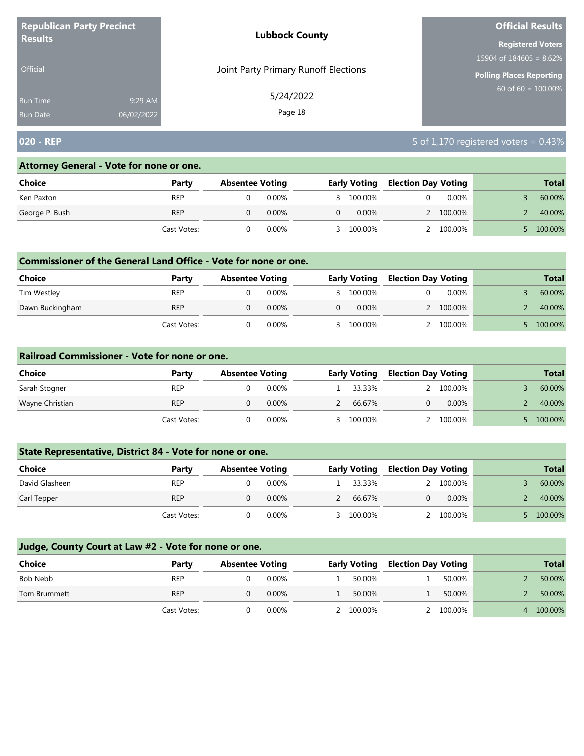| <b>Republican Party Precinct</b> |            | <b>Lubbock County</b>                | <b>Official Results</b>    |  |  |
|----------------------------------|------------|--------------------------------------|----------------------------|--|--|
| <b>Results</b>                   |            |                                      | <b>Registered Voters</b>   |  |  |
|                                  |            |                                      | 15904 of $184605 = 8.62\%$ |  |  |
| <b>Official</b>                  |            | Joint Party Primary Runoff Elections | Polling Places Reporting   |  |  |
| <b>Run Time</b>                  | 9:29 AM    | 5/24/2022                            | $60$ of 60 = 100.00%       |  |  |
| <b>Run Date</b>                  | 06/02/2022 | Page 18                              |                            |  |  |

## **020 - REP** 5 of 1,170 registered voters = 0.43%

#### **Attorney General - Vote for none or one.**

| Choice         | Party       | <b>Absentee Voting</b> |          |          | <b>Early Voting</b> | <b>Election Day Voting</b> |           | <b>Total</b> |
|----------------|-------------|------------------------|----------|----------|---------------------|----------------------------|-----------|--------------|
| Ken Paxton     | <b>REP</b>  |                        | 0.00%    |          | 3 100.00%           |                            | $0.00\%$  | 60.00%       |
| George P. Bush | <b>REP</b>  |                        | $0.00\%$ | $\Omega$ | $0.00\%$            |                            | 2 100.00% | 40.00%       |
|                | Cast Votes: |                        | 0.00%    |          | 100.00%             |                            | 2 100.00% | 100.00%      |

#### **Commissioner of the General Land Office - Vote for none or one.**

| <b>Choice</b>   | Party       | <b>Absentee Voting</b> |          |   | <b>Early Voting</b> | <b>Election Day Voting</b> |           | <b>Total</b> |
|-----------------|-------------|------------------------|----------|---|---------------------|----------------------------|-----------|--------------|
| Tim Westley     | <b>REP</b>  |                        | 0.00%    |   | 3 100.00%           |                            | $0.00\%$  | 60.00%       |
| Dawn Buckingham | <b>REP</b>  |                        | $0.00\%$ | 0 | $0.00\%$            |                            | 2 100,00% | 40.00%       |
|                 | Cast Votes: |                        | 0.00%    |   | 100.00%             |                            | 100.00%   | 100.00%      |

#### **Railroad Commissioner - Vote for none or one.**

| Choice          | Party       | <b>Absentee Voting</b> |          | <b>Early Voting</b> | <b>Election Day Voting</b> |           |  | <b>Total</b> |
|-----------------|-------------|------------------------|----------|---------------------|----------------------------|-----------|--|--------------|
| Sarah Stogner   | <b>REP</b>  |                        | 0.00%    | 33.33%              |                            | 2 100.00% |  | 60.00%       |
| Wayne Christian | <b>REP</b>  |                        | $0.00\%$ | 66.67%              |                            | $0.00\%$  |  | 40.00%       |
|                 | Cast Votes: |                        | $0.00\%$ | 3 100.00%           |                            | 2 100,00% |  | 100.00%      |

## **State Representative, District 84 - Vote for none or one.**

| Choice         | Party       | <b>Absentee Voting</b> |          | <b>Early Voting</b> | <b>Election Day Voting</b> |           | <b>Total</b> |
|----------------|-------------|------------------------|----------|---------------------|----------------------------|-----------|--------------|
| David Glasheen | <b>REP</b>  |                        | $0.00\%$ | 33.33%              |                            | 2 100,00% | 60.00%       |
| Carl Tepper    | <b>REP</b>  |                        | $0.00\%$ | 66.67%              |                            | 0.00%     | 40.00%       |
|                | Cast Votes: |                        | $0.00\%$ | 100.00%             |                            | 2 100.00% | 100.00%      |

| Choice       | Party       | <b>Absentee Voting</b> |          | <b>Early Voting</b> | <b>Election Day Voting</b> |           | <b>Total</b> |
|--------------|-------------|------------------------|----------|---------------------|----------------------------|-----------|--------------|
| Bob Nebb     | <b>REP</b>  |                        | 0.00%    | 50.00%              |                            | 50.00%    | 50.00%       |
| Tom Brummett | <b>REP</b>  |                        | 0.00%    | 50.00%              |                            | 50.00%    | 50.00%       |
|              | Cast Votes: |                        | $0.00\%$ | 100.00%             |                            | 2 100.00% | 4 100.00%    |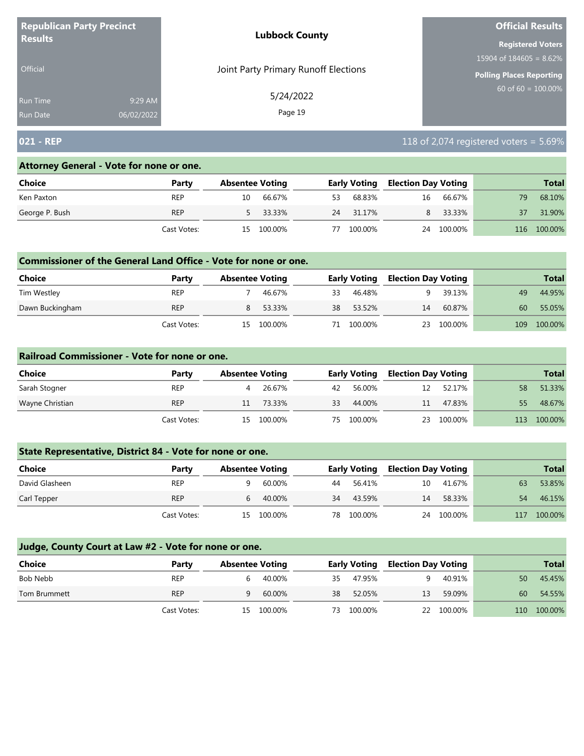| <b>Republican Party Precinct</b> |            | <b>Lubbock County</b>                | <b>Official Results</b>    |
|----------------------------------|------------|--------------------------------------|----------------------------|
| <b>Results</b>                   |            |                                      | <b>Registered Voters</b>   |
|                                  |            |                                      | 15904 of $184605 = 8.62\%$ |
| <b>Official</b>                  |            | Joint Party Primary Runoff Elections | Polling Places Reporting   |
| <b>Run Time</b>                  | 9:29 AM    | 5/24/2022                            | $60$ of 60 = 100.00%       |
| <b>Run Date</b>                  | 06/02/2022 | Page 19                              |                            |

# **021 - REP** 118 of 2,074 registered voters = 5.69%

#### **Attorney General - Vote for none or one.**

| Choice         | Party       |    | <b>Absentee Voting</b> |    | <b>Early Voting</b> | <b>Election Day Voting</b> |         |     | <b>Total</b> |
|----------------|-------------|----|------------------------|----|---------------------|----------------------------|---------|-----|--------------|
| Ken Paxton     | <b>REP</b>  | 10 | 66.67%                 | 53 | 68.83%              | 16                         | 66.67%  | 79  | 68.10%       |
| George P. Bush | <b>REP</b>  |    | 5 33.33%               | 24 | 31.17%              | 8                          | 33.33%  | 37  | 31.90%       |
|                | Cast Votes: | 15 | 100.00%                | 77 | 100.00%             | 24                         | 100.00% | 116 | 100.00%      |

#### **Commissioner of the General Land Office - Vote for none or one.**

| Choice          | Party       | <b>Absentee Voting</b> |          |    | <b>Early Voting</b> | <b>Election Day Voting</b> |         |     | <b>Total</b> |
|-----------------|-------------|------------------------|----------|----|---------------------|----------------------------|---------|-----|--------------|
| Tim Westley     | <b>REP</b>  |                        | 46.67%   | 33 | 46.48%              |                            | 39.13%  | 49  | 44.95%       |
| Dawn Buckingham | <b>REP</b>  |                        | 8 53.33% |    | 38 53.52%           | 14                         | 60.87%  | 60  | 55.05%       |
|                 | Cast Votes: | 15.                    | 100.00%  | 71 | 100.00%             | 23                         | 100.00% | 109 | 100.00%      |

#### **Railroad Commissioner - Vote for none or one.**

| Choice          | Party       | <b>Absentee Voting</b> |         |    | <b>Early Voting</b> | <b>Election Day Voting</b> |         |     | <b>Total</b> |
|-----------------|-------------|------------------------|---------|----|---------------------|----------------------------|---------|-----|--------------|
| Sarah Stogner   | <b>REP</b>  |                        | 26.67%  | 42 | 56.00%              | 12                         | 52.17%  | 58  | 51.33%       |
| Wayne Christian | <b>REP</b>  |                        | 73.33%  | 33 | 44.00%              | 11                         | 47.83%  | 55  | 48.67%       |
|                 | Cast Votes: | 15                     | 100.00% | 75 | 100.00%             | 23                         | 100.00% | 113 | 100.00%      |

## **State Representative, District 84 - Vote for none or one.**

| Choice         | Party       | <b>Absentee Voting</b> |            |    | <b>Early Voting</b> | <b>Election Day Voting</b> |         |     | <b>Total</b> |
|----------------|-------------|------------------------|------------|----|---------------------|----------------------------|---------|-----|--------------|
| David Glasheen | <b>REP</b>  |                        | 60.00%     | 44 | 56.41%              | 10                         | 41.67%  | 63  | 53.85%       |
| Carl Tepper    | <b>REP</b>  |                        | 40.00%     | 34 | 43.59%              | 14                         | 58.33%  | 54  | 46.15%       |
|                | Cast Votes: |                        | 15 100.00% | 78 | 100.00%             | 24                         | 100.00% | 117 | 100.00%      |

| Choice       | Party       | <b>Absentee Voting</b> |            |     | <b>Early Voting</b> | <b>Election Day Voting</b> |            |     | <b>Total</b> |
|--------------|-------------|------------------------|------------|-----|---------------------|----------------------------|------------|-----|--------------|
| Bob Nebb     | <b>REP</b>  | 6.                     | 40.00%     | 35. | 47.95%              | a                          | 40.91%     | 50  | 45.45%       |
| Tom Brummett | <b>REP</b>  | q                      | 60.00%     | 38  | 52.05%              | 13                         | 59.09%     | 60  | 54.55%       |
|              | Cast Votes: |                        | 15 100.00% | 73. | 100.00%             |                            | 22 100.00% | 110 | 100.00%      |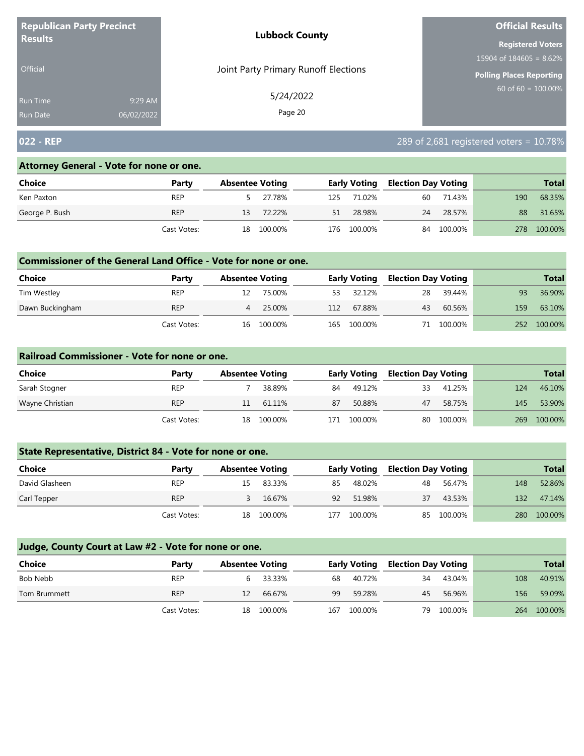| <b>Republican Party Precinct</b> |            | <b>Lubbock County</b>                | <b>Official Results</b>    |
|----------------------------------|------------|--------------------------------------|----------------------------|
| <b>Results</b>                   |            |                                      | <b>Registered Voters</b>   |
|                                  |            |                                      | 15904 of $184605 = 8.62\%$ |
| <b>Official</b>                  |            | Joint Party Primary Runoff Elections | Polling Places Reporting   |
| <b>Run Time</b>                  | 9:29 AM    | 5/24/2022                            | 60 of $60 = 100.00\%$      |
| <b>Run Date</b>                  | 06/02/2022 | Page 20                              |                            |

# **022 - REP** 289 of 2,681 registered voters = 10.78%

#### **Attorney General - Vote for none or one.**

| Choice         | Party       |    | <b>Absentee Voting</b> |     | <b>Early Voting</b> | <b>Election Day Voting</b> |            |     | <b>Total</b> |
|----------------|-------------|----|------------------------|-----|---------------------|----------------------------|------------|-----|--------------|
| Ken Paxton     | <b>REP</b>  |    | 5 27.78%               | 125 | 71.02%              | 60                         | 71.43%     | 190 | 68.35%       |
| George P. Bush | <b>REP</b>  | 13 | 72.22%                 | 51  | 28.98%              | 24                         | 28.57%     | 88  | 31.65%       |
|                | Cast Votes: | 18 | 100.00%                |     | 176 100.00%         |                            | 84 100.00% | 278 | 100.00%      |

#### **Commissioner of the General Land Office - Vote for none or one.**

| <b>Choice</b>   | Party       |    | <b>Absentee Voting</b> |     | Early Voting | <b>Election Day Voting</b> |         |     | <b>Total</b> |
|-----------------|-------------|----|------------------------|-----|--------------|----------------------------|---------|-----|--------------|
| Tim Westley     | REP         |    | 75.00%                 | 53  | 32.12%       | 28                         | 39.44%  | 93  | 36.90%       |
| Dawn Buckingham | REP         | 4  | 25.00%                 | 112 | 67.88%       | 43                         | 60.56%  | 159 | 63.10%       |
|                 | Cast Votes: | 16 | 100.00%                | 165 | 100.00%      |                            | 100.00% | 252 | 100.00%      |

#### **Railroad Commissioner - Vote for none or one.**

| Choice          | Party       | <b>Absentee Voting</b> |         |     | <b>Early Voting</b> | <b>Election Day Voting</b> |         |     | <b>Total</b> |
|-----------------|-------------|------------------------|---------|-----|---------------------|----------------------------|---------|-----|--------------|
| Sarah Stogner   | <b>REP</b>  |                        | 38.89%  | 84  | 49.12%              | 33                         | 41.25%  | 124 | 46.10%       |
| Wayne Christian | <b>REP</b>  | 11                     | 61.11%  | 87  | 50.88%              | 47                         | 58.75%  | 145 | 53.90%       |
|                 | Cast Votes: | 18                     | 100.00% | 171 | 100.00%             | 80                         | 100.00% | 269 | 100.00%      |

## **State Representative, District 84 - Vote for none or one.**

| Choice         | Party       | <b>Absentee Voting</b> |            |     | <b>Early Voting</b> | <b>Election Day Voting</b> |            |     | <b>Total</b> |
|----------------|-------------|------------------------|------------|-----|---------------------|----------------------------|------------|-----|--------------|
| David Glasheen | <b>REP</b>  |                        | 83.33%     | 85  | 48.02%              | 48                         | 56.47%     | 148 | 52.86%       |
| Carl Tepper    | <b>REP</b>  |                        | 16.67%     | 92  | 51.98%              | 37                         | 43.53%     | 132 | 47.14%       |
|                | Cast Votes: |                        | 18 100.00% | 177 | 100.00%             |                            | 85 100.00% | 280 | 100.00%      |

| Choice       | Party       | <b>Absentee Voting</b> |            |     | <b>Early Voting</b> | <b>Election Day Voting</b> |         |     | <b>Total</b> |
|--------------|-------------|------------------------|------------|-----|---------------------|----------------------------|---------|-----|--------------|
| Bob Nebb     | <b>REP</b>  |                        | 33.33%     | 68  | 40.72%              | 34                         | 43.04%  | 108 | 40.91%       |
| Tom Brummett | <b>REP</b>  | 12.                    | 66.67%     | 99  | 59.28%              | 45                         | 56.96%  | 156 | 59.09%       |
|              | Cast Votes: |                        | 18 100.00% | 167 | 100.00%             | 79                         | 100.00% |     | 264 100.00%  |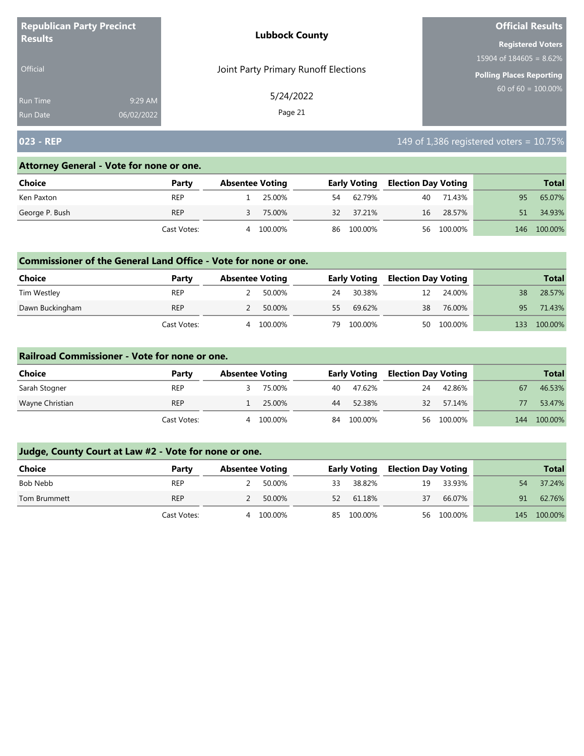| <b>Republican Party Precinct</b> |            | <b>Lubbock County</b>                | <b>Official Results</b>    |
|----------------------------------|------------|--------------------------------------|----------------------------|
| <b>Results</b>                   |            |                                      | <b>Registered Voters</b>   |
|                                  |            |                                      | 15904 of $184605 = 8.62\%$ |
| <b>Official</b>                  |            | Joint Party Primary Runoff Elections | Polling Places Reporting   |
| <b>Run Time</b>                  | 9:29 AM    | 5/24/2022                            | $60$ of 60 = 100.00%       |
| <b>Run Date</b>                  | 06/02/2022 | Page 21                              |                            |

# **023 - REP** 149 of 1,386 registered voters = 10.75%

## **Attorney General - Vote for none or one.**

| Choice         | Party       |   | <b>Absentee Voting</b> |    | <b>Early Voting</b> | <b>Election Day Voting</b> |            |     | <b>Total</b> |
|----------------|-------------|---|------------------------|----|---------------------|----------------------------|------------|-----|--------------|
| Ken Paxton     | <b>REP</b>  |   | 25.00%                 | 54 | 62.79%              | 40                         | 71.43%     | 95  | 65.07%       |
| George P. Bush | <b>REP</b>  |   | 75.00%                 | 32 | 37.21%              | 16                         | 28.57%     |     | 34.93%       |
|                | Cast Votes: | 4 | 100.00%                |    | 86 100.00%          |                            | 56 100.00% | 146 | 100.00%      |

#### **Commissioner of the General Land Office - Vote for none or one.**

| Choice          | Party       | <b>Absentee Voting</b> |         |    | <b>Early Voting</b> | <b>Election Day Voting</b> |            |     | <b>Total</b> |
|-----------------|-------------|------------------------|---------|----|---------------------|----------------------------|------------|-----|--------------|
| Tim Westley     | <b>REP</b>  |                        | 50.00%  | 24 | 30.38%              | 12                         | 24.00%     | 38  | 28.57%       |
| Dawn Buckingham | <b>REP</b>  |                        | 50.00%  | 55 | 69.62%              | 38                         | 76.00%     | 95  | 71.43%       |
|                 | Cast Votes: | 4                      | 100.00% | 79 | 100.00%             |                            | 50 100.00% | 133 | 100.00%      |

#### **Railroad Commissioner - Vote for none or one.**

| Choice          | Party       | <b>Absentee Voting</b> |         |    | <b>Early Voting</b> | <b>Election Day Voting</b> |            |     | <b>Total</b> |
|-----------------|-------------|------------------------|---------|----|---------------------|----------------------------|------------|-----|--------------|
| Sarah Stogner   | <b>REP</b>  |                        | 75.00%  | 40 | 47.62%              | 24                         | 42.86%     | 67  | 46.53%       |
| Wayne Christian | <b>REP</b>  |                        | 25.00%  | 44 | 52.38%              | 32                         | 57.14%     |     | 53.47%       |
|                 | Cast Votes: | 4                      | 100.00% | 84 | 100.00%             |                            | 56 100.00% | 144 | 100.00%      |

| <b>Choice</b> | Party       | <b>Absentee Voting</b> |         |    | <b>Early Voting</b> | <b>Election Day Voting</b> |            |    | <b>Total</b> |
|---------------|-------------|------------------------|---------|----|---------------------|----------------------------|------------|----|--------------|
| Bob Nebb      | <b>REP</b>  |                        | 50.00%  | 33 | 38.82%              | 19                         | 33.93%     | 54 | 37.24%       |
| Tom Brummett  | <b>REP</b>  |                        | 50.00%  | 52 | 61.18%              | 37                         | 66.07%     | 91 | 62.76%       |
|               | Cast Votes: | 4                      | 100.00% |    | 85 100.00%          |                            | 56 100.00% |    | 145 100.00%  |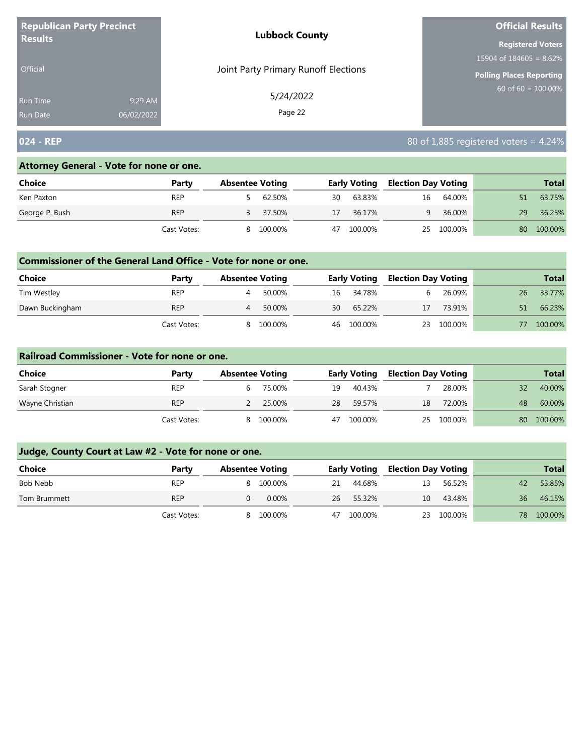| <b>Republican Party Precinct</b><br><b>Results</b> |            | <b>Lubbock County</b>                | <b>Official Results</b>    |
|----------------------------------------------------|------------|--------------------------------------|----------------------------|
|                                                    |            |                                      | <b>Registered Voters</b>   |
|                                                    |            |                                      | 15904 of $184605 = 8.62\%$ |
| <b>Official</b>                                    |            | Joint Party Primary Runoff Elections | Polling Places Reporting   |
| Run Time                                           | 9:29 AM    | 5/24/2022                            | $60$ of 60 = 100.00%       |
| Run Date                                           | 06/02/2022 | Page 22                              |                            |

# **024 - REP** 80 of 1,885 registered voters = 4.24%

#### **Attorney General - Vote for none or one.**

| Choice         | Party       |   | <b>Absentee Voting</b> |    | <b>Early Voting</b> | <b>Election Day Voting</b> |            |    | <b>Total</b> |
|----------------|-------------|---|------------------------|----|---------------------|----------------------------|------------|----|--------------|
| Ken Paxton     | <b>REP</b>  |   | 62.50%                 | 30 | 63.83%              | 16                         | 64.00%     |    | 63.75%       |
| George P. Bush | <b>REP</b>  |   | 37.50%                 | 17 | 36.17%              |                            | 36.00%     | 29 | 36.25%       |
|                | Cast Votes: | 8 | 100.00%                | 47 | 100.00%             |                            | 25 100.00% | 80 | 100.00%      |

#### **Commissioner of the General Land Office - Vote for none or one.**

| Choice          | Party       | <b>Absentee Voting</b> |         |    | <b>Early Voting</b> | <b>Election Day Voting</b> |         |    | <b>Total</b> |
|-----------------|-------------|------------------------|---------|----|---------------------|----------------------------|---------|----|--------------|
| Tim Westley     | <b>REP</b>  |                        | 50.00%  |    | 16 34.78%           | h.                         | 26.09%  | 26 | 33.77%       |
| Dawn Buckingham | <b>REP</b>  | 4                      | 50.00%  | 30 | 65.22%              | 17                         | 73.91%  | 51 | 66.23%       |
|                 | Cast Votes: |                        | 100.00% |    | 46 100.00%          | 23                         | 100.00% |    | 100.00%      |

#### **Railroad Commissioner - Vote for none or one.**

| Choice          | Party       | <b>Absentee Voting</b> |         |    | <b>Early Voting</b> |    | <b>Election Day Voting</b> |    | <b>Total</b> |
|-----------------|-------------|------------------------|---------|----|---------------------|----|----------------------------|----|--------------|
| Sarah Stogner   | <b>REP</b>  | b                      | 75.00%  | 19 | 40.43%              |    | 28.00%                     | 32 | 40.00%       |
| Wayne Christian | <b>REP</b>  |                        | 25.00%  | 28 | 59.57%              | 18 | 72.00%                     | 48 | 60.00%       |
|                 | Cast Votes: | 8                      | 100.00% | 47 | 100.00%             | 25 | 100.00%                    | 80 | 100.00%      |

| Choice       | Party       | <b>Absentee Voting</b> |           |    | <b>Early Voting</b> | <b>Election Day Voting</b> |         |    | <b>Total</b> |
|--------------|-------------|------------------------|-----------|----|---------------------|----------------------------|---------|----|--------------|
| Bob Nebb     | <b>REP</b>  |                        | 8 100.00% | 21 | 44.68%              | 13                         | 56.52%  | 42 | 53.85%       |
| Tom Brummett | <b>REP</b>  |                        | $0.00\%$  | 26 | 55.32%              | 10                         | 43.48%  | 36 | 46.15%       |
|              | Cast Votes: | 8                      | 100.00%   | 47 | 100.00%             | 23                         | 100.00% | 78 | 100.00%      |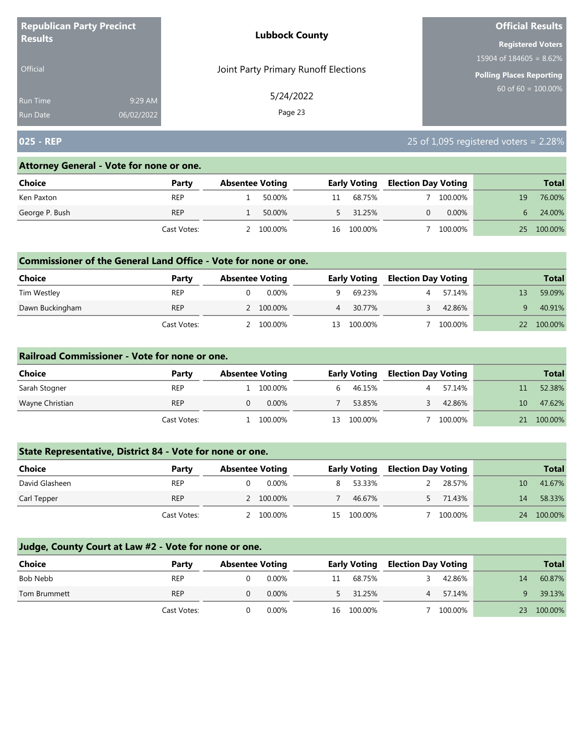| <b>Republican Party Precinct</b><br><b>Results</b> |            | <b>Lubbock County</b>                | <b>Official Results</b>         |
|----------------------------------------------------|------------|--------------------------------------|---------------------------------|
|                                                    |            |                                      | <b>Registered Voters</b>        |
|                                                    |            |                                      | 15904 of $184605 = 8.62\%$      |
| Official                                           |            | Joint Party Primary Runoff Elections | <b>Polling Places Reporting</b> |
| Run Time                                           | 9:29 AM    | 5/24/2022<br>Page 23                 | $60 \text{ of } 60 = 100.00\%$  |
| <b>Run Date</b>                                    | 06/02/2022 |                                      |                                 |

# **025 - REP** 25 of 1,095 registered voters = 2.28%

#### **Attorney General - Vote for none or one.**

| Choice         | Party       | <b>Absentee Voting</b> |         |    | <b>Early Voting</b> | <b>Election Day Voting</b> |          |    | <b>Total</b> |
|----------------|-------------|------------------------|---------|----|---------------------|----------------------------|----------|----|--------------|
| Ken Paxton     | REP         |                        | 50.00%  |    | 68.75%              |                            | 100.00%  | 19 | 76.00%       |
| George P. Bush | <b>REP</b>  |                        | 50.00%  |    | 5 31.25%            |                            | $0.00\%$ |    | 24.00%       |
|                | Cast Votes: |                        | 100.00% | 16 | 100.00%             |                            | 100.00%  | 25 | 100.00%      |

#### **Commissioner of the General Land Office - Vote for none or one.**

| <b>Choice</b>   | Party       | <b>Absentee Voting</b> |         |    | <b>Early Voting</b> | <b>Election Day Voting</b> |         | <b>Total</b> |
|-----------------|-------------|------------------------|---------|----|---------------------|----------------------------|---------|--------------|
| Tim Westley     | <b>REP</b>  |                        | 0.00%   |    | 69.23%              |                            | 57.14%  | 59.09%       |
| Dawn Buckingham | <b>REP</b>  | 2 100.00%              |         |    | 30.77%              |                            | 42.86%  | 40.91%       |
|                 | Cast Votes: |                        | 100.00% | 13 | 100.00%             |                            | 100.00% | 100.00%      |

#### **Railroad Commissioner - Vote for none or one.**

| Choice          | Party       | <b>Absentee Voting</b> |          |    | <b>Early Voting</b> | <b>Election Day Voting</b> |         |    | <b>Total</b> |
|-----------------|-------------|------------------------|----------|----|---------------------|----------------------------|---------|----|--------------|
| Sarah Stogner   | <b>REP</b>  |                        | 100.00%  | h. | 46.15%              |                            | 57.14%  |    | 52.38%       |
| Wayne Christian | <b>REP</b>  |                        | $0.00\%$ |    | 53.85%              |                            | 42.86%  | 10 | 47.62%       |
|                 | Cast Votes: |                        | 100.00%  | 13 | 100.00%             |                            | 100.00% | 21 | 100.00%      |

## **State Representative, District 84 - Vote for none or one.**

| Choice         | Party       | <b>Absentee Voting</b> |    | <b>Early Voting</b> | <b>Election Day Voting</b> |         |    | <b>Total</b> |
|----------------|-------------|------------------------|----|---------------------|----------------------------|---------|----|--------------|
| David Glasheen | <b>REP</b>  | 0.00%                  |    | 53.33%              |                            | 28.57%  | 10 | 41.67%       |
| Carl Tepper    | <b>REP</b>  | 2 100.00%              |    | 46.67%              |                            | 71.43%  | 14 | 58.33%       |
|                | Cast Votes: | 100.00%                | 15 | 100.00%             |                            | 100.00% | 24 | 100.00%      |

| <b>Choice</b> | Party       | <b>Absentee Voting</b> |          |    | <b>Early Voting</b> | <b>Election Day Voting</b> |         |    | <b>Total</b> |
|---------------|-------------|------------------------|----------|----|---------------------|----------------------------|---------|----|--------------|
| Bob Nebb      | <b>REP</b>  |                        | $0.00\%$ | 11 | 68.75%              |                            | 42.86%  | 14 | 60.87%       |
| Tom Brummett  | <b>REP</b>  |                        | 0.00%    |    | 5 31.25%            | $\overline{4}$             | 57.14%  |    | 39.13%       |
|               | Cast Votes: |                        | $0.00\%$ | 16 | 100.00%             |                            | 100.00% | 23 | 100.00%      |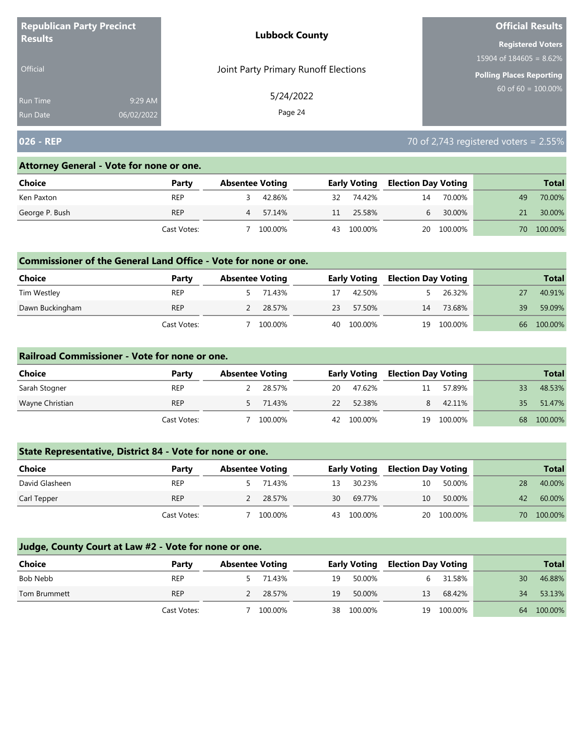| <b>Republican Party Precinct</b><br><b>Results</b> |            | <b>Lubbock County</b>                | <b>Official Results</b>    |  |  |
|----------------------------------------------------|------------|--------------------------------------|----------------------------|--|--|
|                                                    |            |                                      | <b>Registered Voters</b>   |  |  |
|                                                    |            |                                      | 15904 of $184605 = 8.62\%$ |  |  |
| <b>Official</b>                                    |            | Joint Party Primary Runoff Elections | Polling Places Reporting   |  |  |
| Run Time                                           | 9:29 AM    | 5/24/2022                            | $60$ of 60 = 100.00%       |  |  |
| <b>Run Date</b>                                    | 06/02/2022 | Page 24                              |                            |  |  |

# **026 - REP** 70 of 2,743 registered voters = 2.55%

#### **Attorney General - Vote for none or one.**

| <b>Choice</b>  | Party       | <b>Absentee Voting</b> |         |    | <b>Early Voting</b> | <b>Election Day Voting</b> |            |     | <b>Total</b> |
|----------------|-------------|------------------------|---------|----|---------------------|----------------------------|------------|-----|--------------|
| Ken Paxton     | <b>REP</b>  |                        | 42.86%  | 32 | 74.42%              | 14                         | 70.00%     | 49  | 70.00%       |
| George P. Bush | <b>REP</b>  | 4                      | 57.14%  | 11 | 25.58%              | $\mathsf{h}$               | 30.00%     |     | 30.00%       |
|                | Cast Votes: |                        | 100.00% | 43 | 100.00%             |                            | 20 100.00% | 70. | 100.00%      |

#### **Commissioner of the General Land Office - Vote for none or one.**

| <b>Choice</b>   | Party       | <b>Absentee Voting</b> |          |    | <b>Early Voting</b> | <b>Election Day Voting</b> |         |    | <b>Total</b> |
|-----------------|-------------|------------------------|----------|----|---------------------|----------------------------|---------|----|--------------|
| Tim Westley     | <b>REP</b>  |                        | 5 71.43% |    | 42.50%              |                            | 26.32%  |    | 40.91%       |
| Dawn Buckingham | <b>REP</b>  |                        | 28.57%   | 23 | 57.50%              | 14                         | 73.68%  | 39 | 59.09%       |
|                 | Cast Votes: |                        | 100.00%  |    | 40 100.00%          | 19                         | 100.00% | 66 | 100.00%      |

#### **Railroad Commissioner - Vote for none or one.**

| Choice          | Party       | <b>Absentee Voting</b> |          |    | <b>Early Voting</b> | <b>Election Day Voting</b> |         |     | <b>Total</b> |
|-----------------|-------------|------------------------|----------|----|---------------------|----------------------------|---------|-----|--------------|
| Sarah Stogner   | <b>REP</b>  |                        | 28.57%   | 20 | 47.62%              | 11                         | 57.89%  |     | 48.53%       |
| Wayne Christian | <b>REP</b>  |                        | 5 71.43% | 22 | 52.38%              |                            | 42.11%  | 35. | 51.47%       |
|                 | Cast Votes: |                        | 100.00%  |    | 42 100.00%          | 19                         | 100.00% | 68  | 100.00%      |

## **State Representative, District 84 - Vote for none or one.**

| Choice         | Party       | <b>Absentee Voting</b> |         |    | <b>Early Voting</b> | <b>Election Day Voting</b> |            |    | <b>Total</b> |
|----------------|-------------|------------------------|---------|----|---------------------|----------------------------|------------|----|--------------|
| David Glasheen | <b>REP</b>  |                        | 71.43%  | 13 | 30.23%              | 10                         | 50.00%     | 28 | 40.00%       |
| Carl Tepper    | <b>REP</b>  |                        | 28.57%  | 30 | 69.77%              | 10                         | 50.00%     | 42 | 60.00%       |
|                | Cast Votes: |                        | 100.00% | 43 | 100.00%             |                            | 20 100.00% | 70 | 100.00%      |

| <b>Choice</b> | Party       | <b>Absentee Voting</b> |          |    | <b>Early Voting</b> | <b>Election Day Voting</b> |            |    | <b>Total</b> |
|---------------|-------------|------------------------|----------|----|---------------------|----------------------------|------------|----|--------------|
| Bob Nebb      | <b>REP</b>  |                        | 71.43%   | 19 | 50.00%              |                            | 31.58%     | 30 | 46.88%       |
| Tom Brummett  | <b>REP</b>  |                        | 2 28.57% | 19 | 50.00%              | 13                         | 68.42%     | 34 | 53.13%       |
|               | Cast Votes: |                        | 100.00%  | 38 | 100.00%             |                            | 19 100.00% | 64 | 100.00%      |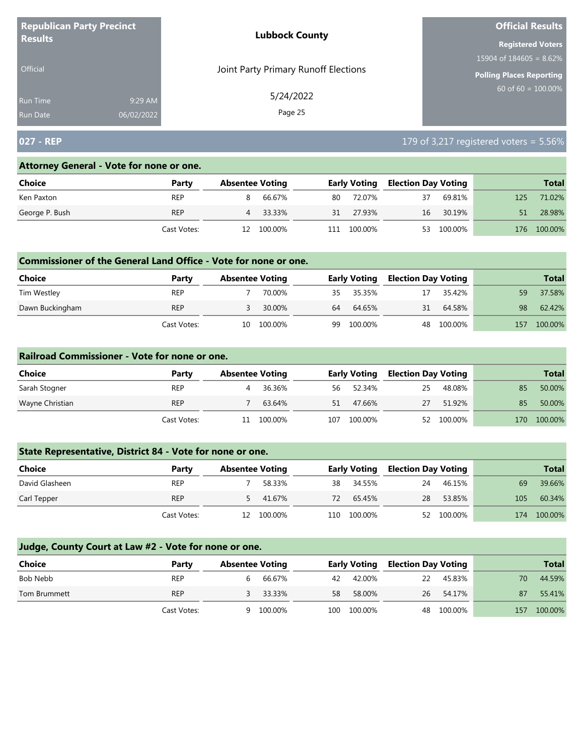| <b>Republican Party Precinct</b><br><b>Results</b> |            | <b>Lubbock County</b>                | <b>Official Results</b>    |
|----------------------------------------------------|------------|--------------------------------------|----------------------------|
|                                                    |            |                                      | <b>Registered Voters</b>   |
|                                                    |            |                                      | 15904 of $184605 = 8.62\%$ |
| <b>Official</b>                                    |            | Joint Party Primary Runoff Elections | Polling Places Reporting   |
| Run Time                                           | 9:29 AM    | 5/24/2022                            | $60$ of 60 = 100.00%       |
| <b>Run Date</b>                                    | 06/02/2022 | Page 25                              |                            |

## **027 - REP** 179 of 3,217 registered voters = 5.56%

#### **Attorney General - Vote for none or one.**

| Choice         | Party       |    | <b>Absentee Voting</b> |     | <b>Early Voting</b> | <b>Election Day Voting</b> |         |     | <b>Total</b> |
|----------------|-------------|----|------------------------|-----|---------------------|----------------------------|---------|-----|--------------|
| Ken Paxton     | REP         |    | 66.67%                 | 80  | 72.07%              | 37                         | 69.81%  | 125 | 71.02%       |
| George P. Bush | <b>REP</b>  | 4  | 33.33%                 | 31  | 27.93%              | 16                         | 30.19%  |     | 28.98%       |
|                | Cast Votes: | 12 | 100.00%                | .11 | 100.00%             | 53                         | 100.00% | 176 | 100.00%      |

#### **Commissioner of the General Land Office - Vote for none or one.**

| <b>Choice</b>   | Party       | <b>Absentee Voting</b> |         |     | <b>Early Voting</b> | <b>Election Day Voting</b> |         |     | <b>Total</b> |
|-----------------|-------------|------------------------|---------|-----|---------------------|----------------------------|---------|-----|--------------|
| Tim Westley     | <b>REP</b>  |                        | 70.00%  | 35. | 35.35%              | 17                         | 35.42%  | 59  | 37.58%       |
| Dawn Buckingham | <b>REP</b>  |                        | 30.00%  | 64  | 64.65%              | 31                         | 64.58%  | 98  | 62.42%       |
|                 | Cast Votes: | 10                     | 100.00% | 99  | 100.00%             | 48                         | 100.00% | 157 | 100.00%      |

#### **Railroad Commissioner - Vote for none or one.**

| Choice          | Party       | <b>Absentee Voting</b> |         |     | <b>Early Voting</b> | <b>Election Day Voting</b> |            |     | <b>Total</b> |
|-----------------|-------------|------------------------|---------|-----|---------------------|----------------------------|------------|-----|--------------|
| Sarah Stogner   | <b>REP</b>  |                        | 36.36%  |     | 56 52.34%           | -25                        | 48.08%     | 85  | 50.00%       |
| Wayne Christian | <b>REP</b>  |                        | 63.64%  | 51  | 47.66%              | 27                         | 51.92%     | 85  | 50.00%       |
|                 | Cast Votes: | 11                     | 100.00% | 107 | 100.00%             |                            | 52 100.00% | 170 | 100.00%      |

## **State Representative, District 84 - Vote for none or one.**

| Choice         | Party       | <b>Absentee Voting</b> |            |     | <b>Early Voting</b> | <b>Election Day Voting</b> |            |     | <b>Total</b> |
|----------------|-------------|------------------------|------------|-----|---------------------|----------------------------|------------|-----|--------------|
| David Glasheen | <b>REP</b>  |                        | 58.33%     | 38  | 34.55%              | 24                         | 46.15%     | 69  | 39.66%       |
| Carl Tepper    | <b>REP</b>  |                        | 41.67%     | 72  | 65.45%              | 28                         | 53.85%     | 105 | 60.34%       |
|                | Cast Votes: |                        | 12 100.00% | 110 | 100.00%             |                            | 52 100.00% | 174 | 100.00%      |

| Choice       | Party       | <b>Absentee Voting</b> |           |     | <b>Early Voting</b> | <b>Election Day Voting</b> |            |     | <b>Total</b> |
|--------------|-------------|------------------------|-----------|-----|---------------------|----------------------------|------------|-----|--------------|
| Bob Nebb     | <b>REP</b>  |                        | 66.67%    | 42  | 42.00%              | 22                         | 45.83%     | 70  | 44.59%       |
| Tom Brummett | <b>REP</b>  |                        | 33.33%    | 58  | 58.00%              | 26                         | 54.17%     | 87  | 55.41%       |
|              | Cast Votes: |                        | 9 100.00% | 100 | 100.00%             |                            | 48 100.00% | 157 | 100.00%      |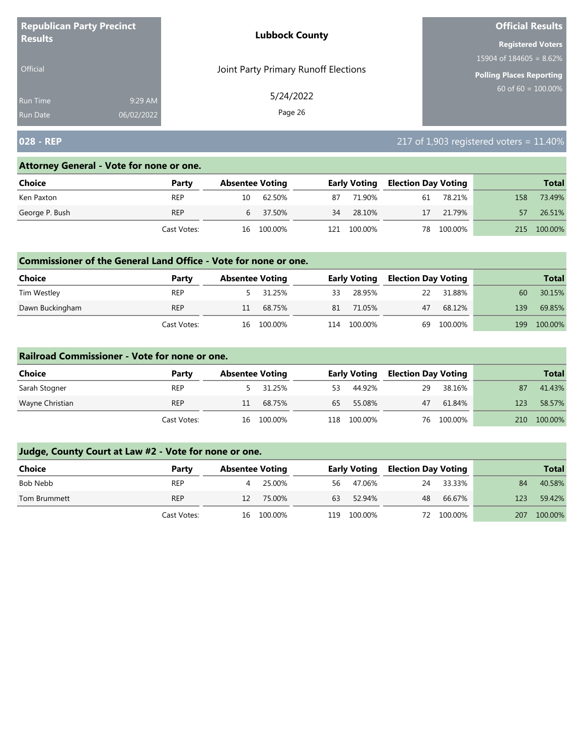| <b>Republican Party Precinct</b> |            | <b>Lubbock County</b>                | <b>Official Results</b><br><b>Registered Voters</b><br>15904 of $184605 = 8.62\%$<br>Polling Places Reporting<br>60 of $60 = 100.00\%$ |
|----------------------------------|------------|--------------------------------------|----------------------------------------------------------------------------------------------------------------------------------------|
| <b>Results</b>                   |            |                                      |                                                                                                                                        |
|                                  |            |                                      |                                                                                                                                        |
| <b>Official</b>                  |            | Joint Party Primary Runoff Elections |                                                                                                                                        |
| <b>Run Time</b>                  | 9:29 AM    | 5/24/2022                            |                                                                                                                                        |
| <b>Run Date</b>                  | 06/02/2022 | Page 26                              |                                                                                                                                        |

# **028 - REP** 217 of 1,903 registered voters = 11.40%

## **Attorney General - Vote for none or one.**

| Choice         | Party       | <b>Absentee Voting</b> |            |     | <b>Early Voting</b> | <b>Election Day Voting</b> |            |      | <b>Total</b> |
|----------------|-------------|------------------------|------------|-----|---------------------|----------------------------|------------|------|--------------|
| Ken Paxton     | REP         | 10                     | 62.50%     | 87  | 71.90%              | 61                         | 78.21%     | 158  | 73.49%       |
| George P. Bush | <b>REP</b>  |                        | 6 37.50%   | 34  | 28.10%              | 17                         | 21.79%     | 57   | 26.51%       |
|                | Cast Votes: |                        | 16 100.00% | 121 | 100.00%             |                            | 78 100.00% | 215. | 100.00%      |

#### **Commissioner of the General Land Office - Vote for none or one.**

| Choice          | Party       | <b>Absentee Voting</b> |         |     | <b>Early Voting</b> | <b>Election Day Voting</b> |         |     | <b>Total</b> |
|-----------------|-------------|------------------------|---------|-----|---------------------|----------------------------|---------|-----|--------------|
| Tim Westley     | <b>REP</b>  |                        | 31.25%  | 33  | 28.95%              | 22                         | 31.88%  | 60  | 30.15%       |
| Dawn Buckingham | <b>REP</b>  |                        | 68.75%  | 81  | 71.05%              | 47                         | 68.12%  | 139 | 69.85%       |
|                 | Cast Votes: | 16                     | 100.00% | 114 | 100.00%             | 69                         | 100.00% | 199 | 100.00%      |

#### **Railroad Commissioner - Vote for none or one.**

| Choice          | Party       | <b>Absentee Voting</b> |            |     | <b>Early Voting</b> | <b>Election Day Voting</b> |            |     | <b>Total</b> |
|-----------------|-------------|------------------------|------------|-----|---------------------|----------------------------|------------|-----|--------------|
| Sarah Stogner   | <b>REP</b>  |                        | 5 31.25%   | 53  | 44.92%              | 29                         | 38.16%     | 87  | 41.43%       |
| Wayne Christian | <b>REP</b>  |                        | 68.75%     | 65  | 55.08%              | 47                         | 61.84%     | 123 | 58.57%       |
|                 | Cast Votes: |                        | 16 100.00% | 118 | 100.00%             |                            | 76 100.00% | 210 | 100.00%      |

| <b>Choice</b> | Party       | <b>Absentee Voting</b> |            |     | <b>Early Voting</b> | <b>Election Day Voting</b> |            |     | <b>Total</b> |
|---------------|-------------|------------------------|------------|-----|---------------------|----------------------------|------------|-----|--------------|
| Bob Nebb      | <b>REP</b>  | 4                      | 25.00%     | 56  | 47.06%              | 24                         | 33.33%     | 84  | 40.58%       |
| Tom Brummett  | <b>REP</b>  | 12                     | 75.00%     | 63  | 52.94%              | 48                         | 66.67%     | 123 | 59.42%       |
|               | Cast Votes: |                        | 16 100.00% | 119 | 100.00%             |                            | 72 100.00% | 207 | 100.00%      |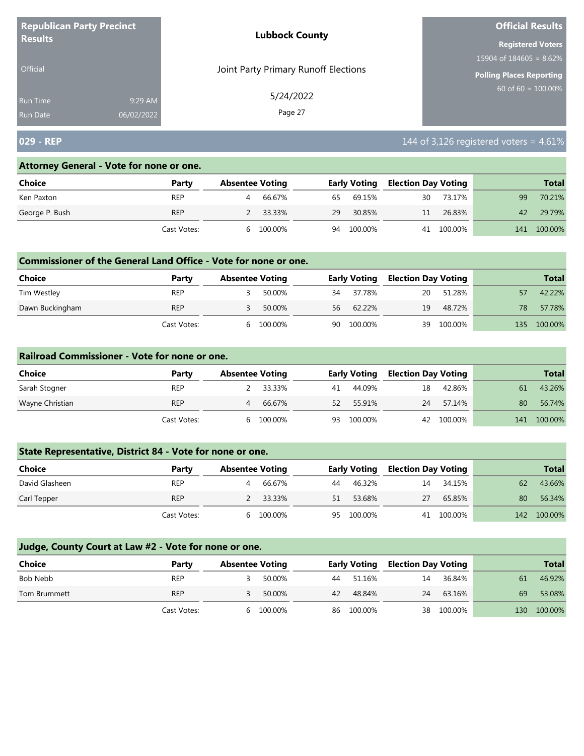| <b>Republican Party Precinct</b> |            | <b>Lubbock County</b>                | <b>Official Results</b>         |
|----------------------------------|------------|--------------------------------------|---------------------------------|
| <b>Results</b>                   |            |                                      | <b>Registered Voters</b>        |
|                                  |            |                                      | 15904 of $184605 = 8.62\%$      |
| <b>Official</b>                  |            | Joint Party Primary Runoff Elections | <b>Polling Places Reporting</b> |
| <b>Run Time</b>                  | 9:29 AM    | 5/24/2022                            | $60$ of 60 = $100.00\%$         |
| <b>Run Date</b>                  | 06/02/2022 | Page 27                              |                                 |

## **029 - REP** 144 of 3,126 registered voters = 4.61%

#### **Attorney General - Vote for none or one.**

| <b>Choice</b>  | Party       | <b>Absentee Voting</b> |          |    | <b>Early Voting</b> | <b>Election Day Voting</b> |            |     | <b>Total</b> |
|----------------|-------------|------------------------|----------|----|---------------------|----------------------------|------------|-----|--------------|
| Ken Paxton     | <b>REP</b>  |                        | 66.67%   | 65 | 69.15%              | 30                         | 73.17%     | 99  | 70.21%       |
| George P. Bush | <b>REP</b>  |                        | 2 33.33% | 29 | 30.85%              | 11                         | 26.83%     |     | 42 29.79%    |
|                | Cast Votes: | <sub>b</sub>           | 100.00%  |    | 94 100.00%          |                            | 41 100.00% | 141 | 100.00%      |

#### **Commissioner of the General Land Office - Vote for none or one.**

| <b>Choice</b>   | Party       | <b>Absentee Voting</b> |         |    | <b>Early Voting</b> | Election Day Voting |         |     | <b>Total</b> |
|-----------------|-------------|------------------------|---------|----|---------------------|---------------------|---------|-----|--------------|
| Tim Westley     | REP         |                        | 50.00%  | 34 | 37.78%              | 20                  | 51.28%  |     | 42.22%       |
| Dawn Buckingham | <b>REP</b>  |                        | 50.00%  |    | 56 62.22%           | 19                  | 48.72%  | 78. | 57.78%       |
|                 | Cast Votes: |                        | 100.00% | 90 | 100.00%             | 39                  | 100.00% | 135 | 100.00%      |

#### **Railroad Commissioner - Vote for none or one.**

| Choice          | Party       | <b>Absentee Voting</b> |         |    | <b>Early Voting</b> | <b>Election Day Voting</b> |            |     | <b>Total</b> |
|-----------------|-------------|------------------------|---------|----|---------------------|----------------------------|------------|-----|--------------|
| Sarah Stogner   | <b>REP</b>  |                        | 33.33%  | 41 | 44.09%              | 18                         | 42.86%     | 61  | 43.26%       |
| Wayne Christian | <b>REP</b>  | 4                      | 66.67%  | 52 | 55.91%              | 24                         | 57.14%     | 80  | 56.74%       |
|                 | Cast Votes: | h                      | 100.00% | 93 | 100.00%             |                            | 42 100.00% | 141 | 100.00%      |

## **State Representative, District 84 - Vote for none or one.**

| Choice         | Party       | <b>Absentee Voting</b> |         |    | <b>Early Voting</b> | <b>Election Day Voting</b> |            |     | <b>Total</b> |
|----------------|-------------|------------------------|---------|----|---------------------|----------------------------|------------|-----|--------------|
| David Glasheen | <b>REP</b>  |                        | 66.67%  | 44 | 46.32%              | 14                         | 34.15%     | 62  | 43.66%       |
| Carl Tepper    | <b>REP</b>  |                        | 33.33%  | 51 | 53.68%              | 27                         | 65.85%     | 80  | 56.34%       |
|                | Cast Votes: | h                      | 100.00% | 95 | 100.00%             |                            | 41 100.00% | 142 | 100.00%      |

| <b>Choice</b> | Party       | <b>Absentee Voting</b> |         |    | <b>Early Voting</b> | <b>Election Day Voting</b> |            |     | <b>Total</b> |
|---------------|-------------|------------------------|---------|----|---------------------|----------------------------|------------|-----|--------------|
| Bob Nebb      | <b>REP</b>  |                        | 50.00%  | 44 | 51.16%              | 14                         | 36.84%     | 61  | 46.92%       |
| Tom Brummett  | <b>REP</b>  |                        | 50.00%  | 42 | 48.84%              | 24                         | 63.16%     | 69  | 53.08%       |
|               | Cast Votes: | h                      | 100.00% | 86 | 100.00%             |                            | 38 100.00% | 130 | 100.00%      |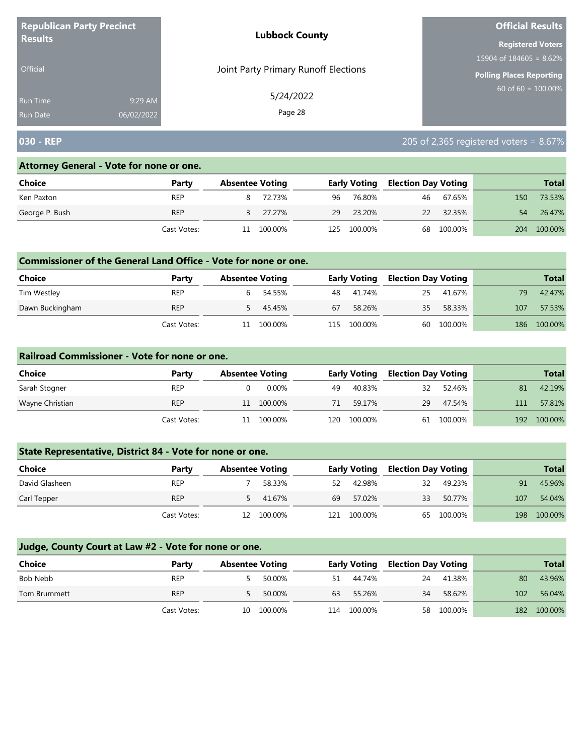| <b>Republican Party Precinct</b><br><b>Lubbock County</b><br><b>Results</b> |            |                                      | <b>Official Results</b>         |
|-----------------------------------------------------------------------------|------------|--------------------------------------|---------------------------------|
|                                                                             |            |                                      | <b>Registered Voters</b>        |
|                                                                             |            |                                      | 15904 of $184605 = 8.62\%$      |
| <b>Official</b>                                                             |            | Joint Party Primary Runoff Elections | <b>Polling Places Reporting</b> |
| <b>Run Time</b>                                                             | 9:29 AM    | 5/24/2022                            | $60$ of 60 = 100.00%            |
| <b>Run Date</b>                                                             | 06/02/2022 | Page 28                              |                                 |

## **030 - REP** 205 of 2,365 registered voters = 8.67%

#### **Attorney General - Vote for none or one.**

| <b>Choice</b>  | Party       | <b>Absentee Voting</b> |          |      | <b>Early Voting</b> | <b>Election Day Voting</b> |            |     | <b>Total</b> |
|----------------|-------------|------------------------|----------|------|---------------------|----------------------------|------------|-----|--------------|
| Ken Paxton     | <b>REP</b>  |                        | 8 72.73% | 96   | 76.80%              |                            | 46 67.65%  | 150 | 73.53%       |
| George P. Bush | <b>REP</b>  |                        | 3 27.27% | 29   | 23.20%              |                            | 22 32.35%  | 54  | 26.47%       |
|                | Cast Votes: | 11                     | 100.00%  | 125. | 100.00%             |                            | 68 100.00% | 204 | 100.00%      |

#### **Commissioner of the General Land Office - Vote for none or one.**

| Choice          | Party       | <b>Absentee Voting</b> |         |    | <b>Early Voting</b> | <b>Election Day Voting</b> |         |     | <b>Total</b> |
|-----------------|-------------|------------------------|---------|----|---------------------|----------------------------|---------|-----|--------------|
| Tim Westley     | <b>REP</b>  |                        | 54.55%  |    | 48 41.74%           | 25                         | 41.67%  | 79  | 42.47%       |
| Dawn Buckingham | <b>REP</b>  |                        | 45.45%  | 67 | 58.26%              | 35                         | 58.33%  | 107 | 57.53%       |
|                 | Cast Votes: |                        | 100.00% |    | 115 100.00%         | 60                         | 100.00% | 186 | 100.00%      |

#### **Railroad Commissioner - Vote for none or one.**

| Choice          | Party       | <b>Absentee Voting</b> |             | <b>Early Voting</b> | <b>Election Day Voting</b> |            |     | <b>Total</b> |
|-----------------|-------------|------------------------|-------------|---------------------|----------------------------|------------|-----|--------------|
| Sarah Stogner   | <b>REP</b>  |                        | 0.00%<br>49 | 40.83%              | 32                         | 52.46%     | 81  | 42.19%       |
| Wayne Christian | <b>REP</b>  | 11 100.00%             | 71          | 59.17%              | 29                         | 47.54%     | 111 | 57.81%       |
|                 | Cast Votes: | 100.00%<br>11          | .20         | 100.00%             |                            | 61 100.00% | 192 | 100.00%      |

## **State Representative, District 84 - Vote for none or one.**

| Choice         | Party       | <b>Absentee Voting</b> |            |     | <b>Early Voting</b> | <b>Election Day Voting</b> |            |     | <b>Total</b> |
|----------------|-------------|------------------------|------------|-----|---------------------|----------------------------|------------|-----|--------------|
| David Glasheen | <b>REP</b>  |                        | 58.33%     | 52  | 42.98%              | 32                         | 49.23%     | 91  | 45.96%       |
| Carl Tepper    | <b>REP</b>  |                        | 5 41.67%   | 69  | 57.02%              | 33                         | 50.77%     | 107 | 54.04%       |
|                | Cast Votes: |                        | 12 100.00% | 121 | 100.00%             |                            | 65 100.00% | 198 | 100.00%      |

| Choice       | Party       | <b>Absentee Voting</b> |            |     | <b>Early Voting</b> | <b>Election Day Voting</b> |            |     | <b>Total</b> |
|--------------|-------------|------------------------|------------|-----|---------------------|----------------------------|------------|-----|--------------|
| Bob Nebb     | <b>REP</b>  |                        | 50.00%     | 51. | 44.74%              | 24                         | 41.38%     | 80  | 43.96%       |
| Tom Brummett | <b>REP</b>  |                        | 50.00%     | 63  | 55.26%              | 34                         | 58.62%     | 102 | 56.04%       |
|              | Cast Votes: |                        | 10 100.00% | 114 | 100.00%             |                            | 58 100.00% | 182 | 100.00%      |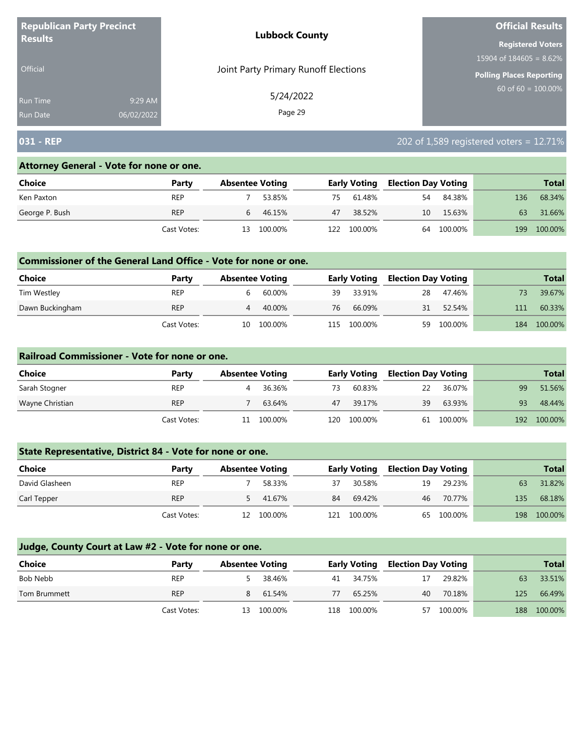| <b>Republican Party Precinct</b> |            | <b>Lubbock County</b>                | <b>Official Results</b>         |  |  |
|----------------------------------|------------|--------------------------------------|---------------------------------|--|--|
| <b>Results</b>                   |            |                                      | <b>Registered Voters</b>        |  |  |
|                                  |            |                                      | 15904 of $184605 = 8.62\%$      |  |  |
| <b>Official</b>                  |            | Joint Party Primary Runoff Elections | <b>Polling Places Reporting</b> |  |  |
| <b>Run Time</b>                  | 9:29 AM    | 5/24/2022                            | 60 of 60 = $100.00\%$           |  |  |
| <b>Run Date</b>                  | 06/02/2022 | Page 29                              |                                 |  |  |

## **031 - REP** 202 of 1,589 registered voters = 12.71%

#### **Attorney General - Vote for none or one.**

| Choice         | Party       |    | <b>Absentee Voting</b> |     | <b>Early Voting</b> | <b>Election Day Voting</b> |         |     | <b>Total</b> |
|----------------|-------------|----|------------------------|-----|---------------------|----------------------------|---------|-----|--------------|
| Ken Paxton     | REP         |    | 53.85%                 | 75. | 61.48%              | 54                         | 84.38%  | 136 | 68.34%       |
| George P. Bush | <b>REP</b>  | 6  | 46.15%                 | 47  | 38.52%              | 10                         | 15.63%  | 63  | 31.66%       |
|                | Cast Votes: | 13 | 100.00%                | 122 | 100.00%             | 64                         | 100.00% | 199 | 100.00%      |

#### **Commissioner of the General Land Office - Vote for none or one.**

| <b>Choice</b>   | Party       | <b>Absentee Voting</b> |         |      | <b>Early Voting</b> | <b>Election Day Voting</b> |         |     | <b>Total</b> |
|-----------------|-------------|------------------------|---------|------|---------------------|----------------------------|---------|-----|--------------|
| Tim Westley     | REP         |                        | 60.00%  | 39   | 33.91%              | -28                        | 47.46%  |     | 39.67%       |
| Dawn Buckingham | <b>REP</b>  | 4                      | 40.00%  | 76   | 66.09%              | 31                         | 52.54%  | 111 | 60.33%       |
|                 | Cast Votes: | 10                     | 100.00% | 115. | 100.00%             | 59                         | 100.00% | 184 | 100.00%      |

#### **Railroad Commissioner - Vote for none or one.**

| Choice          | Party       | <b>Absentee Voting</b> |         |     | <b>Early Voting</b> | <b>Election Day Voting</b> |            |     | <b>Total</b> |
|-----------------|-------------|------------------------|---------|-----|---------------------|----------------------------|------------|-----|--------------|
| Sarah Stogner   | <b>REP</b>  |                        | 36.36%  | 73  | 60.83%              | 22                         | 36.07%     | 99  | 51.56%       |
| Wayne Christian | <b>REP</b>  |                        | 63.64%  | 47  | 39.17%              | 39                         | 63.93%     | 93  | 48.44%       |
|                 | Cast Votes: | 11                     | 100.00% | 120 | 100.00%             |                            | 61 100.00% | 192 | 100.00%      |

## **State Representative, District 84 - Vote for none or one.**

| Choice         | Party       | <b>Absentee Voting</b> |     | <b>Early Voting</b> | <b>Election Day Voting</b> |            |     | <b>Total</b> |
|----------------|-------------|------------------------|-----|---------------------|----------------------------|------------|-----|--------------|
| David Glasheen | <b>REP</b>  | 58.33%                 |     | 30.58%              | 19                         | 29.23%     | 63  | 31.82%       |
| Carl Tepper    | <b>REP</b>  | 41.67%                 | 84  | 69.42%              | 46                         | 70.77%     | 135 | 68.18%       |
|                | Cast Votes: | 12 100.00%             | 121 | 100.00%             |                            | 65 100.00% | 198 | 100.00%      |

| Choice       | Party       |   | <b>Absentee Voting</b> |     | <b>Early Voting</b> |    | <b>Election Day Voting</b> |     | <b>Total</b> |
|--------------|-------------|---|------------------------|-----|---------------------|----|----------------------------|-----|--------------|
| Bob Nebb     | <b>REP</b>  |   | 38.46%                 |     | 41 34.75%           | 17 | 29.82%                     | 63  | 33.51%       |
| Tom Brummett | <b>REP</b>  | 8 | 61.54%                 | 77  | 65.25%              | 40 | 70.18%                     | 125 | 66.49%       |
|              | Cast Votes: |   | 13 100.00%             | 118 | 100.00%             | 57 | 100.00%                    | 188 | 100.00%      |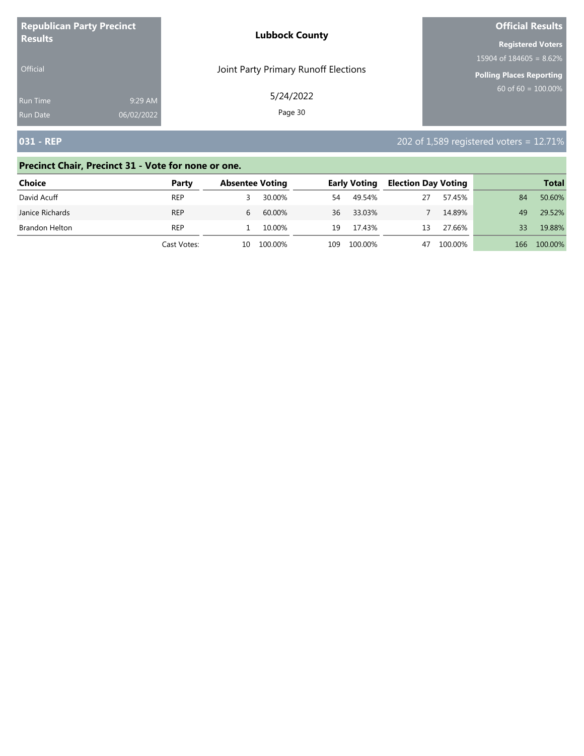| <b>Republican Party Precinct</b> |            | <b>Lubbock County</b>                | <b>Official Results</b>   |
|----------------------------------|------------|--------------------------------------|---------------------------|
| <b>Results</b>                   |            |                                      | <b>Registered Voters</b>  |
|                                  |            |                                      | $15904$ of 184605 = 8.62% |
| <b>Official</b>                  |            | Joint Party Primary Runoff Elections | Polling Places Reporting  |
| <b>Run Time</b>                  | 9:29 AM    | 5/24/2022                            | $60$ of 60 = 100.00%      |
| <b>Run Date</b>                  | 06/02/2022 | Page 30                              |                           |

# **031 - REP** 202 of 1,589 registered voters = 12.71%

## **Precinct Chair, Precinct 31 - Vote for none or one.**

| <b>Choice</b>   | Party       |    | <b>Absentee Voting</b> |     | <b>Early Voting</b> | <b>Election Day Voting</b> |         |     | <b>Total</b> |
|-----------------|-------------|----|------------------------|-----|---------------------|----------------------------|---------|-----|--------------|
| David Acuff     | REP         |    | 30.00%                 | 54  | 49.54%              | 27                         | 57.45%  | 84  | 50.60%       |
| Janice Richards | <b>REP</b>  | h. | 60.00%                 | 36  | 33.03%              |                            | 14.89%  | 49  | 29.52%       |
| Brandon Helton  | REP         |    | 10.00%                 | 19  | 17.43%              | 13                         | 27.66%  | 33  | 19.88%       |
|                 | Cast Votes: | 10 | 100.00%                | 109 | 100.00%             | 47                         | 100.00% | 166 | 100.00%      |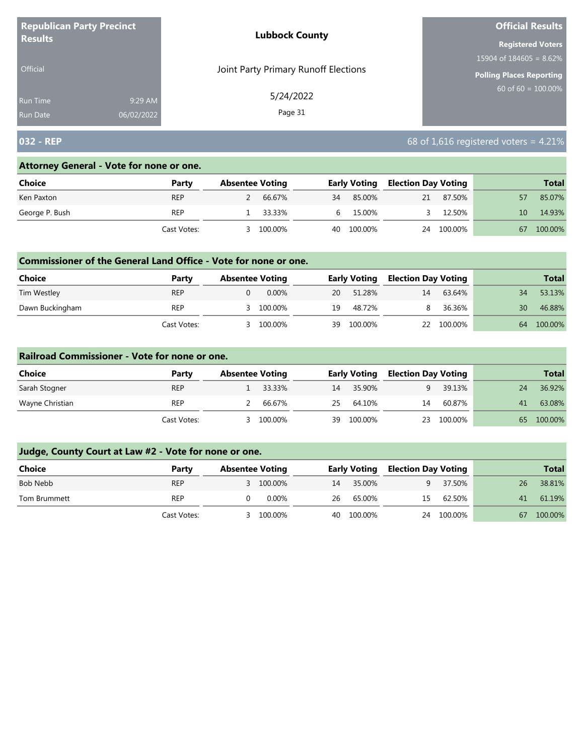| <b>Republican Party Precinct</b> |            | <b>Lubbock County</b>                | <b>Official Results</b>    |
|----------------------------------|------------|--------------------------------------|----------------------------|
| <b>Results</b>                   |            |                                      | <b>Registered Voters</b>   |
|                                  |            |                                      | 15904 of $184605 = 8.62\%$ |
| <b>Official</b>                  |            | Joint Party Primary Runoff Elections | Polling Places Reporting   |
| Run Time                         | 9:29 AM    | 5/24/2022                            | $60$ of 60 = 100.00%       |
| <b>Run Date</b>                  | 06/02/2022 | Page 31                              |                            |

# **032 - REP** 68 of 1,616 registered voters = 4.21%

#### **Attorney General - Vote for none or one.**

| Choice         | Party       | <b>Absentee Voting</b> |         |    | <b>Early Voting</b> |    | <b>Election Day Voting</b> | <b>Total</b> |         |
|----------------|-------------|------------------------|---------|----|---------------------|----|----------------------------|--------------|---------|
| Ken Paxton     | <b>REP</b>  |                        | 66.67%  | 34 | 85.00%              | 21 | 87.50%                     |              | 85.07%  |
| George P. Bush | REP         |                        | 33.33%  | b  | 15.00%              |    | 12.50%                     | 10           | 14.93%  |
|                | Cast Votes: |                        | 100.00% | 40 | 100.00%             | 24 | 100.00%                    | 67           | 100.00% |

#### **Commissioner of the General Land Office - Vote for none or one.**

| <b>Choice</b>   | Party       | <b>Absentee Voting</b> |         |    | <b>Early Voting</b> | Election Day Voting |            |    | <b>Total</b> |
|-----------------|-------------|------------------------|---------|----|---------------------|---------------------|------------|----|--------------|
| Tim Westley     | <b>REP</b>  |                        | 0.00%   | 20 | 51.28%              | 14                  | 63.64%     | 34 | 53.13%       |
| Dawn Buckingham | <b>REP</b>  |                        | 100.00% | 19 | 48.72%              |                     | 36.36%     | 30 | 46.88%       |
|                 | Cast Votes: |                        | 100.00% | 39 | 100.00%             |                     | 22 100.00% | 64 | 100.00%      |

#### **Railroad Commissioner - Vote for none or one.**

| Choice          | Party       | <b>Absentee Voting</b> |         |    | <b>Early Voting</b> |    | <b>Election Day Voting</b> |    | <b>Total</b> |
|-----------------|-------------|------------------------|---------|----|---------------------|----|----------------------------|----|--------------|
| Sarah Stogner   | <b>REP</b>  |                        | 33.33%  | 14 | 35.90%              |    | 39.13%                     | 24 | 36.92%       |
| Wayne Christian | <b>REP</b>  |                        | 66.67%  | 25 | 64.10%              | 14 | 60.87%                     | 41 | 63.08%       |
|                 | Cast Votes: |                        | 100.00% | 39 | 100.00%             | 23 | 100.00%                    | 65 | 100.00%      |

| <b>Choice</b> | Party       | <b>Absentee Voting</b> |    | <b>Early Voting</b> | <b>Election Day Voting</b> |            |    | <b>Total</b> |
|---------------|-------------|------------------------|----|---------------------|----------------------------|------------|----|--------------|
| Bob Nebb      | <b>REP</b>  | 3 100.00%              | 14 | 35.00%              | q                          | 37.50%     | 26 | 38.81%       |
| Tom Brummett  | <b>REP</b>  | 0.00%                  | 26 | 65.00%              | 15                         | 62.50%     | 41 | 61.19%       |
|               | Cast Votes: | 100.00%                |    | 40 100.00%          |                            | 24 100.00% | 67 | 100.00%      |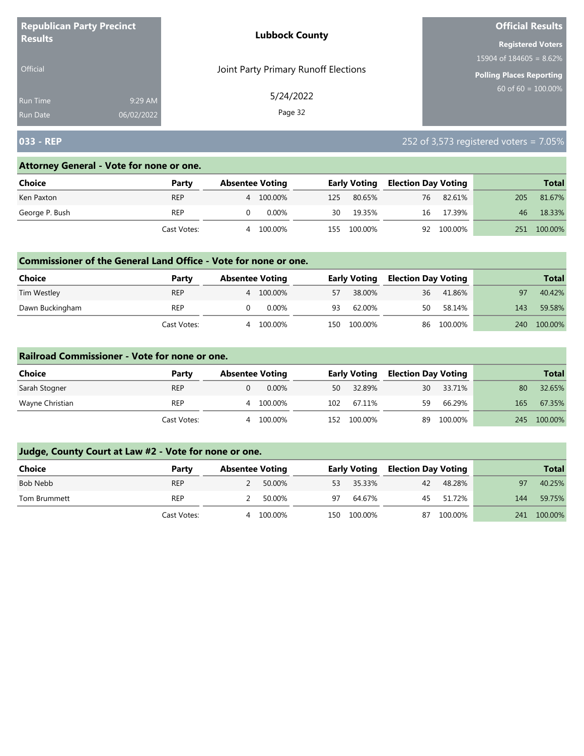| <b>Republican Party Precinct</b> |            | <b>Lubbock County</b>                | <b>Official Results</b>         |
|----------------------------------|------------|--------------------------------------|---------------------------------|
| <b>Results</b>                   |            |                                      | <b>Registered Voters</b>        |
|                                  |            |                                      | 15904 of $184605 = 8.62\%$      |
| Official                         |            | Joint Party Primary Runoff Elections | <b>Polling Places Reporting</b> |
| <b>Run Time</b>                  | 9:29 AM    | 5/24/2022                            | $60$ of 60 = 100.00%            |
| Run Date                         | 06/02/2022 | Page 32                              |                                 |

# **033 - REP** 252 of 3,573 registered voters = 7.05%

#### **Attorney General - Vote for none or one.**

| Choice         | Party       |   | <b>Absentee Voting</b> |     | <b>Early Voting</b> |    | <b>Election Day Voting</b> |     |         |
|----------------|-------------|---|------------------------|-----|---------------------|----|----------------------------|-----|---------|
| Ken Paxton     | <b>REP</b>  |   | 4 100.00%              | 125 | 80.65%              | 76 | 82.61%                     | 205 | 81.67%  |
| George P. Bush | <b>REP</b>  |   | $0.00\%$               | 30  | 19.35%              | 16 | 17.39%                     | 46  | 18.33%  |
|                | Cast Votes: | 4 | 100.00%                | 155 | 100.00%             |    | 92 100.00%                 | 251 | 100.00% |

#### **Commissioner of the General Land Office - Vote for none or one.**

| <b>Choice</b>   | Party       | <b>Absentee Voting</b> |         |     | <b>Early Voting</b> | <b>Election Day Voting</b> |            |     | <b>Total</b> |
|-----------------|-------------|------------------------|---------|-----|---------------------|----------------------------|------------|-----|--------------|
| Tim Westley     | <b>REP</b>  | 4                      | 100.00% | 57  | 38.00%              | 36                         | 41.86%     | 97  | 40.42%       |
| Dawn Buckingham | REP         |                        | 0.00%   | 93  | 62.00%              | 50                         | 58.14%     | 143 | 59.58%       |
|                 | Cast Votes: | Δ                      | 100.00% | 150 | 100.00%             |                            | 86 100.00% | 240 | 100.00%      |

#### **Railroad Commissioner - Vote for none or one.**

| Choice          | Party       | <b>Absentee Voting</b> |     | <b>Early Voting</b> |    | <b>Election Day Voting</b> |     | <b>Total</b> |
|-----------------|-------------|------------------------|-----|---------------------|----|----------------------------|-----|--------------|
| Sarah Stogner   | <b>REP</b>  | $0.00\%$               | 50  | 32.89%              | 30 | 33.71%                     | 80  | 32.65%       |
| Wayne Christian | <b>REP</b>  | 100.00%<br>4           | 102 | 67.11%              | 59 | 66.29%                     | 165 | 67.35%       |
|                 | Cast Votes: | 100.00%<br>4           | 152 | 100.00%             | 89 | 100.00%                    | 245 | 100.00%      |

| Choice       | Party       |   | <b>Absentee Voting</b> |      | <b>Early Voting</b> |    | <b>Election Day Voting</b> |     | <b>Total</b> |
|--------------|-------------|---|------------------------|------|---------------------|----|----------------------------|-----|--------------|
| Bob Nebb     | <b>REP</b>  |   | 50.00%                 | 53   | 35.33%              | 42 | 48.28%                     | 97  | 40.25%       |
| Tom Brummett | <b>REP</b>  |   | 50.00%                 | 97   | 64.67%              |    | 45 51.72%                  | 144 | 59.75%       |
|              | Cast Votes: | 4 | 100.00%                | 150- | 100.00%             | 87 | 100.00%                    | 241 | 100.00%      |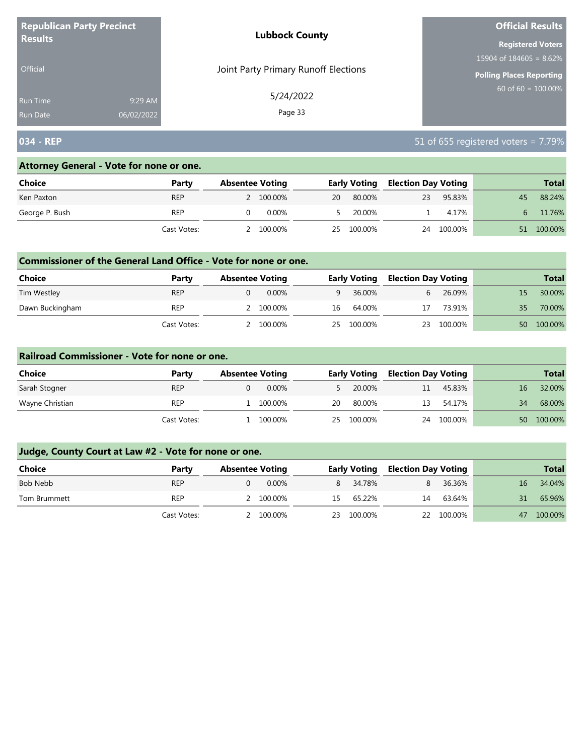| <b>Republican Party Precinct</b><br><b>Results</b> |            | <b>Lubbock County</b>                | <b>Official Results</b>         |
|----------------------------------------------------|------------|--------------------------------------|---------------------------------|
|                                                    |            |                                      | <b>Registered Voters</b>        |
|                                                    |            |                                      | 15904 of $184605 = 8.62\%$      |
| <b>Official</b>                                    |            | Joint Party Primary Runoff Elections | <b>Polling Places Reporting</b> |
| <b>Run Time</b>                                    | 9:29 AM    | 5/24/2022                            | 60 of 60 = $100.00\%$           |
| <b>Run Date</b>                                    | 06/02/2022 | Page 33                              |                                 |

# **034 - REP** 51 of 655 registered voters = 7.79%

#### **Attorney General - Vote for none or one.**

| Choice         | Party       | <b>Absentee Voting</b> |           | <b>Early Voting</b> |            |    |         | <b>Election Day Voting</b> |         |  | <b>Total</b> |
|----------------|-------------|------------------------|-----------|---------------------|------------|----|---------|----------------------------|---------|--|--------------|
| Ken Paxton     | <b>REP</b>  |                        | 2 100.00% | 20                  | 80.00%     | 23 | 95.83%  | 45                         | 88.24%  |  |              |
| George P. Bush | REP         |                        | $0.00\%$  |                     | 20.00%     |    | 4.17%   | $\mathbf{b}$               | 11.76%  |  |              |
|                | Cast Votes: |                        | 100.00%   |                     | 25 100.00% | 24 | 100.00% | 51                         | 100.00% |  |              |

#### **Commissioner of the General Land Office - Vote for none or one.**

| <b>Choice</b>   | Party       | <b>Absentee Voting</b> |           |    | <b>Early Voting</b> | <b>Election Day Voting</b> |         |    | <b>Total</b> |
|-----------------|-------------|------------------------|-----------|----|---------------------|----------------------------|---------|----|--------------|
| Tim Westley     | <b>REP</b>  |                        | $0.00\%$  | q  | 36.00%              |                            | 26.09%  |    | 30.00%       |
| Dawn Buckingham | <b>REP</b>  |                        | 2 100.00% | 16 | 64.00%              | 17                         | 73.91%  | 35 | 70.00%       |
|                 | Cast Votes: |                        | 100.00%   | 25 | 100.00%             | 23                         | 100.00% | 50 | 100.00%      |

#### **Railroad Commissioner - Vote for none or one.**

| Choice          | Party       | <b>Absentee Voting</b> |    | <b>Early Voting</b> |    |         |    | <b>Election Day Voting</b> |  | <b>Total</b> |
|-----------------|-------------|------------------------|----|---------------------|----|---------|----|----------------------------|--|--------------|
| Sarah Stogner   | <b>REP</b>  | $0.00\%$               |    | 20.00%              | 11 | 45.83%  | 16 | 32.00%                     |  |              |
| Wayne Christian | <b>REP</b>  | 100.00%                | 20 | 80.00%              | 13 | 54.17%  | 34 | 68.00%                     |  |              |
|                 | Cast Votes: | 100.00%                | 25 | 100.00%             | 24 | 100.00% | 50 | 100.00%                    |  |              |

| Choice       | Party       | <b>Absentee Voting</b> |     | <b>Early Voting</b> |    | <b>Election Day Voting</b> |    |         |  | <b>Total</b> |
|--------------|-------------|------------------------|-----|---------------------|----|----------------------------|----|---------|--|--------------|
| Bob Nebb     | <b>REP</b>  | $0.00\%$               |     | 8 34.78%            |    | 36.36%                     | 16 | 34.04%  |  |              |
| Tom Brummett | <b>REP</b>  | 2 100.00%              | 15. | 65.22%              | 14 | 63.64%                     |    | 65.96%  |  |              |
|              | Cast Votes: | 2 100.00%              | 23  | 100.00%             |    | 22 100.00%                 | 47 | 100.00% |  |              |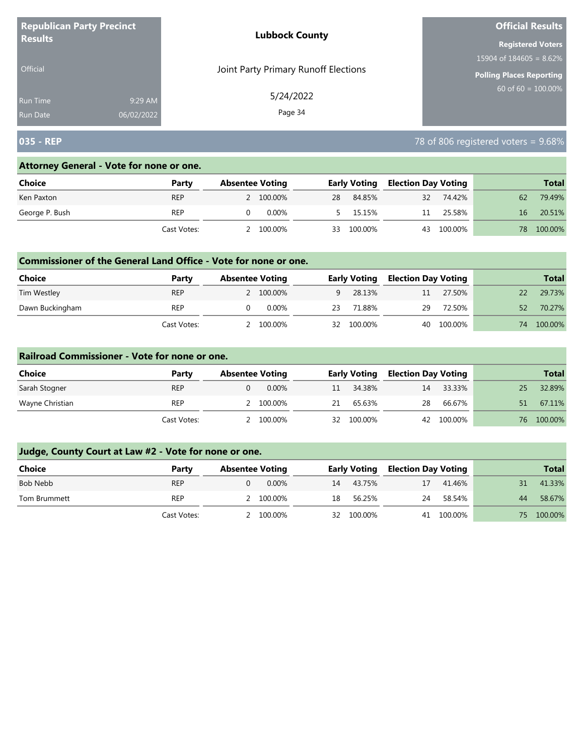| <b>Republican Party Precinct</b> |            | <b>Lubbock County</b>                | <b>Official Results</b>         |
|----------------------------------|------------|--------------------------------------|---------------------------------|
| <b>Results</b>                   |            |                                      | <b>Registered Voters</b>        |
|                                  |            |                                      | 15904 of $184605 = 8.62\%$      |
| Official                         |            | Joint Party Primary Runoff Elections | <b>Polling Places Reporting</b> |
| Run Time                         | 9:29 AM    | 5/24/2022                            | $60$ of 60 = $100.00\%$         |
| <b>Run Date</b>                  | 06/02/2022 | Page 34                              |                                 |

# **035 - REP** 78 of 806 registered voters = 9.68%

## **Attorney General - Vote for none or one.**

| <b>Choice</b>  | Party       | <b>Absentee Voting</b> |  |    |          | <b>Early Voting</b> |            | <b>Election Day Voting</b> |     |         |  | <b>Total</b> |
|----------------|-------------|------------------------|--|----|----------|---------------------|------------|----------------------------|-----|---------|--|--------------|
| Ken Paxton     | <b>REP</b>  | 2 100.00%              |  | 28 | 84.85%   | 32                  | 74.42%     |                            | 62  | 79.49%  |  |              |
| George P. Bush | REP         | 0.00%                  |  |    | 5 15.15% | 11                  | 25.58%     |                            | 16  | 20.51%  |  |              |
|                | Cast Votes: | 100.00%                |  | 33 | 100.00%  |                     | 43 100.00% |                            | 78. | 100.00% |  |              |

#### **Commissioner of the General Land Office - Vote for none or one.**

| <b>Choice</b>   | Party       | <b>Absentee Voting</b> |    | <b>Early Voting</b> | <b>Election Day Voting</b> |         |    | <b>Total</b> |
|-----------------|-------------|------------------------|----|---------------------|----------------------------|---------|----|--------------|
| Tim Westley     | <b>REP</b>  | 2 100.00%              |    | 28.13%<br>q         | 11                         | 27.50%  |    | 29.73%       |
| Dawn Buckingham | <b>REP</b>  | 0.00%                  | 23 | 71.88%              | 29                         | 72.50%  | 52 | 70.27%       |
|                 | Cast Votes: | 100.00%                | 32 | 100.00%             | 40                         | 100.00% | 74 | 100.00%      |

#### **Railroad Commissioner - Vote for none or one.**

| Choice          | Party       | <b>Absentee Voting</b> | <b>Early Voting</b> |         | <b>Election Day Voting</b> |            | <b>Total</b> |            |
|-----------------|-------------|------------------------|---------------------|---------|----------------------------|------------|--------------|------------|
| Sarah Stogner   | <b>REP</b>  | $0.00\%$               | 11                  | 34.38%  | 14                         | 33.33%     | 25           | 32.89%     |
| Wayne Christian | <b>REP</b>  | 100.00%                | 21                  | 65.63%  | 28                         | 66.67%     | 51           | 67.11%     |
|                 | Cast Votes: | 100.00%                | 32                  | 100.00% |                            | 42 100.00% |              | 76 100,00% |

| <b>Choice</b> | Party       | <b>Absentee Voting</b> | <b>Early Voting</b> |        | <b>Election Day Voting</b> |            |     | <b>Total</b> |
|---------------|-------------|------------------------|---------------------|--------|----------------------------|------------|-----|--------------|
| Bob Nebb      | <b>REP</b>  | 0.00%                  | 43.75%<br>14        |        | 17                         | 41.46%     | 31  | 41.33%       |
| Tom Brummett  | REP         | 2 100.00%              | 18                  | 56.25% | 24                         | 58.54%     | 44  | 58.67%       |
|               | Cast Votes: | 2 100.00%              | 32 100.00%          |        |                            | 41 100.00% | 75. | 100.00%      |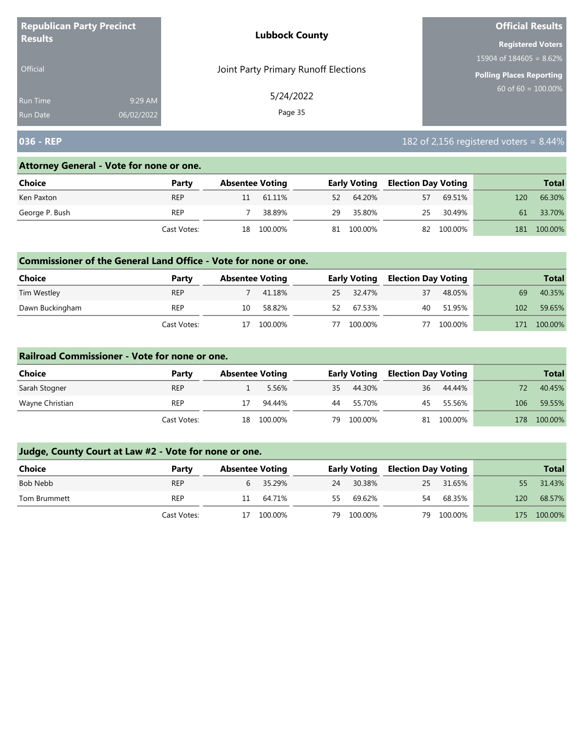| <b>Republican Party Precinct</b> |            | <b>Lubbock County</b>                | <b>Official Results</b>    |  |  |
|----------------------------------|------------|--------------------------------------|----------------------------|--|--|
| <b>Results</b>                   |            |                                      | <b>Registered Voters</b>   |  |  |
|                                  |            |                                      | 15904 of $184605 = 8.62\%$ |  |  |
| <b>Official</b>                  |            | Joint Party Primary Runoff Elections | Polling Places Reporting   |  |  |
| Run Time                         | 9:29 AM    | 5/24/2022                            | $60$ of 60 = 100.00%       |  |  |
| <b>Run Date</b>                  | 06/02/2022 | Page 35                              |                            |  |  |

# **036 - REP** 182 of 2,156 registered voters = 8.44%

#### **Attorney General - Vote for none or one.**

| Choice         | Party       | <b>Absentee Voting</b> |         |    | <b>Early Voting</b> |    | <b>Election Day Voting</b> |     | <b>Total</b> |
|----------------|-------------|------------------------|---------|----|---------------------|----|----------------------------|-----|--------------|
| Ken Paxton     | <b>REP</b>  |                        | 61.11%  | 52 | 64.20%              | 57 | 69.51%                     | 120 | 66.30%       |
| George P. Bush | <b>REP</b>  |                        | 38.89%  | 29 | 35.80%              | 25 | 30.49%                     | 61  | 33.70%       |
|                | Cast Votes: | 18                     | 100.00% | 81 | 100.00%             |    | 82 100.00%                 | 181 | 100.00%      |

#### **Commissioner of the General Land Office - Vote for none or one.**

| Choice          | Party       | <b>Absentee Voting</b> |         |    | <b>Early Voting</b> | Election Day Voting |         |     | <b>Total</b> |
|-----------------|-------------|------------------------|---------|----|---------------------|---------------------|---------|-----|--------------|
| Tim Westley     | <b>REP</b>  |                        | 41.18%  |    | 25 32.47%           | 37                  | 48.05%  | 69  | 40.35%       |
| Dawn Buckingham | <b>REP</b>  | 10                     | 58.82%  | 52 | 67.53%              | 40                  | 51.95%  | 102 | 59.65%       |
|                 | Cast Votes: |                        | 100.00% | 77 | 100.00%             |                     | 100.00% | 171 | 100.00%      |

#### **Railroad Commissioner - Vote for none or one.**

| Choice          | Party       | <b>Absentee Voting</b> |         |    | <b>Early Voting</b> | <b>Election Day Voting</b> |         |     | <b>Total</b> |
|-----------------|-------------|------------------------|---------|----|---------------------|----------------------------|---------|-----|--------------|
| Sarah Stogner   | <b>REP</b>  |                        | 5.56%   | 35 | 44.30%              | 36                         | 44.44%  |     | 40.45%       |
| Wayne Christian | <b>REP</b>  |                        | 94.44%  | 44 | 55.70%              | 45                         | 55.56%  | 106 | 59.55%       |
|                 | Cast Votes: | 18                     | 100.00% | 79 | 100.00%             | 81                         | 100.00% | 178 | 100.00%      |

| <b>Choice</b> | Party       | <b>Absentee Voting</b> |          |    | <b>Early Voting</b> |    | <b>Election Day Voting</b> |     | <b>Total</b> |
|---------------|-------------|------------------------|----------|----|---------------------|----|----------------------------|-----|--------------|
| Bob Nebb      | <b>REP</b>  |                        | 6 35.29% | 24 | 30.38%              |    | 25 31.65%                  | 55. | 31.43%       |
| Tom Brummett  | <b>REP</b>  | 11                     | 64.71%   | 55 | 69.62%              | 54 | 68.35%                     | 120 | 68.57%       |
|               | Cast Votes: | 17                     | 100.00%  | 79 | 100.00%             |    | 79 100.00%                 | 175 | 100.00%      |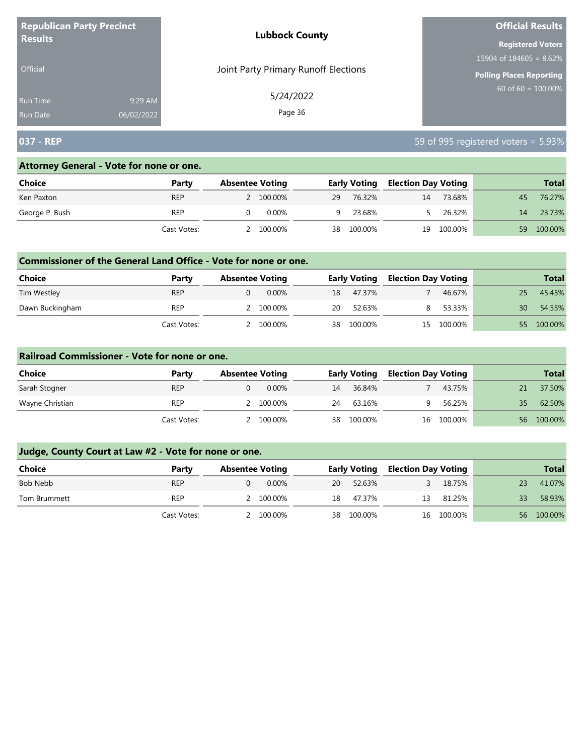| <b>Republican Party Precinct</b> |            | <b>Lubbock County</b>                | <b>Official Results</b>    |  |  |
|----------------------------------|------------|--------------------------------------|----------------------------|--|--|
| <b>Results</b>                   |            |                                      | <b>Registered Voters</b>   |  |  |
|                                  |            |                                      | 15904 of $184605 = 8.62\%$ |  |  |
| <b>Official</b>                  |            | Joint Party Primary Runoff Elections | Polling Places Reporting   |  |  |
| <b>Run Time</b>                  | 9:29 AM    | 5/24/2022                            | 60 of $60 = 100.00\%$      |  |  |
| <b>Run Date</b>                  | 06/02/2022 | Page 36                              |                            |  |  |

# **037 - REP** 59 of 995 registered voters = 5.93%

#### **Attorney General - Vote for none or one.**

| Choice         | Party       | <b>Absentee Voting</b> |    | <b>Early Voting</b> | <b>Election Day Voting</b> |         |    | <b>Total</b> |
|----------------|-------------|------------------------|----|---------------------|----------------------------|---------|----|--------------|
| Ken Paxton     | <b>REP</b>  | 2 100.00%              | 29 | 76.32%              | 14                         | 73.68%  | 45 | 76.27%       |
| George P. Bush | <b>REP</b>  | 0.00%                  | q. | 23.68%              |                            | 26.32%  | 14 | 23.73%       |
|                | Cast Votes: | 100.00%                | 38 | 100.00%             | 19                         | 100.00% | 59 | 100.00%      |

#### **Commissioner of the General Land Office - Vote for none or one.**

| Choice          | Party       | <b>Absentee Voting</b> |  | <b>Early Voting</b> |         | <b>Election Day Voting</b> |         |    | <b>Total</b> |
|-----------------|-------------|------------------------|--|---------------------|---------|----------------------------|---------|----|--------------|
| Tim Westley     | <b>REP</b>  | $0.00\%$               |  | 18                  | 47.37%  |                            | 46.67%  |    | 45.45%       |
| Dawn Buckingham | <b>REP</b>  | 2 100.00%              |  | 20                  | 52.63%  |                            | 53.33%  | 30 | 54.55%       |
|                 | Cast Votes: | 100.00%                |  | 38                  | 100.00% | 15                         | 100.00% | 55 | 100.00%      |

#### **Railroad Commissioner - Vote for none or one.**

| Choice          | Party       | <b>Absentee Voting</b> |         | <b>Early Voting</b> |            | <b>Election Day Voting</b> |            |    | <b>Total</b> |
|-----------------|-------------|------------------------|---------|---------------------|------------|----------------------------|------------|----|--------------|
| Sarah Stogner   | <b>REP</b>  |                        | 0.00%   | 14                  | 36.84%     |                            | 43.75%     |    | 37.50%       |
| Wayne Christian | <b>REP</b>  |                        | 100.00% | 24                  | 63.16%     |                            | 56.25%     | 35 | 62.50%       |
|                 | Cast Votes: |                        | 100.00% |                     | 38 100.00% |                            | 16 100.00% | 56 | 100.00%      |

| Choice       | Party       | <b>Absentee Voting</b> |    | <b>Early Voting</b> |    | <b>Election Day Voting</b> |    | <b>Total</b> |
|--------------|-------------|------------------------|----|---------------------|----|----------------------------|----|--------------|
| Bob Nebb     | <b>REP</b>  | $0.00\%$               | 20 | 52.63%              |    | 18.75%                     | 23 | 41.07%       |
| Tom Brummett | <b>REP</b>  | 2 100.00%              | 18 | 47.37%              | 13 | 81.25%                     | 33 | 58.93%       |
|              | Cast Votes: | 2 100.00%              | 38 | 100.00%             |    | 16 100.00%                 |    | 56 100.00%   |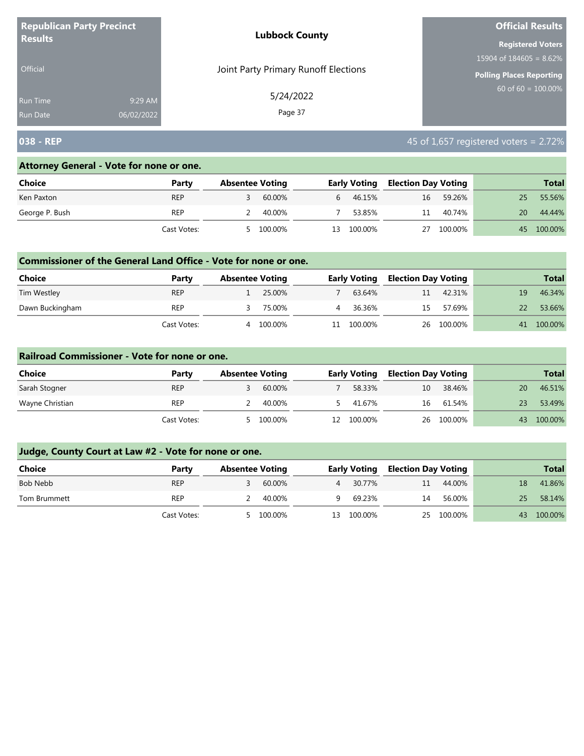| <b>Republican Party Precinct</b> |            | <b>Lubbock County</b>                | <b>Official Results</b>                          |
|----------------------------------|------------|--------------------------------------|--------------------------------------------------|
| <b>Results</b>                   |            |                                      | <b>Registered Voters</b>                         |
|                                  |            |                                      | 15904 of $184605 = 8.62\%$                       |
| <b>Official</b>                  |            | Joint Party Primary Runoff Elections | Polling Places Reporting<br>$60$ of 60 = 100.00% |
| <b>Run Time</b>                  | 9:29 AM    | 5/24/2022                            |                                                  |
| <b>Run Date</b>                  | 06/02/2022 | Page 37                              |                                                  |

# **038 - REP** 45 of 1,657 registered voters = 2.72%

### **Attorney General - Vote for none or one.**

| Choice         | Party       | <b>Absentee Voting</b> |         |              | <b>Early Voting</b> | <b>Election Day Voting</b> |         |    | <b>Total</b> |
|----------------|-------------|------------------------|---------|--------------|---------------------|----------------------------|---------|----|--------------|
| Ken Paxton     | <b>REP</b>  |                        | 60.00%  | $\mathbf{b}$ | 46.15%              | 16                         | 59.26%  | 25 | 55.56%       |
| George P. Bush | <b>REP</b>  |                        | 40.00%  |              | 53.85%              | 11                         | 40.74%  | 20 | 44.44%       |
|                | Cast Votes: |                        | 100.00% | 13.          | 100.00%             | 27                         | 100.00% | 45 | 100.00%      |

### **Commissioner of the General Land Office - Vote for none or one.**

| Choice          | Party       | <b>Absentee Voting</b> |         | <b>Early Voting</b> | Election Day Voting |            |    | <b>Total</b> |
|-----------------|-------------|------------------------|---------|---------------------|---------------------|------------|----|--------------|
| Tim Westley     | <b>REP</b>  |                        | 25.00%  | 63.64%              | 11                  | 42.31%     | 19 | 46.34%       |
| Dawn Buckingham | REP         |                        | 75.00%  | 36.36%              | 15                  | 57.69%     | 22 | 53.66%       |
|                 | Cast Votes: | Δ                      | 100.00% | 100.00%             |                     | 26 100.00% | 41 | 100.00%      |

#### **Railroad Commissioner - Vote for none or one.**

| Choice          | Party       | <b>Absentee Voting</b> |         |    | <b>Early Voting</b> | <b>Election Day Voting</b> |            |    | <b>Total</b> |
|-----------------|-------------|------------------------|---------|----|---------------------|----------------------------|------------|----|--------------|
| Sarah Stogner   | <b>REP</b>  |                        | 60.00%  |    | 58.33%              | 10                         | 38.46%     | 20 | 46.51%       |
| Wayne Christian | REP         |                        | 40.00%  |    | 41.67%              | 16                         | 61.54%     |    | 53.49%       |
|                 | Cast Votes: |                        | 100.00% | 12 | 100.00%             |                            | 26 100.00% | 43 | 100.00%      |

| <b>Choice</b> | Party       | <b>Absentee Voting</b> |           |     | <b>Early Voting</b> | <b>Election Day Voting</b> |            |    | <b>Total</b> |
|---------------|-------------|------------------------|-----------|-----|---------------------|----------------------------|------------|----|--------------|
| Bob Nebb      | <b>REP</b>  |                        | 60.00%    | 4   | 30.77%              | 11                         | 44.00%     | 18 | 41.86%       |
| Tom Brummett  | REP         |                        | 40.00%    | u   | 69.23%              | 14                         | 56.00%     | 25 | 58.14%       |
|               | Cast Votes: |                        | 5 100.00% | 13. | 100.00%             |                            | 25 100.00% | 43 | 100.00%      |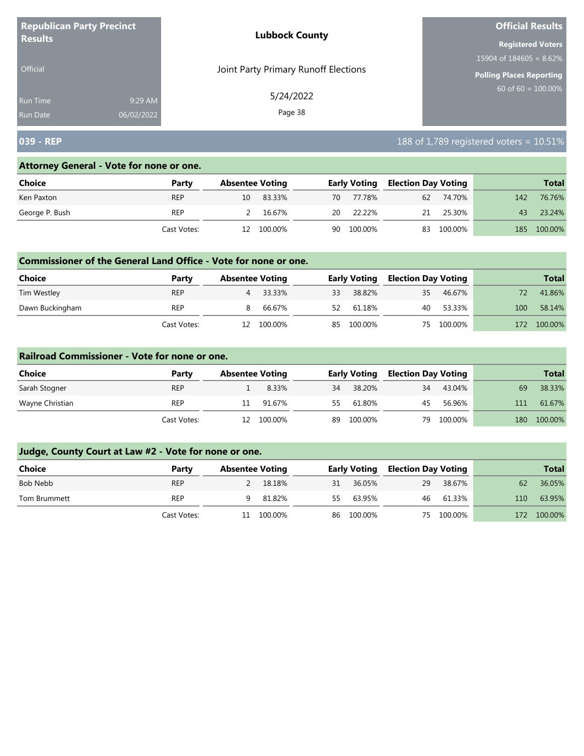| <b>Republican Party Precinct</b> |            | <b>Lubbock County</b>                | <b>Official Results</b>    |
|----------------------------------|------------|--------------------------------------|----------------------------|
| <b>Results</b>                   |            |                                      | <b>Registered Voters</b>   |
|                                  |            |                                      | 15904 of $184605 = 8.62\%$ |
| <b>Official</b>                  |            | Joint Party Primary Runoff Elections | Polling Places Reporting   |
| <b>Run Time</b>                  | 9:29 AM    | 5/24/2022                            | $60$ of 60 = 100.00%       |
| <b>Run Date</b>                  | 06/02/2022 | Page 38                              |                            |

# **039 - REP** 188 of 1,789 registered voters = 10.51%

#### **Attorney General - Vote for none or one.**

| Choice         | Party       |    | <b>Absentee Voting</b> |    | <b>Early Voting</b> |    | <b>Election Day Voting</b> |     | <b>Total</b> |
|----------------|-------------|----|------------------------|----|---------------------|----|----------------------------|-----|--------------|
| Ken Paxton     | <b>REP</b>  |    | 10 83.33%              |    | 70 77.78%           |    | 62 74.70%                  | 142 | 76.76%       |
| George P. Bush | <b>REP</b>  |    | 16.67%                 | 20 | 22.22%              | 21 | 25.30%                     | 43  | 23.24%       |
|                | Cast Votes: | 12 | 100.00%                | 90 | 100.00%             |    | 83 100.00%                 | 185 | 100.00%      |

### **Commissioner of the General Land Office - Vote for none or one.**

| Choice          | Party       | <b>Absentee Voting</b> |         |    | <b>Early Voting</b> | <b>Election Day Voting</b> |           |     | <b>Total</b> |
|-----------------|-------------|------------------------|---------|----|---------------------|----------------------------|-----------|-----|--------------|
| Tim Westley     | <b>REP</b>  | 4                      | 33.33%  | 33 | 38.82%              | 35                         | 46.67%    |     | 41.86%       |
| Dawn Buckingham | REP         | 8.                     | 66.67%  | 52 | 61.18%              |                            | 40 53.33% | 100 | 58.14%       |
|                 | Cast Votes: |                        | 100.00% | 85 | 100.00%             | 75.                        | 100.00%   | 172 | 100.00%      |

#### **Railroad Commissioner - Vote for none or one.**

| Choice          | Party       | <b>Absentee Voting</b> |            |     | <b>Early Voting</b> | <b>Election Day Voting</b> |         |     | <b>Total</b> |
|-----------------|-------------|------------------------|------------|-----|---------------------|----------------------------|---------|-----|--------------|
| Sarah Stogner   | <b>REP</b>  |                        | 8.33%      | 34  | 38.20%              | 34                         | 43.04%  | 69  | 38.33%       |
| Wayne Christian | REP         | 11                     | 91.67%     | 55. | 61.80%              | 45                         | 56.96%  | 111 | 61.67%       |
|                 | Cast Votes: |                        | 12 100.00% | 89  | 100.00%             | 79                         | 100.00% | 180 | 100.00%      |

| <b>Choice</b> | Party       | <b>Absentee Voting</b> |         |    | <b>Early Voting</b> | Election Day Voting |            |     | <b>Total</b> |
|---------------|-------------|------------------------|---------|----|---------------------|---------------------|------------|-----|--------------|
| Bob Nebb      | <b>REP</b>  |                        | 18.18%  | 31 | 36.05%              | 29                  | 38.67%     | 62  | 36.05%       |
| Tom Brummett  | <b>REP</b>  |                        | 81.82%  | 55 | 63.95%              |                     | 46 61.33%  | 110 | 63.95%       |
|               | Cast Votes: | 11                     | 100.00% |    | 86 100.00%          |                     | 75 100.00% | 172 | 100.00%      |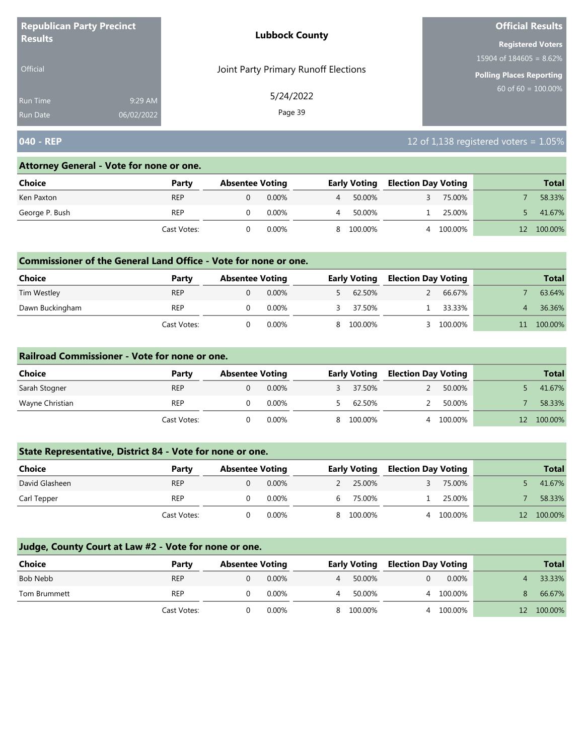| <b>Republican Party Precinct</b> |            | <b>Lubbock County</b>                | <b>Official Results</b>                          |
|----------------------------------|------------|--------------------------------------|--------------------------------------------------|
| <b>Results</b>                   |            |                                      | <b>Registered Voters</b>                         |
|                                  |            |                                      | 15904 of $184605 = 8.62\%$                       |
| <b>Official</b>                  |            | Joint Party Primary Runoff Elections | Polling Places Reporting<br>$60$ of 60 = 100.00% |
| <b>Run Time</b>                  | 9:29 AM    | 5/24/2022                            |                                                  |
| <b>Run Date</b>                  | 06/02/2022 | Page 39                              |                                                  |

# **040 - REP** 12 of 1,138 registered voters = 1.05%

### **Attorney General - Vote for none or one.**

| Choice         | Party       | <b>Absentee Voting</b> |   | <b>Early Voting</b> | <b>Election Day Voting</b> |         | <b>Total</b> |
|----------------|-------------|------------------------|---|---------------------|----------------------------|---------|--------------|
| Ken Paxton     | <b>REP</b>  | $0.00\%$               | 4 | 50.00%              |                            | 75.00%  | 58.33%       |
| George P. Bush | <b>REP</b>  | 0.00%                  |   | 50.00%              |                            | 25.00%  | 41.67%       |
|                | Cast Votes: | 0.00%                  |   | 8 100.00%           |                            | 100.00% | 100.00%      |

## **Commissioner of the General Land Office - Vote for none or one.**

| <b>Choice</b>   | Party       | <b>Absentee Voting</b> |          | <b>Early Voting</b> | <b>Election Day Voting</b> |         | <b>Total</b> |
|-----------------|-------------|------------------------|----------|---------------------|----------------------------|---------|--------------|
| Tim Westley     | <b>REP</b>  |                        | $0.00\%$ | 62.50%              |                            | 66.67%  | 63.64%       |
| Dawn Buckingham | <b>REP</b>  |                        | 0.00%    | 37.50%              |                            | 33.33%  | 36.36%       |
|                 | Cast Votes: |                        | 0.00%    | 8 100.00%           |                            | 100.00% | 100.00%      |

#### **Railroad Commissioner - Vote for none or one.**

| Choice          | Party       | <b>Absentee Voting</b> |          | <b>Early Voting</b> | <b>Election Day Voting</b> |           | <b>Total</b> |
|-----------------|-------------|------------------------|----------|---------------------|----------------------------|-----------|--------------|
| Sarah Stogner   | <b>REP</b>  |                        | $0.00\%$ | 37.50%              |                            | 50.00%    | 41.67%       |
| Wayne Christian | REP         |                        | $0.00\%$ | 62.50%              |                            | 50.00%    | 58.33%       |
|                 | Cast Votes: |                        | $0.00\%$ | 8 100.00%           |                            | 4 100.00% | 100.00%      |

## **State Representative, District 84 - Vote for none or one.**

| <b>Choice</b>  | Party       | <b>Absentee Voting</b> |          |   | <b>Early Voting</b> | <b>Election Day Voting</b> |           | <b>Total</b> |
|----------------|-------------|------------------------|----------|---|---------------------|----------------------------|-----------|--------------|
| David Glasheen | <b>REP</b>  |                        | $0.00\%$ |   | 25.00%              |                            | 75.00%    | 41.67%       |
| Carl Tepper    | <b>REP</b>  |                        | $0.00\%$ |   | 75.00%              |                            | 25.00%    | 58.33%       |
|                | Cast Votes: |                        | $0.00\%$ | 8 | 100.00%             |                            | 4 100.00% | 100.00%      |

| <b>Choice</b> | Party       | <b>Absentee Voting</b> |          |   | <b>Early Voting</b> | <b>Election Day Voting</b> |           |    | <b>Total</b> |
|---------------|-------------|------------------------|----------|---|---------------------|----------------------------|-----------|----|--------------|
| Bob Nebb      | <b>REP</b>  |                        | $0.00\%$ | 4 | 50.00%              | 0                          | 0.00%     |    | 33.33%       |
| Tom Brummett  | <b>REP</b>  |                        | 0.00%    |   | 50.00%              |                            | 4 100.00% |    | 66.67%       |
|               | Cast Votes: |                        | $0.00\%$ | 8 | 100.00%             |                            | 4 100.00% | 12 | 100.00%      |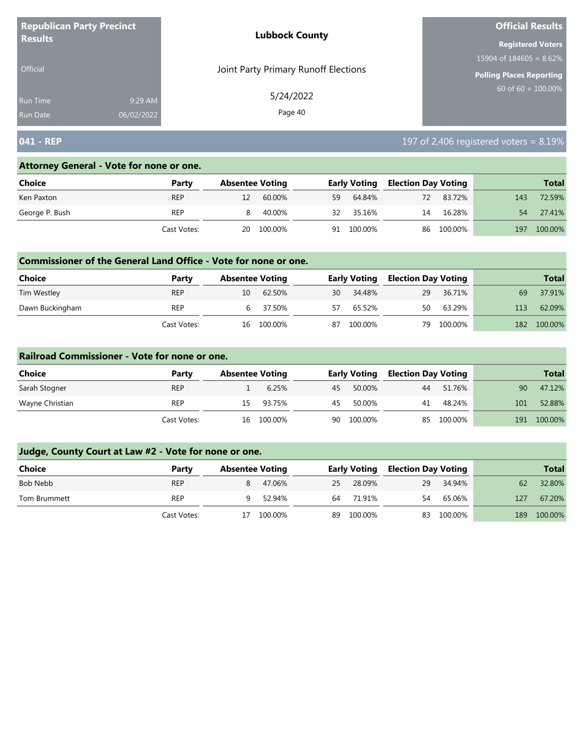| <b>Republican Party Precinct</b> |            | <b>Lubbock County</b>                | <b>Official Results</b>    |
|----------------------------------|------------|--------------------------------------|----------------------------|
| <b>Results</b>                   |            |                                      | <b>Registered Voters</b>   |
|                                  |            |                                      | 15904 of $184605 = 8.62\%$ |
| <b>Official</b>                  |            | Joint Party Primary Runoff Elections | Polling Places Reporting   |
| <b>Run Time</b>                  | 9:29 AM    | 5/24/2022                            | 60 of $60 = 100.00\%$      |
| <b>Run Date</b>                  | 06/02/2022 | Page 40                              |                            |

# **041 - REP** 197 of 2,406 registered voters = 8.19%

#### **Attorney General - Vote for none or one.**

| <b>Choice</b>  | Party       | <b>Absentee Voting</b> |            |    | <b>Early Voting</b> | <b>Election Day Voting</b> |            |     | <b>Total</b> |
|----------------|-------------|------------------------|------------|----|---------------------|----------------------------|------------|-----|--------------|
| Ken Paxton     | <b>REP</b>  | 12                     | 60.00%     | 59 | 64.84%              | 72                         | 83.72%     | 143 | 72.59%       |
| George P. Bush | REP         | -8                     | 40.00%     | 32 | 35.16%              | 14                         | 16.28%     | 54  | 27.41%       |
|                | Cast Votes: |                        | 20 100.00% | 91 | 100.00%             |                            | 86 100.00% | 197 | 100.00%      |

### **Commissioner of the General Land Office - Vote for none or one.**

| Choice          | Party       | <b>Absentee Voting</b> |          |    | <b>Early Voting</b> | <b>Election Day Voting</b> |         |     | <b>Total</b> |
|-----------------|-------------|------------------------|----------|----|---------------------|----------------------------|---------|-----|--------------|
| Tim Westley     | <b>REP</b>  | 10                     | 62.50%   | 30 | 34.48%              | 29                         | 36.71%  | 69  | 37.91%       |
| Dawn Buckingham | REP         |                        | 6 37.50% | 57 | 65.52%              | 50                         | 63.29%  | 113 | 62.09%       |
|                 | Cast Votes: | 16                     | 100.00%  | 87 | 100.00%             | 79                         | 100.00% | 182 | 100.00%      |

#### **Railroad Commissioner - Vote for none or one.**

| Choice          | Party       | <b>Absentee Voting</b> |         |    | <b>Early Voting</b> | <b>Election Day Voting</b> |         |     | <b>Total</b> |
|-----------------|-------------|------------------------|---------|----|---------------------|----------------------------|---------|-----|--------------|
| Sarah Stogner   | <b>REP</b>  |                        | 6.25%   | 45 | 50.00%              | 44                         | 51.76%  | 90  | 47.12%       |
| Wayne Christian | <b>REP</b>  | 15.                    | 93.75%  | 45 | 50.00%              | 41                         | 48.24%  | 101 | 52.88%       |
|                 | Cast Votes: | 16                     | 100.00% | 90 | 100.00%             | 85                         | 100.00% | 191 | 100.00%      |

| <b>Choice</b> | Party       | <b>Absentee Voting</b> |         |    | <b>Early Voting</b> | <b>Election Day Voting</b> |            |     | <b>Total</b> |
|---------------|-------------|------------------------|---------|----|---------------------|----------------------------|------------|-----|--------------|
| Bob Nebb      | <b>REP</b>  | 8                      | 47.06%  | 25 | 28.09%              | 29                         | 34.94%     | 62  | 32.80%       |
| Tom Brummett  | <b>REP</b>  |                        | 52.94%  | 64 | 71.91%              | 54                         | 65.06%     | 127 | 67.20%       |
|               | Cast Votes: | 17                     | 100.00% | 89 | 100.00%             |                            | 83 100.00% | 189 | 100.00%      |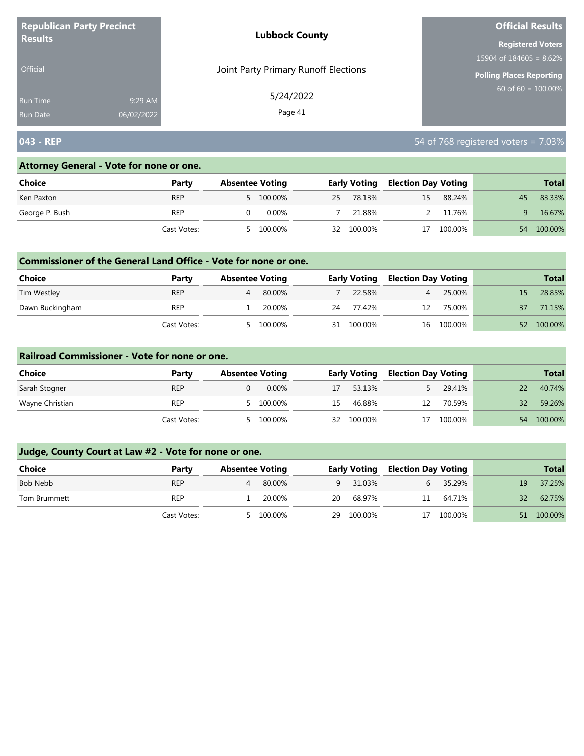| <b>Republican Party Precinct</b><br><b>Results</b> |            | <b>Lubbock County</b>                | <b>Official Results</b><br><b>Registered Voters</b><br>15904 of $184605 = 8.62\%$<br><b>Polling Places Reporting</b><br>$60$ of 60 = $100.00\%$ |  |  |
|----------------------------------------------------|------------|--------------------------------------|-------------------------------------------------------------------------------------------------------------------------------------------------|--|--|
|                                                    |            |                                      |                                                                                                                                                 |  |  |
|                                                    |            |                                      |                                                                                                                                                 |  |  |
| Official                                           |            | Joint Party Primary Runoff Elections |                                                                                                                                                 |  |  |
| Run Time                                           | 9:29 AM    | 5/24/2022                            |                                                                                                                                                 |  |  |
| <b>Run Date</b>                                    | 06/02/2022 | Page 41                              |                                                                                                                                                 |  |  |

# **043 - REP** 54 of 768 registered voters = 7.03%

#### **Attorney General - Vote for none or one.**

| Choice         | Party       | <b>Absentee Voting</b> |           |    | <b>Early Voting</b> | <b>Election Day Voting</b> |         |    | <b>Total</b> |
|----------------|-------------|------------------------|-----------|----|---------------------|----------------------------|---------|----|--------------|
| Ken Paxton     | <b>REP</b>  |                        | 5 100.00% | 25 | 78.13%              | 15                         | 88.24%  | 45 | 83.33%       |
| George P. Bush | <b>REP</b>  |                        | 0.00%     |    | 21.88%              |                            | 11.76%  |    | 16.67%       |
|                | Cast Votes: |                        | 100.00%   | 32 | 100.00%             | 17                         | 100.00% | 54 | 100.00%      |

## **Commissioner of the General Land Office - Vote for none or one.**

| Choice          | Party       | <b>Absentee Voting</b> |         |    | <b>Early Voting</b> | <b>Election Day Voting</b> |            |    | <b>Total</b> |
|-----------------|-------------|------------------------|---------|----|---------------------|----------------------------|------------|----|--------------|
| Tim Westley     | <b>REP</b>  |                        | 80.00%  |    | 22.58%              | 4                          | 25.00%     |    | 28.85%       |
| Dawn Buckingham | REP         |                        | 20.00%  | 24 | 77.42%              | 12                         | 75.00%     | 37 | 71.15%       |
|                 | Cast Votes: |                        | 100.00% | 31 | 100.00%             |                            | 16 100.00% | 52 | 100.00%      |

#### **Railroad Commissioner - Vote for none or one.**

| Choice          | Party       | <b>Absentee Voting</b> | <b>Early Voting</b> |         | <b>Election Day Voting</b> |         |    | <b>Total</b> |
|-----------------|-------------|------------------------|---------------------|---------|----------------------------|---------|----|--------------|
| Sarah Stogner   | <b>REP</b>  | $0.00\%$               | 17                  | 53.13%  |                            | 29.41%  |    | 40.74%       |
| Wayne Christian | <b>REP</b>  | 100.00%<br>$\sim$      | 15                  | 46.88%  | 12                         | 70.59%  | 32 | 59.26%       |
|                 | Cast Votes: | 100.00%                | 32                  | 100.00% |                            | 100.00% | 54 | 100.00%      |

| Choice       | Party       | <b>Absentee Voting</b> |         |    | <b>Early Voting</b> | <b>Election Day Voting</b> |         |    | <b>Total</b> |
|--------------|-------------|------------------------|---------|----|---------------------|----------------------------|---------|----|--------------|
| Bob Nebb     | <b>REP</b>  | 4                      | 80.00%  |    | 9 31.03%            |                            | 35.29%  | 19 | 37.25%       |
| Tom Brummett | <b>REP</b>  |                        | 20.00%  | 20 | 68.97%              | 11                         | 64.71%  | 32 | 62.75%       |
|              | Cast Votes: | 5                      | 100.00% | 29 | 100.00%             | 17                         | 100.00% | 51 | 100.00%      |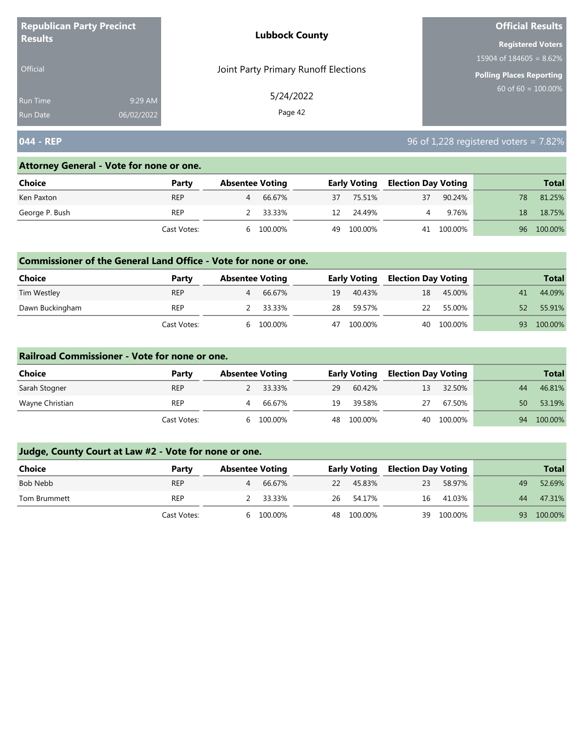| <b>Republican Party Precinct</b><br><b>Results</b> |            | <b>Lubbock County</b>                | <b>Official Results</b><br><b>Registered Voters</b><br>15904 of $184605 = 8.62\%$<br>Polling Places Reporting<br>$60$ of 60 = 100.00% |  |  |  |
|----------------------------------------------------|------------|--------------------------------------|---------------------------------------------------------------------------------------------------------------------------------------|--|--|--|
|                                                    |            |                                      |                                                                                                                                       |  |  |  |
|                                                    |            |                                      |                                                                                                                                       |  |  |  |
| <b>Official</b>                                    |            | Joint Party Primary Runoff Elections |                                                                                                                                       |  |  |  |
| <b>Run Time</b>                                    | 9:29 AM    | 5/24/2022                            |                                                                                                                                       |  |  |  |
| <b>Run Date</b>                                    | 06/02/2022 | Page 42                              |                                                                                                                                       |  |  |  |

# **044 - REP** 96 of 1,228 registered voters = 7.82%

### **Attorney General - Vote for none or one.**

| Choice         | Party       | <b>Absentee Voting</b> |          |    | <b>Early Voting</b> | <b>Election Day Voting</b> |            |    | <b>Total</b> |
|----------------|-------------|------------------------|----------|----|---------------------|----------------------------|------------|----|--------------|
| Ken Paxton     | <b>REP</b>  | 4                      | 66.67%   | 37 | 75.51%              | 37                         | 90.24%     | 78 | 81.25%       |
| George P. Bush | <b>REP</b>  |                        | 2 33.33% | 12 | 24.49%              |                            | 9.76%      | 18 | 18.75%       |
|                | Cast Votes: | h                      | 100.00%  | 49 | 100.00%             |                            | 41 100.00% |    | 96 100.00%   |

## **Commissioner of the General Land Office - Vote for none or one.**

| Choice          | Party       | <b>Absentee Voting</b> |          |    | <b>Early Voting</b> | Election Day Voting |         |    | <b>Total</b> |
|-----------------|-------------|------------------------|----------|----|---------------------|---------------------|---------|----|--------------|
| Tim Westley     | <b>REP</b>  | Δ                      | 66.67%   | 19 | 40.43%              | 18                  | 45.00%  | 41 | 44.09%       |
| Dawn Buckingham | <b>REP</b>  |                        | 2 33.33% | 28 | 59.57%              | 22                  | 55.00%  | 52 | 55.91%       |
|                 | Cast Votes: | b                      | 100.00%  | 47 | 100.00%             | 40                  | 100.00% | 93 | 100.00%      |

### **Railroad Commissioner - Vote for none or one.**

| Choice          | Party       | <b>Absentee Voting</b> |          |    | <b>Early Voting</b> | <b>Election Day Voting</b> |            |    | <b>Total</b> |
|-----------------|-------------|------------------------|----------|----|---------------------|----------------------------|------------|----|--------------|
| Sarah Stogner   | <b>REP</b>  |                        | 2 33.33% | 29 | 60.42%              | 13.                        | 32.50%     | 44 | 46.81%       |
| Wayne Christian | <b>REP</b>  |                        | 66.67%   | 19 | 39.58%              | 27                         | 67.50%     | 50 | 53.19%       |
|                 | Cast Votes: | h                      | 100.00%  | 48 | 100.00%             |                            | 40 100.00% | 94 | 100.00%      |

| <b>Choice</b> | Party       | <b>Absentee Voting</b> |           |    | <b>Early Voting</b> | <b>Election Day Voting</b> |         |    | <b>Total</b> |
|---------------|-------------|------------------------|-----------|----|---------------------|----------------------------|---------|----|--------------|
| Bob Nebb      | <b>REP</b>  | 4                      | 66.67%    | 22 | 45.83%              | 23                         | 58.97%  | 49 | 52.69%       |
| Tom Brummett  | <b>REP</b>  |                        | 2 33.33%  |    | 26 54.17%           | 16                         | 41.03%  | 44 | 47.31%       |
|               | Cast Votes: |                        | 6 100.00% |    | 48 100.00%          | 39                         | 100.00% | 93 | 100.00%      |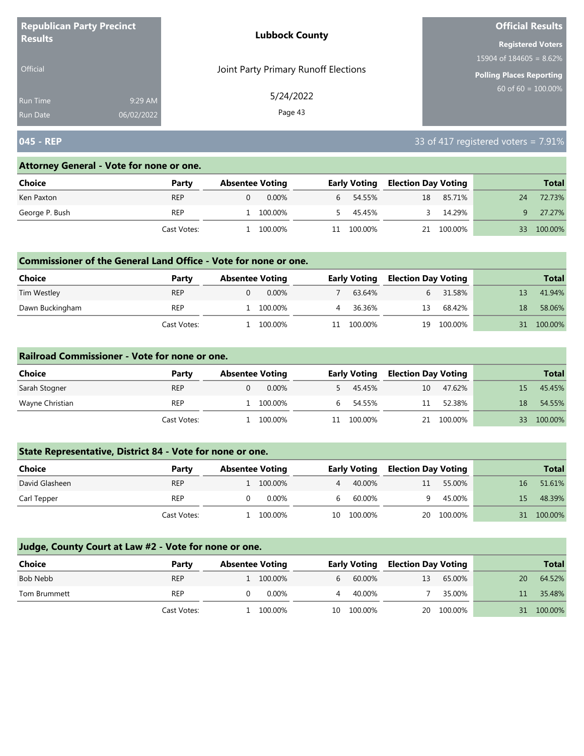| <b>Republican Party Precinct</b><br><b>Lubbock County</b><br><b>Results</b> |            |                                      | <b>Official Results</b>    |
|-----------------------------------------------------------------------------|------------|--------------------------------------|----------------------------|
|                                                                             |            |                                      | <b>Registered Voters</b>   |
|                                                                             |            |                                      | 15904 of $184605 = 8.62\%$ |
| <b>Official</b>                                                             |            | Joint Party Primary Runoff Elections | Polling Places Reporting   |
| Run Time                                                                    | 9:29 AM    | 5/24/2022                            | $60$ of 60 = 100.00%       |
| Run Date                                                                    | 06/02/2022 | Page 43                              |                            |

# **045 - REP** 33 of 417 registered voters = 7.91%

### **Attorney General - Vote for none or one.**

| Choice         | Party       | <b>Absentee Voting</b> |          |           | <b>Early Voting</b> | <b>Election Day Voting</b> |            |    | <b>Total</b> |
|----------------|-------------|------------------------|----------|-----------|---------------------|----------------------------|------------|----|--------------|
| Ken Paxton     | <b>REP</b>  |                        | $0.00\%$ | $6 \quad$ | 54.55%              | 18                         | 85.71%     | 24 | 72.73%       |
| George P. Bush | <b>REP</b>  | 1 100.00%              |          |           | 45.45%              | $\sim$                     | 14.29%     | q. | 27.27%       |
|                | Cast Votes: | 100.00%                |          | 11        | 100.00%             |                            | 21 100.00% | 33 | 100.00%      |

### **Commissioner of the General Land Office - Vote for none or one.**

| Choice          | Party       | <b>Absentee Voting</b> |          |    | <b>Early Voting</b> | <b>Election Day Voting</b> |         |    | <b>Total</b> |
|-----------------|-------------|------------------------|----------|----|---------------------|----------------------------|---------|----|--------------|
| Tim Westley     | <b>REP</b>  |                        | $0.00\%$ |    | 63.64%              |                            | 31.58%  |    | 41.94%       |
| Dawn Buckingham | <b>REP</b>  |                        | 100.00%  |    | 36.36%              | 13                         | 68.42%  | 18 | 58.06%       |
|                 | Cast Votes: |                        | 100.00%  | 11 | 100.00%             | 19                         | 100.00% |    | 100.00%      |

#### **Railroad Commissioner - Vote for none or one.**

| Choice          | Party       | <b>Absentee Voting</b> |          |    | <b>Early Voting</b> | <b>Election Day Voting</b> |            |    | <b>Total</b> |
|-----------------|-------------|------------------------|----------|----|---------------------|----------------------------|------------|----|--------------|
| Sarah Stogner   | <b>REP</b>  |                        | $0.00\%$ |    | 45.45%              | 10                         | 47.62%     | 15 | 45.45%       |
| Wayne Christian | <b>REP</b>  |                        | 100.00%  | b  | 54.55%              | 11                         | 52.38%     | 18 | 54.55%       |
|                 | Cast Votes: |                        | 100.00%  | 11 | 100.00%             |                            | 21 100.00% | 33 | 100.00%      |

# **State Representative, District 84 - Vote for none or one.**

| Choice         | Party       | <b>Absentee Voting</b> |    | <b>Early Voting</b> | <b>Election Day Voting</b> |            |    | <b>Total</b> |
|----------------|-------------|------------------------|----|---------------------|----------------------------|------------|----|--------------|
| David Glasheen | <b>REP</b>  | 1 100.00%              |    | 40.00%              | 11                         | 55.00%     | 16 | 51.61%       |
| Carl Tepper    | <b>REP</b>  | 0.00%                  |    | 60.00%              |                            | 45.00%     | 15 | 48.39%       |
|                | Cast Votes: | 100.00%                | 10 | 100.00%             |                            | 20 100.00% | 31 | 100.00%      |

| <b>Choice</b> | Party       | <b>Absentee Voting</b> |           |    | <b>Early Voting</b> | <b>Election Day Voting</b> |         |    | <b>Total</b> |
|---------------|-------------|------------------------|-----------|----|---------------------|----------------------------|---------|----|--------------|
| Bob Nebb      | <b>REP</b>  |                        | 1 100.00% | b  | 60.00%              | 13                         | 65.00%  | 20 | 64.52%       |
| Tom Brummett  | <b>REP</b>  |                        | $0.00\%$  | 4  | 40.00%              |                            | 35.00%  | 11 | 35.48%       |
|               | Cast Votes: |                        | 100.00%   | 10 | 100.00%             | 20                         | 100.00% |    | 31 100.00%   |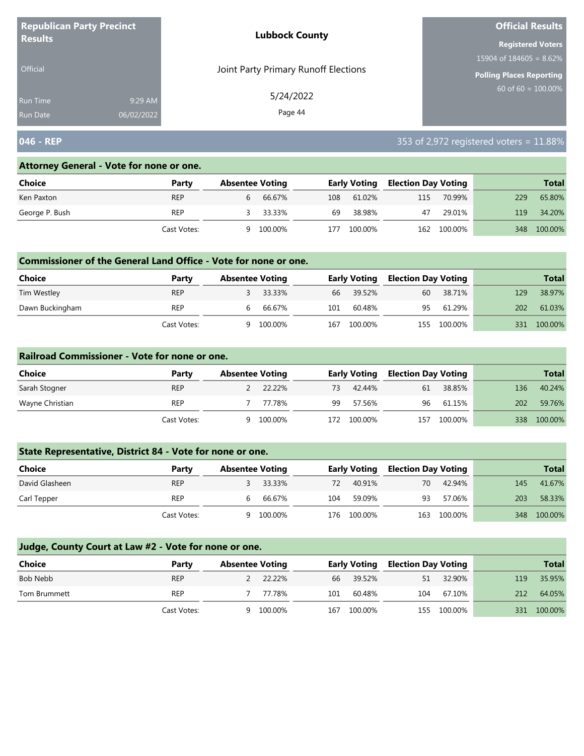| <b>Republican Party Precinct</b> |            | <b>Lubbock County</b>                | <b>Official Results</b>    |  |  |
|----------------------------------|------------|--------------------------------------|----------------------------|--|--|
| <b>Results</b>                   |            |                                      | <b>Registered Voters</b>   |  |  |
|                                  |            |                                      | 15904 of $184605 = 8.62\%$ |  |  |
| <b>Official</b>                  |            | Joint Party Primary Runoff Elections | Polling Places Reporting   |  |  |
| <b>Run Time</b>                  | 9:29 AM    | 5/24/2022                            | $60$ of 60 = 100.00%       |  |  |
| <b>Run Date</b>                  | 06/02/2022 | Page 44                              |                            |  |  |

# **046 - REP** 353 of 2,972 registered voters = 11.88%

## **Attorney General - Vote for none or one.**

| <b>Choice</b>  | Party       | <b>Absentee Voting</b> |         |     | <b>Early Voting</b> | <b>Election Day Voting</b> |             |     | <b>Total</b> |
|----------------|-------------|------------------------|---------|-----|---------------------|----------------------------|-------------|-----|--------------|
| Ken Paxton     | <b>REP</b>  |                        | 66.67%  | 108 | 61.02%              | 115                        | 70.99%      | 229 | 65.80%       |
| George P. Bush | <b>REP</b>  |                        | 33.33%  | 69  | 38.98%              | 47                         | 29.01%      | 119 | 34.20%       |
|                | Cast Votes: | 9                      | 100.00% | 177 | 100.00%             |                            | 162 100.00% |     | 348 100.00%  |

## **Commissioner of the General Land Office - Vote for none or one.**

| <b>Choice</b>   | Party       | <b>Absentee Voting</b> |         |     | Early Voting | <b>Election Day Voting</b> |         |     | <b>Total</b> |
|-----------------|-------------|------------------------|---------|-----|--------------|----------------------------|---------|-----|--------------|
| Tim Westley     | <b>REP</b>  |                        | 33.33%  |     | 66 39.52%    | 60                         | 38.71%  | 129 | 38.97%       |
| Dawn Buckingham | REP         | b                      | 66.67%  | 101 | 60.48%       | 95                         | 61.29%  | 202 | 61.03%       |
|                 | Cast Votes: | a                      | 100.00% | 167 | 100.00%      | 155                        | 100.00% | 331 | 100.00%      |

### **Railroad Commissioner - Vote for none or one.**

| Choice          | Party       | <b>Absentee Voting</b> |          |     | <b>Early Voting</b> | <b>Election Day Voting</b> |         |     | <b>Total</b> |
|-----------------|-------------|------------------------|----------|-----|---------------------|----------------------------|---------|-----|--------------|
| Sarah Stogner   | <b>REP</b>  |                        | 2 22.22% | 73  | 42.44%              | 61                         | 38.85%  | 136 | 40.24%       |
| Wayne Christian | <b>REP</b>  |                        | 77.78%   | 99  | 57.56%              | 96                         | 61.15%  | 202 | 59.76%       |
|                 | Cast Votes: | Q                      | 100.00%  | 172 | 100.00%             | 157                        | 100.00% | 338 | 100.00%      |

## **State Representative, District 84 - Vote for none or one.**

| Choice         | Party       | <b>Absentee Voting</b> |         |     | <b>Early Voting</b> | <b>Election Day Voting</b> |         |     | <b>Total</b> |
|----------------|-------------|------------------------|---------|-----|---------------------|----------------------------|---------|-----|--------------|
| David Glasheen | <b>REP</b>  |                        | 33.33%  | 72  | 40.91%              | 70                         | 42.94%  | 145 | 41.67%       |
| Carl Tepper    | <b>REP</b>  |                        | 66.67%  | 104 | 59.09%              | 93                         | 57.06%  | 203 | 58.33%       |
|                | Cast Votes: |                        | 100.00% | 176 | 100.00%             | 163                        | 100.00% |     | 348 100.00%  |

| <b>Choice</b> | Party       | <b>Absentee Voting</b> |          |     | <b>Early Voting</b> | <b>Election Day Voting</b> |             |     | <b>Total</b> |
|---------------|-------------|------------------------|----------|-----|---------------------|----------------------------|-------------|-----|--------------|
| Bob Nebb      | <b>REP</b>  |                        | 2 22.22% | 66  | 39.52%              | 51                         | 32.90%      | 119 | 35.95%       |
| Tom Brummett  | <b>REP</b>  |                        | 77.78%   | 101 | 60.48%              | 104                        | 67.10%      | 212 | 64.05%       |
|               | Cast Votes: | Q                      | 100.00%  | 167 | 100.00%             |                            | 155 100.00% |     | 331 100.00%  |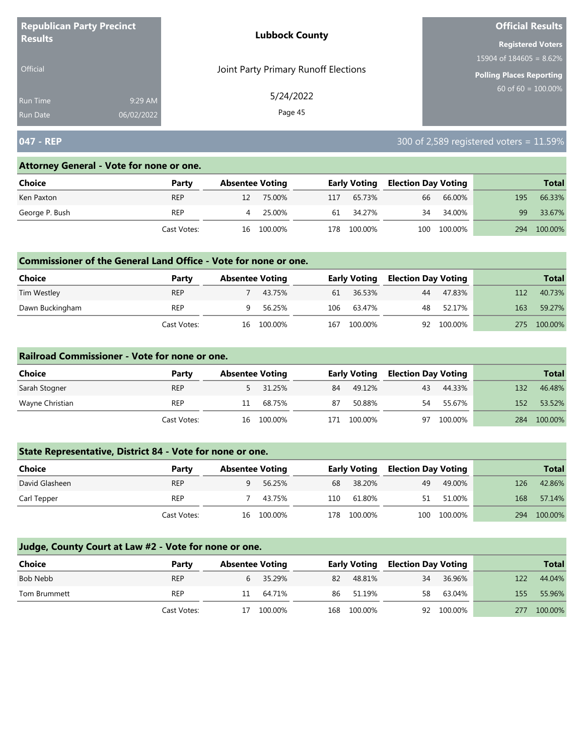| <b>Republican Party Precinct</b> |            | <b>Lubbock County</b>                | <b>Official Results</b>    |
|----------------------------------|------------|--------------------------------------|----------------------------|
| <b>Results</b>                   |            |                                      | <b>Registered Voters</b>   |
|                                  |            |                                      | 15904 of $184605 = 8.62\%$ |
| <b>Official</b>                  |            | Joint Party Primary Runoff Elections | Polling Places Reporting   |
| <b>Run Time</b>                  | 9:29 AM    | 5/24/2022                            | $60$ of 60 = 100.00%       |
| <b>Run Date</b>                  | 06/02/2022 | Page 45                              |                            |

# **047 - REP** 300 of 2,589 registered voters = 11.59%

### **Attorney General - Vote for none or one.**

| Choice         | Party       | <b>Absentee Voting</b> |     | Early Voting | <b>Election Day Voting</b> |             |     | <b>Total</b> |
|----------------|-------------|------------------------|-----|--------------|----------------------------|-------------|-----|--------------|
| Ken Paxton     | <b>REP</b>  | 75.00%                 | 117 | 65.73%       | 66                         | 66.00%      | 195 | 66.33%       |
| George P. Bush | <b>REP</b>  | 25.00%                 | 61  | 34.27%       | 34                         | 34.00%      | 99  | 33.67%       |
|                | Cast Votes: | 16 100.00%             | 178 | 100.00%      |                            | 100 100.00% | 294 | 100.00%      |

## **Commissioner of the General Land Office - Vote for none or one.**

| Choice          | Party       |    | <b>Absentee Voting</b> |     | <b>Early Voting</b> | <b>Election Day Voting</b> |            |     | Total   |
|-----------------|-------------|----|------------------------|-----|---------------------|----------------------------|------------|-----|---------|
| Tim Westley     | <b>REP</b>  |    | 43.75%                 | 61  | 36.53%              | 44                         | 47.83%     | 112 | 40.73%  |
| Dawn Buckingham | <b>REP</b>  |    | 56.25%                 | 106 | 63.47%              | 48                         | 52.17%     | 163 | 59.27%  |
|                 | Cast Votes: | 16 | 100.00%                | 167 | 100.00%             |                            | 92 100.00% | 275 | 100.00% |

#### **Railroad Commissioner - Vote for none or one.**

| Choice          | Party       | <b>Absentee Voting</b> |          |     | <b>Early Voting</b> | <b>Election Day Voting</b> |         |     | <b>Total</b> |
|-----------------|-------------|------------------------|----------|-----|---------------------|----------------------------|---------|-----|--------------|
| Sarah Stogner   | <b>REP</b>  |                        | 5 31.25% | 84  | 49.12%              | 43                         | 44.33%  | 132 | 46.48%       |
| Wayne Christian | <b>REP</b>  |                        | 68.75%   | 87  | 50.88%              | 54                         | 55.67%  | 152 | 53.52%       |
|                 | Cast Votes: | 16                     | 100.00%  | 171 | 100.00%             | 97                         | 100.00% | 284 | 100.00%      |

# **State Representative, District 84 - Vote for none or one.**

| Choice         | Party       | <b>Absentee Voting</b> |            |     | <b>Early Voting</b> | <b>Election Day Voting</b> |             |     | <b>Total</b> |
|----------------|-------------|------------------------|------------|-----|---------------------|----------------------------|-------------|-----|--------------|
| David Glasheen | <b>REP</b>  |                        | 56.25%     | 68  | 38.20%              | 49                         | 49.00%      | 126 | 42.86%       |
| Carl Tepper    | <b>REP</b>  |                        | 43.75%     | 110 | 61.80%              | 51                         | 51.00%      | 168 | 57.14%       |
|                | Cast Votes: |                        | 16 100.00% | 178 | 100.00%             |                            | 100 100.00% | 294 | 100.00%      |

| Choice       | Party       | <b>Absentee Voting</b> |            |     | <b>Early Voting</b> |    | <b>Election Day Voting</b> |     | <b>Total</b> |
|--------------|-------------|------------------------|------------|-----|---------------------|----|----------------------------|-----|--------------|
| Bob Nebb     | <b>REP</b>  |                        | 35.29%     | 82  | 48.81%              | 34 | 36.96%                     | 122 | 44.04%       |
| Tom Brummett | REP         | 11                     | 64.71%     | 86  | 51.19%              | 58 | 63.04%                     | 155 | 55.96%       |
|              | Cast Votes: |                        | 17 100.00% | 168 | 100.00%             |    | 92 100.00%                 | 277 | 100.00%      |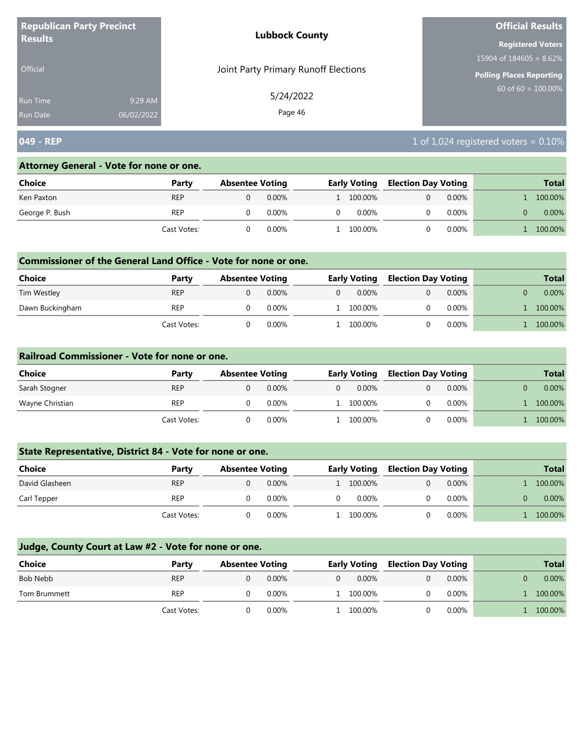| <b>Republican Party Precinct</b>                            | <b>Lubbock County</b>                | <b>Official Results</b>         |
|-------------------------------------------------------------|--------------------------------------|---------------------------------|
| <b>Results</b>                                              |                                      | <b>Registered Voters</b>        |
|                                                             |                                      | $15904$ of 184605 = 8.62%       |
| <b>Official</b>                                             | Joint Party Primary Runoff Elections | <b>Polling Places Reporting</b> |
| 9:29 AM<br><b>Run Time</b><br>06/02/2022<br><b>Run Date</b> | 5/24/2022<br>Page 46                 | 60 of $60 = 100.00\%$           |

# **049 - REP** 2010 **1024** registered voters = 0.10%

#### **Attorney General - Vote for none or one.**

| Choice         | Party       | <b>Absentee Voting</b> |          |    | <b>Early Voting</b> |  | Election Day Voting |  | <b>Total</b> |
|----------------|-------------|------------------------|----------|----|---------------------|--|---------------------|--|--------------|
| Ken Paxton     | <b>REP</b>  |                        | $0.00\%$ |    | 1 100.00%           |  | $0.00\%$            |  | 100.00%      |
| George P. Bush | <b>REP</b>  |                        | $0.00\%$ | 0. | 0.00%               |  | $0.00\%$            |  | $0.00\%$     |
|                | Cast Votes: |                        | 0.00%    |    | 100.00%             |  | $0.00\%$            |  | 100.00%      |

### **Commissioner of the General Land Office - Vote for none or one.**

| <b>Choice</b>   | Party       | <b>Absentee Voting</b> |          |   | <b>Early Voting</b> |  | <b>Election Day Voting</b> |  | <b>Total</b> |
|-----------------|-------------|------------------------|----------|---|---------------------|--|----------------------------|--|--------------|
| Tim Westley     | <b>REP</b>  |                        | $0.00\%$ | 0 | $0.00\%$            |  | $0.00\%$                   |  | $0.00\%$     |
| Dawn Buckingham | <b>REP</b>  |                        | 0.00%    |   | 1 100.00%           |  | $0.00\%$                   |  | 100.00%      |
|                 | Cast Votes: |                        | 0.00%    |   | 100.00%             |  | $0.00\%$                   |  | 100.00%      |

#### **Railroad Commissioner - Vote for none or one.**

| Choice          | Party       | <b>Absentee Voting</b> |          | <b>Early Voting</b> |           |  |          | <b>Election Day Voting</b> |          |  | <b>Total</b> |
|-----------------|-------------|------------------------|----------|---------------------|-----------|--|----------|----------------------------|----------|--|--------------|
| Sarah Stogner   | <b>REP</b>  |                        | $0.00\%$ | $\Omega$            | $0.00\%$  |  | $0.00\%$ |                            | $0.00\%$ |  |              |
| Wayne Christian | REP         |                        | $0.00\%$ |                     | . 100.00% |  | $0.00\%$ |                            | 100.00%  |  |              |
|                 | Cast Votes: |                        | $0.00\%$ |                     | 100.00%   |  | $0.00\%$ |                            | 100.00%  |  |              |

## **State Representative, District 84 - Vote for none or one.**

| Choice         | Party       | <b>Absentee Voting</b> |          | <b>Early Voting</b> |  | <b>Election Day Voting</b> | <b>Total</b> |
|----------------|-------------|------------------------|----------|---------------------|--|----------------------------|--------------|
| David Glasheen | <b>REP</b>  |                        | $0.00\%$ | $100.00\%$          |  | $0.00\%$                   | 100.00%      |
| Carl Tepper    | <b>REP</b>  |                        | $0.00\%$ | 0.00%               |  | 0.00%                      | $0.00\%$     |
|                | Cast Votes: |                        | $0.00\%$ | 100.00%             |  | $0.00\%$                   | 100.00%      |

| Choice       | Party       | <b>Absentee Voting</b> |          | <b>Early Voting</b> |          | <b>Election Day Voting</b> | <b>Total</b> |
|--------------|-------------|------------------------|----------|---------------------|----------|----------------------------|--------------|
| Bob Nebb     | <b>REP</b>  |                        | $0.00\%$ | $0.00\%$            | $\Omega$ | $0.00\%$                   | $0.00\%$     |
| Tom Brummett | <b>REP</b>  |                        | $0.00\%$ | 100.00%             | 0        | $0.00\%$                   | 100.00%      |
|              | Cast Votes: |                        | 0.00%    | 100.00%             |          | $0.00\%$                   | 100.00%      |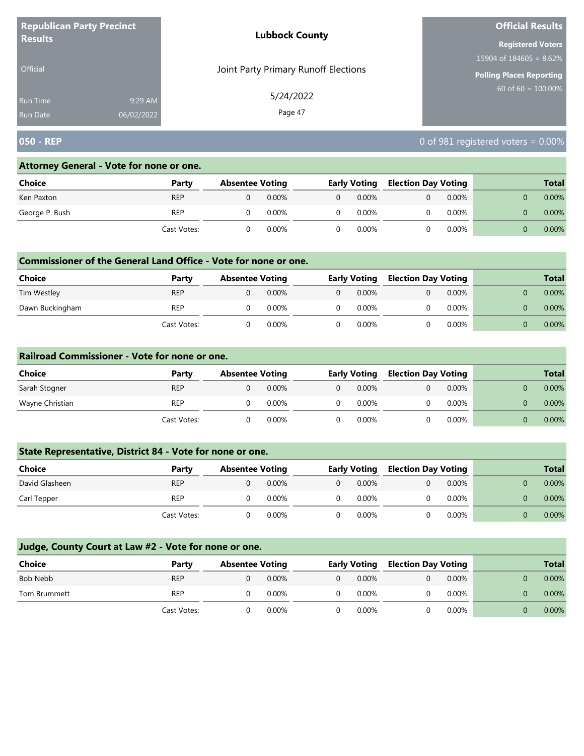| <b>Republican Party Precinct</b> |            | <b>Lubbock County</b>                | <b>Official Results</b>         |
|----------------------------------|------------|--------------------------------------|---------------------------------|
| <b>Results</b>                   |            |                                      | <b>Registered Voters</b>        |
|                                  |            |                                      | 15904 of $184605 = 8.62\%$      |
| Official                         |            | Joint Party Primary Runoff Elections | <b>Polling Places Reporting</b> |
| <b>Run Time</b>                  | 9:29 AM    | 5/24/2022                            | $60$ of 60 = 100.00%            |
| Run Date                         | 06/02/2022 | Page 47                              |                                 |

# **050 - REP** 0 of 981 registered voters = 0.00%

#### **Attorney General - Vote for none or one.**

| <b>Choice</b>  | Party       | <b>Absentee Voting</b> |          | <b>Early Voting</b> |       | <b>Election Day Voting</b> |          |  | <b>Total</b> |
|----------------|-------------|------------------------|----------|---------------------|-------|----------------------------|----------|--|--------------|
| Ken Paxton     | <b>REP</b>  |                        | $0.00\%$ |                     | 0.00% |                            | $0.00\%$ |  | $0.00\%$     |
| George P. Bush | <b>REP</b>  |                        | 0.00%    |                     | 0.00% |                            | $0.00\%$ |  | $0.00\%$     |
|                | Cast Votes: |                        | 0.00%    |                     | 0.00% |                            | 0.00%    |  | $0.00\%$     |

## **Commissioner of the General Land Office - Vote for none or one.**

| Choice          | Party       | <b>Absentee Voting</b> |          |          | <b>Early Voting</b> |  | <b>Election Day Voting</b> |  | <b>Total</b> |
|-----------------|-------------|------------------------|----------|----------|---------------------|--|----------------------------|--|--------------|
| Tim Westley     | <b>REP</b>  |                        | $0.00\%$ | $\Omega$ | $0.00\%$            |  | $0.00\%$                   |  | 0.00%        |
| Dawn Buckingham | <b>REP</b>  |                        | 0.00%    | $\Omega$ | $0.00\%$            |  | $0.00\%$                   |  | $0.00\%$     |
|                 | Cast Votes: |                        | 0.00%    |          | $0.00\%$            |  | 0.00%                      |  | $0.00\%$     |

#### **Railroad Commissioner - Vote for none or one.**

| <b>Choice</b>   | Party       | <b>Absentee Voting</b> |          | <b>Early Voting</b> |  | <b>Election Day Voting</b> |  | <b>Total</b> |
|-----------------|-------------|------------------------|----------|---------------------|--|----------------------------|--|--------------|
| Sarah Stogner   | <b>REP</b>  |                        | $0.00\%$ | $0.00\%$            |  | $0.00\%$                   |  | $0.00\%$     |
| Wayne Christian | <b>REP</b>  |                        | 0.00%    | $0.00\%$            |  | $0.00\%$                   |  | $0.00\%$     |
|                 | Cast Votes: |                        | 0.00%    | $0.00\%$            |  | $0.00\%$                   |  | $0.00\%$     |

## **State Representative, District 84 - Vote for none or one.**

| Choice         | Party       | <b>Absentee Voting</b> |          | <b>Early Voting</b> |  | <b>Election Day Voting</b> |  | <b>Total</b> |
|----------------|-------------|------------------------|----------|---------------------|--|----------------------------|--|--------------|
| David Glasheen | <b>REP</b>  |                        | $0.00\%$ | $0.00\%$            |  | 0.00%                      |  | $0.00\%$     |
| Carl Tepper    | <b>REP</b>  |                        | $0.00\%$ | 0.00%               |  | $0.00\%$                   |  | $0.00\%$     |
|                | Cast Votes: |                        | $0.00\%$ | 0.00%               |  | 0.00%                      |  | $0.00\%$     |

| <b>Choice</b> | Party       | <b>Absentee Voting</b> |          | <b>Early Voting</b> | <b>Election Day Voting</b> |          | <b>Total</b> |
|---------------|-------------|------------------------|----------|---------------------|----------------------------|----------|--------------|
| Bob Nebb      | <b>REP</b>  |                        | $0.00\%$ | $0.00\%$            |                            | 0.00%    | $0.00\%$     |
| Tom Brummett  | <b>REP</b>  |                        | $0.00\%$ | $0.00\%$            |                            | 0.00%    | $0.00\%$     |
|               | Cast Votes: |                        | $0.00\%$ | $0.00\%$            |                            | $0.00\%$ | $0.00\%$     |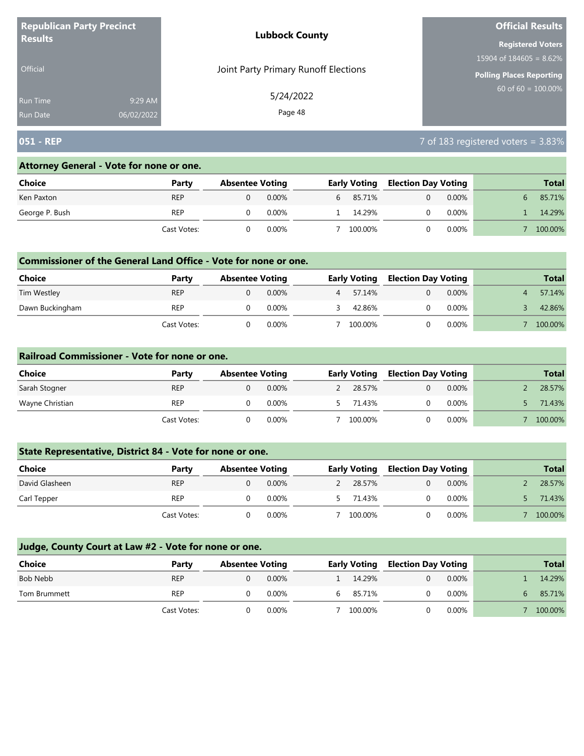| <b>Republican Party Precinct</b><br><b>Results</b> |            | <b>Lubbock County</b>                | <b>Official Results</b>    |  |  |
|----------------------------------------------------|------------|--------------------------------------|----------------------------|--|--|
|                                                    |            |                                      | <b>Registered Voters</b>   |  |  |
|                                                    |            |                                      | 15904 of $184605 = 8.62\%$ |  |  |
| <b>Official</b>                                    |            | Joint Party Primary Runoff Elections | Polling Places Reporting   |  |  |
| Run Time                                           | 9:29 AM    | 5/24/2022                            | $60$ of 60 = 100.00%       |  |  |
| <b>Run Date</b>                                    | 06/02/2022 | Page 48                              |                            |  |  |

# **051 - REP** 7 of 183 registered voters = 3.83%

### **Attorney General - Vote for none or one.**

| Choice         | Party       | <b>Absentee Voting</b> |          | <b>Early Voting</b> | <b>Election Day Voting</b> |          | <b>Total</b> |
|----------------|-------------|------------------------|----------|---------------------|----------------------------|----------|--------------|
| Ken Paxton     | <b>REP</b>  |                        | $0.00\%$ | 6 85.71%            |                            | $0.00\%$ | 85.71%       |
| George P. Bush | REP         |                        | 0.00%    | 14.29%              |                            | $0.00\%$ | 14.29%       |
|                | Cast Votes: |                        | 0.00%    | 100.00%             |                            | $0.00\%$ | 100.00%      |

## **Commissioner of the General Land Office - Vote for none or one.**

| <b>Choice</b>   | Party       | <b>Absentee Voting</b> |          |   | <b>Early Voting</b> | <b>Election Day Voting</b> |          | <b>Total</b> |
|-----------------|-------------|------------------------|----------|---|---------------------|----------------------------|----------|--------------|
| Tim Westley     | <b>REP</b>  |                        | $0.00\%$ | 4 | 57.14%              |                            | $0.00\%$ | 57.14%       |
| Dawn Buckingham | <b>REP</b>  |                        | 0.00%    |   | 42.86%              |                            | $0.00\%$ | 42.86%       |
|                 | Cast Votes: |                        | 0.00%    |   | 100.00%             |                            | 0.00%    | 100.00%      |

#### **Railroad Commissioner - Vote for none or one.**

| <b>Choice</b>   | Party       | <b>Absentee Voting</b> |          | <b>Early Voting</b> |  | <b>Election Day Voting</b> | <b>Total</b> |
|-----------------|-------------|------------------------|----------|---------------------|--|----------------------------|--------------|
| Sarah Stogner   | <b>REP</b>  |                        | $0.00\%$ | 28.57%              |  | $0.00\%$                   | 28.57%       |
| Wayne Christian | <b>REP</b>  |                        | 0.00%    | 71.43%              |  | $0.00\%$                   | 71.43%       |
|                 | Cast Votes: |                        | $0.00\%$ | 100.00%             |  | $0.00\%$                   | 100.00%      |

## **State Representative, District 84 - Vote for none or one.**

| <b>Choice</b>  | Party       | <b>Absentee Voting</b> |          | <b>Early Voting</b> |  | <b>Election Day Voting</b> | <b>Total</b> |
|----------------|-------------|------------------------|----------|---------------------|--|----------------------------|--------------|
| David Glasheen | <b>REP</b>  |                        | $0.00\%$ | 28.57%              |  | 0.00%                      | 28.57%       |
| Carl Tepper    | <b>REP</b>  |                        | $0.00\%$ | 71.43%              |  | 0.00%                      | 71.43%       |
|                | Cast Votes: |                        | $0.00\%$ | 100.00%             |  | 0.00%                      | 100.00%      |

| <b>Choice</b> | Party       | <b>Absentee Voting</b> |          | <b>Early Voting</b> |   | <b>Election Day Voting</b> | <b>Total</b> |
|---------------|-------------|------------------------|----------|---------------------|---|----------------------------|--------------|
| Bob Nebb      | <b>REP</b>  |                        | $0.00\%$ | 14.29%              | 0 | $0.00\%$                   | 14.29%       |
| Tom Brummett  | <b>REP</b>  |                        | 0.00%    | 85.71%              | 0 | 0.00%                      | 85.71%       |
|               | Cast Votes: |                        | $0.00\%$ | 100.00%             |   | 0.00%                      | 100.00%      |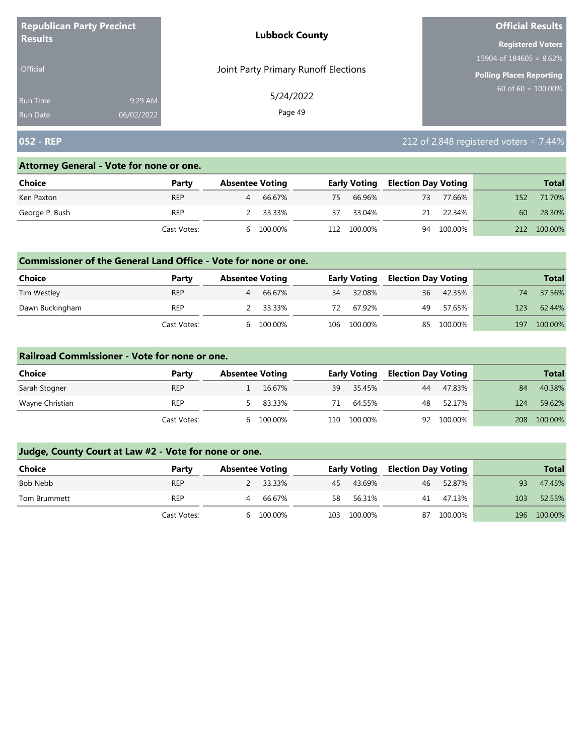| <b>Republican Party Precinct</b> |            | <b>Lubbock County</b>                | <b>Official Results</b>    |
|----------------------------------|------------|--------------------------------------|----------------------------|
| <b>Results</b>                   |            |                                      | <b>Registered Voters</b>   |
|                                  |            |                                      | 15904 of $184605 = 8.62\%$ |
| <b>Official</b>                  |            | Joint Party Primary Runoff Elections | Polling Places Reporting   |
| <b>Run Time</b>                  | 9:29 AM    | 5/24/2022                            | $60$ of 60 = 100.00%       |
| <b>Run Date</b>                  | 06/02/2022 | Page 49                              |                            |

# **052 - REP** 212 of 2,848 registered voters = 7.44%

#### **Attorney General - Vote for none or one.**

| Choice         | Party       | <b>Absentee Voting</b> |          |     | <b>Early Voting</b> | <b>Election Day Voting</b> |         |     | <b>Total</b> |
|----------------|-------------|------------------------|----------|-----|---------------------|----------------------------|---------|-----|--------------|
| Ken Paxton     | <b>REP</b>  | 4                      | 66.67%   | 75  | 66.96%              | 73                         | 77.66%  | 152 | 71.70%       |
| George P. Bush | <b>REP</b>  |                        | 2 33.33% | 37  | 33.04%              | 21                         | 22.34%  | 60  | 28.30%       |
|                | Cast Votes: | h                      | 100.00%  | 112 | 100.00%             | 94                         | 100.00% | 212 | 100.00%      |

## **Commissioner of the General Land Office - Vote for none or one.**

| Choice          | Party       | <b>Absentee Voting</b> |          |     | <b>Early Voting</b> | Election Day Voting |           |     | <b>Total</b> |
|-----------------|-------------|------------------------|----------|-----|---------------------|---------------------|-----------|-----|--------------|
| Tim Westley     | <b>REP</b>  |                        | 66.67%   | 34  | 32.08%              |                     | 36 42.35% | 74  | 37.56%       |
| Dawn Buckingham | <b>REP</b>  |                        | 2 33.33% | 72  | 67.92%              | 49                  | 57.65%    | 123 | 62.44%       |
|                 | Cast Votes: | b                      | 100.00%  | 106 | 100.00%             | 85                  | 100.00%   | 197 | 100.00%      |

#### **Railroad Commissioner - Vote for none or one.**

| Choice          | Party       | <b>Absentee Voting</b> |         |     | <b>Early Voting</b> | <b>Election Day Voting</b> |            |     | <b>Total</b> |
|-----------------|-------------|------------------------|---------|-----|---------------------|----------------------------|------------|-----|--------------|
| Sarah Stogner   | <b>REP</b>  |                        | 16.67%  | 39  | 35.45%              | 44                         | 47.83%     | 84  | 40.38%       |
| Wayne Christian | <b>REP</b>  |                        | 83.33%  | 71  | 64.55%              | 48                         | 52.17%     | 124 | 59.62%       |
|                 | Cast Votes: | h                      | 100.00% | 110 | 100.00%             |                            | 92 100.00% | 208 | 100.00%      |

| <b>Choice</b> | Party       | <b>Absentee Voting</b> |          |    | <b>Early Voting</b> | <b>Election Day Voting</b> |         |     | <b>Total</b> |
|---------------|-------------|------------------------|----------|----|---------------------|----------------------------|---------|-----|--------------|
| Bob Nebb      | <b>REP</b>  |                        | 2 33.33% | 45 | 43.69%              | 46                         | 52.87%  | 93  | 47.45%       |
| Tom Brummett  | <b>REP</b>  | 4                      | 66.67%   | 58 | 56.31%              | 41                         | 47.13%  | 103 | 52.55%       |
|               | Cast Votes: | <sub>b</sub>           | 100.00%  |    | 103 100.00%         | 87                         | 100.00% |     | 196 100.00%  |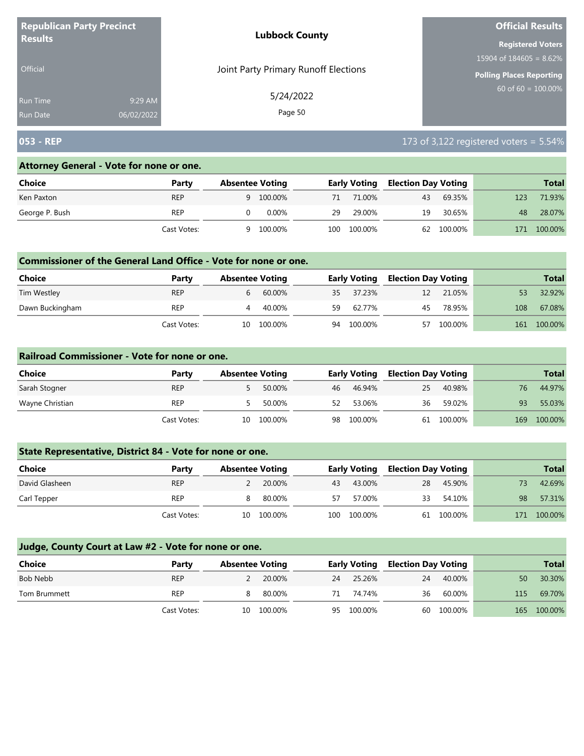| <b>Republican Party Precinct</b> |            | <b>Lubbock County</b>                | <b>Official Results</b>         |
|----------------------------------|------------|--------------------------------------|---------------------------------|
| <b>Results</b>                   |            |                                      | <b>Registered Voters</b>        |
|                                  |            |                                      | 15904 of $184605 = 8.62\%$      |
| <b>Official</b>                  |            | Joint Party Primary Runoff Elections | <b>Polling Places Reporting</b> |
| <b>Run Time</b>                  | 9:29 AM    | 5/24/2022                            | 60 of 60 = $100.00\%$           |
| <b>Run Date</b>                  | 06/02/2022 | Page 50                              |                                 |

# **053 - REP** 173 of 3,122 registered voters = 5.54%

### **Attorney General - Vote for none or one.**

| Choice         | Party       | <b>Absentee Voting</b> |         |     | <b>Early Voting</b> | <b>Election Day Voting</b> |         |     | <b>Total</b> |
|----------------|-------------|------------------------|---------|-----|---------------------|----------------------------|---------|-----|--------------|
| Ken Paxton     | <b>REP</b>  | q                      | 100.00% | 71  | 71.00%              | 43                         | 69.35%  | 123 | 71.93%       |
| George P. Bush | REP         |                        | 0.00%   | 29  | 29.00%              | 19                         | 30.65%  | 48  | 28.07%       |
|                | Cast Votes: | a                      | 100.00% | 100 | 100.00%             | 62                         | 100.00% | 171 | 100.00%      |

## **Commissioner of the General Land Office - Vote for none or one.**

| <b>Choice</b>   | Party       | <b>Absentee Voting</b> |         |    | <b>Early Voting</b> | Election Day Voting |         |     | <b>Total</b> |
|-----------------|-------------|------------------------|---------|----|---------------------|---------------------|---------|-----|--------------|
| Tim Westley     | <b>REP</b>  |                        | 60.00%  |    | 35 37.23%           | 12                  | 21.05%  |     | 32.92%       |
| Dawn Buckingham | <b>REP</b>  |                        | 40.00%  | 59 | 62.77%              | 45                  | 78.95%  | 108 | 67.08%       |
|                 | Cast Votes: | 10                     | 100.00% | 94 | 100.00%             | 57                  | 100.00% | 161 | 100.00%      |

#### **Railroad Commissioner - Vote for none or one.**

| Choice          | Party       |    | <b>Absentee Voting</b> |    | <b>Early Voting</b> | <b>Election Day Voting</b> |            |     | <b>Total</b> |
|-----------------|-------------|----|------------------------|----|---------------------|----------------------------|------------|-----|--------------|
| Sarah Stogner   | <b>REP</b>  |    | 50.00%                 | 46 | 46.94%              | 25                         | 40.98%     | 76  | 44.97%       |
| Wayne Christian | <b>REP</b>  |    | 50.00%                 | 52 | 53.06%              | 36                         | 59.02%     | 93  | 55.03%       |
|                 | Cast Votes: | 10 | 100.00%                | 98 | 100.00%             |                            | 61 100.00% | 169 | 100.00%      |

# **State Representative, District 84 - Vote for none or one.**

| Choice         | Party       | <b>Absentee Voting</b> |         |      | <b>Early Voting</b> | <b>Election Day Voting</b> |            |     | <b>Total</b> |
|----------------|-------------|------------------------|---------|------|---------------------|----------------------------|------------|-----|--------------|
| David Glasheen | <b>REP</b>  |                        | 20.00%  | 43   | 43.00%              | 28                         | 45.90%     |     | 42.69%       |
| Carl Tepper    | <b>REP</b>  |                        | 80.00%  | 57   | 57.00%              | 33                         | 54.10%     | 98  | 57.31%       |
|                | Cast Votes: | 10                     | 100.00% | 100- | 100.00%             |                            | 61 100.00% | 171 | 100.00%      |

| <b>Choice</b> | Party       | <b>Absentee Voting</b> |            |    | <b>Early Voting</b> | <b>Election Day Voting</b> |            |     | <b>Total</b> |
|---------------|-------------|------------------------|------------|----|---------------------|----------------------------|------------|-----|--------------|
| Bob Nebb      | <b>REP</b>  | 2                      | 20.00%     | 24 | 25.26%              | 24                         | 40.00%     | 50  | 30.30%       |
| Tom Brummett  | <b>REP</b>  | 8                      | 80.00%     | 71 | 74.74%              | 36                         | 60.00%     | 115 | 69.70%       |
|               | Cast Votes: |                        | 10 100.00% | 95 | 100.00%             |                            | 60 100.00% |     | 165 100.00%  |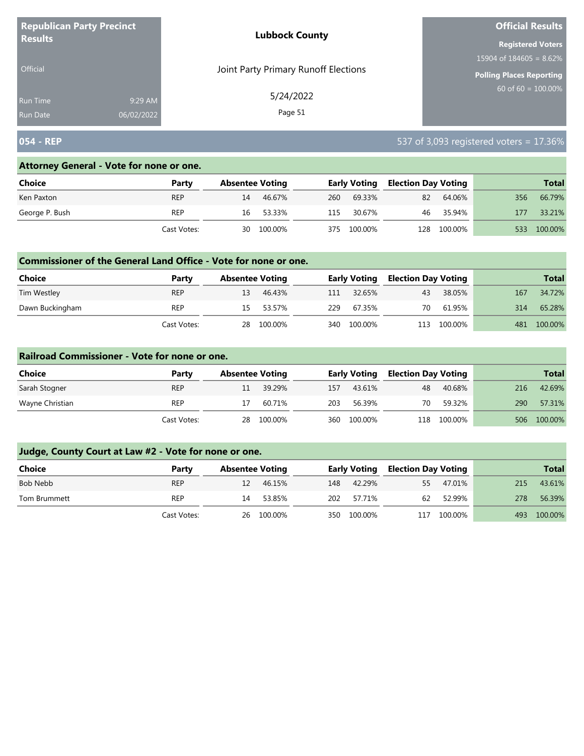| <b>Republican Party Precinct</b><br><b>Results</b> |            | <b>Lubbock County</b>                | <b>Official Results</b>    |
|----------------------------------------------------|------------|--------------------------------------|----------------------------|
|                                                    |            |                                      | <b>Registered Voters</b>   |
|                                                    |            |                                      | 15904 of $184605 = 8.62\%$ |
| Official                                           |            | Joint Party Primary Runoff Elections | Polling Places Reporting   |
| <b>Run Time</b>                                    | 9:29 AM    | 5/24/2022                            | 60 of $60 = 100.00\%$      |
| <b>Run Date</b>                                    | 06/02/2022 | Page 51                              |                            |

# **054 - REP** 537 of 3,093 registered voters = 17.36%

## **Attorney General - Vote for none or one.**

| Choice         | Party       | <b>Absentee Voting</b> |         |     | <b>Early Voting</b> | <b>Election Day Voting</b> |             |     | <b>Total</b> |
|----------------|-------------|------------------------|---------|-----|---------------------|----------------------------|-------------|-----|--------------|
| Ken Paxton     | <b>REP</b>  | 14                     | 46.67%  | 260 | 69.33%              | 82                         | 64.06%      | 356 | 66.79%       |
| George P. Bush | REP         | 16                     | 53.33%  | 115 | 30.67%              | 46                         | 35.94%      | 177 | 33.21%       |
|                | Cast Votes: | 30                     | 100.00% | 375 | 100.00%             |                            | 128 100.00% | 533 | 100.00%      |

## **Commissioner of the General Land Office - Vote for none or one.**

| <b>Choice</b>   | Party       | <b>Absentee Voting</b> |           |     | <b>Early Voting</b> | <b>Election Day Voting</b> |         |     | Total   |
|-----------------|-------------|------------------------|-----------|-----|---------------------|----------------------------|---------|-----|---------|
| Tim Westley     | <b>REP</b>  | 13                     | 46.43%    | 111 | 32.65%              | 43                         | 38.05%  | 167 | 34.72%  |
| Dawn Buckingham | REP         |                        | 15 53.57% | 229 | 67.35%              | 70                         | 61.95%  | 314 | 65.28%  |
|                 | Cast Votes: | 28                     | 100.00%   | 340 | 100.00%             | 113                        | 100.00% | 481 | 100.00% |

### **Railroad Commissioner - Vote for none or one.**

| Choice          | Party       | <b>Absentee Voting</b> |         |     | <b>Early Voting</b> | <b>Election Day Voting</b> |         |     | <b>Total</b> |
|-----------------|-------------|------------------------|---------|-----|---------------------|----------------------------|---------|-----|--------------|
| Sarah Stogner   | <b>REP</b>  |                        | 39.29%  | 157 | 43.61%              | 48                         | 40.68%  | 216 | 42.69%       |
| Wayne Christian | <b>REP</b>  |                        | 60.71%  | 203 | 56.39%              | 70                         | 59.32%  | 290 | 57.31%       |
|                 | Cast Votes: | 28                     | 100.00% | 360 | 100.00%             | 118                        | 100.00% | 506 | 100.00%      |

| Choice       | Party       | <b>Absentee Voting</b> |            |     | <b>Early Voting</b> | <b>Election Day Voting</b> |         |     | <b>Total</b> |
|--------------|-------------|------------------------|------------|-----|---------------------|----------------------------|---------|-----|--------------|
| Bob Nebb     | <b>REP</b>  | 12                     | 46.15%     | 148 | 42.29%              | 55                         | 47.01%  | 215 | 43.61%       |
| Tom Brummett | <b>REP</b>  | 14                     | 53.85%     | 202 | 57.71%              | 62                         | 52.99%  | 278 | 56.39%       |
|              | Cast Votes: |                        | 26 100.00% | 350 | 100.00%             | 117                        | 100.00% | 493 | 100.00%      |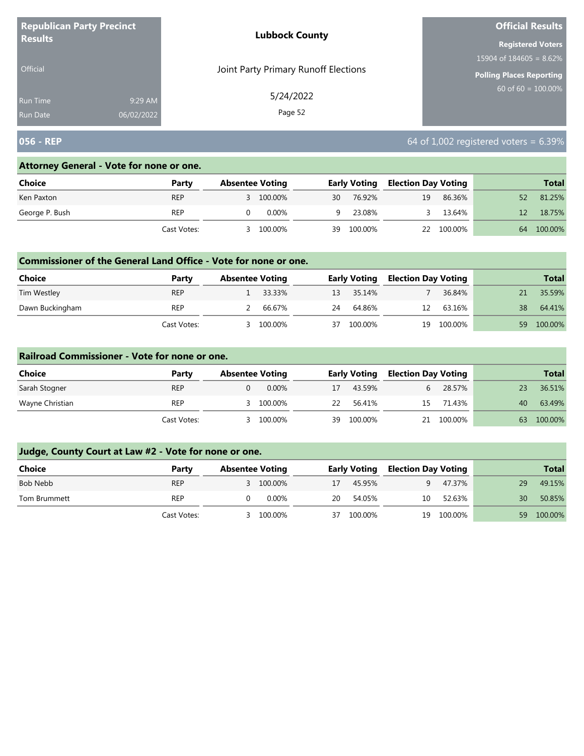| <b>Republican Party Precinct</b> |            | <b>Lubbock County</b>                | <b>Official Results</b>         |  |  |
|----------------------------------|------------|--------------------------------------|---------------------------------|--|--|
| <b>Results</b>                   |            |                                      | <b>Registered Voters</b>        |  |  |
|                                  |            |                                      | 15904 of $184605 = 8.62\%$      |  |  |
| Official                         |            | Joint Party Primary Runoff Elections | <b>Polling Places Reporting</b> |  |  |
| Run Time                         | 9:29 AM    | 5/24/2022                            | $60 \text{ of } 60 = 100.00\%$  |  |  |
| <b>Run Date</b>                  | 06/02/2022 | Page 52                              |                                 |  |  |

# **056 - REP** 6.39%

### **Attorney General - Vote for none or one.**

| Choice         | Party       | <b>Absentee Voting</b> |    | <b>Early Voting</b> | <b>Election Day Voting</b> |            |    | <b>Total</b> |
|----------------|-------------|------------------------|----|---------------------|----------------------------|------------|----|--------------|
| Ken Paxton     | <b>REP</b>  | 3 100.00%              | 30 | 76.92%              | 19                         | 86.36%     | 52 | 81.25%       |
| George P. Bush | <b>REP</b>  | 0.00%                  | q. | 23.08%              |                            | 13.64%     |    | 18.75%       |
|                | Cast Votes: | 100.00%                | 39 | 100.00%             |                            | 22 100.00% | 64 | 100.00%      |

## **Commissioner of the General Land Office - Vote for none or one.**

| Choice          | Party       | <b>Absentee Voting</b> |          |    | <b>Early Voting</b> | Election Day Voting |         |    | <b>Total</b> |
|-----------------|-------------|------------------------|----------|----|---------------------|---------------------|---------|----|--------------|
| Tim Westley     | <b>REP</b>  |                        | 1 33.33% |    | 13 35.14%           |                     | 36.84%  |    | 35.59%       |
| Dawn Buckingham | REP         |                        | 66.67%   | 24 | 64.86%              | 12                  | 63.16%  | 38 | 64.41%       |
|                 | Cast Votes: |                        | 100.00%  | 37 | 100.00%             | 19                  | 100.00% | 59 | 100.00%      |

### **Railroad Commissioner - Vote for none or one.**

| Choice          | Party       | <b>Absentee Voting</b> |    | <b>Early Voting</b> |    | <b>Election Day Voting</b> |    | <b>Total</b> |
|-----------------|-------------|------------------------|----|---------------------|----|----------------------------|----|--------------|
| Sarah Stogner   | <b>REP</b>  | $0.00\%$               | 17 | 43.59%              |    | 28.57%                     |    | 36.51%       |
| Wayne Christian | <b>REP</b>  | 100.00%                | 22 | 56.41%              | 15 | 71.43%                     | 40 | 63.49%       |
|                 | Cast Votes: | 100.00%                | 39 | 100.00%             | 21 | 100.00%                    | 63 | 100.00%      |

| Choice       | Party       | <b>Absentee Voting</b> |           |    | <b>Early Voting</b> |    | <b>Election Day Voting</b> |     | <b>Total</b> |
|--------------|-------------|------------------------|-----------|----|---------------------|----|----------------------------|-----|--------------|
| Bob Nebb     | <b>REP</b>  |                        | 3 100.00% | 17 | 45.95%              |    | 47.37%                     | 29  | 49.15%       |
| Tom Brummett | <b>REP</b>  |                        | $0.00\%$  | 20 | 54.05%              | 10 | 52.63%                     | 30  | 50.85%       |
|              | Cast Votes: |                        | 100.00%   | 37 | 100.00%             | 19 | 100.00%                    | 59. | 100.00%      |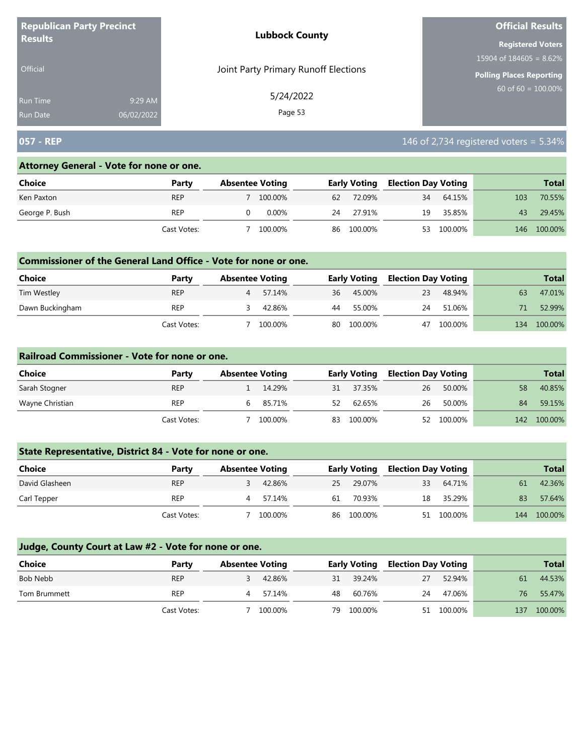| <b>Republican Party Precinct</b><br><b>Results</b> |            | <b>Lubbock County</b>                | <b>Official Results</b>         |  |  |
|----------------------------------------------------|------------|--------------------------------------|---------------------------------|--|--|
|                                                    |            |                                      | <b>Registered Voters</b>        |  |  |
|                                                    |            |                                      | $15904$ of 184605 = 8.62%       |  |  |
| <b>Official</b>                                    |            | Joint Party Primary Runoff Elections | <b>Polling Places Reporting</b> |  |  |
| Run Time                                           | 9:29 AM    | 5/24/2022                            | $60 \text{ of } 60 = 100.00\%$  |  |  |
| <b>Run Date</b>                                    | 06/02/2022 | Page 53                              |                                 |  |  |

# **057 - REP** 146 of 2,734 registered voters = 5.34%

### **Attorney General - Vote for none or one.**

| Choice         | Party       | <b>Absentee Voting</b> |          |    | <b>Early Voting</b> | <b>Election Day Voting</b> |         |     | <b>Total</b> |
|----------------|-------------|------------------------|----------|----|---------------------|----------------------------|---------|-----|--------------|
| Ken Paxton     | <b>REP</b>  |                        | 100.00%  | 62 | 72.09%              | 34                         | 64.15%  | 103 | 70.55%       |
| George P. Bush | REP         |                        | $0.00\%$ | 24 | 27.91%              | 19                         | 35.85%  | 43  | 29.45%       |
|                | Cast Votes: |                        | 100.00%  | 86 | 100.00%             | 53                         | 100.00% | 146 | 100.00%      |

## **Commissioner of the General Land Office - Vote for none or one.**

| <b>Choice</b>   | Party       | <b>Absentee Voting</b> |         |    | <b>Early Voting</b> | Election Day Voting |         |     | <b>Total</b> |
|-----------------|-------------|------------------------|---------|----|---------------------|---------------------|---------|-----|--------------|
| Tim Westley     | <b>REP</b>  |                        | 57.14%  | 36 | 45.00%              | 23                  | 48.94%  | 63  | 47.01%       |
| Dawn Buckingham | <b>REP</b>  |                        | 42.86%  | 44 | 55.00%              | 24                  | 51.06%  |     | 52.99%       |
|                 | Cast Votes: |                        | 100.00% | 80 | 100.00%             | 47                  | 100.00% | 134 | 100.00%      |

#### **Railroad Commissioner - Vote for none or one.**

| Choice          | Party       | <b>Absentee Voting</b> |         |    | <b>Early Voting</b> |    | <b>Election Day Voting</b> |     | <b>Total</b> |
|-----------------|-------------|------------------------|---------|----|---------------------|----|----------------------------|-----|--------------|
| Sarah Stogner   | <b>REP</b>  |                        | 14.29%  | 31 | 37.35%              | 26 | 50.00%                     | 58  | 40.85%       |
| Wayne Christian | <b>REP</b>  |                        | 85.71%  | 52 | 62.65%              | 26 | 50.00%                     | 84  | 59.15%       |
|                 | Cast Votes: |                        | 100.00% | 83 | 100.00%             |    | 52 100.00%                 | 142 | 100.00%      |

## **State Representative, District 84 - Vote for none or one.**

| Choice         | Party       | <b>Absentee Voting</b> |         |    | <b>Early Voting</b> |    | <b>Election Day Voting</b> |     | <b>Total</b> |
|----------------|-------------|------------------------|---------|----|---------------------|----|----------------------------|-----|--------------|
| David Glasheen | <b>REP</b>  |                        | 42.86%  | 25 | 29.07%              | 33 | 64.71%                     | 61  | 42.36%       |
| Carl Tepper    | <b>REP</b>  |                        | 57.14%  | 61 | 70.93%              | 18 | 35.29%                     | 83  | 57.64%       |
|                | Cast Votes: |                        | 100.00% | 86 | 100.00%             |    | 51 100.00%                 | 144 | 100.00%      |

| <b>Choice</b> | Party       | <b>Absentee Voting</b> |         |    | <b>Early Voting</b> | <b>Election Day Voting</b> |            |     | <b>Total</b> |
|---------------|-------------|------------------------|---------|----|---------------------|----------------------------|------------|-----|--------------|
| Bob Nebb      | <b>REP</b>  |                        | 42.86%  | 31 | 39.24%              | 27                         | 52.94%     | 61  | 44.53%       |
| Tom Brummett  | <b>REP</b>  | 4                      | 57.14%  | 48 | 60.76%              | 24                         | 47.06%     | 76  | 55.47%       |
|               | Cast Votes: |                        | 100.00% | 79 | 100.00%             |                            | 51 100.00% | 137 | 100.00%      |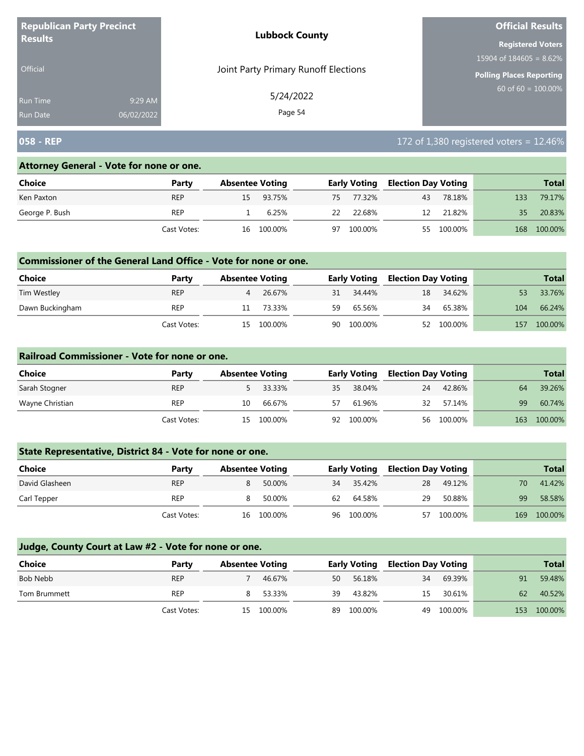| <b>Republican Party Precinct</b><br><b>Results</b> |            | <b>Lubbock County</b>                | <b>Official Results</b>   |  |  |
|----------------------------------------------------|------------|--------------------------------------|---------------------------|--|--|
|                                                    |            |                                      | <b>Registered Voters</b>  |  |  |
|                                                    |            |                                      | $15904$ of 184605 = 8.62% |  |  |
| <b>Official</b>                                    |            | Joint Party Primary Runoff Elections | Polling Places Reporting  |  |  |
| <b>Run Time</b>                                    | 9:29 AM    | 5/24/2022                            | $60$ of 60 = 100.00%      |  |  |
| <b>Run Date</b>                                    | 06/02/2022 | Page 54                              |                           |  |  |

# **058 - REP** 172 of 1,380 registered voters = 12.46%

#### **Attorney General - Vote for none or one.**

| Choice         | Party       | <b>Absentee Voting</b> |    | <b>Early Voting</b> | <b>Election Day Voting</b> |            |     | <b>Total</b> |
|----------------|-------------|------------------------|----|---------------------|----------------------------|------------|-----|--------------|
| Ken Paxton     | <b>REP</b>  | 15 93.75%              |    | 75 77.32%           | 43                         | 78.18%     | 133 | 79.17%       |
| George P. Bush | <b>REP</b>  | 6.25%                  | 22 | 22.68%              | 12                         | 21.82%     | 35  | 20.83%       |
|                | Cast Votes: | 16 100.00%             | 97 | 100.00%             |                            | 55 100.00% | 168 | 100.00%      |

### **Commissioner of the General Land Office - Vote for none or one.**

| Choice          | Party       | <b>Absentee Voting</b> |         |    | <b>Early Voting</b> | <b>Election Day Voting</b> |            |     | <b>Total</b> |
|-----------------|-------------|------------------------|---------|----|---------------------|----------------------------|------------|-----|--------------|
| Tim Westley     | <b>REP</b>  | 4                      | 26.67%  |    | 31 34.44%           | 18                         | 34.62%     |     | 33.76%       |
| Dawn Buckingham | REP         |                        | 73.33%  | 59 | 65.56%              | 34                         | 65.38%     | 104 | 66.24%       |
|                 | Cast Votes: | 15                     | 100.00% |    | 90 100.00%          |                            | 52 100.00% | 157 | 100.00%      |

### **Railroad Commissioner - Vote for none or one.**

| Choice          | Party       | <b>Absentee Voting</b> |          |    | <b>Early Voting</b> | <b>Election Day Voting</b> |            |     | <b>Total</b> |
|-----------------|-------------|------------------------|----------|----|---------------------|----------------------------|------------|-----|--------------|
| Sarah Stogner   | <b>REP</b>  |                        | 5 33.33% | 35 | 38.04%              | 24                         | 42.86%     | 64  | 39.26%       |
| Wayne Christian | <b>REP</b>  | 10                     | 66.67%   | 57 | 61.96%              | 32                         | 57.14%     | 99  | 60.74%       |
|                 | Cast Votes: | 15.                    | 100.00%  | 92 | 100.00%             |                            | 56 100.00% | 163 | 100.00%      |

# **State Representative, District 84 - Vote for none or one.**

| Choice         | Party       | <b>Absentee Voting</b> |            |    | <b>Early Voting</b> |    | <b>Election Day Voting</b> |     | <b>Total</b> |
|----------------|-------------|------------------------|------------|----|---------------------|----|----------------------------|-----|--------------|
| David Glasheen | <b>REP</b>  |                        | 50.00%     | 34 | 35.42%              | 28 | 49.12%                     | 70  | 41.42%       |
| Carl Tepper    | <b>REP</b>  |                        | 50.00%     | 62 | 64.58%              | 29 | 50.88%                     | 99  | 58.58%       |
|                | Cast Votes: |                        | 16 100.00% |    | 96 100.00%          |    | 57 100.00%                 | 169 | 100.00%      |

| <b>Choice</b> | Party       | <b>Absentee Voting</b> |            |    | <b>Early Voting</b> | <b>Election Day Voting</b> |         |     | <b>Total</b> |
|---------------|-------------|------------------------|------------|----|---------------------|----------------------------|---------|-----|--------------|
| Bob Nebb      | <b>REP</b>  |                        | 46.67%     | 50 | 56.18%              | 34                         | 69.39%  | 91  | 59.48%       |
| Tom Brummett  | <b>REP</b>  | 8.                     | 53.33%     | 39 | 43.82%              | 15                         | 30.61%  | 62  | 40.52%       |
|               | Cast Votes: |                        | 15 100.00% | 89 | 100.00%             | 49                         | 100.00% | 153 | 100.00%      |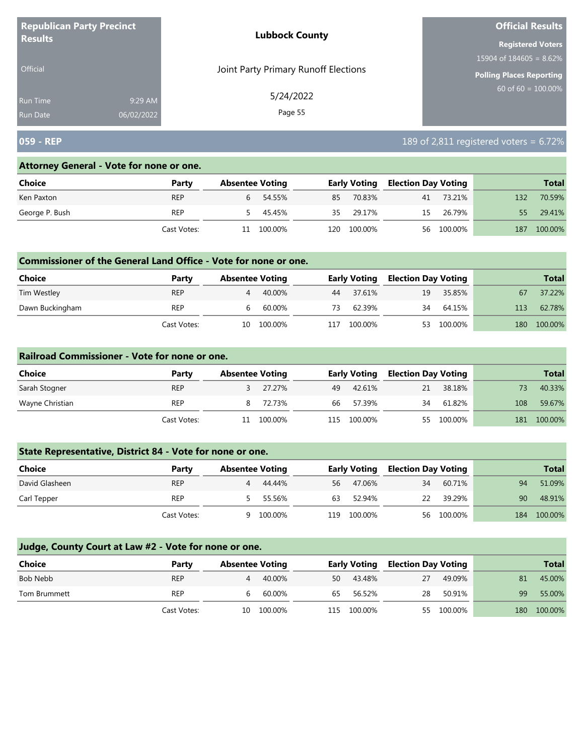| <b>Republican Party Precinct</b><br><b>Results</b> |            | <b>Lubbock County</b>                | <b>Official Results</b>    |  |  |  |
|----------------------------------------------------|------------|--------------------------------------|----------------------------|--|--|--|
|                                                    |            |                                      | <b>Registered Voters</b>   |  |  |  |
|                                                    |            |                                      | 15904 of $184605 = 8.62\%$ |  |  |  |
| <b>Official</b>                                    |            | Joint Party Primary Runoff Elections | Polling Places Reporting   |  |  |  |
| <b>Run Time</b>                                    | 9:29 AM    | 5/24/2022                            | $60$ of 60 = 100.00%       |  |  |  |
| <b>Run Date</b>                                    | 06/02/2022 | Page 55                              |                            |  |  |  |

# **059 - REP** 189 of 2,811 registered voters = 6.72%

### **Attorney General - Vote for none or one.**

| Choice         | Party       |        | <b>Absentee Voting</b> |       | <b>Early Voting</b> | <b>Election Day Voting</b> |            |     | <b>Total</b> |
|----------------|-------------|--------|------------------------|-------|---------------------|----------------------------|------------|-----|--------------|
| Ken Paxton     | <b>REP</b>  | 6      | 54.55%                 | 85    | 70.83%              | 41                         | 73.21%     | 132 | 70.59%       |
| George P. Bush | <b>REP</b>  | $\sim$ | 45.45%                 | 35    | 29.17%              | 15                         | 26.79%     | 55  | 29.41%       |
|                | Cast Votes: | 11     | 100.00%                | L20 I | 100.00%             |                            | 56 100.00% | 187 | 100.00%      |

### **Commissioner of the General Land Office - Vote for none or one.**

| Choice          | Party       | <b>Absentee Voting</b> |         |     | <b>Early Voting</b> | <b>Election Day Voting</b> |         |     | <b>Total</b> |
|-----------------|-------------|------------------------|---------|-----|---------------------|----------------------------|---------|-----|--------------|
| Tim Westley     | <b>REP</b>  | 4                      | 40.00%  | 44  | 37.61%              | 19                         | 35.85%  | 67  | 37.22%       |
| Dawn Buckingham | REP         | b                      | 60.00%  | 73. | 62.39%              | 34                         | 64.15%  | 113 | 62.78%       |
|                 | Cast Votes: | 10                     | 100.00% | 117 | 100.00%             | 53                         | 100.00% | 180 | 100.00%      |

#### **Railroad Commissioner - Vote for none or one.**

| Choice          | Party       | <b>Absentee Voting</b> |         |      | <b>Early Voting</b> | <b>Election Day Voting</b> |         |     | <b>Total</b> |
|-----------------|-------------|------------------------|---------|------|---------------------|----------------------------|---------|-----|--------------|
| Sarah Stogner   | <b>REP</b>  |                        | 27.27%  | 49   | 42.61%              | 21                         | 38.18%  |     | 40.33%       |
| Wayne Christian | <b>REP</b>  |                        | 72.73%  | 66   | 57.39%              | 34                         | 61.82%  | 108 | 59.67%       |
|                 | Cast Votes: | 11                     | 100.00% | 115. | 100.00%             | 55                         | 100.00% | 181 | 100.00%      |

# **State Representative, District 84 - Vote for none or one.**

| Choice         | Party       | <b>Absentee Voting</b> |         | <b>Early Voting</b> |         | <b>Election Day Voting</b> |            |     | <b>Total</b> |
|----------------|-------------|------------------------|---------|---------------------|---------|----------------------------|------------|-----|--------------|
| David Glasheen | <b>REP</b>  | 4                      | 44.44%  | 56                  | 47.06%  | 34                         | 60.71%     | 94  | 51.09%       |
| Carl Tepper    | <b>REP</b>  |                        | 55.56%  | 63                  | 52.94%  | 22                         | 39.29%     | 90  | 48.91%       |
|                | Cast Votes: |                        | 100.00% | 119                 | 100.00% |                            | 56 100.00% | 184 | 100.00%      |

| Choice       | Party       | <b>Absentee Voting</b> |            |     | <b>Early Voting</b> |    | <b>Election Day Voting</b> |     | <b>Total</b> |
|--------------|-------------|------------------------|------------|-----|---------------------|----|----------------------------|-----|--------------|
| Bob Nebb     | <b>REP</b>  | 4                      | 40.00%     | 50  | 43.48%              | 27 | 49.09%                     | 81  | 45.00%       |
| Tom Brummett | REP         |                        | 60.00%     | 65  | 56.52%              | 28 | 50.91%                     | 99  | 55.00%       |
|              | Cast Votes: |                        | 10 100.00% | 115 | 100.00%             |    | 55 100.00%                 | 180 | 100.00%      |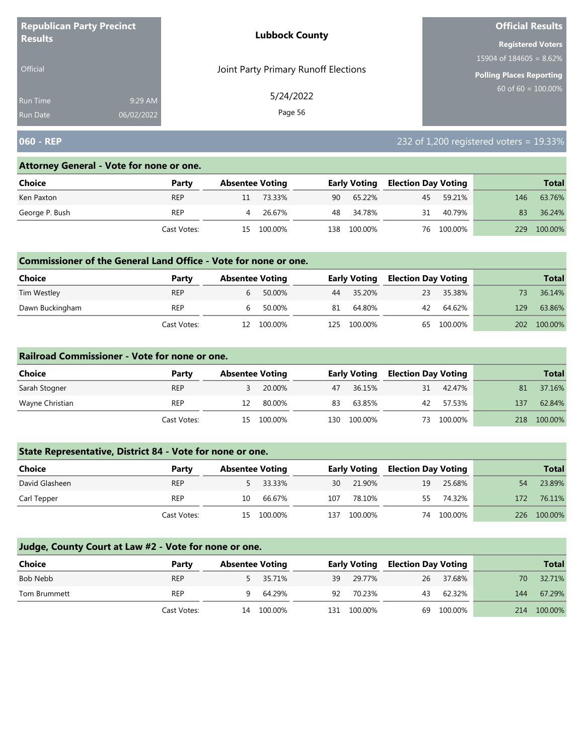| <b>Republican Party Precinct</b><br><b>Results</b> |                       | <b>Lubbock County</b>                | <b>Official Results</b>         |
|----------------------------------------------------|-----------------------|--------------------------------------|---------------------------------|
|                                                    |                       |                                      | <b>Registered Voters</b>        |
|                                                    |                       |                                      | $15904$ of 184605 = 8.62%       |
| <b>Official</b>                                    |                       | Joint Party Primary Runoff Elections | <b>Polling Places Reporting</b> |
| <b>Run Time</b><br><b>Run Date</b>                 | 9:29 AM<br>06/02/2022 | 5/24/2022<br>Page 56                 | 60 of $60 = 100.00\%$           |

# **060 - REP** 232 of 1,200 registered voters = 19.33%

### **Attorney General - Vote for none or one.**

| Choice         | Party       |    | <b>Absentee Voting</b> |       | <b>Early Voting</b> | <b>Election Day Voting</b> |            |     | <b>Total</b> |
|----------------|-------------|----|------------------------|-------|---------------------|----------------------------|------------|-----|--------------|
| Ken Paxton     | <b>REP</b>  |    | 73.33%                 | 90    | 65.22%              |                            | 45 59.21%  | 146 | 63.76%       |
| George P. Bush | <b>REP</b>  | 4  | 26.67%                 |       | 48 34.78%           | 31                         | 40.79%     | 83  | 36.24%       |
|                | Cast Votes: | 15 | 100.00%                | L38 I | 100.00%             |                            | 76 100.00% | 229 | 100.00%      |

## **Commissioner of the General Land Office - Vote for none or one.**

| <b>Choice</b>   | Party       |    | <b>Absentee Voting</b> |     | <b>Early Voting</b> | <b>Election Day Voting</b> |            |     | <b>Total</b> |
|-----------------|-------------|----|------------------------|-----|---------------------|----------------------------|------------|-----|--------------|
| Tim Westley     | <b>REP</b>  |    | 50.00%                 | 44  | 35.20%              | 23                         | 35.38%     |     | 36.14%       |
| Dawn Buckingham | <b>REP</b>  |    | 50.00%                 | 81  | 64.80%              | 42                         | 64.62%     | 129 | 63.86%       |
|                 | Cast Votes: | 12 | 100.00%                | 125 | 100.00%             |                            | 65 100.00% | 202 | 100.00%      |

#### **Railroad Commissioner - Vote for none or one.**

| Choice          | Party       | <b>Absentee Voting</b> |         |     | <b>Early Voting</b> | <b>Election Day Voting</b> |         |     | <b>Total</b> |
|-----------------|-------------|------------------------|---------|-----|---------------------|----------------------------|---------|-----|--------------|
| Sarah Stogner   | <b>REP</b>  |                        | 20.00%  | 47  | 36.15%              | 31                         | 42.47%  | 81  | 37.16%       |
| Wayne Christian | <b>REP</b>  |                        | 80.00%  | 83  | 63.85%              | 42                         | 57.53%  | 137 | 62.84%       |
|                 | Cast Votes: | 15                     | 100.00% | 130 | 100.00%             | 73                         | 100.00% | 218 | 100.00%      |

# **State Representative, District 84 - Vote for none or one.**

| Choice         | Party       | <b>Absentee Voting</b> |            |     | <b>Early Voting</b> | <b>Election Day Voting</b> |            |     | <b>Total</b> |
|----------------|-------------|------------------------|------------|-----|---------------------|----------------------------|------------|-----|--------------|
| David Glasheen | <b>REP</b>  |                        | 33.33%     | 30  | 21.90%              | 19                         | 25.68%     | 54  | 23.89%       |
| Carl Tepper    | <b>REP</b>  | 10                     | 66.67%     | 107 | 78.10%              | 55.                        | 74.32%     | 172 | 76.11%       |
|                | Cast Votes: |                        | 15 100.00% | 137 | 100.00%             |                            | 74 100.00% |     | 226 100.00%  |

| Choice       | Party       | <b>Absentee Voting</b> |            |     | <b>Early Voting</b> | <b>Election Day Voting</b> |         |     | <b>Total</b> |
|--------------|-------------|------------------------|------------|-----|---------------------|----------------------------|---------|-----|--------------|
| Bob Nebb     | <b>REP</b>  |                        | 5 35.71%   | 39  | 29.77%              | 26                         | 37.68%  | 70  | 32.71%       |
| Tom Brummett | REP         | 9.                     | 64.29%     | 92  | 70.23%              | 43                         | 62.32%  | 144 | 67.29%       |
|              | Cast Votes: |                        | 14 100.00% | 131 | 100.00%             | 69                         | 100.00% | 214 | 100.00%      |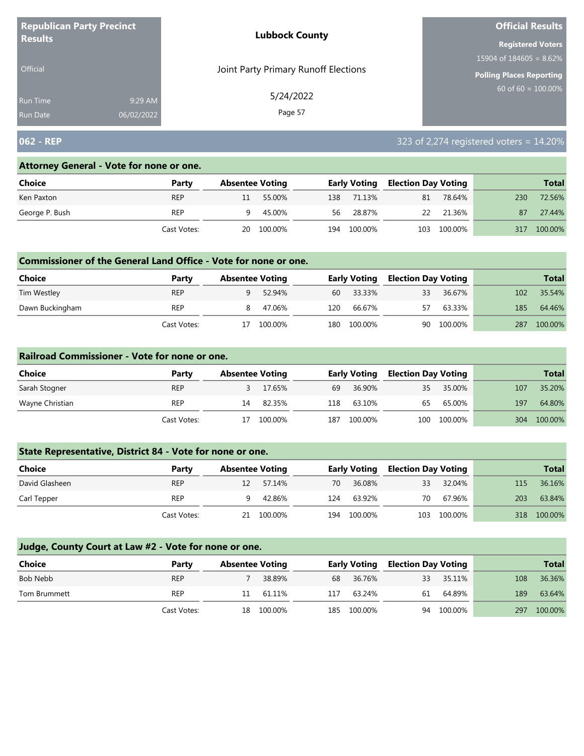| <b>Republican Party Precinct</b><br><b>Results</b> |            | <b>Lubbock County</b>                | <b>Official Results</b>   |
|----------------------------------------------------|------------|--------------------------------------|---------------------------|
|                                                    |            |                                      | <b>Registered Voters</b>  |
|                                                    |            |                                      | $15904$ of 184605 = 8.62% |
| <b>Official</b>                                    |            | Joint Party Primary Runoff Elections | Polling Places Reporting  |
| <b>Run Time</b>                                    | 9:29 AM    | 5/24/2022                            | $60$ of 60 = 100.00%      |
| <b>Run Date</b>                                    | 06/02/2022 | Page 57                              |                           |

# **062 - REP** 323 of 2,274 registered voters = 14.20%

#### **Attorney General - Vote for none or one.**

| Choice         | Party       |    | <b>Absentee Voting</b> |     | <b>Early Voting</b> | <b>Election Day Voting</b> |         |     | <b>Total</b> |
|----------------|-------------|----|------------------------|-----|---------------------|----------------------------|---------|-----|--------------|
| Ken Paxton     | <b>REP</b>  | 11 | 55.00%                 | 138 | 71.13%              | 81                         | 78.64%  | 230 | 72.56%       |
| George P. Bush | <b>REP</b>  | 9  | 45.00%                 | 56  | 28.87%              | 22                         | 21.36%  | 87  | 27.44%       |
|                | Cast Votes: |    | 20 100.00%             | 194 | 100.00%             | 103                        | 100.00% | 317 | 100.00%      |

### **Commissioner of the General Land Office - Vote for none or one.**

| Choice          | Party       | <b>Absentee Voting</b> |          |     | <b>Early Voting</b> | <b>Election Day Voting</b> |         |     | <b>Total</b> |
|-----------------|-------------|------------------------|----------|-----|---------------------|----------------------------|---------|-----|--------------|
| Tim Westley     | <b>REP</b>  |                        | 52.94%   | 60  | 33.33%              | 33                         | 36.67%  | 102 | 35.54%       |
| Dawn Buckingham | REP         |                        | 8 47.06% | 120 | 66.67%              | 57                         | 63.33%  | 185 | 64.46%       |
|                 | Cast Votes: |                        | 100.00%  | 180 | 100.00%             | 90                         | 100.00% | 287 | 100.00%      |

#### **Railroad Commissioner - Vote for none or one.**

| Choice          | Party       | <b>Absentee Voting</b> |         |     | <b>Early Voting</b> | <b>Election Day Voting</b> |             |     | <b>Total</b> |
|-----------------|-------------|------------------------|---------|-----|---------------------|----------------------------|-------------|-----|--------------|
| Sarah Stogner   | <b>REP</b>  |                        | 17.65%  | 69  | 36.90%              | 35                         | 35.00%      | 107 | 35.20%       |
| Wayne Christian | <b>REP</b>  | 14                     | 82.35%  | 118 | 63.10%              | 65                         | 65.00%      | 197 | 64.80%       |
|                 | Cast Votes: | 17                     | 100.00% | 187 | 100.00%             |                            | 100 100.00% | 304 | 100.00%      |

## **State Representative, District 84 - Vote for none or one.**

| Choice         | Party       | <b>Absentee Voting</b> |            |     | <b>Early Voting</b> | <b>Election Day Voting</b> |         |     | <b>Total</b> |
|----------------|-------------|------------------------|------------|-----|---------------------|----------------------------|---------|-----|--------------|
| David Glasheen | <b>REP</b>  |                        | 57.14%     | 70  | 36.08%              | 33                         | 32.04%  | 115 | 36.16%       |
| Carl Tepper    | <b>REP</b>  |                        | 42.86%     | 124 | 63.92%              | 70                         | 67.96%  | 203 | 63.84%       |
|                | Cast Votes: |                        | 21 100.00% | 194 | 100.00%             | 103                        | 100.00% |     | 318 100.00%  |

| <b>Choice</b> | Party       | <b>Absentee Voting</b> |            |     | <b>Early Voting</b> | <b>Election Day Voting</b> |         |     | <b>Total</b> |
|---------------|-------------|------------------------|------------|-----|---------------------|----------------------------|---------|-----|--------------|
| Bob Nebb      | <b>REP</b>  |                        | 38.89%     | 68  | 36.76%              | 33                         | 35.11%  | 108 | 36.36%       |
| Tom Brummett  | REP         | 11.                    | 61.11%     | 117 | 63.24%              | 61                         | 64.89%  | 189 | 63.64%       |
|               | Cast Votes: |                        | 18 100.00% | 185 | 100.00%             | 94                         | 100.00% | 297 | 100.00%      |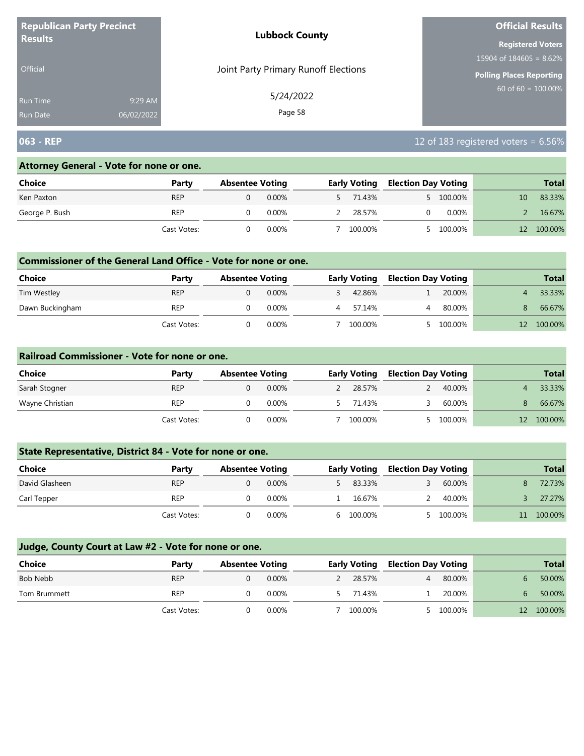| <b>Republican Party Precinct</b><br><b>Results</b> |            | <b>Lubbock County</b>                | <b>Official Results</b>    |
|----------------------------------------------------|------------|--------------------------------------|----------------------------|
|                                                    |            |                                      | <b>Registered Voters</b>   |
|                                                    |            |                                      | 15904 of $184605 = 8.62\%$ |
| <b>Official</b>                                    |            | Joint Party Primary Runoff Elections | Polling Places Reporting   |
| Run Time                                           | 9:29 AM    | 5/24/2022                            | $60$ of 60 = 100.00%       |
| <b>Run Date</b>                                    | 06/02/2022 | Page 58                              |                            |

# **063 - REP** 12 of 183 registered voters = 6.56%

#### **Attorney General - Vote for none or one.**

| Choice         | Party       | <b>Absentee Voting</b> |          | <b>Early Voting</b> | <b>Election Day Voting</b> |           |    | <b>Total</b> |
|----------------|-------------|------------------------|----------|---------------------|----------------------------|-----------|----|--------------|
| Ken Paxton     | <b>REP</b>  |                        | $0.00\%$ | 5 71.43%            |                            | 5 100.00% | 10 | 83.33%       |
| George P. Bush | REP         |                        | 0.00%    | 28.57%              |                            | $0.00\%$  |    | 16.67%       |
|                | Cast Votes: |                        | $0.00\%$ | 100.00%             |                            | 100.00%   |    | 100.00%      |

## **Commissioner of the General Land Office - Vote for none or one.**

| <b>Choice</b>   | Party       | <b>Absentee Voting</b> |          | <b>Early Voting</b> | <b>Election Day Voting</b> |         | <b>Total</b> |
|-----------------|-------------|------------------------|----------|---------------------|----------------------------|---------|--------------|
| Tim Westley     | <b>REP</b>  |                        | $0.00\%$ | 42.86%              |                            | 20.00%  | 33.33%       |
| Dawn Buckingham | <b>REP</b>  |                        | 0.00%    | 57.14%              |                            | 80.00%  | 66.67%       |
|                 | Cast Votes: |                        | 0.00%    | 100.00%             |                            | 100.00% | 100.00%      |

#### **Railroad Commissioner - Vote for none or one.**

| <b>Choice</b>   | Party       | <b>Absentee Voting</b> |          | <b>Early Voting</b> | <b>Election Day Voting</b> |           |    | <b>Total</b> |
|-----------------|-------------|------------------------|----------|---------------------|----------------------------|-----------|----|--------------|
| Sarah Stogner   | <b>REP</b>  |                        | $0.00\%$ | 28.57%              |                            | 40.00%    |    | 33.33%       |
| Wayne Christian | <b>REP</b>  |                        | 0.00%    | 71.43%              |                            | 60.00%    | 8. | 66.67%       |
|                 | Cast Votes: |                        | 0.00%    | 100.00%             |                            | 5 100.00% |    | 100.00%      |

## **State Representative, District 84 - Vote for none or one.**

| Choice         | Party       | <b>Absentee Voting</b> |          | <b>Early Voting</b> | <b>Election Day Voting</b> |           | <b>Total</b> |
|----------------|-------------|------------------------|----------|---------------------|----------------------------|-----------|--------------|
| David Glasheen | <b>REP</b>  |                        | $0.00\%$ | 83.33%              |                            | 60.00%    | 72.73%       |
| Carl Tepper    | <b>REP</b>  |                        | $0.00\%$ | 16.67%              |                            | 40.00%    | 27.27%       |
|                | Cast Votes: |                        | $0.00\%$ | 100.00%             |                            | 5 100.00% | 100.00%      |

| Choice       | Party       | <b>Absentee Voting</b> |          | <b>Early Voting</b> |   | <b>Election Day Voting</b> |                   | <b>Total</b> |
|--------------|-------------|------------------------|----------|---------------------|---|----------------------------|-------------------|--------------|
| Bob Nebb     | <b>REP</b>  |                        | $0.00\%$ | 28.57%              | 4 | 80.00%                     |                   | 50.00%       |
| Tom Brummett | <b>REP</b>  |                        | $0.00\%$ | 71.43%              |   | 20.00%                     |                   | 50.00%       |
|              | Cast Votes: |                        | 0.00%    | 100.00%             |   | 5 100.00%                  | $12 \overline{ }$ | 100.00%      |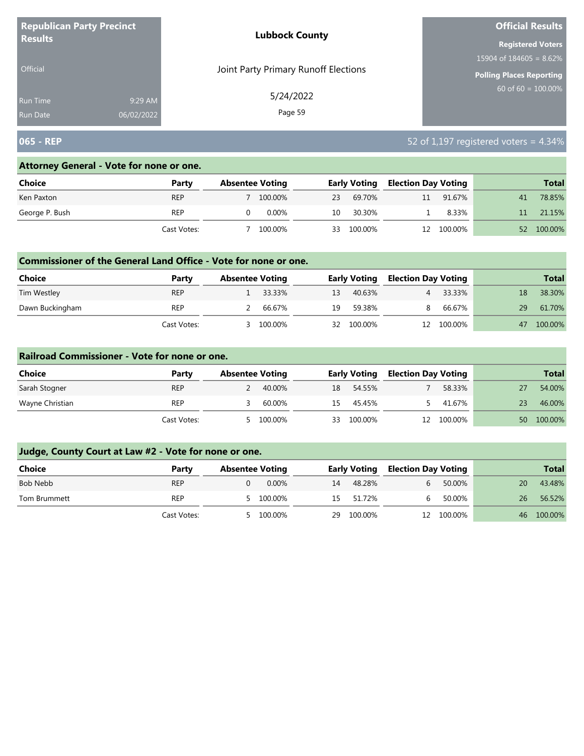| <b>Republican Party Precinct</b><br><b>Results</b> |            | <b>Lubbock County</b>                | <b>Official Results</b>         |  |  |
|----------------------------------------------------|------------|--------------------------------------|---------------------------------|--|--|
|                                                    |            |                                      | <b>Registered Voters</b>        |  |  |
|                                                    |            |                                      | 15904 of $184605 = 8.62\%$      |  |  |
| <b>Official</b>                                    |            | Joint Party Primary Runoff Elections | <b>Polling Places Reporting</b> |  |  |
| <b>Run Time</b>                                    | 9:29 AM    | 5/24/2022                            | 60 of $60 = 100.00\%$           |  |  |
| <b>Run Date</b>                                    | 06/02/2022 | Page 59                              |                                 |  |  |

# **065 - REP** 52 of 1,197 registered voters = 4.34%

### **Attorney General - Vote for none or one.**

| Choice         | Party       | <b>Absentee Voting</b> |          |    | <b>Early Voting</b> |    | Election Day Voting |    | <b>Total</b> |
|----------------|-------------|------------------------|----------|----|---------------------|----|---------------------|----|--------------|
| Ken Paxton     | <b>REP</b>  |                        | 100.00%  | 23 | 69.70%              | 11 | 91.67%              | 41 | 78.85%       |
| George P. Bush | REP         |                        | $0.00\%$ | 10 | 30.30%              |    | 8.33%               |    | 21.15%       |
|                | Cast Votes: |                        | 100.00%  | 33 | 100.00%             |    | 12 100.00%          | 52 | 100.00%      |

### **Commissioner of the General Land Office - Vote for none or one.**

| Choice          | Party       | <b>Absentee Voting</b> |          |    | <b>Early Voting</b> | <b>Election Day Voting</b> |            |    | <b>Total</b> |
|-----------------|-------------|------------------------|----------|----|---------------------|----------------------------|------------|----|--------------|
| Tim Westley     | <b>REP</b>  |                        | 1 33.33% | 13 | 40.63%              |                            | 33.33%     |    | 38.30%       |
| Dawn Buckingham | <b>REP</b>  |                        | 66.67%   | 19 | 59.38%              | 8                          | 66.67%     | 29 | 61.70%       |
|                 | Cast Votes: |                        | 100.00%  | 32 | 100.00%             |                            | 12 100.00% | 47 | 100.00%      |

#### **Railroad Commissioner - Vote for none or one.**

| Choice          | Party       | <b>Absentee Voting</b> |         | <b>Early Voting</b> |         | <b>Election Day Voting</b> |         |    | <b>Total</b> |
|-----------------|-------------|------------------------|---------|---------------------|---------|----------------------------|---------|----|--------------|
| Sarah Stogner   | <b>REP</b>  |                        | 40.00%  | 18                  | 54.55%  |                            | 58.33%  |    | 54.00%       |
| Wayne Christian | <b>REP</b>  |                        | 60.00%  | 15                  | 45.45%  |                            | 41.67%  | 23 | 46.00%       |
|                 | Cast Votes: |                        | 100.00% | 33                  | 100.00% | 12                         | 100.00% | 50 | 100.00%      |

| <b>Choice</b> | Party       | <b>Absentee Voting</b> |    | <b>Early Voting</b> | <b>Election Day Voting</b> |            |    | <b>Total</b> |
|---------------|-------------|------------------------|----|---------------------|----------------------------|------------|----|--------------|
| Bob Nebb      | <b>REP</b>  | $0.00\%$               | 14 | 48.28%              |                            | 50.00%     | 20 | 43.48%       |
| Tom Brummett  | <b>REP</b>  | 5 100.00%              |    | 15 51.72%           |                            | 50.00%     | 26 | 56.52%       |
|               | Cast Votes: | 100.00%                | 29 | 100.00%             |                            | 12 100.00% |    | 46 100.00%   |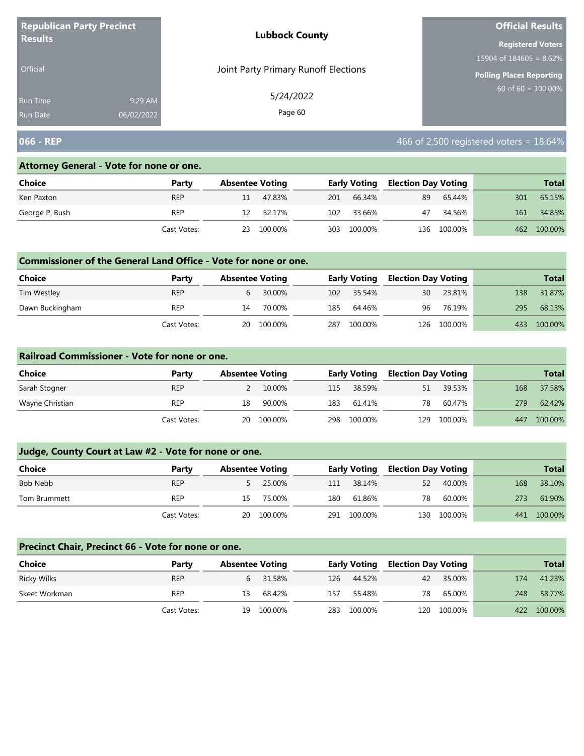| <b>Republican Party Precinct</b>                            | <b>Lubbock County</b>                | <b>Official Results</b>         |
|-------------------------------------------------------------|--------------------------------------|---------------------------------|
| <b>Results</b>                                              |                                      | <b>Registered Voters</b>        |
|                                                             |                                      | $15904$ of 184605 = 8.62%       |
| <b>Official</b>                                             | Joint Party Primary Runoff Elections | <b>Polling Places Reporting</b> |
| 9:29 AM<br><b>Run Time</b><br>06/02/2022<br><b>Run Date</b> | 5/24/2022<br>Page 60                 | 60 of $60 = 100.00\%$           |

# **066 - REP 18.64% 18.64% 18.64% 18.64% 18.64% 18.64% 18.64% 18.64% 18.64%**

### **Attorney General - Vote for none or one.**

| Choice         | Party       | <b>Absentee Voting</b> |         |     | Early Voting | <b>Election Day Voting</b> |         |     | <b>Total</b> |
|----------------|-------------|------------------------|---------|-----|--------------|----------------------------|---------|-----|--------------|
| Ken Paxton     | <b>REP</b>  | 11                     | 47.83%  | 201 | 66.34%       | 89                         | 65.44%  | 301 | 65.15%       |
| George P. Bush | <b>REP</b>  |                        | 52.17%  | 102 | 33.66%       | 47                         | 34.56%  | 161 | 34.85%       |
|                | Cast Votes: | 23                     | 100.00% | 303 | 100.00%      | 136                        | 100.00% | 462 | 100.00%      |

## **Commissioner of the General Land Office - Vote for none or one.**

| Choice          | Party       | <b>Absentee Voting</b> |            |     | <b>Early Voting</b> | <b>Election Day Voting</b> |             |     | <b>Total</b> |
|-----------------|-------------|------------------------|------------|-----|---------------------|----------------------------|-------------|-----|--------------|
| Tim Westley     | <b>REP</b>  | b                      | 30.00%     |     | 102 35.54%          | 30                         | 23.81%      | 138 | 31.87%       |
| Dawn Buckingham | REP         | 14                     | 70.00%     | 185 | 64.46%              |                            | 96 76.19%   | 295 | 68.13%       |
|                 | Cast Votes: |                        | 20 100.00% | 287 | 100.00%             |                            | 126 100.00% | 433 | 100.00%      |

### **Railroad Commissioner - Vote for none or one.**

| <b>Choice</b>   | Party       | <b>Absentee Voting</b> |            |     | <b>Early Voting</b> | <b>Election Day Voting</b> |         |     | <b>Total</b> |
|-----------------|-------------|------------------------|------------|-----|---------------------|----------------------------|---------|-----|--------------|
| Sarah Stogner   | <b>REP</b>  |                        | 10.00%     | 115 | 38.59%              | 51                         | 39.53%  | 168 | 37.58%       |
| Wayne Christian | REP         | 18                     | 90.00%     | 183 | 61.41%              | 78                         | 60.47%  | 279 | 62.42%       |
|                 | Cast Votes: |                        | 20 100.00% | 298 | 100.00%             | 129.                       | 100.00% | 447 | 100.00%      |

# **Judge, County Court at Law #2 - Vote for none or one.**

| <b>Choice</b> | Party       | <b>Absentee Voting</b> |         |     | <b>Early Voting</b> | <b>Election Day Voting</b> |             |     | <b>Total</b> |
|---------------|-------------|------------------------|---------|-----|---------------------|----------------------------|-------------|-----|--------------|
| Bob Nebb      | <b>REP</b>  |                        | 25.00%  | 111 | 38.14%              | 52                         | 40.00%      | 168 | 38.10%       |
| Tom Brummett  | <b>REP</b>  | 15                     | 75.00%  | 180 | 61.86%              | 78                         | 60.00%      | 273 | 61.90%       |
|               | Cast Votes: | 20                     | 100.00% | 291 | 100.00%             |                            | 130 100.00% |     | 441 100.00%  |

#### **Precinct Chair, Precinct 66 - Vote for none or one.**

| <b>Choice</b> | Party       | <b>Absentee Voting</b> |         |     | <b>Early Voting</b> | <b>Election Day Voting</b> |         |     | <b>Total</b> |
|---------------|-------------|------------------------|---------|-----|---------------------|----------------------------|---------|-----|--------------|
| Ricky Wilks   | <b>REP</b>  | 6                      | 31.58%  | 126 | 44.52%              | 42                         | 35.00%  | 174 | 41.23%       |
| Skeet Workman | <b>REP</b>  | 13                     | 68.42%  | 157 | 55.48%              | 78                         | 65.00%  | 248 | 58.77%       |
|               | Cast Votes: | 19.                    | 100.00% | 283 | 100.00%             | 120                        | 100.00% |     | 422 100.00%  |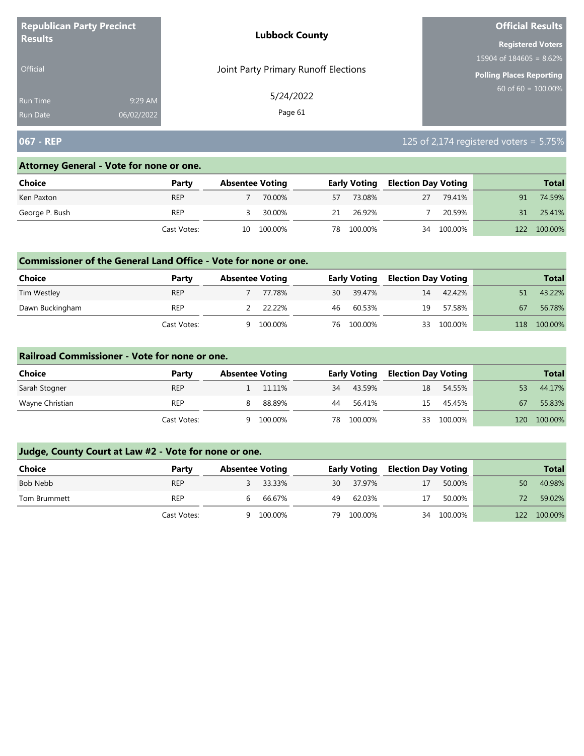| <b>Republican Party Precinct</b> |            | <b>Lubbock County</b>                | <b>Official Results</b>    |
|----------------------------------|------------|--------------------------------------|----------------------------|
| <b>Results</b>                   |            |                                      | <b>Registered Voters</b>   |
|                                  |            |                                      | 15904 of $184605 = 8.62\%$ |
| <b>Official</b>                  |            | Joint Party Primary Runoff Elections | Polling Places Reporting   |
| Run Time                         | 9:29 AM    | 5/24/2022                            | $60$ of 60 = 100.00%       |
| <b>Run Date</b>                  | 06/02/2022 | Page 61                              |                            |

# **067 - REP** 125 of 2,174 registered voters = 5.75%

### **Attorney General - Vote for none or one.**

| Choice         | Party       |    | <b>Absentee Voting</b> |    | <b>Early Voting</b> | <b>Election Day Voting</b> |            |     | <b>Total</b> |
|----------------|-------------|----|------------------------|----|---------------------|----------------------------|------------|-----|--------------|
| Ken Paxton     | <b>REP</b>  |    | 70.00%                 | 57 | 73.08%              | 27                         | 79.41%     | 91  | 74.59%       |
| George P. Bush | REP         |    | 30.00%                 | 21 | 26.92%              |                            | 20.59%     | 31  | 25.41%       |
|                | Cast Votes: | 10 | 100.00%                | 78 | 100.00%             |                            | 34 100.00% | 122 | 100.00%      |

### **Commissioner of the General Land Office - Vote for none or one.**

| Choice          | Party       | <b>Absentee Voting</b> |         |    | <b>Early Voting</b> | <b>Election Day Voting</b> |         |     | <b>Total</b> |
|-----------------|-------------|------------------------|---------|----|---------------------|----------------------------|---------|-----|--------------|
| Tim Westley     | <b>REP</b>  |                        | 77.78%  | 30 | 39.47%              | 14                         | 42.42%  |     | 43.22%       |
| Dawn Buckingham | REP         |                        | 22.22%  | 46 | 60.53%              | 19                         | 57.58%  | 67  | 56.78%       |
|                 | Cast Votes: | a                      | 100.00% | 76 | 100.00%             | 33                         | 100.00% | 118 | 100.00%      |

### **Railroad Commissioner - Vote for none or one.**

| Choice          | Party       | <b>Absentee Voting</b> |         |    | <b>Early Voting</b> | <b>Election Day Voting</b> |         |     | <b>Total</b> |
|-----------------|-------------|------------------------|---------|----|---------------------|----------------------------|---------|-----|--------------|
| Sarah Stogner   | <b>REP</b>  |                        | 11.11%  | 34 | 43.59%              | 18                         | 54.55%  | 53  | 44.17%       |
| Wayne Christian | <b>REP</b>  |                        | 88.89%  | 44 | 56.41%              | 15                         | 45.45%  | 67  | 55.83%       |
|                 | Cast Votes: | a                      | 100.00% | 78 | 100.00%             | 33                         | 100.00% | 120 | 100.00%      |

| <b>Choice</b> | Party       | <b>Absentee Voting</b> |          |     | <b>Early Voting</b> | <b>Election Day Voting</b> |            |     | <b>Total</b> |
|---------------|-------------|------------------------|----------|-----|---------------------|----------------------------|------------|-----|--------------|
| Bob Nebb      | <b>REP</b>  |                        | 3 33.33% | 30  | 37.97%              | 17                         | 50.00%     | 50  | 40.98%       |
| Tom Brummett  | <b>REP</b>  | b                      | 66.67%   | 49  | 62.03%              | 17                         | 50.00%     |     | 59.02%       |
|               | Cast Votes: | Q                      | 100.00%  | 79. | 100.00%             |                            | 34 100.00% | 122 | 100.00%      |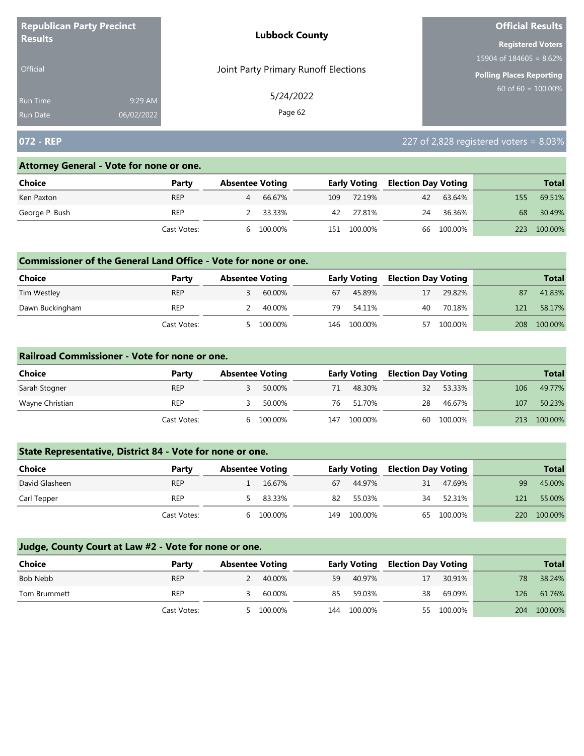| <b>Republican Party Precinct</b><br><b>Results</b> |            | <b>Lubbock County</b>                | <b>Official Results</b>    |
|----------------------------------------------------|------------|--------------------------------------|----------------------------|
|                                                    |            |                                      | <b>Registered Voters</b>   |
|                                                    |            |                                      | 15904 of $184605 = 8.62\%$ |
| <b>Official</b>                                    |            | Joint Party Primary Runoff Elections | Polling Places Reporting   |
| <b>Run Time</b>                                    | 9:29 AM    | 5/24/2022                            | $60$ of 60 = 100.00%       |
| <b>Run Date</b>                                    | 06/02/2022 | Page 62                              |                            |

# **072 - REP** 227 of 2,828 registered voters = 8.03%

#### **Attorney General - Vote for none or one.**

| Choice         | Party       |   | <b>Absentee Voting</b> |     | <b>Early Voting</b> | <b>Election Day Voting</b> |         |     | <b>Total</b> |
|----------------|-------------|---|------------------------|-----|---------------------|----------------------------|---------|-----|--------------|
| Ken Paxton     | <b>REP</b>  | 4 | 66.67%                 | 109 | 72.19%              | 42                         | 63.64%  | 155 | 69.51%       |
| George P. Bush | REP         |   | 33.33%                 | 42  | 27.81%              | 24                         | 36.36%  | 68  | 30.49%       |
|                | Cast Votes: | h | 100.00%                | 151 | 100.00%             | 66                         | 100.00% | 223 | 100.00%      |

## **Commissioner of the General Land Office - Vote for none or one.**

| <b>Choice</b>   | Party       | <b>Absentee Voting</b> |         |     | Early Voting | <b>Election Day Voting</b> |         |     | <b>Total</b> |
|-----------------|-------------|------------------------|---------|-----|--------------|----------------------------|---------|-----|--------------|
| Tim Westley     | <b>REP</b>  |                        | 60.00%  | 67  | 45.89%       | 17                         | 29.82%  | 87  | 41.83%       |
| Dawn Buckingham | REP         |                        | 40.00%  | 79  | 54.11%       | 40                         | 70.18%  | 121 | 58.17%       |
|                 | Cast Votes: |                        | 100.00% | 146 | 100.00%      | 57                         | 100.00% | 208 | 100.00%      |

#### **Railroad Commissioner - Vote for none or one.**

| Choice          | Party       | <b>Absentee Voting</b> |         |     | <b>Early Voting</b> | <b>Election Day Voting</b> |         |     | <b>Total</b> |
|-----------------|-------------|------------------------|---------|-----|---------------------|----------------------------|---------|-----|--------------|
| Sarah Stogner   | <b>REP</b>  |                        | 50.00%  | 71  | 48.30%              | 32                         | 53.33%  | 106 | 49.77%       |
| Wayne Christian | REP         |                        | 50.00%  | 76  | 51.70%              | 28                         | 46.67%  | 107 | 50.23%       |
|                 | Cast Votes: | <sub>h</sub>           | 100.00% | 147 | 100.00%             | 60                         | 100.00% | 213 | 100.00%      |

# **State Representative, District 84 - Vote for none or one.**

| Choice         | Party       | <b>Absentee Voting</b> |          |     | <b>Early Voting</b> | <b>Election Day Voting</b> |            |            | <b>Total</b> |
|----------------|-------------|------------------------|----------|-----|---------------------|----------------------------|------------|------------|--------------|
| David Glasheen | <b>REP</b>  |                        | 16.67%   | 67  | 44.97%              | 31                         | 47.69%     | 99         | 45.00%       |
| Carl Tepper    | <b>REP</b>  |                        | 5 83.33% | 82  | 55.03%              | 34                         | 52.31%     | 121        | 55.00%       |
|                | Cast Votes: | h                      | 100.00%  | 149 | 100.00%             |                            | 65 100.00% | <b>220</b> | 100.00%      |

| Choice       | Party       | <b>Absentee Voting</b> |           |     | <b>Early Voting</b> | <b>Election Day Voting</b> |            |     | <b>Total</b> |
|--------------|-------------|------------------------|-----------|-----|---------------------|----------------------------|------------|-----|--------------|
| Bob Nebb     | <b>REP</b>  |                        | 40.00%    | 59  | 40.97%              | 17                         | 30.91%     | 78  | 38.24%       |
| Tom Brummett | REP         |                        | 60.00%    | 85  | 59.03%              | 38                         | 69.09%     | 126 | 61.76%       |
|              | Cast Votes: |                        | 5 100.00% | 144 | 100.00%             |                            | 55 100.00% |     | 204 100.00%  |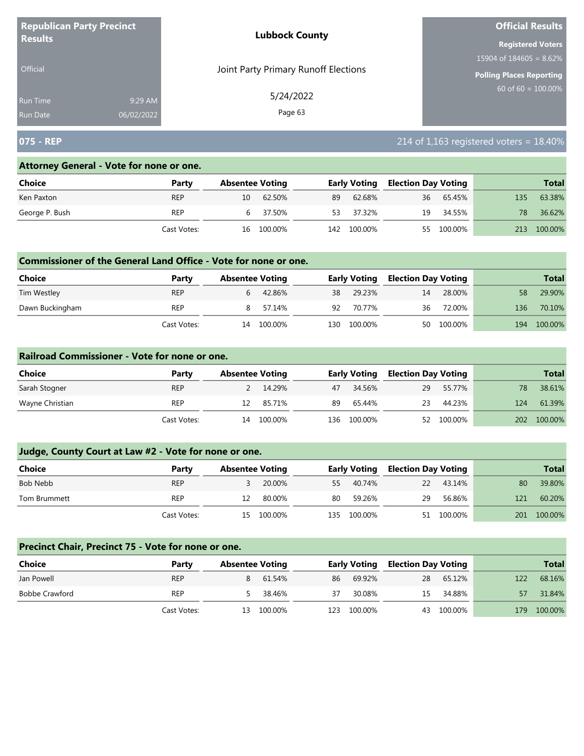| <b>Republican Party Precinct</b><br><b>Results</b> |            | <b>Lubbock County</b>                | <b>Official Results</b>    |  |  |
|----------------------------------------------------|------------|--------------------------------------|----------------------------|--|--|
|                                                    |            |                                      | <b>Registered Voters</b>   |  |  |
|                                                    |            |                                      | 15904 of $184605 = 8.62\%$ |  |  |
| <b>Official</b>                                    |            | Joint Party Primary Runoff Elections | Polling Places Reporting   |  |  |
| <b>Run Time</b>                                    | 9:29 AM    | 5/24/2022                            | $60$ of 60 = 100.00%       |  |  |
| <b>Run Date</b>                                    | 06/02/2022 | Page 63                              |                            |  |  |

# **075 - REP** 214 of 1,163 registered voters = 18.40%

#### **Attorney General - Vote for none or one.**

| Choice         | Party       |    | <b>Absentee Voting</b> |     | <b>Early Voting</b> | <b>Election Day Voting</b> |            |     | <b>Total</b> |
|----------------|-------------|----|------------------------|-----|---------------------|----------------------------|------------|-----|--------------|
| Ken Paxton     | <b>REP</b>  | 10 | 62.50%                 | 89  | 62.68%              | 36                         | 65.45%     | 135 | 63.38%       |
| George P. Bush | <b>REP</b>  |    | 6 37.50%               | 53. | 37.32%              | 19                         | 34.55%     | 78  | 36.62%       |
|                | Cast Votes: |    | 16 100.00%             |     | 142 100.00%         |                            | 55 100.00% | 213 | 100.00%      |

## **Commissioner of the General Land Office - Vote for none or one.**

| <b>Choice</b>   | Party       | <b>Absentee Voting</b> |         |       | <b>Early Voting</b> | <b>Election Day Voting</b> |         |     | <b>Total</b> |
|-----------------|-------------|------------------------|---------|-------|---------------------|----------------------------|---------|-----|--------------|
| Tim Westley     | <b>REP</b>  |                        | 42.86%  |       | 38 29.23%           | 14                         | 28.00%  | 58  | 29.90%       |
| Dawn Buckingham | REP         | 8                      | 57.14%  |       | 92 70.77%           | 36                         | 72.00%  | 136 | 70.10%       |
|                 | Cast Votes: | 14                     | 100.00% | 130 - | 100.00%             | 50                         | 100.00% | 194 | 100.00%      |

### **Railroad Commissioner - Vote for none or one.**

| Choice          | Party       |    | <b>Absentee Voting</b> |    | <b>Early Voting</b> | <b>Election Day Voting</b> |            |     | <b>Total</b> |
|-----------------|-------------|----|------------------------|----|---------------------|----------------------------|------------|-----|--------------|
| Sarah Stogner   | <b>REP</b>  |    | 14.29%                 | 47 | 34.56%              | 29                         | 55.77%     | 78  | 38.61%       |
| Wayne Christian | <b>REP</b>  | 12 | 85.71%                 | 89 | 65.44%              | 23                         | 44.23%     | 124 | 61.39%       |
|                 | Cast Votes: |    | 14 100.00%             |    | 136 100.00%         |                            | 52 100.00% | 202 | 100.00%      |

# **Judge, County Court at Law #2 - Vote for none or one.**

| Choice       | Party       | <b>Absentee Voting</b> |            |     | <b>Early Voting</b> | <b>Election Day Voting</b> |            |     | <b>Total</b> |
|--------------|-------------|------------------------|------------|-----|---------------------|----------------------------|------------|-----|--------------|
| Bob Nebb     | <b>REP</b>  |                        | 20.00%     | 55  | 40.74%              | 22                         | 43.14%     | 80  | 39.80%       |
| Tom Brummett | REP         |                        | 80.00%     | 80  | 59.26%              | 29                         | 56.86%     | 121 | 60.20%       |
|              | Cast Votes: |                        | 15 100.00% | 135 | 100.00%             |                            | 51 100.00% | 201 | 100.00%      |

#### **Precinct Chair, Precinct 75 - Vote for none or one.**

| <b>Choice</b>         | Party       | <b>Absentee Voting</b> |            |     | <b>Early Voting</b> | <b>Election Day Voting</b> |         |     | <b>Total</b> |
|-----------------------|-------------|------------------------|------------|-----|---------------------|----------------------------|---------|-----|--------------|
| Jan Powell            | <b>REP</b>  | 8                      | 61.54%     | 86  | 69.92%              | 28                         | 65.12%  | 122 | 68.16%       |
| <b>Bobbe Crawford</b> | <b>REP</b>  |                        | 38.46%     | 37  | 30.08%              | 15                         | 34.88%  | 57  | 31.84%       |
|                       | Cast Votes: |                        | 13 100.00% | 123 | 100.00%             | 43                         | 100.00% | 179 | 100.00%      |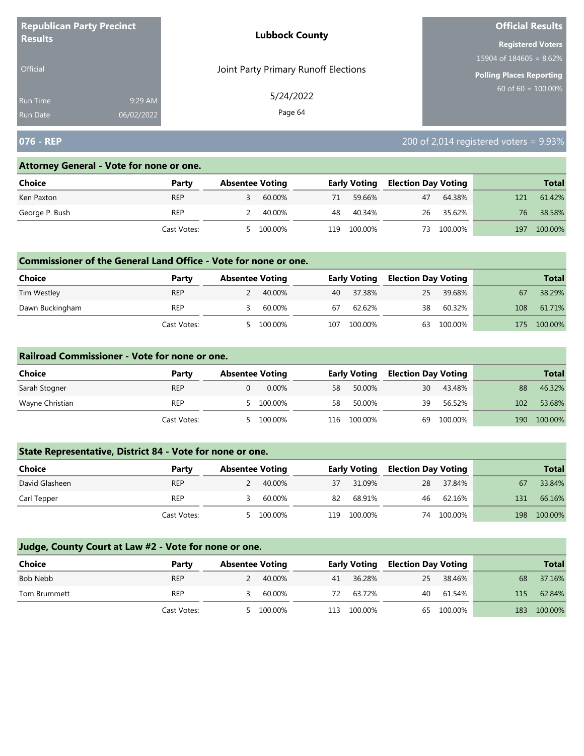| <b>Republican Party Precinct</b><br><b>Results</b> |            | <b>Lubbock County</b>                | <b>Official Results</b>         |  |  |
|----------------------------------------------------|------------|--------------------------------------|---------------------------------|--|--|
|                                                    |            |                                      | <b>Registered Voters</b>        |  |  |
|                                                    |            |                                      | 15904 of $184605 = 8.62\%$      |  |  |
| <b>Official</b>                                    |            | Joint Party Primary Runoff Elections | <b>Polling Places Reporting</b> |  |  |
| <b>Run Time</b>                                    | 9:29 AM    | 5/24/2022                            | $60$ of 60 = $100.00\%$         |  |  |
| <b>Run Date</b>                                    | 06/02/2022 | Page 64                              |                                 |  |  |

# **076 - REP** 200 of 2,014 registered voters = 9.93%

### **Attorney General - Vote for none or one.**

| Choice         | Party       |   | <b>Absentee Voting</b> |     | <b>Early Voting</b> | <b>Election Day Voting</b> |         |     | <b>Total</b> |
|----------------|-------------|---|------------------------|-----|---------------------|----------------------------|---------|-----|--------------|
| Ken Paxton     | <b>REP</b>  |   | 60.00%                 | 71  | 59.66%              | 47                         | 64.38%  | 121 | 61.42%       |
| George P. Bush | REP         |   | 40.00%                 | 48  | 40.34%              | 26                         | 35.62%  | 76  | 38.58%       |
|                | Cast Votes: | 5 | 100.00%                | 119 | 100.00%             | 73                         | 100.00% | 197 | 100.00%      |

## **Commissioner of the General Land Office - Vote for none or one.**

| Choice          | Party       | <b>Absentee Voting</b> |         |     | <b>Early Voting</b> | <b>Election Day Voting</b> |         |     | <b>Total</b> |
|-----------------|-------------|------------------------|---------|-----|---------------------|----------------------------|---------|-----|--------------|
| Tim Westley     | <b>REP</b>  |                        | 40.00%  |     | 40 37.38%           | 25                         | 39.68%  | 67  | 38.29%       |
| Dawn Buckingham | REP         |                        | 60.00%  | 67  | 62.62%              | 38                         | 60.32%  | 108 | 61.71%       |
|                 | Cast Votes: |                        | 100.00% | 107 | 100.00%             | 63                         | 100.00% | 175 | 100.00%      |

### **Railroad Commissioner - Vote for none or one.**

| Choice          | Party       | <b>Absentee Voting</b> |     | <b>Early Voting</b> | <b>Election Day Voting</b> |         |     | <b>Total</b> |
|-----------------|-------------|------------------------|-----|---------------------|----------------------------|---------|-----|--------------|
| Sarah Stogner   | <b>REP</b>  | $0.00\%$               | 58  | 50.00%              | 30                         | 43.48%  | 88  | 46.32%       |
| Wayne Christian | <b>REP</b>  | 100.00%                | 58  | 50.00%              | 39                         | 56.52%  | 102 | 53.68%       |
|                 | Cast Votes: | 100.00%                | 116 | 100.00%             | 69                         | 100.00% | 190 | 100.00%      |

# **State Representative, District 84 - Vote for none or one.**

| <b>Choice</b>  | Party       | <b>Absentee Voting</b> |         |     | <b>Early Voting</b> | <b>Election Day Voting</b> |         |     | <b>Total</b> |
|----------------|-------------|------------------------|---------|-----|---------------------|----------------------------|---------|-----|--------------|
| David Glasheen | <b>REP</b>  |                        | 40.00%  | 37  | 31.09%              | 28                         | 37.84%  | 67  | 33.84%       |
| Carl Tepper    | <b>REP</b>  |                        | 60.00%  | 82  | 68.91%              | 46                         | 62.16%  | 131 | 66.16%       |
|                | Cast Votes: |                        | 100.00% | 119 | 100.00%             | 74                         | 100.00% | 198 | 100.00%      |

| <b>Choice</b> | Party       | <b>Absentee Voting</b> |         |     | <b>Early Voting</b> | <b>Election Day Voting</b> |            |     | <b>Total</b> |
|---------------|-------------|------------------------|---------|-----|---------------------|----------------------------|------------|-----|--------------|
| Bob Nebb      | <b>REP</b>  | 2                      | 40.00%  | 41  | 36.28%              | 25                         | 38.46%     | 68  | 37.16%       |
| Tom Brummett  | <b>REP</b>  |                        | 60.00%  | 72  | 63.72%              | 40                         | 61.54%     | 115 | 62.84%       |
|               | Cast Votes: |                        | 100.00% | 113 | 100.00%             |                            | 65 100.00% | 183 | 100.00%      |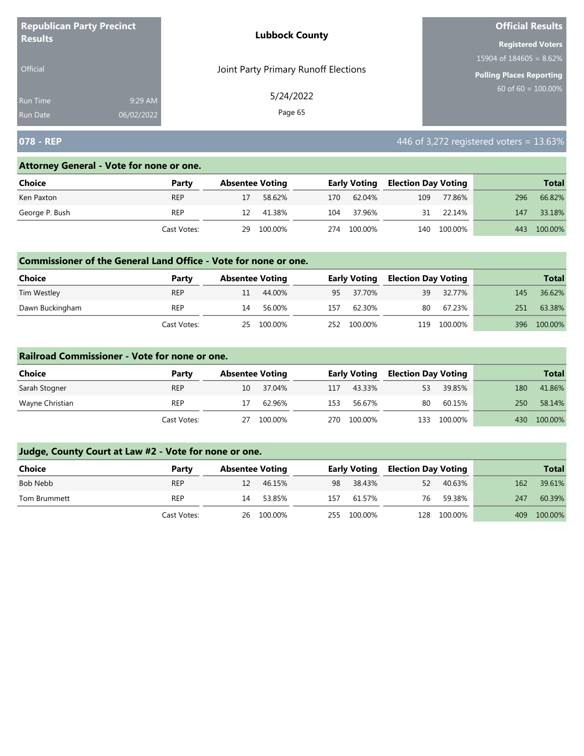| <b>Republican Party Precinct</b><br><b>Results</b> |            | <b>Lubbock County</b>                | <b>Official Results</b>    |  |  |  |  |
|----------------------------------------------------|------------|--------------------------------------|----------------------------|--|--|--|--|
|                                                    |            |                                      | <b>Registered Voters</b>   |  |  |  |  |
|                                                    |            |                                      | 15904 of $184605 = 8.62\%$ |  |  |  |  |
| <b>Official</b>                                    |            | Joint Party Primary Runoff Elections | Polling Places Reporting   |  |  |  |  |
| <b>Run Time</b>                                    | 9:29 AM    | 5/24/2022                            | 60 of $60 = 100.00\%$      |  |  |  |  |
| <b>Run Date</b>                                    | 06/02/2022 | Page 65                              |                            |  |  |  |  |

# **078 - REP 13.63%**

### **Attorney General - Vote for none or one.**

| Choice         | Party       | <b>Absentee Voting</b> |         |     | Early Voting | <b>Election Day Voting</b> |         |     | <b>Total</b> |
|----------------|-------------|------------------------|---------|-----|--------------|----------------------------|---------|-----|--------------|
| Ken Paxton     | <b>REP</b>  |                        | 58.62%  | 170 | 62.04%       | 109                        | 77.86%  | 296 | 66.82%       |
| George P. Bush | <b>REP</b>  | 12                     | 41.38%  | 104 | 37.96%       | 31                         | 22.14%  | 147 | 33.18%       |
|                | Cast Votes: | 29                     | 100.00% | 274 | 100.00%      | 140                        | 100.00% | 443 | 100.00%      |

### **Commissioner of the General Land Office - Vote for none or one.**

| Choice          | Party       | <b>Absentee Voting</b> |         |     | <b>Early Voting</b> | <b>Election Day Voting</b> |         |     | <b>Total</b> |
|-----------------|-------------|------------------------|---------|-----|---------------------|----------------------------|---------|-----|--------------|
| Tim Westley     | <b>REP</b>  | 11                     | 44.00%  |     | 95 37.70%           | 39                         | 32.77%  | 145 | 36.62%       |
| Dawn Buckingham | REP         | 14                     | 56.00%  | 157 | 62.30%              | 80                         | 67.23%  | 251 | 63.38%       |
|                 | Cast Votes: | 25                     | 100.00% | 252 | 100.00%             | 119                        | 100.00% | 396 | 100.00%      |

### **Railroad Commissioner - Vote for none or one.**

| Choice          | Party       | <b>Absentee Voting</b> |         |      | <b>Early Voting</b> |     | <b>Election Day Voting</b> |     | <b>Total</b> |
|-----------------|-------------|------------------------|---------|------|---------------------|-----|----------------------------|-----|--------------|
| Sarah Stogner   | <b>REP</b>  | 10                     | 37.04%  | 117  | 43.33%              | 53  | 39.85%                     | 180 | 41.86%       |
| Wayne Christian | REP         |                        | 62.96%  | 153  | 56.67%              | 80  | 60.15%                     | 250 | 58.14%       |
|                 | Cast Votes: | 27                     | 100.00% | 270. | 100.00%             | 133 | 100.00%                    | 430 | 100.00%      |

| <b>Choice</b> | Party       | <b>Absentee Voting</b> |            |     | <b>Early Voting</b> | Election Day Voting |             |     | <b>Total</b> |
|---------------|-------------|------------------------|------------|-----|---------------------|---------------------|-------------|-----|--------------|
| Bob Nebb      | <b>REP</b>  | 12                     | 46.15%     | 98  | 38.43%              | 52                  | 40.63%      | 162 | 39.61%       |
| Tom Brummett  | <b>REP</b>  | 14                     | 53.85%     | 157 | 61.57%              | 76                  | 59.38%      | 247 | 60.39%       |
|               | Cast Votes: |                        | 26 100.00% |     | 255 100.00%         |                     | 128 100.00% | 409 | 100.00%      |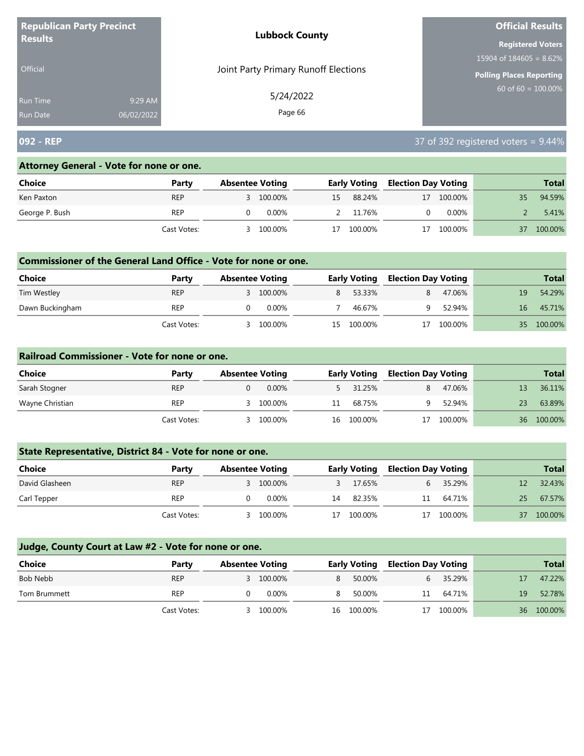| <b>Republican Party Precinct</b><br><b>Results</b> |            | <b>Lubbock County</b>                | <b>Official Results</b>         |
|----------------------------------------------------|------------|--------------------------------------|---------------------------------|
|                                                    |            |                                      | <b>Registered Voters</b>        |
|                                                    |            |                                      | 15904 of $184605 = 8.62\%$      |
| <b>Official</b>                                    |            | Joint Party Primary Runoff Elections | <b>Polling Places Reporting</b> |
| <b>Run Time</b>                                    | 9:29 AM    | 5/24/2022                            | $60$ of 60 = 100.00%            |
| <b>Run Date</b>                                    | 06/02/2022 | Page 66                              |                                 |

# **092 - REP** 37 of 392 registered voters = 9.44%

### **Attorney General - Vote for none or one.**

| <b>Choice</b>  | Party       | <b>Absentee Voting</b> |           |    | <b>Early Voting</b> | <b>Election Day Voting</b> |            |    | <b>Total</b> |
|----------------|-------------|------------------------|-----------|----|---------------------|----------------------------|------------|----|--------------|
| Ken Paxton     | <b>REP</b>  |                        | 3 100.00% | 15 | 88.24%              |                            | 17 100.00% | 35 | 94.59%       |
| George P. Bush | REP         |                        | 0.00%     |    | 2 11.76%            |                            | $0.00\%$   |    | 5.41%        |
|                | Cast Votes: |                        | 100.00%   | 17 | 100.00%             | 17                         | 100.00%    | 37 | 100.00%      |

## **Commissioner of the General Land Office - Vote for none or one.**

| <b>Choice</b>   | Party       | <b>Absentee Voting</b> |           |    | <b>Early Voting</b> | <b>Election Day Voting</b> |         |     | <b>Total</b> |
|-----------------|-------------|------------------------|-----------|----|---------------------|----------------------------|---------|-----|--------------|
| Tim Westley     | REP         |                        | 3 100.00% |    | 53.33%              |                            | 47.06%  | 19  | 54.29%       |
| Dawn Buckingham | <b>REP</b>  |                        | 0.00%     |    | 46.67%              |                            | 52.94%  | 16  | 45.71%       |
|                 | Cast Votes: |                        | 100.00%   | 15 | 100.00%             |                            | 100.00% | 35. | 100.00%      |

#### **Railroad Commissioner - Vote for none or one.**

| Choice          | Party       | <b>Absentee Voting</b> |          |    | <b>Early Voting</b> |    | <b>Election Day Voting</b> |    | <b>Total</b> |
|-----------------|-------------|------------------------|----------|----|---------------------|----|----------------------------|----|--------------|
| Sarah Stogner   | <b>REP</b>  |                        | $0.00\%$ |    | 5 31.25%            |    | 47.06%                     |    | 36.11%       |
| Wayne Christian | <b>REP</b>  |                        | 100.00%  | 11 | 68.75%              |    | 52.94%                     | 23 | 63.89%       |
|                 | Cast Votes: |                        | 100.00%  |    | 16 100.00%          | 17 | 100.00%                    |    | 36 100.00%   |

# **State Representative, District 84 - Vote for none or one.**

| Choice         | Party       | <b>Absentee Voting</b> |           |    | <b>Early Voting</b> |  | <b>Election Day Voting</b> |    | <b>Total</b> |
|----------------|-------------|------------------------|-----------|----|---------------------|--|----------------------------|----|--------------|
| David Glasheen | <b>REP</b>  |                        | 3 100.00% |    | 17.65%              |  | 35.29%                     |    | 32.43%       |
| Carl Tepper    | <b>REP</b>  |                        | 0.00%     | 14 | 82.35%              |  | 11 64.71%                  | 25 | 67.57%       |
|                | Cast Votes: |                        | 100.00%   | 17 | 100.00%             |  | 17 100.00%                 | 37 | 100.00%      |

| <b>Choice</b> | Party       | <b>Absentee Voting</b> |           |    | <b>Early Voting</b> | <b>Election Day Voting</b> |         |    | <b>Total</b> |
|---------------|-------------|------------------------|-----------|----|---------------------|----------------------------|---------|----|--------------|
| Bob Nebb      | <b>REP</b>  |                        | 3 100.00% | 8. | 50.00%              | 6                          | 35.29%  |    | 47.22%       |
| Tom Brummett  | <b>REP</b>  |                        | 0.00%     | 8. | 50.00%              | 11                         | 64.71%  | 19 | 52.78%       |
|               | Cast Votes: |                        | 100.00%   | 16 | 100.00%             | 17                         | 100.00% | 36 | 100.00%      |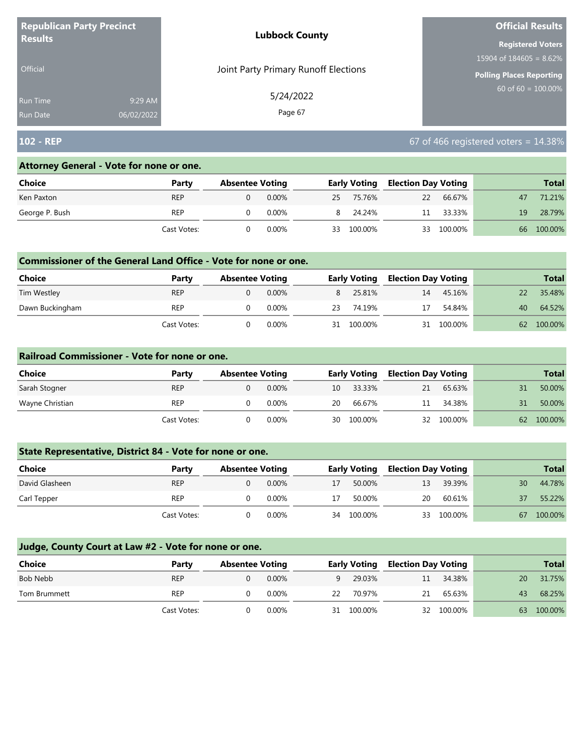| <b>Republican Party Precinct</b><br><b>Results</b> |            | <b>Lubbock County</b>                | <b>Official Results</b>    |
|----------------------------------------------------|------------|--------------------------------------|----------------------------|
|                                                    |            |                                      | <b>Registered Voters</b>   |
|                                                    |            |                                      | 15904 of $184605 = 8.62\%$ |
| <b>Official</b>                                    |            | Joint Party Primary Runoff Elections | Polling Places Reporting   |
| Run Time                                           | 9:29 AM    | 5/24/2022                            | $60$ of 60 = 100.00%       |
| <b>Run Date</b>                                    | 06/02/2022 | Page 67                              |                            |

# **102 - REP** 67 of 466 registered voters = 14.38%

### **Attorney General - Vote for none or one.**

| Choice         | Party       | <b>Absentee Voting</b> |          |    | <b>Early Voting</b> | <b>Election Day Voting</b> |         |    | <b>Total</b> |
|----------------|-------------|------------------------|----------|----|---------------------|----------------------------|---------|----|--------------|
| Ken Paxton     | <b>REP</b>  |                        | $0.00\%$ |    | 25 75.76%           | <sup>22</sup>              | 66.67%  | 47 | 71.21%       |
| George P. Bush | <b>REP</b>  |                        | 0.00%    |    | 8 24.24%            | 11                         | 33.33%  | 19 | 28.79%       |
|                | Cast Votes: |                        | 0.00%    | 33 | 100.00%             | 33                         | 100.00% | 66 | 100.00%      |

### **Commissioner of the General Land Office - Vote for none or one.**

| <b>Choice</b>   | Party       | <b>Absentee Voting</b> |          |    | <b>Early Voting</b> | <b>Election Day Voting</b> |         |    | <b>Total</b> |
|-----------------|-------------|------------------------|----------|----|---------------------|----------------------------|---------|----|--------------|
| Tim Westley     | <b>REP</b>  |                        | $0.00\%$ |    | 25.81%              | 14                         | 45.16%  |    | 35.48%       |
| Dawn Buckingham | <b>REP</b>  |                        | $0.00\%$ | 23 | 74.19%              | 17                         | 54.84%  | 40 | 64.52%       |
|                 | Cast Votes: |                        | 0.00%    | 31 | 100.00%             | 31                         | 100.00% | 62 | 100.00%      |

#### **Railroad Commissioner - Vote for none or one.**

| <b>Choice</b>   | Party       | <b>Absentee Voting</b> |          |    | <b>Early Voting</b> | <b>Election Day Voting</b> |            |    | <b>Total</b> |
|-----------------|-------------|------------------------|----------|----|---------------------|----------------------------|------------|----|--------------|
| Sarah Stogner   | <b>REP</b>  |                        | $0.00\%$ | 10 | 33.33%              | 21                         | 65.63%     | 31 | 50.00%       |
| Wayne Christian | REP         |                        | $0.00\%$ | 20 | 66.67%              | 11                         | 34.38%     | 31 | 50.00%       |
|                 | Cast Votes: |                        | 0.00%    | 30 | 100.00%             |                            | 32 100.00% | 62 | 100.00%      |

## **State Representative, District 84 - Vote for none or one.**

| <b>Choice</b>  | Party       | <b>Absentee Voting</b> |          |    | <b>Early Voting</b> | <b>Election Day Voting</b> |         |    | <b>Total</b> |
|----------------|-------------|------------------------|----------|----|---------------------|----------------------------|---------|----|--------------|
| David Glasheen | <b>REP</b>  |                        | 0.00%    |    | 50.00%              | 13                         | 39.39%  | 30 | 44.78%       |
| Carl Tepper    | <b>REP</b>  |                        | $0.00\%$ |    | 50.00%              | 20                         | 60.61%  |    | 55.22%       |
|                | Cast Votes: |                        | $0.00\%$ | 34 | 100.00%             | 33                         | 100.00% | 67 | 100.00%      |

| <b>Choice</b> | Party       | <b>Absentee Voting</b> |          |    | <b>Early Voting</b> | <b>Election Day Voting</b> |            |    | <b>Total</b> |
|---------------|-------------|------------------------|----------|----|---------------------|----------------------------|------------|----|--------------|
| Bob Nebb      | <b>REP</b>  |                        | $0.00\%$ | a  | 29.03%              | 11                         | 34.38%     | 20 | 31.75%       |
| Tom Brummett  | <b>REP</b>  |                        | 0.00%    | 22 | 70.97%              | 21                         | 65.63%     | 43 | 68.25%       |
|               | Cast Votes: |                        | $0.00\%$ | 31 | 100.00%             |                            | 32 100.00% | 63 | 100.00%      |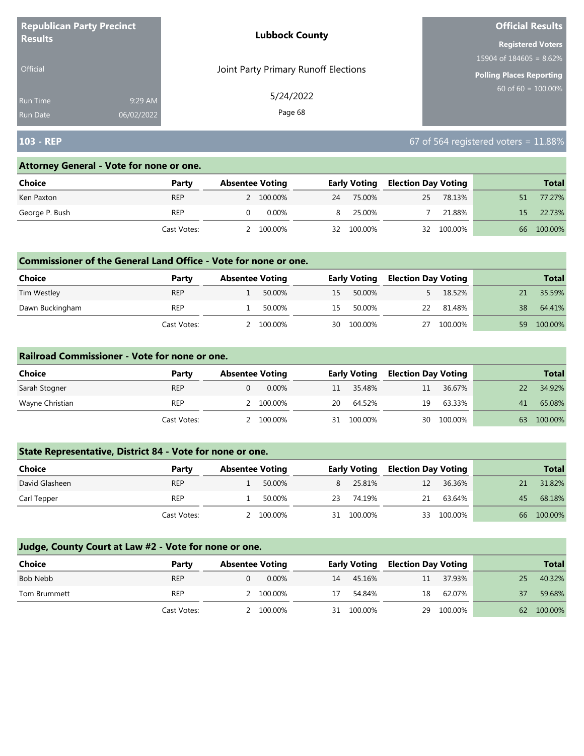| <b>Republican Party Precinct</b><br><b>Results</b> |            | <b>Lubbock County</b>                | <b>Official Results</b>    |  |  |
|----------------------------------------------------|------------|--------------------------------------|----------------------------|--|--|
|                                                    |            |                                      | <b>Registered Voters</b>   |  |  |
|                                                    |            |                                      | 15904 of $184605 = 8.62\%$ |  |  |
| <b>Official</b>                                    |            | Joint Party Primary Runoff Elections | Polling Places Reporting   |  |  |
| <b>Run Time</b>                                    | 9:29 AM    | 5/24/2022                            | $60$ of 60 = 100.00%       |  |  |
| <b>Run Date</b>                                    | 06/02/2022 | Page 68                              |                            |  |  |

# **103 - REP** 67 of 564 registered voters = 11.88%

#### **Attorney General - Vote for none or one.**

| Choice         | Party       | <b>Absentee Voting</b> |           |    | <b>Early Voting</b> | <b>Election Day Voting</b> |         |    | <b>Total</b> |
|----------------|-------------|------------------------|-----------|----|---------------------|----------------------------|---------|----|--------------|
| Ken Paxton     | <b>REP</b>  |                        | 2 100.00% | 24 | 75.00%              | 25                         | 78.13%  |    | 77.27%       |
| George P. Bush | REP         |                        | 0.00%     |    | 25.00%              |                            | 21.88%  | 15 | 22.73%       |
|                | Cast Votes: |                        | 100.00%   | 32 | 100.00%             | 32                         | 100.00% | 66 | 100.00%      |

## **Commissioner of the General Land Office - Vote for none or one.**

| <b>Choice</b>   | Party       | <b>Absentee Voting</b> |         |    | <b>Early Voting</b> | <b>Election Day Voting</b> |         |     | <b>Total</b> |
|-----------------|-------------|------------------------|---------|----|---------------------|----------------------------|---------|-----|--------------|
| Tim Westley     | <b>REP</b>  |                        | 50.00%  | 15 | 50.00%              |                            | 18.52%  |     | 35.59%       |
| Dawn Buckingham | <b>REP</b>  |                        | 50.00%  | 15 | 50.00%              | 22                         | 81.48%  | 38. | 64.41%       |
|                 | Cast Votes: |                        | 100.00% | 30 | 100.00%             | 27                         | 100.00% | 59  | 100.00%      |

### **Railroad Commissioner - Vote for none or one.**

| Choice          | Party       | <b>Absentee Voting</b> | <b>Early Voting</b> |         | <b>Election Day Voting</b> |         |    | <b>Total</b> |
|-----------------|-------------|------------------------|---------------------|---------|----------------------------|---------|----|--------------|
| Sarah Stogner   | <b>REP</b>  | $0.00\%$               | 11                  | 35.48%  | 11                         | 36.67%  |    | 34.92%       |
| Wayne Christian | <b>REP</b>  | 100.00%                | 20                  | 64.52%  | 19                         | 63.33%  | 41 | 65.08%       |
|                 | Cast Votes: | 100.00%                | 31                  | 100.00% | 30                         | 100.00% | 63 | 100.00%      |

# **State Representative, District 84 - Vote for none or one.**

| Choice         | Party       | <b>Absentee Voting</b> |         |    | <b>Early Voting</b> | <b>Election Day Voting</b> |         |    | <b>Total</b> |
|----------------|-------------|------------------------|---------|----|---------------------|----------------------------|---------|----|--------------|
| David Glasheen | <b>REP</b>  |                        | 50.00%  |    | 25.81%              | 12                         | 36.36%  |    | 31.82%       |
| Carl Tepper    | <b>REP</b>  |                        | 50.00%  | 23 | 74.19%              | 21                         | 63.64%  | 45 | 68.18%       |
|                | Cast Votes: |                        | 100.00% | 31 | 100.00%             | 33                         | 100.00% | 66 | 100.00%      |

| <b>Choice</b> | Party       | <b>Absentee Voting</b> |           |    | <b>Early Voting</b> |    | <b>Election Day Voting</b> |    | <b>Total</b> |
|---------------|-------------|------------------------|-----------|----|---------------------|----|----------------------------|----|--------------|
| Bob Nebb      | <b>REP</b>  |                        | $0.00\%$  | 14 | 45.16%              | 11 | 37.93%                     | 25 | 40.32%       |
| Tom Brummett  | <b>REP</b>  |                        | 2 100.00% | 17 | 54.84%              | 18 | 62.07%                     | 37 | 59.68%       |
|               | Cast Votes: |                        | 2 100,00% | 31 | 100.00%             |    | 29 100.00%                 |    | 62 100.00%   |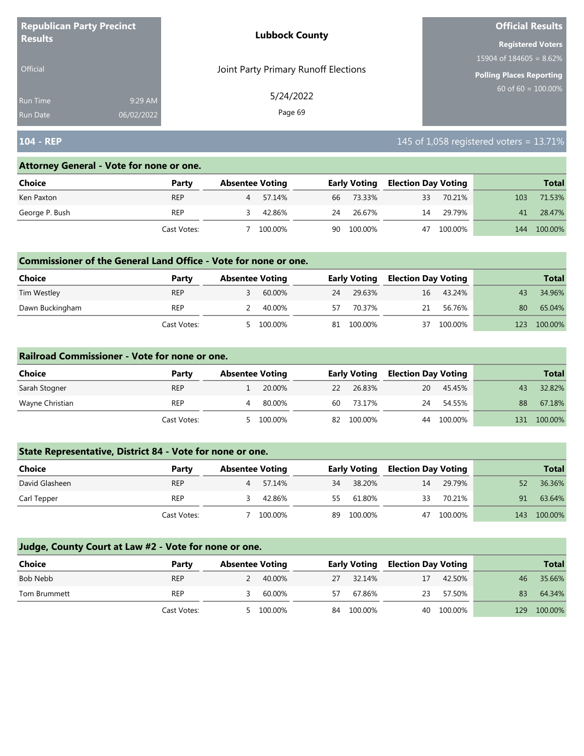| <b>Republican Party Precinct</b> |            | <b>Lubbock County</b>                | <b>Official Results</b>    |  |  |
|----------------------------------|------------|--------------------------------------|----------------------------|--|--|
| <b>Results</b>                   |            |                                      | <b>Registered Voters</b>   |  |  |
|                                  |            |                                      | 15904 of $184605 = 8.62\%$ |  |  |
| <b>Official</b>                  |            | Joint Party Primary Runoff Elections | Polling Places Reporting   |  |  |
| <b>Run Time</b>                  | 9:29 AM    | 5/24/2022                            | 60 of $60 = 100.00\%$      |  |  |
| <b>Run Date</b>                  | 06/02/2022 | Page 69                              |                            |  |  |

# **104 - REP 104 - REP 104 - REP 115 of 1,058 registered voters = 13.71%**

#### **Attorney General - Vote for none or one.**

| Choice         | Party       | <b>Absentee Voting</b> |         |    | <b>Early Voting</b> |    | <b>Election Day Voting</b> | <b>Total</b> |         |
|----------------|-------------|------------------------|---------|----|---------------------|----|----------------------------|--------------|---------|
| Ken Paxton     | <b>REP</b>  |                        | 57.14%  | 66 | 73.33%              | 33 | 70.21%                     | 103          | 71.53%  |
| George P. Bush | REP         |                        | 42.86%  | 24 | 26.67%              | 14 | 29.79%                     | 41           | 28.47%  |
|                | Cast Votes: |                        | 100.00% | 90 | 100.00%             | 47 | 100.00%                    | 144          | 100.00% |

### **Commissioner of the General Land Office - Vote for none or one.**

| <b>Choice</b>   | Party       | <b>Absentee Voting</b> |         |    | <b>Early Voting</b> | Election Day Voting |         |     | <b>Total</b> |
|-----------------|-------------|------------------------|---------|----|---------------------|---------------------|---------|-----|--------------|
| Tim Westley     | <b>REP</b>  |                        | 60.00%  | 24 | 29.63%              | 16                  | 43.24%  | 43  | 34.96%       |
| Dawn Buckingham | <b>REP</b>  |                        | 40.00%  | 57 | 70.37%              | 21                  | 56.76%  | 80  | 65.04%       |
|                 | Cast Votes: |                        | 100.00% | 81 | 100.00%             | 37                  | 100.00% | 123 | 100.00%      |

### **Railroad Commissioner - Vote for none or one.**

| Choice          | Party       | <b>Absentee Voting</b> |         | <b>Early Voting</b> |         | <b>Election Day Voting</b> |         |     | <b>Total</b> |
|-----------------|-------------|------------------------|---------|---------------------|---------|----------------------------|---------|-----|--------------|
| Sarah Stogner   | <b>REP</b>  |                        | 20.00%  | 22                  | 26.83%  | 20                         | 45.45%  | 43  | 32.82%       |
| Wayne Christian | REP         |                        | 80.00%  | 60                  | 73.17%  | 24                         | 54.55%  | 88  | 67.18%       |
|                 | Cast Votes: |                        | 100.00% | 82                  | 100.00% | 44                         | 100.00% | 131 | 100.00%      |

# **State Representative, District 84 - Vote for none or one.**

| Choice         | Party       | <b>Absentee Voting</b> |     | <b>Early Voting</b> |    | <b>Election Day Voting</b> |     | <b>Total</b> |
|----------------|-------------|------------------------|-----|---------------------|----|----------------------------|-----|--------------|
| David Glasheen | <b>REP</b>  | 57.14%<br>4            | 34  | 38.20%              | 14 | 29.79%                     | 52  | 36.36%       |
| Carl Tepper    | <b>REP</b>  | 42.86%                 | 55. | 61.80%              | 33 | 70.21%                     | 91  | 63.64%       |
|                | Cast Votes: | 100.00%                | 89  | 100.00%             |    | 47 100.00%                 | 143 | 100.00%      |

| <b>Choice</b> | Party       | <b>Absentee Voting</b> |           | <b>Election Day Voting</b><br>Early Voting |         |    | <b>Total</b> |     |         |
|---------------|-------------|------------------------|-----------|--------------------------------------------|---------|----|--------------|-----|---------|
| Bob Nebb      | <b>REP</b>  |                        | 2 40.00%  | 27                                         | 32.14%  | 17 | 42.50%       | 46  | 35.66%  |
| Tom Brummett  | <b>REP</b>  |                        | 60.00%    | 57                                         | 67.86%  | 23 | 57.50%       | 83  | 64.34%  |
|               | Cast Votes: |                        | 5 100.00% | 84                                         | 100.00% |    | 40 100.00%   | 129 | 100.00% |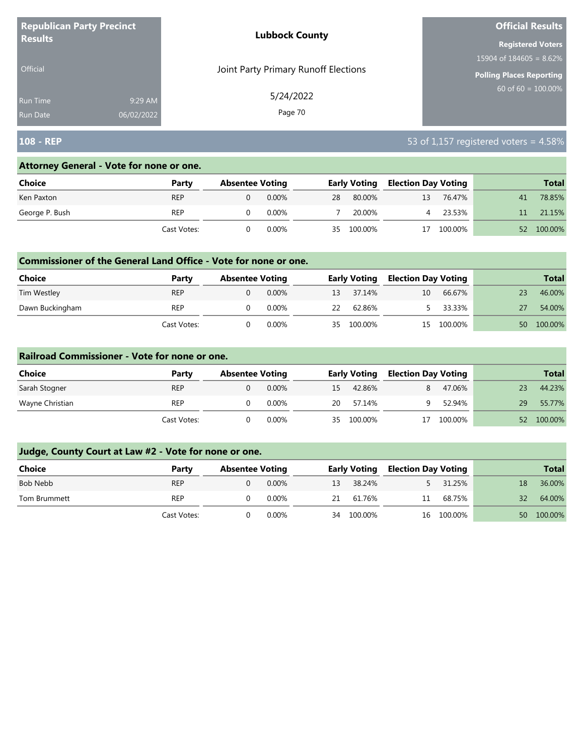| <b>Republican Party Precinct</b><br><b>Results</b> |            | <b>Lubbock County</b>                | <b>Official Results</b>         |  |  |
|----------------------------------------------------|------------|--------------------------------------|---------------------------------|--|--|
|                                                    |            |                                      | <b>Registered Voters</b>        |  |  |
|                                                    |            |                                      | 15904 of $184605 = 8.62\%$      |  |  |
| <b>Official</b>                                    |            | Joint Party Primary Runoff Elections | <b>Polling Places Reporting</b> |  |  |
| <b>Run Time</b>                                    | 9:29 AM    | 5/24/2022                            | 60 of 60 = $100.00\%$           |  |  |
| <b>Run Date</b>                                    | 06/02/2022 | Page 70                              |                                 |  |  |

# **108 - REP** 53 of 1,157 registered voters = 4.58%

## **Attorney General - Vote for none or one.**

| Choice         | Party       | <b>Absentee Voting</b> |          |    | <b>Early Voting</b> |    | <b>Election Day Voting</b> |    | <b>Total</b> |
|----------------|-------------|------------------------|----------|----|---------------------|----|----------------------------|----|--------------|
| Ken Paxton     | <b>REP</b>  |                        | $0.00\%$ | 28 | 80.00%              | 13 | 76.47%                     | 41 | 78.85%       |
| George P. Bush | <b>REP</b>  |                        | 0.00%    |    | 20.00%              |    | 23.53%                     |    | 21.15%       |
|                | Cast Votes: |                        | 0.00%    | 35 | 100.00%             | 17 | 100.00%                    | 52 | 100.00%      |

### **Commissioner of the General Land Office - Vote for none or one.**

| Choice          | Party       | <b>Absentee Voting</b> |          |    | <b>Early Voting</b> | Election Day Voting |         |    | <b>Total</b> |
|-----------------|-------------|------------------------|----------|----|---------------------|---------------------|---------|----|--------------|
| Tim Westley     | <b>REP</b>  |                        | $0.00\%$ |    | 13 37.14%           | 10                  | 66.67%  |    | 46.00%       |
| Dawn Buckingham | <b>REP</b>  |                        | 0.00%    | 22 | 62.86%              |                     | 33.33%  |    | 54.00%       |
|                 | Cast Votes: |                        | 0.00%    | 35 | 100.00%             | 15                  | 100.00% | 50 | 100.00%      |

### **Railroad Commissioner - Vote for none or one.**

| Choice<br>Party |             |                        |          |    |                     |                            |         |    |              |
|-----------------|-------------|------------------------|----------|----|---------------------|----------------------------|---------|----|--------------|
|                 |             | <b>Absentee Voting</b> |          |    | <b>Early Voting</b> | <b>Election Day Voting</b> |         |    | <b>Total</b> |
| Sarah Stogner   | <b>REP</b>  |                        | $0.00\%$ | 15 | 42.86%              |                            | 47.06%  |    | 44.23%       |
| Wayne Christian | <b>REP</b>  |                        | 0.00%    | 20 | 57.14%              |                            | 52.94%  | 29 | 55.77%       |
|                 | Cast Votes: |                        | $0.00\%$ | 35 | 100.00%             |                            | 100.00% | 52 | 100.00%      |

| <b>Choice</b> | Party       | <b>Absentee Voting</b> |          |    | <b>Early Voting</b> |    | <b>Election Day Voting</b> |      | <b>Total</b> |
|---------------|-------------|------------------------|----------|----|---------------------|----|----------------------------|------|--------------|
| Bob Nebb      | <b>REP</b>  |                        | 0.00%    | 13 | 38.24%              |    | 31.25%                     | 18   | 36.00%       |
| Tom Brummett  | REP         |                        | $0.00\%$ | 21 | 61.76%              | 11 | 68.75%                     | 32   | 64.00%       |
|               | Cast Votes: |                        | $0.00\%$ | 34 | 100.00%             |    | 16 100.00%                 | 50 L | 100.00%      |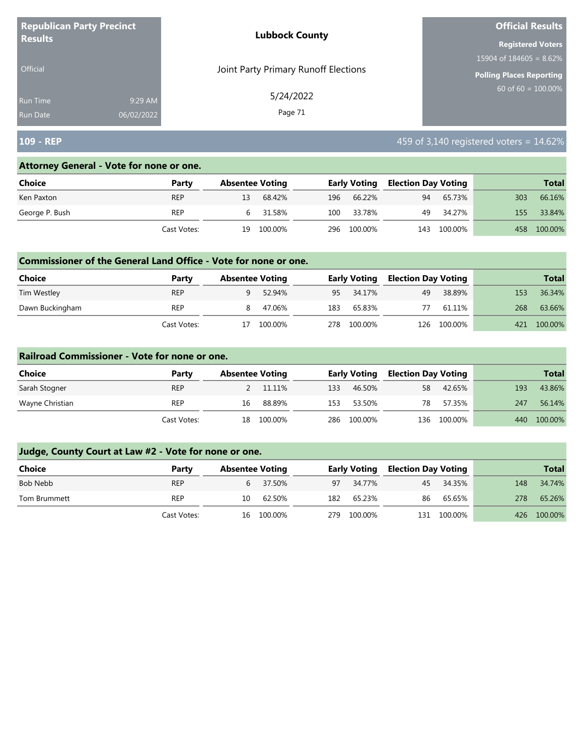| <b>Republican Party Precinct</b> |            | <b>Lubbock County</b>                | <b>Official Results</b>         |
|----------------------------------|------------|--------------------------------------|---------------------------------|
| <b>Results</b>                   |            |                                      | <b>Registered Voters</b>        |
|                                  |            |                                      | 15904 of $184605 = 8.62\%$      |
| <b>Official</b>                  |            | Joint Party Primary Runoff Elections | <b>Polling Places Reporting</b> |
| <b>Run Time</b>                  | 9:29 AM    | 5/24/2022                            | 60 of $60 = 100.00\%$           |
| <b>Run Date</b>                  | 06/02/2022 | Page 71                              |                                 |

# **109 - REP 109 - REP 109 - REP 109 - And 2010 109 - And 2010 109 - And 2010 109 - REP 14.62%**

### **Attorney General - Vote for none or one.**

| Choice         | Party       | <b>Absentee Voting</b> |          |     | <b>Early Voting</b> |     | <b>Election Day Voting</b> |     | <b>Total</b> |
|----------------|-------------|------------------------|----------|-----|---------------------|-----|----------------------------|-----|--------------|
| Ken Paxton     | <b>REP</b>  | 13                     | 68.42%   | 196 | 66.22%              | 94  | 65.73%                     | 303 | 66.16%       |
| George P. Bush | <b>REP</b>  |                        | 6 31.58% | 100 | 33.78%              | 49  | 34.27%                     | 155 | 33.84%       |
|                | Cast Votes: | 19                     | 100.00%  | 296 | 100.00%             | 143 | 100.00%                    | 458 | 100.00%      |

### **Commissioner of the General Land Office - Vote for none or one.**

| <b>Choice</b>   | Party       |    | <b>Absentee Voting</b> |      | Early Voting | <b>Election Day Voting</b> |             |     | <b>Total</b> |
|-----------------|-------------|----|------------------------|------|--------------|----------------------------|-------------|-----|--------------|
| Tim Westley     | <b>REP</b>  | a  | 52.94%                 |      | 95 34.17%    | 49                         | 38.89%      | 153 | 36.34%       |
| Dawn Buckingham | REP         | 8. | 47.06%                 | 183  | 65.83%       |                            | 61.11%      | 268 | 63.66%       |
|                 | Cast Votes: |    | 100.00%                | 278. | 100.00%      |                            | 126 100.00% | 421 | 100.00%      |

#### **Railroad Commissioner - Vote for none or one.**

| Choice          | Party       | <b>Absentee Voting</b> |         |      | <b>Early Voting</b> |    | <b>Election Day Voting</b> |     | <b>Total</b> |
|-----------------|-------------|------------------------|---------|------|---------------------|----|----------------------------|-----|--------------|
| Sarah Stogner   | <b>REP</b>  |                        | 11.11%  | 133  | 46.50%              | 58 | 42.65%                     | 193 | 43.86%       |
| Wayne Christian | REP         | 16                     | 88.89%  | 153. | 53.50%              | 78 | 57.35%                     | 247 | 56.14%       |
|                 | Cast Votes: | 18                     | 100.00% | 286  | 100.00%             |    | 136 100.00%                | 440 | 100.00%      |

| Choice       | Party       |    | <b>Absentee Voting</b> |     | <b>Early Voting</b> | Election Day Voting |           |     | <b>Total</b> |
|--------------|-------------|----|------------------------|-----|---------------------|---------------------|-----------|-----|--------------|
| Bob Nebb     | <b>REP</b>  |    | 6 37.50%               | 97  | 34.77%              |                     | 45 34.35% | 148 | 34.74%       |
| Tom Brummett | REP         | 10 | 62.50%                 | 182 | 65.23%              | 86                  | 65.65%    | 278 | 65.26%       |
|              | Cast Votes: | 16 | 100.00%                | 279 | 100.00%             | 131                 | 100.00%   |     | 426 100.00%  |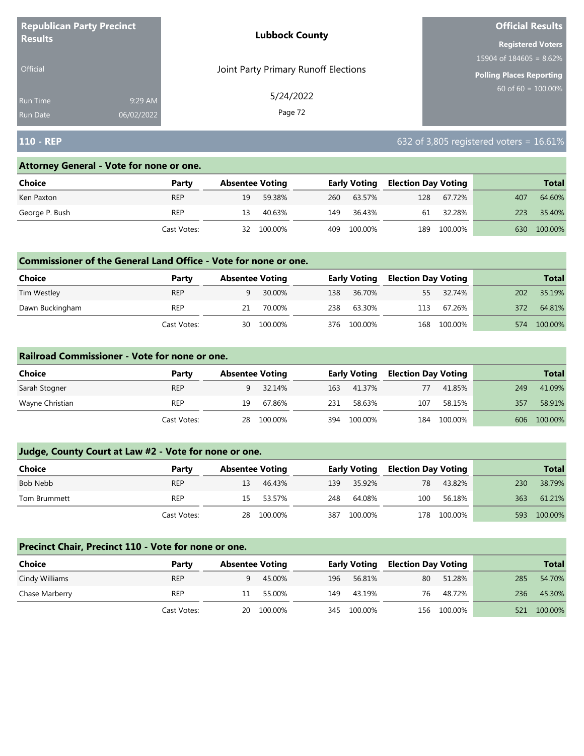| <b>Republican Party Precinct</b><br><b>Results</b> |            | <b>Lubbock County</b>                | <b>Official Results</b>         |
|----------------------------------------------------|------------|--------------------------------------|---------------------------------|
|                                                    |            |                                      | <b>Registered Voters</b>        |
|                                                    |            |                                      | 15904 of $184605 = 8.62\%$      |
| <b>Official</b>                                    |            | Joint Party Primary Runoff Elections | <b>Polling Places Reporting</b> |
| <b>Run Time</b>                                    | 9:29 AM    | 5/24/2022                            | $60$ of 60 = $100.00\%$         |
| <b>Run Date</b>                                    | 06/02/2022 | Page 72                              |                                 |

# **110 - REP** 632 of 3,805 registered voters = 16.61%

### **Attorney General - Vote for none or one.**

| Choice         | Party       | <b>Absentee Voting</b> |         |     | <b>Early Voting</b> | <b>Election Day Voting</b> |         |     | <b>Total</b> |
|----------------|-------------|------------------------|---------|-----|---------------------|----------------------------|---------|-----|--------------|
| Ken Paxton     | <b>REP</b>  | 19                     | 59.38%  | 260 | 63.57%              | 128                        | 67.72%  | 407 | 64.60%       |
| George P. Bush | <b>REP</b>  | 13                     | 40.63%  | 149 | 36.43%              | 61                         | 32.28%  | 223 | 35.40%       |
|                | Cast Votes: | 32                     | 100.00% | 409 | 100.00%             | 189                        | 100.00% | 630 | 100.00%      |

## **Commissioner of the General Land Office - Vote for none or one.**

| Choice          | Party       | <b>Absentee Voting</b> |         |      | <b>Early Voting</b> | <b>Election Day Voting</b> |             |     | <b>Total</b> |
|-----------------|-------------|------------------------|---------|------|---------------------|----------------------------|-------------|-----|--------------|
| Tim Westley     | <b>REP</b>  |                        | 30.00%  |      | 138 36.70%          | 55                         | 32.74%      | 202 | 35.19%       |
| Dawn Buckingham | REP         |                        | 70.00%  | 238. | 63.30%              | 113                        | 67.26%      | 372 | 64.81%       |
|                 | Cast Votes: | 30                     | 100.00% |      | 376 100.00%         |                            | 168 100.00% | 574 | 100.00%      |

### **Railroad Commissioner - Vote for none or one.**

| Choice          | Party       | <b>Absentee Voting</b> |            |     | <b>Early Voting</b> |     | <b>Election Day Voting</b> |     | <b>Total</b> |
|-----------------|-------------|------------------------|------------|-----|---------------------|-----|----------------------------|-----|--------------|
| Sarah Stogner   | <b>REP</b>  |                        | 32.14%     | 163 | 41.37%              | 77  | 41.85%                     | 249 | 41.09%       |
| Wayne Christian | <b>REP</b>  | 19                     | 67.86%     | 231 | 58.63%              | 107 | 58.15%                     | 357 | 58.91%       |
|                 | Cast Votes: |                        | 28 100.00% | 394 | 100.00%             | 184 | 100.00%                    |     | 606 100.00%  |

# **Judge, County Court at Law #2 - Vote for none or one.**

| Choice       | Party       | <b>Absentee Voting</b> |            |     | <b>Early Voting</b> | <b>Election Day Voting</b> |             |     | <b>Total</b> |
|--------------|-------------|------------------------|------------|-----|---------------------|----------------------------|-------------|-----|--------------|
| Bob Nebb     | <b>REP</b>  | 13                     | 46.43%     | 139 | 35.92%              | 78                         | 43.82%      | 230 | 38.79%       |
| Tom Brummett | REP         | 15.                    | 53.57%     | 248 | 64.08%              | 100                        | 56.18%      | 363 | 61.21%       |
|              | Cast Votes: |                        | 28 100.00% | 387 | 100.00%             |                            | 178 100.00% | 593 | 100.00%      |

#### **Precinct Chair, Precinct 110 - Vote for none or one.**

| Choice         | Party       | <b>Absentee Voting</b> |            |     | <b>Early Voting</b> |    | <b>Election Day Voting</b> |     | <b>Total</b> |
|----------------|-------------|------------------------|------------|-----|---------------------|----|----------------------------|-----|--------------|
| Cindy Williams | <b>REP</b>  | Q                      | 45.00%     | 196 | 56.81%              | 80 | 51.28%                     | 285 | 54.70%       |
| Chase Marberry | <b>REP</b>  | 11                     | 55.00%     | 149 | 43.19%              | 76 | 48.72%                     | 236 | 45.30%       |
|                | Cast Votes: |                        | 20 100.00% |     | 345 100.00%         |    | 156 100.00%                |     | 521 100.00%  |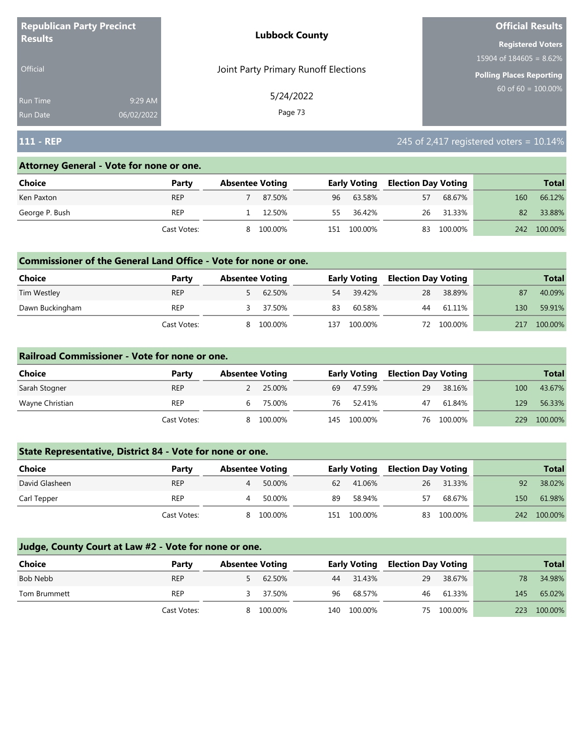| <b>Republican Party Precinct</b><br><b>Results</b> |            | <b>Lubbock County</b>                | <b>Official Results</b>    |  |  |
|----------------------------------------------------|------------|--------------------------------------|----------------------------|--|--|
|                                                    |            |                                      | <b>Registered Voters</b>   |  |  |
|                                                    |            |                                      | 15904 of $184605 = 8.62\%$ |  |  |
| Official                                           |            | Joint Party Primary Runoff Elections | Polling Places Reporting   |  |  |
| <b>Run Time</b>                                    | 9:29 AM    | 5/24/2022                            | 60 of $60 = 100.00\%$      |  |  |
| <b>Run Date</b>                                    | 06/02/2022 | Page 73                              |                            |  |  |

## **111 - REP** 245 of 2,417 registered voters = 10.14%

#### **Attorney General - Vote for none or one.**

| Choice         | Party       | <b>Absentee Voting</b> |         |     | <b>Early Voting</b> |    | <b>Election Day Voting</b> |     | <b>Total</b> |
|----------------|-------------|------------------------|---------|-----|---------------------|----|----------------------------|-----|--------------|
| Ken Paxton     | <b>REP</b>  |                        | 87.50%  | 96  | 63.58%              | 57 | 68.67%                     | 160 | 66.12%       |
| George P. Bush | <b>REP</b>  |                        | 12.50%  | 55  | 36.42%              | 26 | 31.33%                     | 82  | 33.88%       |
|                | Cast Votes: | 8                      | 100.00% | 151 | 100.00%             | 83 | 100.00%                    | 242 | 100.00%      |

#### **Commissioner of the General Land Office - Vote for none or one.**

| <b>Choice</b>   | Party       | <b>Absentee Voting</b> |         |     | <b>Early Voting</b> |    | <b>Election Day Voting</b> |     | <b>Total</b> |
|-----------------|-------------|------------------------|---------|-----|---------------------|----|----------------------------|-----|--------------|
| Tim Westley     | <b>REP</b>  |                        | 62.50%  | 54  | 39.42%              | 28 | 38.89%                     | 87  | 40.09%       |
| Dawn Buckingham | <b>REP</b>  |                        | 37.50%  | 83  | 60.58%              | 44 | 61.11%                     | 130 | 59.91%       |
|                 | Cast Votes: |                        | 100.00% | 37ء | 100.00%             |    | 72 100.00%                 | 217 | 100.00%      |

#### **Railroad Commissioner - Vote for none or one.**

| Choice          | Party       | <b>Absentee Voting</b> |         |     | <b>Early Voting</b> |    | <b>Election Day Voting</b> |     | <b>Total</b> |
|-----------------|-------------|------------------------|---------|-----|---------------------|----|----------------------------|-----|--------------|
| Sarah Stogner   | <b>REP</b>  |                        | 25.00%  | 69  | 47.59%              | 29 | 38.16%                     | 100 | 43.67%       |
| Wayne Christian | <b>REP</b>  | b                      | 75.00%  | 76  | 52.41%              | 47 | 61.84%                     | 129 | 56.33%       |
|                 | Cast Votes: | 8                      | 100.00% | 145 | 100.00%             |    | 76 100.00%                 | 229 | 100.00%      |

## **State Representative, District 84 - Vote for none or one.**

| <b>Choice</b>  | Party       | <b>Absentee Voting</b> |         |     | <b>Early Voting</b> |    | <b>Election Day Voting</b> |     | <b>Total</b> |
|----------------|-------------|------------------------|---------|-----|---------------------|----|----------------------------|-----|--------------|
| David Glasheen | <b>REP</b>  |                        | 50.00%  | 62  | 41.06%              | 26 | 31.33%                     | 92  | 38.02%       |
| Carl Tepper    | <b>REP</b>  |                        | 50.00%  | 89  | 58.94%              | 57 | 68.67%                     | 150 | 61.98%       |
|                | Cast Votes: | 8.                     | 100.00% | 151 | 100.00%             | 83 | 100.00%                    | 242 | 100.00%      |

| <b>Choice</b> | Party       | <b>Absentee Voting</b> |         |    | <b>Early Voting</b> |    | <b>Election Day Voting</b> |     | <b>Total</b> |
|---------------|-------------|------------------------|---------|----|---------------------|----|----------------------------|-----|--------------|
| Bob Nebb      | <b>REP</b>  |                        | 62.50%  | 44 | 31.43%              | 29 | 38.67%                     | 78  | 34.98%       |
| Tom Brummett  | <b>REP</b>  |                        | 37.50%  | 96 | 68.57%              | 46 | 61.33%                     | 145 | 65.02%       |
|               | Cast Votes: | 8                      | 100.00% |    | 140 100.00%         | 75 | 100.00%                    |     | 223 100.00%  |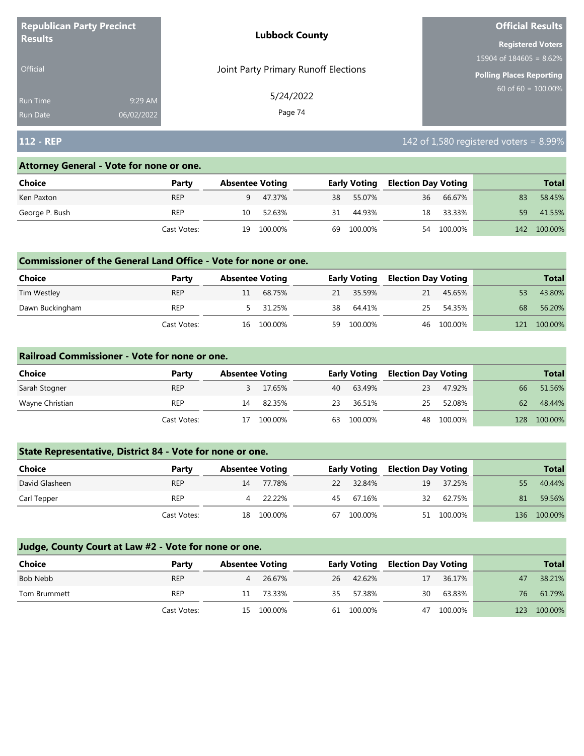| <b>Republican Party Precinct</b><br><b>Results</b> |            | <b>Lubbock County</b>                | <b>Official Results</b>    |
|----------------------------------------------------|------------|--------------------------------------|----------------------------|
|                                                    |            |                                      | <b>Registered Voters</b>   |
|                                                    |            |                                      | 15904 of $184605 = 8.62\%$ |
| <b>Official</b>                                    |            | Joint Party Primary Runoff Elections | Polling Places Reporting   |
| Run Time                                           | 9:29 AM    | 5/24/2022                            | $60$ of 60 = 100.00%       |
| <b>Run Date</b>                                    | 06/02/2022 | Page 74                              |                            |

# **112 - REP** 112 - **REP** 112 - **REP** 112 - **REP** 112 - **PRODUCT 12 - REP** 142 of 1,580 registered voters = 8.99%

#### **Attorney General - Vote for none or one.**

| Choice         | Party       | <b>Absentee Voting</b> |         |    | <b>Early Voting</b> |    | <b>Election Day Voting</b> |     | <b>Total</b> |
|----------------|-------------|------------------------|---------|----|---------------------|----|----------------------------|-----|--------------|
| Ken Paxton     | <b>REP</b>  | 9.                     | 47.37%  |    | 38 55.07%           | 36 | 66.67%                     | 83  | 58.45%       |
| George P. Bush | <b>REP</b>  | 10                     | 52.63%  | 31 | 44.93%              | 18 | 33.33%                     | 59  | 41.55%       |
|                | Cast Votes: | 19                     | 100.00% | 69 | 100.00%             | 54 | 100.00%                    | 142 | 100.00%      |

#### **Commissioner of the General Land Office - Vote for none or one.**

| Choice          | Party       | <b>Absentee Voting</b> |          |    | <b>Early Voting</b> |    | <b>Election Day Voting</b> |     | <b>Total</b> |
|-----------------|-------------|------------------------|----------|----|---------------------|----|----------------------------|-----|--------------|
| Tim Westley     | <b>REP</b>  |                        | 68.75%   |    | 21 35.59%           | 21 | 45.65%                     |     | 43.80%       |
| Dawn Buckingham | REP         |                        | 5 31.25% | 38 | 64.41%              |    | 25 54.35%                  | 68  | 56.20%       |
|                 | Cast Votes: | 16                     | 100.00%  | 59 | 100.00%             |    | 46 100.00%                 | 121 | 100.00%      |

#### **Railroad Commissioner - Vote for none or one.**

| Choice<br>Party |             |                        |         |    |                     |                            |         |     |              |
|-----------------|-------------|------------------------|---------|----|---------------------|----------------------------|---------|-----|--------------|
|                 |             | <b>Absentee Voting</b> |         |    | <b>Early Voting</b> | <b>Election Day Voting</b> |         |     | <b>Total</b> |
| Sarah Stogner   | <b>REP</b>  |                        | 17.65%  | 40 | 63.49%              | 23                         | 47.92%  | 66  | 51.56%       |
| Wayne Christian | <b>REP</b>  | 14                     | 82.35%  | 23 | 36.51%              | 25                         | 52.08%  | 62  | 48.44%       |
|                 | Cast Votes: | 17                     | 100.00% | 63 | 100.00%             | 48                         | 100.00% | 128 | 100.00%      |

## **State Representative, District 84 - Vote for none or one.**

| Choice         | Party       | <b>Absentee Voting</b> |            |    | <b>Early Voting</b> |    | <b>Election Day Voting</b> |    | <b>Total</b> |
|----------------|-------------|------------------------|------------|----|---------------------|----|----------------------------|----|--------------|
| David Glasheen | <b>REP</b>  | 14                     | 77.78%     |    | 22 32.84%           | 19 | 37.25%                     | 55 | 40.44%       |
| Carl Tepper    | <b>REP</b>  |                        | 22.22%     | 45 | 67.16%              | 32 | 62.75%                     | 81 | 59.56%       |
|                | Cast Votes: |                        | 18 100.00% | 67 | 100.00%             |    | 51 100.00%                 |    | 136 100.00%  |

| Choice       | Party       | <b>Absentee Voting</b> |            |     | <b>Early Voting</b> |    | <b>Election Day Voting</b> |     | <b>Total</b> |
|--------------|-------------|------------------------|------------|-----|---------------------|----|----------------------------|-----|--------------|
| Bob Nebb     | <b>REP</b>  | 4                      | 26.67%     | 26  | 42.62%              | 17 | 36.17%                     | 47  | 38.21%       |
| Tom Brummett | REP         |                        | 73.33%     | 35. | 57.38%              | 30 | 63.83%                     | 76  | 61.79%       |
|              | Cast Votes: |                        | 15 100.00% |     | 61 100.00%          | 47 | 100.00%                    | 123 | 100.00%      |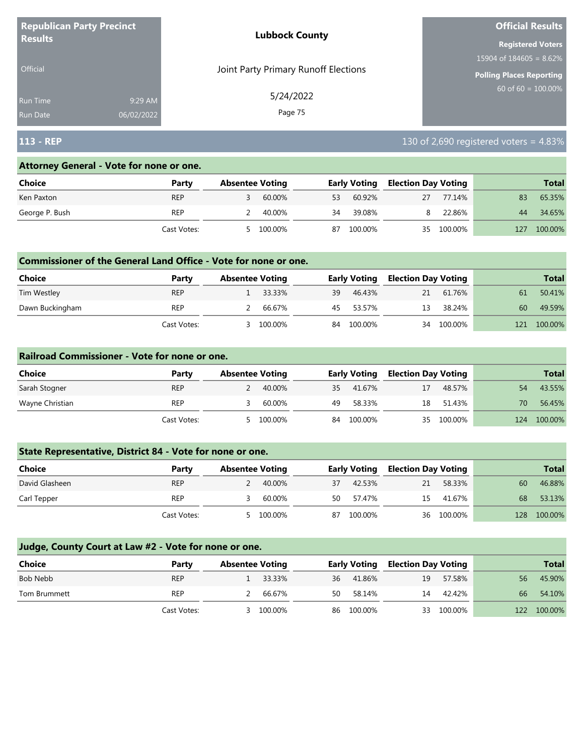| <b>Republican Party Precinct</b> |            | <b>Lubbock County</b>                | <b>Official Results</b>    |
|----------------------------------|------------|--------------------------------------|----------------------------|
| <b>Results</b>                   |            |                                      | <b>Registered Voters</b>   |
|                                  |            |                                      | 15904 of $184605 = 8.62\%$ |
| <b>Official</b>                  |            | Joint Party Primary Runoff Elections | Polling Places Reporting   |
| <b>Run Time</b>                  | 9:29 AM    | 5/24/2022                            | 60 of $60 = 100.00\%$      |
| Run Date                         | 06/02/2022 | Page 75                              |                            |

# **113 - REP** 130 of 2,690 registered voters = 4.83%

#### **Attorney General - Vote for none or one.**

| Choice         | Party       | <b>Absentee Voting</b> |         |    | <b>Early Voting</b> | <b>Election Day Voting</b> |            |     | <b>Total</b> |
|----------------|-------------|------------------------|---------|----|---------------------|----------------------------|------------|-----|--------------|
| Ken Paxton     | <b>REP</b>  |                        | 60.00%  | 53 | 60.92%              | 27                         | 77.14%     | 83  | 65.35%       |
| George P. Bush | REP         |                        | 40.00%  | 34 | 39.08%              | 8.                         | 22.86%     | 44  | 34.65%       |
|                | Cast Votes: | 5                      | 100.00% | 87 | 100.00%             |                            | 35 100.00% | 127 | 100.00%      |

#### **Commissioner of the General Land Office - Vote for none or one.**

| Choice          | Party       | <b>Absentee Voting</b> |           |    | <b>Early Voting</b> | <b>Election Day Voting</b> |         |     | <b>Total</b> |
|-----------------|-------------|------------------------|-----------|----|---------------------|----------------------------|---------|-----|--------------|
| Tim Westley     | <b>REP</b>  |                        | $33.33\%$ | 39 | 46.43%              | 21                         | 61.76%  | 61  | 50.41%       |
| Dawn Buckingham | <b>REP</b>  |                        | 66.67%    | 45 | 53.57%              | 13                         | 38.24%  | 60  | 49.59%       |
|                 | Cast Votes: |                        | 100.00%   | 84 | 100.00%             | 34                         | 100.00% | 121 | 100.00%      |

#### **Railroad Commissioner - Vote for none or one.**

| <b>Choice</b>   | Party       | <b>Absentee Voting</b> |         |    | <b>Early Voting</b> | <b>Election Day Voting</b> |            |     | <b>Total</b> |
|-----------------|-------------|------------------------|---------|----|---------------------|----------------------------|------------|-----|--------------|
| Sarah Stogner   | <b>REP</b>  |                        | 40.00%  | 35 | 41.67%              | 17                         | 48.57%     | 54  | 43.55%       |
| Wayne Christian | <b>REP</b>  |                        | 60.00%  | 49 | 58.33%              | 18                         | 51.43%     | 70  | 56.45%       |
|                 | Cast Votes: | 5                      | 100.00% |    | 84 100.00%          |                            | 35 100.00% | 124 | 100.00%      |

## **State Representative, District 84 - Vote for none or one.**

| Choice         | Party       | <b>Absentee Voting</b> | <b>Early Voting</b> | <b>Election Day Voting</b> | <b>Total</b>   |
|----------------|-------------|------------------------|---------------------|----------------------------|----------------|
| David Glasheen | <b>REP</b>  | 40.00%                 | 42.53%<br>37        | 58.33%<br>21               | 46.88%<br>60   |
| Carl Tepper    | <b>REP</b>  | 60.00%                 | 57.47%<br>50        | 41.67%<br>15               | 53.13%<br>68   |
|                | Cast Votes: | 100.00%                | 100.00%<br>87       | 36 100.00%                 | 100.00%<br>128 |

| Choice       | Party       | <b>Absentee Voting</b> |          |    | <b>Early Voting</b> | <b>Election Day Voting</b> |            |     | <b>Total</b> |
|--------------|-------------|------------------------|----------|----|---------------------|----------------------------|------------|-----|--------------|
| Bob Nebb     | <b>REP</b>  |                        | 1 33.33% | 36 | 41.86%              | 19                         | 57.58%     | 56  | 45.90%       |
| Tom Brummett | <b>REP</b>  |                        | 66.67%   | 50 | 58.14%              | 14                         | 42.42%     | 66  | 54.10%       |
|              | Cast Votes: | $\prec$                | 100.00%  | 86 | 100.00%             |                            | 33 100.00% | 122 | 100.00%      |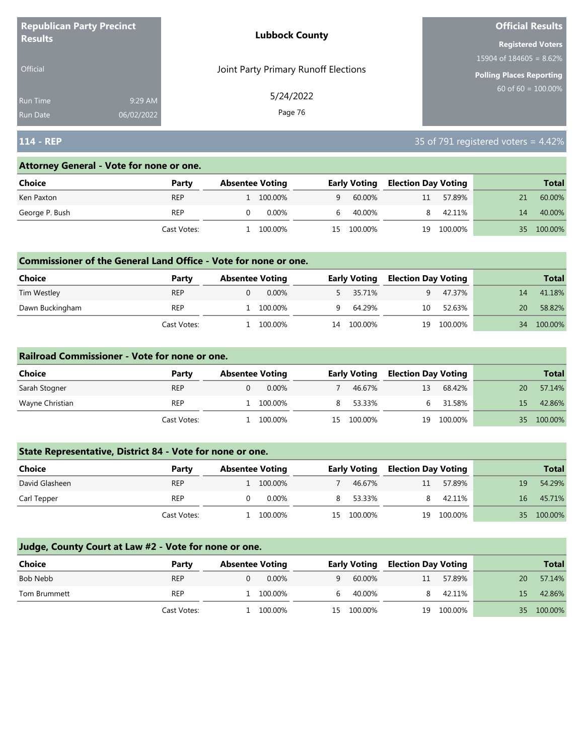| <b>Republican Party Precinct</b> |            | <b>Lubbock County</b>                | <b>Official Results</b>    |
|----------------------------------|------------|--------------------------------------|----------------------------|
| <b>Results</b>                   |            |                                      | <b>Registered Voters</b>   |
|                                  |            |                                      | 15904 of $184605 = 8.62\%$ |
| <b>Official</b>                  |            | Joint Party Primary Runoff Elections | Polling Places Reporting   |
| <b>Run Time</b>                  | 9:29 AM    | 5/24/2022                            | 60 of $60 = 100.00\%$      |
| <b>Run Date</b>                  | 06/02/2022 | Page 76                              |                            |

# **114 - REP** 35 of 791 registered voters = 4.42%

#### **Attorney General - Vote for none or one.**

| Choice         | Party       | <b>Absentee Voting</b> | <b>Early Voting</b> | <b>Election Day Voting</b> | <b>Total</b>  |
|----------------|-------------|------------------------|---------------------|----------------------------|---------------|
| Ken Paxton     | <b>REP</b>  | 1 100.00%              | 60.00%<br>a         | 57.89%<br>11               | 60.00%        |
| George P. Bush | <b>REP</b>  | 0.00%                  | 40.00%<br>h.        | 42.11%                     | 40.00%<br>14  |
|                | Cast Votes: | 100.00%                | 100.00%<br>15.      | 100.00%<br>19              | 100.00%<br>35 |

#### **Commissioner of the General Land Office - Vote for none or one.**

| Choice          | Party       | <b>Absentee Voting</b> |          |    | <b>Early Voting</b> | Election Day Voting |         |    | <b>Total</b> |
|-----------------|-------------|------------------------|----------|----|---------------------|---------------------|---------|----|--------------|
| Tim Westley     | <b>REP</b>  |                        | $0.00\%$ |    | 5 35.71%            |                     | 47.37%  | 14 | 41.18%       |
| Dawn Buckingham | REP         |                        | 100.00%  | Q  | 64.29%              | 10                  | 52.63%  | 20 | 58.82%       |
|                 | Cast Votes: |                        | 100.00%  | 14 | 100.00%             | 19                  | 100.00% | 34 | 100.00%      |

#### **Railroad Commissioner - Vote for none or one.**

| Choice          | Party       | <b>Absentee Voting</b> |       |   | <b>Early Voting</b> | <b>Election Day Voting</b> |         |    | <b>Total</b> |
|-----------------|-------------|------------------------|-------|---|---------------------|----------------------------|---------|----|--------------|
| Sarah Stogner   | <b>REP</b>  |                        | 0.00% |   | 46.67%              | 13                         | 68.42%  | 20 | 57.14%       |
| Wayne Christian | <b>REP</b>  | 100.00%                |       | 8 | 53.33%              |                            | 31.58%  | 15 | 42.86%       |
|                 | Cast Votes: | 100.00%                |       |   | 15 100.00%          | 19                         | 100.00% | 35 | 100.00%      |

## **State Representative, District 84 - Vote for none or one.**

| Choice         | Party       | <b>Absentee Voting</b> |    | <b>Early Voting</b> | <b>Election Day Voting</b> |            |                 | <b>Total</b> |
|----------------|-------------|------------------------|----|---------------------|----------------------------|------------|-----------------|--------------|
| David Glasheen | <b>REP</b>  | 1 100.00%              |    | 46.67%              | 11                         | 57.89%     | 19              | 54.29%       |
| Carl Tepper    | <b>REP</b>  | 0.00%                  |    | 53.33%              |                            | 42.11%     | 16 <sup>1</sup> | 45.71%       |
|                | Cast Votes: | 100.00%                | 15 | 100.00%             |                            | 19 100.00% | 35              | 100.00%      |

| <b>Choice</b> | Party       | <b>Absentee Voting</b> |           |   | <b>Early Voting</b> | <b>Election Day Voting</b> |         |    | <b>Total</b> |
|---------------|-------------|------------------------|-----------|---|---------------------|----------------------------|---------|----|--------------|
| Bob Nebb      | <b>REP</b>  |                        | $0.00\%$  | q | 60.00%              | 11                         | 57.89%  | 20 | 57.14%       |
| Tom Brummett  | <b>REP</b>  |                        | 1 100,00% |   | 40.00%              | 8.                         | 42.11%  | 15 | 42.86%       |
|               | Cast Votes: |                        | 100.00%   |   | 15 100.00%          | 19                         | 100.00% | 35 | 100.00%      |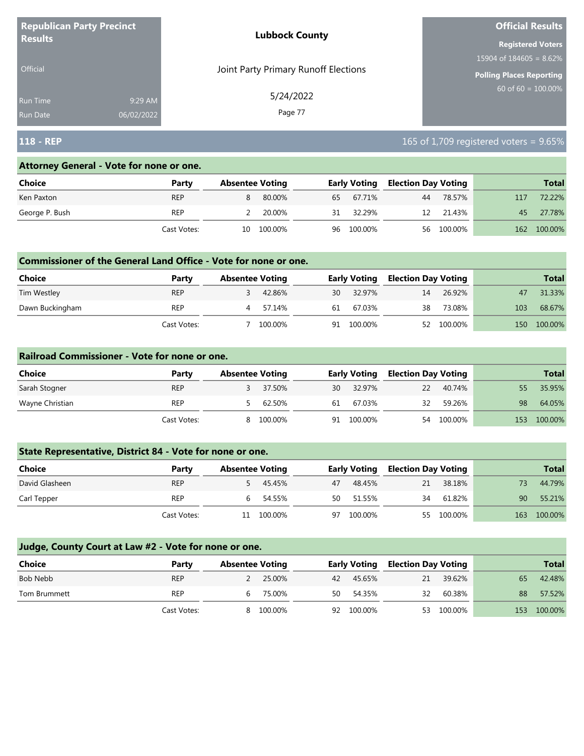| <b>Republican Party Precinct</b><br><b>Results</b> |            | <b>Lubbock County</b>                | <b>Official Results</b>    |  |  |
|----------------------------------------------------|------------|--------------------------------------|----------------------------|--|--|
|                                                    |            |                                      | <b>Registered Voters</b>   |  |  |
|                                                    |            |                                      | 15904 of $184605 = 8.62\%$ |  |  |
| <b>Official</b>                                    |            | Joint Party Primary Runoff Elections | Polling Places Reporting   |  |  |
| Run Time                                           | 9:29 AM    | 5/24/2022                            | $60$ of 60 = 100.00%       |  |  |
| <b>Run Date</b>                                    | 06/02/2022 | Page 77                              |                            |  |  |

# **118 - REP** 165 of 1,709 registered voters = 9.65%

#### **Attorney General - Vote for none or one.**

| Choice         | Party       | <b>Absentee Voting</b> |            |    | <b>Early Voting</b> |    | <b>Election Day Voting</b> |     | <b>Total</b> |
|----------------|-------------|------------------------|------------|----|---------------------|----|----------------------------|-----|--------------|
| Ken Paxton     | <b>REP</b>  | 8                      | 80.00%     | 65 | 67.71%              | 44 | 78.57%                     | 117 | 72.22%       |
| George P. Bush | REP         |                        | 20.00%     | 31 | 32.29%              |    | 12 21.43%                  | 45  | 27.78%       |
|                | Cast Votes: |                        | 10 100.00% |    | 96 100.00%          |    | 56 100.00%                 | 162 | 100.00%      |

#### **Commissioner of the General Land Office - Vote for none or one.**

| <b>Choice</b>   | Party       | <b>Absentee Voting</b> |         |    | <b>Early Voting</b> |           | <b>Election Day Voting</b> |     |         |  | <b>Total</b> |
|-----------------|-------------|------------------------|---------|----|---------------------|-----------|----------------------------|-----|---------|--|--------------|
| Tim Westley     | <b>REP</b>  |                        | 42.86%  | 30 | 32.97%              | <b>14</b> | 26.92%                     |     | 31.33%  |  |              |
| Dawn Buckingham | <b>REP</b>  |                        | 57.14%  | 61 | 67.03%              | 38        | 73.08%                     | 103 | 68.67%  |  |              |
|                 | Cast Votes: |                        | 100.00% | 91 | 100.00%             | 52        | 100.00%                    | 150 | 100.00% |  |              |

#### **Railroad Commissioner - Vote for none or one.**

| Choice          | Party       | <b>Absentee Voting</b> |         |    | <b>Early Voting</b> |    | <b>Election Day Voting</b> |     | <b>Total</b> |
|-----------------|-------------|------------------------|---------|----|---------------------|----|----------------------------|-----|--------------|
| Sarah Stogner   | <b>REP</b>  |                        | 37.50%  | 30 | 32.97%              | 22 | 40.74%                     |     | 35.95%       |
| Wayne Christian | <b>REP</b>  |                        | 62.50%  | 61 | 67.03%              | 32 | 59.26%                     | 98  | 64.05%       |
|                 | Cast Votes: | 8                      | 100.00% | 91 | 100.00%             | 54 | 100.00%                    | 153 | 100.00%      |

## **State Representative, District 84 - Vote for none or one.**

| Choice         | Party       | <b>Absentee Voting</b> |    | <b>Early Voting</b> |    | <b>Election Day Voting</b> |                 | <b>Total</b> |
|----------------|-------------|------------------------|----|---------------------|----|----------------------------|-----------------|--------------|
| David Glasheen | <b>REP</b>  | 5 45.45%               | 47 | 48.45%              | 21 | 38.18%                     |                 | 44.79%       |
| Carl Tepper    | <b>REP</b>  | 54.55%                 | 50 | 51.55%              | 34 | 61.82%                     | 90 <sup>°</sup> | 55.21%       |
|                | Cast Votes: | 11 100.00%             | 97 | 100.00%             |    | 55 100.00%                 | 163             | 100.00%      |

| <b>Choice</b> | Party       | <b>Absentee Voting</b> |           |    | Early Voting |    | <b>Election Day Voting</b> |     | <b>Total</b> |
|---------------|-------------|------------------------|-----------|----|--------------|----|----------------------------|-----|--------------|
| Bob Nebb      | <b>REP</b>  | 2                      | 25.00%    |    | 42 45.65%    | 21 | 39.62%                     | 65  | 42.48%       |
| Tom Brummett  | REP         | h                      | 75.00%    | 50 | 54.35%       | 32 | 60.38%                     | 88  | 57.52%       |
|               | Cast Votes: |                        | 8 100.00% | 92 | 100.00%      |    | 53 100.00%                 | 153 | 100.00%      |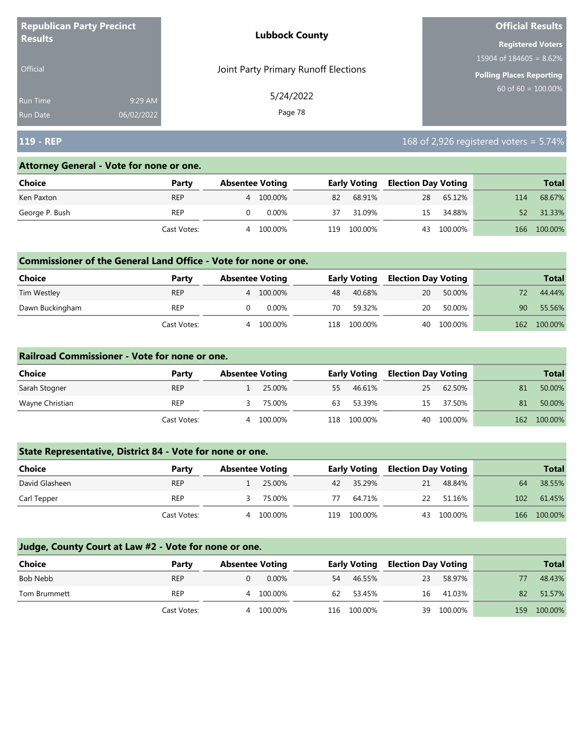| <b>Republican Party Precinct</b><br><b>Results</b> |                       | <b>Lubbock County</b>                | <b>Official Results</b>         |
|----------------------------------------------------|-----------------------|--------------------------------------|---------------------------------|
|                                                    |                       |                                      | <b>Registered Voters</b>        |
|                                                    |                       |                                      | 15904 of $184605 = 8.62\%$      |
| Official                                           |                       | Joint Party Primary Runoff Elections | <b>Polling Places Reporting</b> |
| <b>Run Time</b>                                    | 9:29 AM               | 5/24/2022                            | $60$ of 60 = 100.00%            |
| <b>Run Date</b>                                    | Page 78<br>06/02/2022 |                                      |                                 |

# **119 - REP** 168 of 2,926 registered voters = 5.74%

#### **Attorney General - Vote for none or one.**

| Choice         | Party       | <b>Absentee Voting</b> |          | <b>Early Voting</b> |         | <b>Election Day Voting</b> |         |     | <b>Total</b> |
|----------------|-------------|------------------------|----------|---------------------|---------|----------------------------|---------|-----|--------------|
| Ken Paxton     | <b>REP</b>  | 4                      | 100.00%  | 82                  | 68.91%  | 28                         | 65.12%  | 114 | 68.67%       |
| George P. Bush | REP         |                        | $0.00\%$ | 37                  | 31.09%  | 15.                        | 34.88%  | 52  | 31.33%       |
|                | Cast Votes: | 4                      | 100.00%  | 119.                | 100.00% | 43                         | 100.00% | 166 | 100.00%      |

#### **Commissioner of the General Land Office - Vote for none or one.**

| <b>Choice</b>   | Party       | <b>Absentee Voting</b> |         |     | <b>Early Voting</b> |    | <b>Election Day Voting</b> |     | <b>Total</b> |
|-----------------|-------------|------------------------|---------|-----|---------------------|----|----------------------------|-----|--------------|
| Tim Westley     | <b>REP</b>  |                        | 100.00% | 48  | 40.68%              | 20 | 50.00%                     |     | 44.44%       |
| Dawn Buckingham | <b>REP</b>  |                        | 0.00%   | 70  | 59.32%              | 20 | 50.00%                     | 90  | 55.56%       |
|                 | Cast Votes: |                        | 100.00% | 118 | 100.00%             | 40 | 100.00%                    | 162 | 100.00%      |

#### **Railroad Commissioner - Vote for none or one.**

| Choice          | Party       | <b>Absentee Voting</b> |         |     | <b>Early Voting</b> |    | <b>Election Day Voting</b> |     | <b>Total</b> |
|-----------------|-------------|------------------------|---------|-----|---------------------|----|----------------------------|-----|--------------|
| Sarah Stogner   | <b>REP</b>  |                        | 25.00%  | 55  | 46.61%              | 25 | 62.50%                     | 81  | 50.00%       |
| Wayne Christian | <b>REP</b>  |                        | 75.00%  | 63  | 53.39%              | 15 | 37.50%                     | 81  | 50.00%       |
|                 | Cast Votes: | 4                      | 100.00% | 118 | 100.00%             |    | 40 100.00%                 | 162 | 100.00%      |

## **State Representative, District 84 - Vote for none or one.**

| Choice         | Party       | <b>Absentee Voting</b> |         |     | <b>Early Voting</b> |    | <b>Election Day Voting</b> |     | <b>Total</b> |
|----------------|-------------|------------------------|---------|-----|---------------------|----|----------------------------|-----|--------------|
| David Glasheen | <b>REP</b>  |                        | 25.00%  |     | 42 35.29%           | 21 | 48.84%                     | 64  | 38.55%       |
| Carl Tepper    | <b>REP</b>  |                        | 75.00%  | 77  | 64.71%              | 22 | 51.16%                     | 102 | 61.45%       |
|                | Cast Votes: | 4                      | 100.00% | 119 | $100.00\%$          |    | 43 100.00%                 |     | 166 100.00%  |

| <b>Choice</b> | Party       | <b>Absentee Voting</b> |           | <b>Early Voting</b> |         | <b>Election Day Voting</b> |         |     | <b>Total</b> |
|---------------|-------------|------------------------|-----------|---------------------|---------|----------------------------|---------|-----|--------------|
| Bob Nebb      | <b>REP</b>  |                        | $0.00\%$  | 54                  | 46.55%  | 23                         | 58.97%  |     | 48.43%       |
| Tom Brummett  | <b>REP</b>  |                        | 4 100.00% | 62                  | 53.45%  | 16                         | 41.03%  | 82  | 51.57%       |
|               | Cast Votes: | Δ.                     | 100.00%   | 116                 | 100.00% | 39                         | 100.00% | 159 | 100.00%      |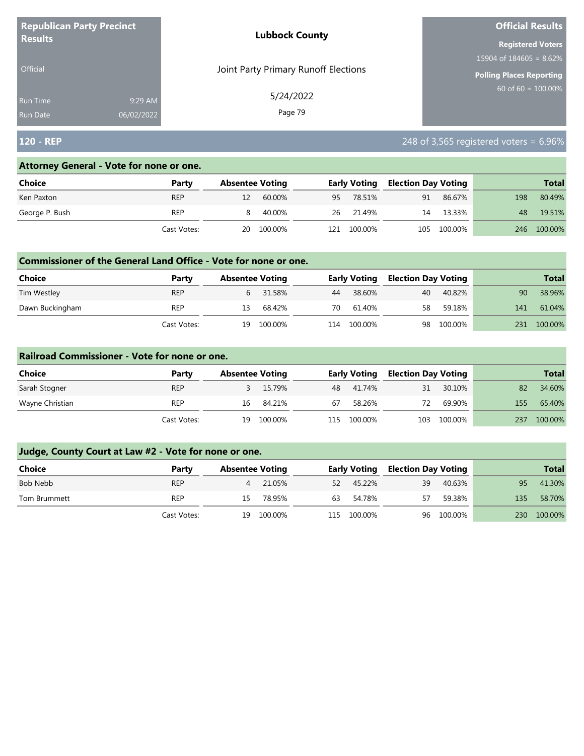| <b>Republican Party Precinct</b> |            | <b>Lubbock County</b>                | <b>Official Results</b>    |
|----------------------------------|------------|--------------------------------------|----------------------------|
| <b>Results</b>                   |            |                                      | <b>Registered Voters</b>   |
|                                  |            |                                      | 15904 of $184605 = 8.62\%$ |
| <b>Official</b>                  |            | Joint Party Primary Runoff Elections | Polling Places Reporting   |
| <b>Run Time</b>                  | 9:29 AM    | 5/24/2022                            | $60$ of 60 = 100.00%       |
| <b>Run Date</b>                  | 06/02/2022 | Page 79                              |                            |

# **120 - REP** 248 of 3,565 registered voters = 6.96%

#### **Attorney General - Vote for none or one.**

| Choice         | Party       | <b>Absentee Voting</b> |     | <b>Early Voting</b> | <b>Election Day Voting</b> |             |       | <b>Total</b> |
|----------------|-------------|------------------------|-----|---------------------|----------------------------|-------------|-------|--------------|
| Ken Paxton     | <b>REP</b>  | 60.00%                 | 95  | 78.51%              | 91                         | 86.67%      | 198   | 80.49%       |
| George P. Bush | <b>REP</b>  | 40.00%                 |     | 26 21.49%           | 14                         | 13.33%      | 48    | 19.51%       |
|                | Cast Votes: | 20 100.00%             | 121 | 100.00%             |                            | 105 100.00% | 246 - | 100.00%      |

#### **Commissioner of the General Land Office - Vote for none or one.**

| Choice          | Party       | <b>Absentee Voting</b> |          |     | <b>Early Voting</b> | <b>Election Day Voting</b> |         |     | <b>Total</b> |
|-----------------|-------------|------------------------|----------|-----|---------------------|----------------------------|---------|-----|--------------|
| Tim Westley     | <b>REP</b>  |                        | 6 31.58% | 44  | 38.60%              | 40                         | 40.82%  | 90  | 38.96%       |
| Dawn Buckingham | REP         | 13                     | 68.42%   | 70  | 61.40%              | 58                         | 59.18%  | 141 | 61.04%       |
|                 | Cast Votes: | 19                     | 100.00%  | 114 | 100.00%             | 98                         | 100.00% | 231 | 100.00%      |

#### **Railroad Commissioner - Vote for none or one.**

| Choice          | Party       |    | <b>Absentee Voting</b> |      | <b>Early Voting</b> |    | <b>Election Day Voting</b> |     | <b>Total</b> |
|-----------------|-------------|----|------------------------|------|---------------------|----|----------------------------|-----|--------------|
| Sarah Stogner   | <b>REP</b>  |    | 15.79%                 |      | 48 41.74%           | 31 | 30.10%                     | 82  | 34.60%       |
| Wayne Christian | REP         | 16 | 84.21%                 | 67   | 58.26%              | 72 | 69.90%                     | 155 | 65.40%       |
|                 | Cast Votes: | 19 | 100.00%                | 115. | 100.00%             |    | 103 100.00%                | 237 | 100.00%      |

| <b>Choice</b> | Party       |     | <b>Absentee Voting</b> |     | <b>Early Voting</b> | <b>Election Day Voting</b> |            |     | <b>Total</b> |
|---------------|-------------|-----|------------------------|-----|---------------------|----------------------------|------------|-----|--------------|
| Bob Nebb      | <b>REP</b>  | 4   | 21.05%                 |     | 52 45.22%           | 39                         | 40.63%     | 95  | 41.30%       |
| Tom Brummett  | <b>REP</b>  | 15. | 78.95%                 | 63  | 54.78%              | 57                         | 59.38%     | 135 | 58.70%       |
|               | Cast Votes: |     | 19 100.00%             | 115 | 100.00%             |                            | 96 100.00% | 230 | 100.00%      |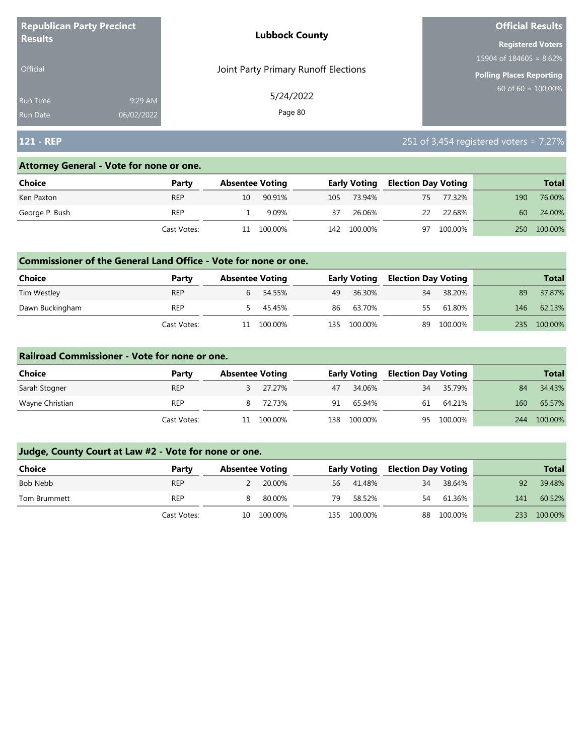| <b>Republican Party Precinct</b> |            | <b>Lubbock County</b>                | <b>Official Results</b>    |
|----------------------------------|------------|--------------------------------------|----------------------------|
| <b>Results</b>                   |            |                                      | <b>Registered Voters</b>   |
|                                  |            |                                      | 15904 of $184605 = 8.62\%$ |
| <b>Official</b>                  |            | Joint Party Primary Runoff Elections | Polling Places Reporting   |
| <b>Run Time</b>                  | 9:29 AM    | 5/24/2022                            | $60$ of 60 = 100.00%       |
| <b>Run Date</b>                  | 06/02/2022 | Page 80                              |                            |

# **121 - REP** 251 of 3,454 registered voters = 7.27%

#### **Attorney General - Vote for none or one.**

| Choice         | Party       |    | <b>Absentee Voting</b> |     | <b>Early Voting</b> | <b>Election Day Voting</b> |         |     | <b>Total</b> |
|----------------|-------------|----|------------------------|-----|---------------------|----------------------------|---------|-----|--------------|
| Ken Paxton     | <b>REP</b>  | 10 | 90.91%                 | 105 | 73.94%              | 75                         | 77.32%  | 190 | 76.00%       |
| George P. Bush | <b>REP</b>  |    | 9.09%                  | 37  | 26.06%              | 22                         | 22.68%  | 60  | 24.00%       |
|                | Cast Votes: |    | 100.00%                | 142 | 100.00%             | 97                         | 100.00% | 250 | 100.00%      |

#### **Commissioner of the General Land Office - Vote for none or one.**

| <b>Choice</b>   | Party       | <b>Absentee Voting</b> |          |    | <b>Early Voting</b> | <b>Election Day Voting</b> |         |     | <b>Total</b> |
|-----------------|-------------|------------------------|----------|----|---------------------|----------------------------|---------|-----|--------------|
| Tim Westley     | <b>REP</b>  |                        | 6 54.55% | 49 | 36.30%              | 34                         | 38.20%  | 89  | 37.87%       |
| Dawn Buckingham | REP         |                        | 5 45.45% | 86 | 63.70%              | 55                         | 61.80%  | 146 | 62.13%       |
|                 | Cast Votes: |                        | 100.00%  |    | 135 100.00%         | 89                         | 100.00% | 235 | 100.00%      |

#### **Railroad Commissioner - Vote for none or one.**

| Choice          | Party       |    | <b>Absentee Voting</b> |     | <b>Early Voting</b> | <b>Election Day Voting</b> |            |     | <b>Total</b> |
|-----------------|-------------|----|------------------------|-----|---------------------|----------------------------|------------|-----|--------------|
| Sarah Stogner   | <b>REP</b>  |    | 27.27%                 | 47  | 34.06%              | 34                         | 35.79%     | 84  | 34.43%       |
| Wayne Christian | <b>REP</b>  |    | 72.73%                 | 91  | 65.94%              | 61                         | 64.21%     | 160 | 65.57%       |
|                 | Cast Votes: | 11 | 100.00%                | 138 | 100.00%             |                            | 95 100.00% | 244 | 100.00%      |

| Choice       | Party       | <b>Absentee Voting</b> |     | <b>Early Voting</b> | <b>Election Day Voting</b> |            |     | <b>Total</b> |
|--------------|-------------|------------------------|-----|---------------------|----------------------------|------------|-----|--------------|
| Bob Nebb     | <b>REP</b>  | 20.00%                 | 56  | 41.48%              | 34                         | 38.64%     | 92  | 39.48%       |
| Tom Brummett | <b>REP</b>  | 80.00%                 | 79  | 58.52%              | 54                         | 61.36%     | 141 | 60.52%       |
|              | Cast Votes: | 10 100.00%             | 135 | 100.00%             |                            | 88 100.00% | 233 | 100.00%      |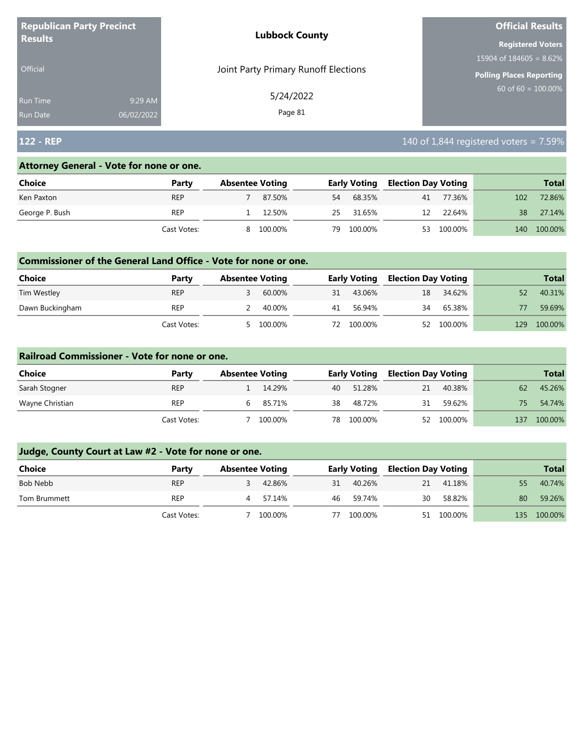| <b>Republican Party Precinct</b><br><b>Results</b> |            | <b>Lubbock County</b>                | <b>Official Results</b>         |
|----------------------------------------------------|------------|--------------------------------------|---------------------------------|
|                                                    |            |                                      | <b>Registered Voters</b>        |
|                                                    |            |                                      | 15904 of $184605 = 8.62\%$      |
| <b>Official</b>                                    |            | Joint Party Primary Runoff Elections | <b>Polling Places Reporting</b> |
| <b>Run Time</b>                                    | 9:29 AM    | 5/24/2022                            | $60$ of 60 = $100.00\%$         |
| <b>Run Date</b>                                    | 06/02/2022 | Page 81                              |                                 |

# **122 - REP** 122 - **REP** 122 - **REP** 122 - **REP** 122 - **REP** 140 of 1,844 registered voters = 7.59%

## **Attorney General - Vote for none or one.**

| Choice         | Party       |   | <b>Absentee Voting</b> |    | <b>Early Voting</b> |    | <b>Election Day Voting</b> |     | <b>Total</b> |
|----------------|-------------|---|------------------------|----|---------------------|----|----------------------------|-----|--------------|
| Ken Paxton     | <b>REP</b>  |   | 87.50%                 | 54 | 68.35%              | 41 | 77.36%                     | 102 | 72.86%       |
| George P. Bush | <b>REP</b>  |   | 12.50%                 | 25 | 31.65%              | 12 | 22.64%                     | 38  | 27.14%       |
|                | Cast Votes: | 8 | 100.00%                | 79 | 100.00%             | 53 | 100.00%                    | 140 | 100.00%      |

#### **Commissioner of the General Land Office - Vote for none or one.**

| Choice          | Party       | <b>Absentee Voting</b> |         |    | <b>Early Voting</b> | <b>Election Day Voting</b> |         |     | <b>Total</b> |
|-----------------|-------------|------------------------|---------|----|---------------------|----------------------------|---------|-----|--------------|
| Tim Westley     | <b>REP</b>  |                        | 60.00%  | 31 | 43.06%              | 18                         | 34.62%  |     | 40.31%       |
| Dawn Buckingham | REP         |                        | 40.00%  | 41 | 56.94%              | 34                         | 65.38%  |     | 59.69%       |
|                 | Cast Votes: |                        | 100.00% | 72 | 100.00%             | 52                         | 100.00% | 129 | 100.00%      |

#### **Railroad Commissioner - Vote for none or one.**

| Choice          | Party       | <b>Absentee Voting</b> |         | <b>Early Voting</b> |         | <b>Election Day Voting</b> |            |     | <b>Total</b> |
|-----------------|-------------|------------------------|---------|---------------------|---------|----------------------------|------------|-----|--------------|
| Sarah Stogner   | <b>REP</b>  |                        | 14.29%  | 40                  | 51.28%  | 21                         | 40.38%     | 62  | 45.26%       |
| Wayne Christian | <b>REP</b>  |                        | 85.71%  | 38                  | 48.72%  | 31                         | 59.62%     | 75. | 54.74%       |
|                 | Cast Votes: |                        | 100.00% | 78                  | 100.00% |                            | 52 100.00% | 137 | 100.00%      |

| <b>Choice</b> | Party       | <b>Absentee Voting</b> |         |    | <b>Early Voting</b> | <b>Election Day Voting</b> |            |      | <b>Total</b> |
|---------------|-------------|------------------------|---------|----|---------------------|----------------------------|------------|------|--------------|
| Bob Nebb      | <b>REP</b>  |                        | 42.86%  | 31 | 40.26%              |                            | 21 41.18%  | 55   | 40.74%       |
| Tom Brummett  | <b>REP</b>  | 4                      | 57.14%  |    | 46 59.74%           | 30                         | 58.82%     | 80   | 59.26%       |
|               | Cast Votes: |                        | 100.00% | 77 | 100.00%             |                            | 51 100.00% | 135. | 100.00%      |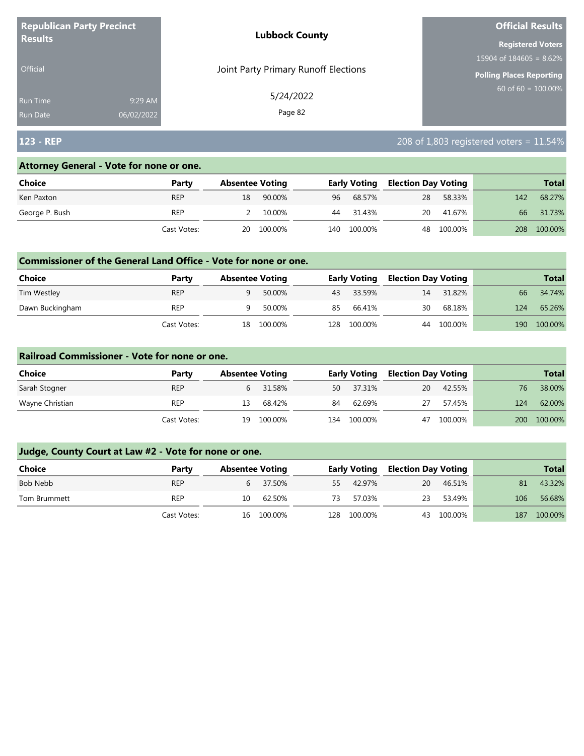| <b>Republican Party Precinct</b> |            | <b>Lubbock County</b>                | <b>Official Results</b>    |
|----------------------------------|------------|--------------------------------------|----------------------------|
| <b>Results</b>                   |            |                                      | <b>Registered Voters</b>   |
|                                  |            |                                      | 15904 of $184605 = 8.62\%$ |
| <b>Official</b>                  |            | Joint Party Primary Runoff Elections | Polling Places Reporting   |
| <b>Run Time</b>                  | 9:29 AM    | 5/24/2022                            | $60$ of 60 = 100.00%       |
| <b>Run Date</b>                  | 06/02/2022 | Page 82                              |                            |

# **123 - REP** 208 of 1,803 registered voters = 11.54%

#### **Attorney General - Vote for none or one.**

| Choice         | Party       |    | <b>Absentee Voting</b> |     | <b>Early Voting</b> | <b>Election Day Voting</b> |            |     | <b>Total</b> |
|----------------|-------------|----|------------------------|-----|---------------------|----------------------------|------------|-----|--------------|
| Ken Paxton     | <b>REP</b>  | 18 | 90.00%                 | 96  | 68.57%              | 28                         | 58.33%     | 142 | 68.27%       |
| George P. Bush | <b>REP</b>  |    | 10.00%                 | 44  | 31.43%              | <b>20</b>                  | 41.67%     | 66  | 31.73%       |
|                | Cast Votes: |    | 20 100.00%             | 140 | 100.00%             |                            | 48 100.00% | 208 | 100.00%      |

#### **Commissioner of the General Land Office - Vote for none or one.**

| <b>Choice</b>   | Party       | <b>Absentee Voting</b> |         |     | <b>Early Voting</b> | <b>Election Day Voting</b> |         |     | Total   |
|-----------------|-------------|------------------------|---------|-----|---------------------|----------------------------|---------|-----|---------|
| Tim Westley     | <b>REP</b>  | Q                      | 50.00%  |     | 43 33.59%           | 14                         | 31.82%  | 66  | 34.74%  |
| Dawn Buckingham | <b>REP</b>  |                        | 50.00%  | 85  | 66.41%              | 30                         | 68.18%  | 124 | 65.26%  |
|                 | Cast Votes: | 18                     | 100.00% | 128 | 100.00%             | 44                         | 100.00% | 190 | 100.00% |

#### **Railroad Commissioner - Vote for none or one.**

| Choice          | Party       | <b>Absentee Voting</b> |          |     | <b>Early Voting</b> | <b>Election Day Voting</b> |         |     | <b>Total</b> |
|-----------------|-------------|------------------------|----------|-----|---------------------|----------------------------|---------|-----|--------------|
| Sarah Stogner   | <b>REP</b>  |                        | 6 31.58% | 50  | 37.31%              | 20                         | 42.55%  | 76  | 38.00%       |
| Wayne Christian | <b>REP</b>  | 13                     | 68.42%   | 84  | 62.69%              | 27                         | 57.45%  | 124 | 62.00%       |
|                 | Cast Votes: | 19                     | 100.00%  | 134 | 100.00%             | 47                         | 100.00% | 200 | 100.00%      |

| Choice       | Party       |    | <b>Absentee Voting</b> |     | <b>Early Voting</b> |    | <b>Election Day Voting</b> |     | <b>Total</b> |
|--------------|-------------|----|------------------------|-----|---------------------|----|----------------------------|-----|--------------|
| Bob Nebb     | <b>REP</b>  |    | 6 37.50%               | 55  | 42.97%              | 20 | 46.51%                     | 81  | 43.32%       |
| Tom Brummett | <b>REP</b>  | 10 | 62.50%                 | 73  | 57.03%              | 23 | 53.49%                     | 106 | 56.68%       |
|              | Cast Votes: |    | 16 100.00%             | 128 | 100.00%             |    | 43 100.00%                 | 187 | 100.00%      |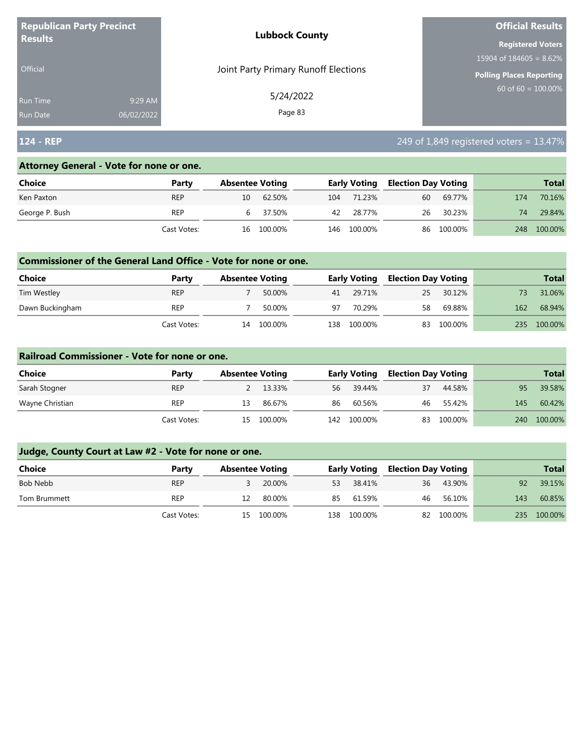| <b>Republican Party Precinct</b><br><b>Results</b> |            | <b>Lubbock County</b>                | <b>Official Results</b>   |
|----------------------------------------------------|------------|--------------------------------------|---------------------------|
|                                                    |            |                                      | <b>Registered Voters</b>  |
|                                                    |            |                                      | $15904$ of 184605 = 8.62% |
| <b>Official</b>                                    |            | Joint Party Primary Runoff Elections | Polling Places Reporting  |
| <b>Run Time</b>                                    | 9:29 AM    | 5/24/2022                            | $60$ of 60 = 100.00%      |
| <b>Run Date</b>                                    | 06/02/2022 | Page 83                              |                           |

# **124 - REP** 249 of 1,849 registered voters = 13.47%

#### **Attorney General - Vote for none or one.**

| Choice         | Party       |    | <b>Absentee Voting</b> |     | <b>Early Voting</b> | <b>Election Day Voting</b> |            |     | <b>Total</b> |
|----------------|-------------|----|------------------------|-----|---------------------|----------------------------|------------|-----|--------------|
| Ken Paxton     | <b>REP</b>  | 10 | 62.50%                 | 104 | 71.23%              | 60                         | 69.77%     | 174 | 70.16%       |
| George P. Bush | <b>REP</b>  |    | 6 37.50%               |     | 42 28.77%           |                            | 26 30.23%  | 74  | 29.84%       |
|                | Cast Votes: |    | 16 100.00%             |     | 146 100.00%         |                            | 86 100.00% | 248 | 100.00%      |

#### **Commissioner of the General Land Office - Vote for none or one.**

| <b>Choice</b>   | Party       | <b>Absentee Voting</b> |         |      | <b>Early Voting</b> | <b>Election Day Voting</b> |         |     | <b>Total</b> |
|-----------------|-------------|------------------------|---------|------|---------------------|----------------------------|---------|-----|--------------|
| Tim Westley     | <b>REP</b>  |                        | 50.00%  | 41   | 29.71%              | 25                         | 30.12%  |     | 31.06%       |
| Dawn Buckingham | <b>REP</b>  |                        | 50.00%  | 97   | 70.29%              | 58                         | 69.88%  | 162 | 68.94%       |
|                 | Cast Votes: | 14                     | 100.00% | L38. | 100.00%             | 83                         | 100.00% | 235 | 100.00%      |

#### **Railroad Commissioner - Vote for none or one.**

| Choice          | Party       | <b>Absentee Voting</b> |         |    | <b>Early Voting</b> |    | <b>Election Day Voting</b> |     | <b>Total</b> |
|-----------------|-------------|------------------------|---------|----|---------------------|----|----------------------------|-----|--------------|
| Sarah Stogner   | <b>REP</b>  |                        | 13.33%  | 56 | 39.44%              | 37 | 44.58%                     | 95  | 39.58%       |
| Wayne Christian | REP         | 13                     | 86.67%  | 86 | 60.56%              | 46 | 55.42%                     | 145 | 60.42%       |
|                 | Cast Votes: | 15                     | 100.00% |    | 142 100.00%         | 83 | 100.00%                    | 240 | 100.00%      |

| <b>Choice</b> | Party       | <b>Absentee Voting</b> |            |     | <b>Early Voting</b> | <b>Election Day Voting</b> |            |     | <b>Total</b> |
|---------------|-------------|------------------------|------------|-----|---------------------|----------------------------|------------|-----|--------------|
| Bob Nebb      | <b>REP</b>  |                        | 20.00%     | 53  | 38.41%              | 36                         | 43.90%     | 92  | 39.15%       |
| Tom Brummett  | <b>REP</b>  | 12                     | 80.00%     | 85  | 61.59%              | 46                         | 56.10%     | 143 | 60.85%       |
|               | Cast Votes: |                        | 15 100.00% | 138 | 100.00%             |                            | 82 100.00% | 235 | 100.00%      |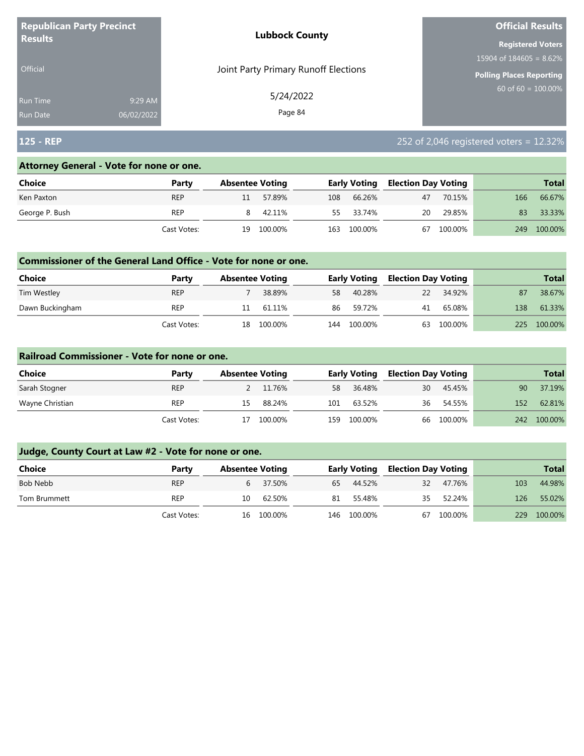| <b>Republican Party Precinct</b><br><b>Results</b> |            | <b>Lubbock County</b>                | <b>Official Results</b>    |
|----------------------------------------------------|------------|--------------------------------------|----------------------------|
|                                                    |            |                                      | <b>Registered Voters</b>   |
|                                                    |            |                                      | 15904 of $184605 = 8.62\%$ |
| <b>Official</b>                                    |            | Joint Party Primary Runoff Elections | Polling Places Reporting   |
| <b>Run Time</b>                                    | 9:29 AM    | 5/24/2022                            | $60$ of 60 = 100.00%       |
| <b>Run Date</b>                                    | 06/02/2022 | Page 84                              |                            |

# **125 - REP** 252 of 2,046 registered voters = 12.32%

#### **Attorney General - Vote for none or one.**

| Choice         | Party       |    | <b>Absentee Voting</b> |     | <b>Early Voting</b> | <b>Election Day Voting</b> |         |     | <b>Total</b> |
|----------------|-------------|----|------------------------|-----|---------------------|----------------------------|---------|-----|--------------|
| Ken Paxton     | <b>REP</b>  |    | 57.89%                 | 108 | 66.26%              | 47                         | 70.15%  | 166 | 66.67%       |
| George P. Bush | <b>REP</b>  |    | 42.11%                 |     | 55 33.74%           | 20                         | 29.85%  | 83  | 33.33%       |
|                | Cast Votes: | 19 | 100.00%                | 163 | 100.00%             | 67                         | 100.00% | 249 | 100.00%      |

#### **Commissioner of the General Land Office - Vote for none or one.**

| Choice          | Party       | <b>Absentee Voting</b> |           |     | <b>Early Voting</b> | <b>Election Day Voting</b> |         |     | <b>Total</b> |
|-----------------|-------------|------------------------|-----------|-----|---------------------|----------------------------|---------|-----|--------------|
| Tim Westley     | <b>REP</b>  |                        | 38.89%    | 58  | 40.28%              | <b>22</b>                  | 34.92%  | 87  | 38.67%       |
| Dawn Buckingham | REP         |                        | 11 61.11% | 86  | 59.72%              | 41                         | 65.08%  | 138 | 61.33%       |
|                 | Cast Votes: | 18                     | 100.00%   | 144 | 100.00%             | 63                         | 100.00% | 225 | 100.00%      |

#### **Railroad Commissioner - Vote for none or one.**

| Choice          | Party       | <b>Absentee Voting</b> |         |     | <b>Early Voting</b> | <b>Election Day Voting</b> |            |     | Total   |
|-----------------|-------------|------------------------|---------|-----|---------------------|----------------------------|------------|-----|---------|
| Sarah Stogner   | <b>REP</b>  |                        | 11.76%  | 58  | 36.48%              | 30                         | 45.45%     | 90  | 37.19%  |
| Wayne Christian | <b>REP</b>  | 15.                    | 88.24%  | 101 | 63.52%              | 36                         | 54.55%     | 152 | 62.81%  |
|                 | Cast Votes: | 17                     | 100.00% | 159 | 100.00%             |                            | 66 100.00% | 242 | 100.00% |

| Choice       | Party       |    | <b>Absentee Voting</b> |     | <b>Early Voting</b> | Election Day Voting |         |     | <b>Total</b> |
|--------------|-------------|----|------------------------|-----|---------------------|---------------------|---------|-----|--------------|
| Bob Nebb     | <b>REP</b>  | b  | 37.50%                 | 65  | 44.52%              | 32                  | 47.76%  | 103 | 44.98%       |
| Tom Brummett | REP         | 10 | 62.50%                 | 81  | 55.48%              | 35                  | 52.24%  | 126 | 55.02%       |
|              | Cast Votes: | 16 | 100.00%                | 146 | 100.00%             | 67                  | 100.00% | 229 | 100.00%      |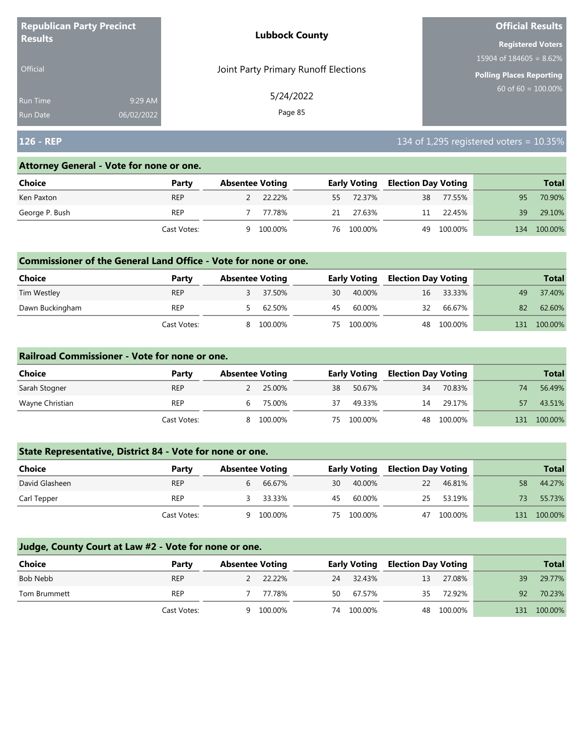| <b>Republican Party Precinct</b><br><b>Results</b> |            | <b>Lubbock County</b>                | <b>Official Results</b>    |
|----------------------------------------------------|------------|--------------------------------------|----------------------------|
|                                                    |            |                                      | <b>Registered Voters</b>   |
|                                                    |            |                                      | 15904 of $184605 = 8.62\%$ |
| <b>Official</b>                                    |            | Joint Party Primary Runoff Elections | Polling Places Reporting   |
| <b>Run Time</b>                                    | 9:29 AM    | 5/24/2022                            | $60$ of 60 = 100.00%       |
| <b>Run Date</b>                                    | 06/02/2022 | Page 85                              |                            |

## **126 - REP** 134 of 1,295 registered voters = 10.35%

#### **Attorney General - Vote for none or one.**

| Choice         | Party       |   | <b>Absentee Voting</b> |    | <b>Early Voting</b> | <b>Election Day Voting</b> |            |     | <b>Total</b> |
|----------------|-------------|---|------------------------|----|---------------------|----------------------------|------------|-----|--------------|
| Ken Paxton     | <b>REP</b>  |   | 2 22.22%               |    | 55 72.37%           | 38                         | 77.55%     | 95  | 70.90%       |
| George P. Bush | REP         |   | 77.78%                 | 21 | 27.63%              | 11                         | 22.45%     | 39  | 29.10%       |
|                | Cast Votes: | q | 100.00%                |    | 76 100.00%          |                            | 49 100.00% | 134 | 100.00%      |

#### **Commissioner of the General Land Office - Vote for none or one.**

| <b>Choice</b>   | Party       | <b>Absentee Voting</b> |         |     | <b>Early Voting</b> | <b>Election Day Voting</b> |           |     | <b>Total</b> |
|-----------------|-------------|------------------------|---------|-----|---------------------|----------------------------|-----------|-----|--------------|
| Tim Westley     | <b>REP</b>  |                        | 37.50%  | 30  | 40.00%              |                            | 16 33.33% | 49  | 37.40%       |
| Dawn Buckingham | REP         |                        | 62.50%  | 45. | 60.00%              | 32                         | 66.67%    | 82  | 62.60%       |
|                 | Cast Votes: |                        | 100.00% | 75  | 100.00%             | 48                         | 100.00%   | 131 | 100.00%      |

#### **Railroad Commissioner - Vote for none or one.**

| Choice          | Party       | <b>Absentee Voting</b> |         |     | <b>Early Voting</b> | <b>Election Day Voting</b> |            |     | <b>Total</b> |
|-----------------|-------------|------------------------|---------|-----|---------------------|----------------------------|------------|-----|--------------|
| Sarah Stogner   | <b>REP</b>  |                        | 25.00%  | 38  | 50.67%              | 34                         | 70.83%     | 74  | 56.49%       |
| Wayne Christian | <b>REP</b>  | b                      | 75.00%  | 37  | 49.33%              | 14                         | 29.17%     | 57  | 43.51%       |
|                 | Cast Votes: | 8                      | 100.00% | 75. | 100.00%             |                            | 48 100.00% | 131 | 100.00%      |

## **State Representative, District 84 - Vote for none or one.**

| Choice         | Party       | <b>Absentee Voting</b> |    | <b>Early Voting</b> | <b>Election Day Voting</b> |            |     | <b>Total</b> |
|----------------|-------------|------------------------|----|---------------------|----------------------------|------------|-----|--------------|
| David Glasheen | <b>REP</b>  | 66.67%                 | 30 | 40.00%              | 22                         | 46.81%     | 58  | 44.27%       |
| Carl Tepper    | <b>REP</b>  | 33.33%                 | 45 | 60.00%              | 25                         | 53.19%     | 73. | 55.73%       |
|                | Cast Votes: | 100.00%                |    | 75 100.00%          |                            | 47 100.00% | 131 | 100.00%      |

| <b>Choice</b> | Party       | <b>Absentee Voting</b> |         |     | <b>Early Voting</b> | <b>Election Day Voting</b> |            |    | <b>Total</b> |
|---------------|-------------|------------------------|---------|-----|---------------------|----------------------------|------------|----|--------------|
| Bob Nebb      | <b>REP</b>  | $\mathcal{L}$          | 22.22%  | 24  | 32.43%              | 13                         | 27.08%     | 39 | 29.77%       |
| Tom Brummett  | <b>REP</b>  |                        | 77.78%  | 50. | 67.57%              | 35                         | 72.92%     | 92 | 70.23%       |
|               | Cast Votes: | Q                      | 100.00% | 74  | 100.00%             |                            | 48 100.00% |    | 131 100.00%  |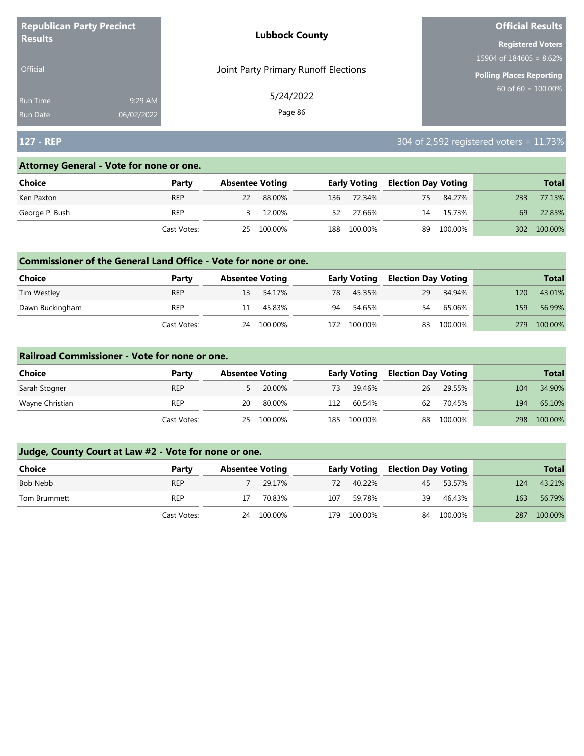| <b>Republican Party Precinct</b> |            | <b>Lubbock County</b>                | <b>Official Results</b>    |
|----------------------------------|------------|--------------------------------------|----------------------------|
| <b>Results</b>                   |            |                                      | <b>Registered Voters</b>   |
|                                  |            |                                      | 15904 of $184605 = 8.62\%$ |
| <b>Official</b>                  |            | Joint Party Primary Runoff Elections | Polling Places Reporting   |
| <b>Run Time</b>                  | 9:29 AM    | 5/24/2022                            | 60 of $60 = 100.00\%$      |
| <b>Run Date</b>                  | 06/02/2022 | Page 86                              |                            |

# **127 - REP** 304 of 2,592 registered voters = 11.73%

#### **Attorney General - Vote for none or one.**

| Choice         | Party       |    | <b>Absentee Voting</b> |     | <b>Early Voting</b> |    | <b>Election Day Voting</b> |     | <b>Total</b> |
|----------------|-------------|----|------------------------|-----|---------------------|----|----------------------------|-----|--------------|
| Ken Paxton     | <b>REP</b>  | 22 | 88.00%                 | 136 | 72.34%              | 75 | 84.27%                     | 233 | 77.15%       |
| George P. Bush | <b>REP</b>  |    | 12.00%                 | 52  | 27.66%              | 14 | 15.73%                     | 69  | 22.85%       |
|                | Cast Votes: | 25 | 100.00%                | 188 | 100.00%             | 89 | 100.00%                    | 302 | 100.00%      |

#### **Commissioner of the General Land Office - Vote for none or one.**

| <b>Choice</b>   | Party       | <b>Absentee Voting</b> |         |      | <b>Early Voting</b> | <b>Election Day Voting</b> |         |     | <b>Total</b> |
|-----------------|-------------|------------------------|---------|------|---------------------|----------------------------|---------|-----|--------------|
| Tim Westley     | <b>REP</b>  | 13                     | 54.17%  | 78   | 45.35%              | 29                         | 34.94%  | 120 | 43.01%       |
| Dawn Buckingham | REP         | 11                     | 45.83%  | 94   | 54.65%              | 54                         | 65.06%  | 159 | 56.99%       |
|                 | Cast Votes: | 24                     | 100.00% | 172. | 100.00%             | 83                         | 100.00% | 279 | 100.00%      |

#### **Railroad Commissioner - Vote for none or one.**

| Choice          | Party       |    | <b>Absentee Voting</b> |     | <b>Early Voting</b> |    | <b>Election Day Voting</b> |     | Total   |
|-----------------|-------------|----|------------------------|-----|---------------------|----|----------------------------|-----|---------|
| Sarah Stogner   | <b>REP</b>  |    | 20.00%                 | 73  | 39.46%              | 26 | 29.55%                     | 104 | 34.90%  |
| Wayne Christian | REP         | 20 | 80.00%                 | 112 | 60.54%              | 62 | 70.45%                     | 194 | 65.10%  |
|                 | Cast Votes: |    | 25 100.00%             | 185 | 100.00%             |    | 88 100.00%                 | 298 | 100.00% |

| Choice       | Party       |    | <b>Absentee Voting</b> |      | <b>Early Voting</b> | Election Day Voting |         |     | <b>Total</b> |
|--------------|-------------|----|------------------------|------|---------------------|---------------------|---------|-----|--------------|
| Bob Nebb     | <b>REP</b>  |    | 29.17%                 | 72   | 40.22%              | 45                  | 53.57%  | 124 | 43.21%       |
| Tom Brummett | REP         |    | 70.83%                 | 107  | 59.78%              | 39                  | 46.43%  | 163 | 56.79%       |
|              | Cast Votes: | 24 | 100.00%                | 179. | 100.00%             | 84                  | 100.00% | 287 | 100.00%      |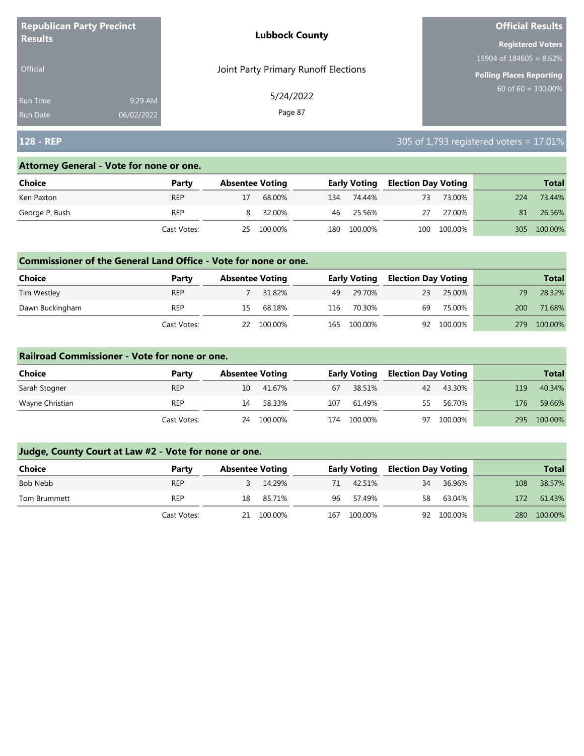| <b>Republican Party Precinct</b> |            | <b>Lubbock County</b>                | <b>Official Results</b>    |
|----------------------------------|------------|--------------------------------------|----------------------------|
| <b>Results</b>                   |            |                                      | <b>Registered Voters</b>   |
|                                  |            |                                      | 15904 of $184605 = 8.62\%$ |
| <b>Official</b>                  |            | Joint Party Primary Runoff Elections | Polling Places Reporting   |
| <b>Run Time</b>                  | 9:29 AM    | 5/24/2022                            | $60$ of 60 = 100.00%       |
| <b>Run Date</b>                  | 06/02/2022 | Page 87                              |                            |

# **128 - REP** 305 of 1,793 registered voters = 17.01%

#### **Attorney General - Vote for none or one.**

| Choice         | Party       | <b>Absentee Voting</b> |     | Early Voting | <b>Election Day Voting</b> |             |     | <b>Total</b> |
|----------------|-------------|------------------------|-----|--------------|----------------------------|-------------|-----|--------------|
| Ken Paxton     | <b>REP</b>  | 68.00%                 | 134 | 74.44%       | 73                         | 73.00%      | 224 | 73.44%       |
| George P. Bush | <b>REP</b>  | 32.00%                 |     | 46 25.56%    | 27                         | 27.00%      | 81  | 26.56%       |
|                | Cast Votes: | 25 100.00%             | 180 | 100.00%      |                            | 100 100.00% | 305 | 100.00%      |

#### **Commissioner of the General Land Office - Vote for none or one.**

| <b>Choice</b>   | Party       | <b>Absentee Voting</b> |            |     | <b>Early Voting</b> | <b>Election Day Voting</b> |            |     | <b>Total</b> |
|-----------------|-------------|------------------------|------------|-----|---------------------|----------------------------|------------|-----|--------------|
| Tim Westley     | <b>REP</b>  |                        | 31.82%     | 49  | 29.70%              | 23                         | 25.00%     | 79. | 28.32%       |
| Dawn Buckingham | REP         | 15                     | 68.18%     | 116 | 70.30%              | 69                         | 75.00%     | 200 | 71.68%       |
|                 | Cast Votes: |                        | 22 100.00% | 165 | 100.00%             |                            | 92 100.00% | 279 | 100.00%      |

#### **Railroad Commissioner - Vote for none or one.**

| Choice          | Party       | <b>Absentee Voting</b> |         |     | <b>Early Voting</b> |    | <b>Election Day Voting</b> |     | <b>Total</b> |
|-----------------|-------------|------------------------|---------|-----|---------------------|----|----------------------------|-----|--------------|
| Sarah Stogner   | <b>REP</b>  | 10                     | 41.67%  | 67  | 38.51%              | 42 | 43.30%                     | 119 | 40.34%       |
| Wayne Christian | <b>REP</b>  | 14                     | 58.33%  | 107 | 61.49%              | 55 | 56.70%                     | 176 | 59.66%       |
|                 | Cast Votes: | 24                     | 100.00% | 174 | 100.00%             | 97 | 100.00%                    | 295 | 100.00%      |

| <b>Choice</b> | Party       | <b>Absentee Voting</b> |     | <b>Early Voting</b> |    | <b>Election Day Voting</b> |     | <b>Total</b> |
|---------------|-------------|------------------------|-----|---------------------|----|----------------------------|-----|--------------|
| Bob Nebb      | <b>REP</b>  | 14.29%                 | 71  | 42.51%              | 34 | 36.96%                     | 108 | 38.57%       |
| Tom Brummett  | <b>REP</b>  | 18 85.71%              | 96  | 57.49%              | 58 | 63.04%                     | 172 | 61.43%       |
|               | Cast Votes: | 21 100.00%             | 167 | 100.00%             |    | 92 100.00%                 | 280 | 100.00%      |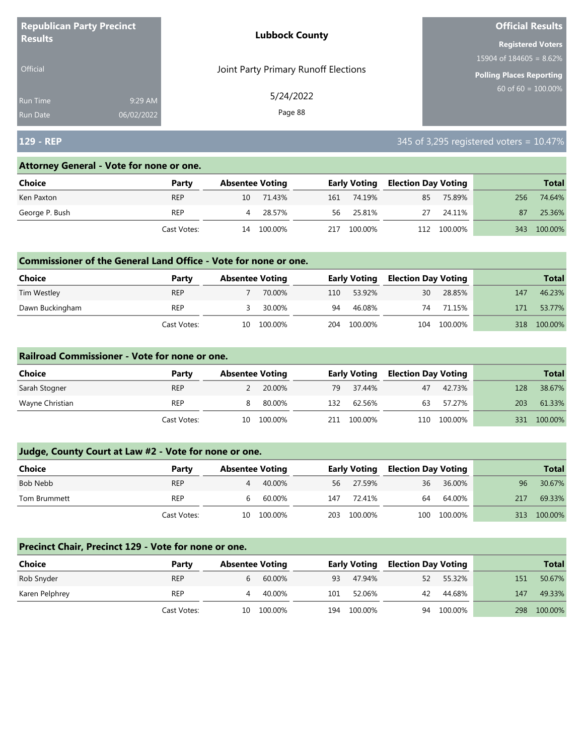| <b>Republican Party Precinct</b> |            | <b>Lubbock County</b>                | <b>Official Results</b>    |
|----------------------------------|------------|--------------------------------------|----------------------------|
| <b>Results</b>                   |            |                                      | <b>Registered Voters</b>   |
|                                  |            |                                      | 15904 of $184605 = 8.62\%$ |
| <b>Official</b>                  |            | Joint Party Primary Runoff Elections | Polling Places Reporting   |
| <b>Run Time</b>                  | 9:29 AM    | 5/24/2022                            | 60 of $60 = 100.00\%$      |
| <b>Run Date</b>                  | 06/02/2022 | Page 88                              |                            |

# **129 - REP** 345 of 3,295 registered voters = 10.47%

#### **Attorney General - Vote for none or one.**

| Choice         | Party       |    | <b>Absentee Voting</b> |     | <b>Early Voting</b> | <b>Election Day Voting</b> |             |     | <b>Total</b> |
|----------------|-------------|----|------------------------|-----|---------------------|----------------------------|-------------|-----|--------------|
| Ken Paxton     | <b>REP</b>  | 10 | 71.43%                 | 161 | 74.19%              | 85                         | 75.89%      | 256 | 74.64%       |
| George P. Bush | <b>REP</b>  | 4  | 28.57%                 | 56. | 25.81%              | 27                         | 24.11%      | 87  | 25.36%       |
|                | Cast Votes: | 14 | 100.00%                | 217 | 100.00%             |                            | 112 100.00% | 343 | 100.00%      |

#### **Commissioner of the General Land Office - Vote for none or one.**

| Choice          | Party       | <b>Absentee Voting</b> |         |     | <b>Early Voting</b> | <b>Election Day Voting</b> |         |     | <b>Total</b> |
|-----------------|-------------|------------------------|---------|-----|---------------------|----------------------------|---------|-----|--------------|
| Tim Westley     | <b>REP</b>  |                        | 70.00%  | 110 | 53.92%              | 30                         | 28.85%  | 147 | 46.23%       |
| Dawn Buckingham | REP         |                        | 30.00%  | 94  | 46.08%              | 74                         | 71.15%  | 171 | 53.77%       |
|                 | Cast Votes: | 10                     | 100.00% |     | 204 100.00%         | 104                        | 100.00% | 318 | 100.00%      |

#### **Railroad Commissioner - Vote for none or one.**

| Choice          | Party       | <b>Absentee Voting</b> |         |     | <b>Early Voting</b> | <b>Election Day Voting</b> |             |     | <b>Total</b> |
|-----------------|-------------|------------------------|---------|-----|---------------------|----------------------------|-------------|-----|--------------|
| Sarah Stogner   | <b>REP</b>  |                        | 20.00%  | 79  | 37.44%              | 47                         | 42.73%      | 128 | 38.67%       |
| Wayne Christian | <b>REP</b>  |                        | 80.00%  | 132 | 62.56%              | 63                         | 57.27%      | 203 | 61.33%       |
|                 | Cast Votes: | 10                     | 100.00% | 211 | 100.00%             |                            | 110 100.00% | 331 | 100.00%      |

## **Judge, County Court at Law #2 - Vote for none or one.**

| <b>Choice</b> | Party       | <b>Absentee Voting</b> |      | <b>Early Voting</b> | <b>Election Day Voting</b> |             |     | <b>Total</b> |
|---------------|-------------|------------------------|------|---------------------|----------------------------|-------------|-----|--------------|
| Bob Nebb      | <b>REP</b>  | 40.00%<br>4            | 56   | 27.59%              | 36                         | 36.00%      | 96  | 30.67%       |
| Tom Brummett  | <b>REP</b>  | 60.00%                 | 147  | 72.41%              | 64                         | 64.00%      | 217 | 69.33%       |
|               | Cast Votes: | 100.00%<br>10          | 203. | 100.00%             |                            | 100 100.00% | 313 | 100.00%      |

#### **Precinct Chair, Precinct 129 - Vote for none or one.**

| <b>Choice</b>  | Party       | <b>Absentee Voting</b> |            |     | <b>Early Voting</b> |    | <b>Election Day Voting</b> |     | <b>Total</b> |
|----------------|-------------|------------------------|------------|-----|---------------------|----|----------------------------|-----|--------------|
| Rob Snyder     | <b>REP</b>  | b                      | 60.00%     | 93  | 47.94%              | 52 | 55.32%                     | 151 | 50.67%       |
| Karen Pelphrey | <b>REP</b>  | 4                      | 40.00%     | 101 | 52.06%              | 42 | 44.68%                     | 147 | 49.33%       |
|                | Cast Votes: |                        | 10 100.00% | 194 | 100.00%             |    | 94 100.00%                 |     | 298 100.00%  |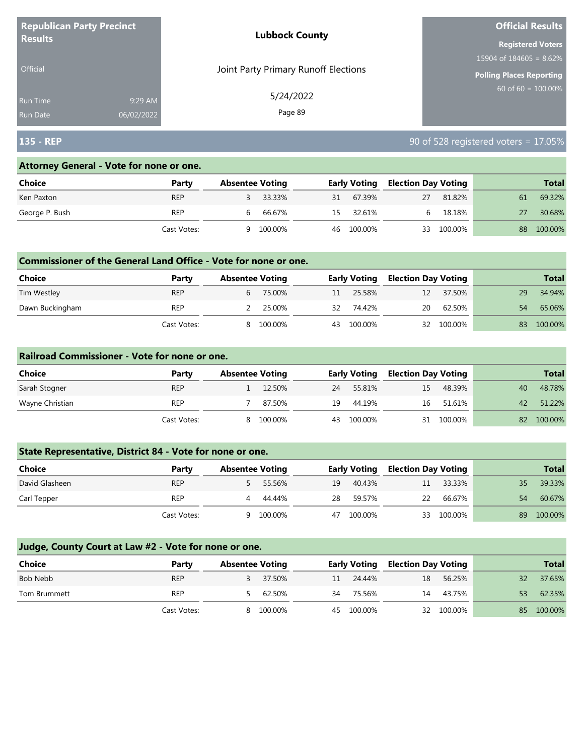| <b>Republican Party Precinct</b><br><b>Results</b> |            | <b>Lubbock County</b>                | <b>Official Results</b>   |  |  |
|----------------------------------------------------|------------|--------------------------------------|---------------------------|--|--|
|                                                    |            |                                      | <b>Registered Voters</b>  |  |  |
|                                                    |            |                                      | $15904$ of 184605 = 8.62% |  |  |
| <b>Official</b>                                    |            | Joint Party Primary Runoff Elections | Polling Places Reporting  |  |  |
| <b>Run Time</b>                                    | 9:29 AM    | 5/24/2022                            | $60$ of 60 = 100.00%      |  |  |
| <b>Run Date</b>                                    | 06/02/2022 | Page 89                              |                           |  |  |

## **135 - REP** 90 of 528 registered voters = 17.05%

#### **Attorney General - Vote for none or one.**

| Choice         | Party       | <b>Absentee Voting</b> |         |    | <b>Early Voting</b> | <b>Election Day Voting</b> |         |    | <b>Total</b> |
|----------------|-------------|------------------------|---------|----|---------------------|----------------------------|---------|----|--------------|
| Ken Paxton     | <b>REP</b>  |                        | 33.33%  | 31 | 67.39%              | 27                         | 81.82%  | 61 | 69.32%       |
| George P. Bush | REP         | b                      | 66.67%  | 15 | 32.61%              |                            | 18.18%  |    | 30.68%       |
|                | Cast Votes: | Q                      | 100.00% |    | 46 100.00%          | 33                         | 100.00% | 88 | 100.00%      |

#### **Commissioner of the General Land Office - Vote for none or one.**

| <b>Choice</b>   | Party       | <b>Absentee Voting</b> |          |    | <b>Early Voting</b> | <b>Election Day Voting</b> |            |    | <b>Total</b> |
|-----------------|-------------|------------------------|----------|----|---------------------|----------------------------|------------|----|--------------|
| Tim Westley     | <b>REP</b>  |                        | 6 75.00% | 11 | 25.58%              | 12                         | 37.50%     | 29 | 34.94%       |
| Dawn Buckingham | <b>REP</b>  |                        | 25.00%   | 32 | 74.42%              | 20                         | 62.50%     | 54 | 65.06%       |
|                 | Cast Votes: | 8                      | 100.00%  | 43 | 100.00%             |                            | 32 100.00% | 83 | 100.00%      |

#### **Railroad Commissioner - Vote for none or one.**

| Choice          | Party       | <b>Absentee Voting</b> |         |    | <b>Early Voting</b> |    | <b>Election Day Voting</b> |    | <b>Total</b> |
|-----------------|-------------|------------------------|---------|----|---------------------|----|----------------------------|----|--------------|
| Sarah Stogner   | <b>REP</b>  |                        | 12.50%  | 24 | 55.81%              | 15 | 48.39%                     | 40 | 48.78%       |
| Wayne Christian | REP         |                        | 87.50%  | 19 | 44.19%              | 16 | 51.61%                     | 42 | 51.22%       |
|                 | Cast Votes: | 8.                     | 100.00% | 43 | 100.00%             |    | 31 100.00%                 | 82 | 100.00%      |

## **State Representative, District 84 - Vote for none or one.**

| Choice         | Party       | <b>Absentee Voting</b> |         |    | <b>Early Voting</b> |    | <b>Election Day Voting</b> |    | <b>Total</b> |
|----------------|-------------|------------------------|---------|----|---------------------|----|----------------------------|----|--------------|
| David Glasheen | <b>REP</b>  |                        | 55.56%  | 19 | 40.43%              | 11 | 33.33%                     | 35 | 39.33%       |
| Carl Tepper    | <b>REP</b>  | 4                      | 44.44%  | 28 | 59.57%              | 22 | 66.67%                     | 54 | 60.67%       |
|                | Cast Votes: |                        | 100.00% | 47 | 100.00%             |    | 33 100.00%                 | 89 | 100.00%      |

| <b>Choice</b> | Party       | <b>Absentee Voting</b> |         |    | <b>Early Voting</b> |    | <b>Election Day Voting</b> |    | <b>Total</b> |
|---------------|-------------|------------------------|---------|----|---------------------|----|----------------------------|----|--------------|
| Bob Nebb      | <b>REP</b>  |                        | 37.50%  | 11 | 24.44%              | 18 | 56.25%                     | 32 | 37.65%       |
| Tom Brummett  | <b>REP</b>  |                        | 62.50%  | 34 | 75.56%              | 14 | 43.75%                     | 53 | 62.35%       |
|               | Cast Votes: | 8                      | 100.00% | 45 | 100.00%             |    | 32 100.00%                 |    | 85 100.00%   |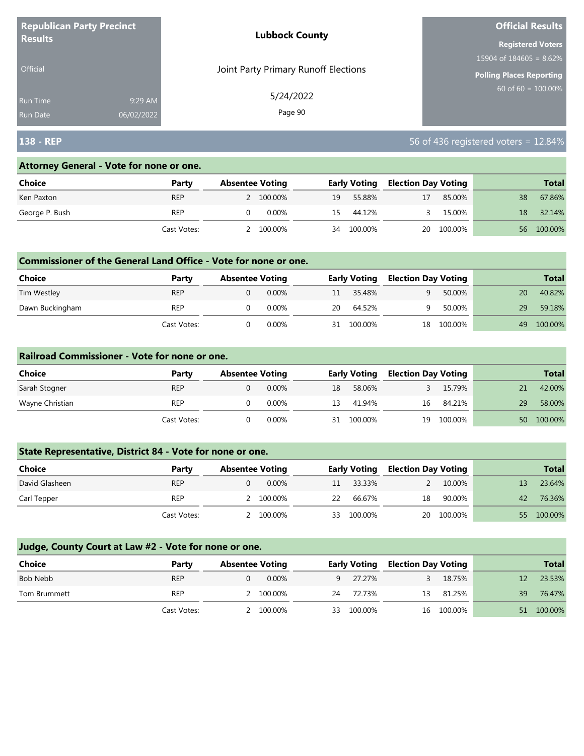| <b>Republican Party Precinct</b><br><b>Results</b> |            | <b>Lubbock County</b>                | <b>Official Results</b>         |  |  |
|----------------------------------------------------|------------|--------------------------------------|---------------------------------|--|--|
|                                                    |            |                                      | <b>Registered Voters</b>        |  |  |
|                                                    |            |                                      | 15904 of $184605 = 8.62\%$      |  |  |
| <b>Official</b>                                    |            | Joint Party Primary Runoff Elections | <b>Polling Places Reporting</b> |  |  |
| <b>Run Time</b>                                    | 9:29 AM    | 5/24/2022                            | 60 of 60 = $100.00\%$           |  |  |
| <b>Run Date</b>                                    | 06/02/2022 | Page 90                              |                                 |  |  |

# **138 - REP** 56 of 436 registered voters = 12.84%

#### **Attorney General - Vote for none or one.**

| Choice         | Party       | <b>Absentee Voting</b> |           |    | <b>Early Voting</b> |    | <b>Election Day Voting</b> |     | <b>Total</b> |
|----------------|-------------|------------------------|-----------|----|---------------------|----|----------------------------|-----|--------------|
| Ken Paxton     | <b>REP</b>  |                        | 2 100.00% | 19 | 55.88%              | 17 | 85.00%                     | 38  | 67.86%       |
| George P. Bush | REP         |                        | 0.00%     | 15 | 44.12%              |    | 15.00%                     | 18  | 32.14%       |
|                | Cast Votes: |                        | 100.00%   | 34 | 100.00%             | 20 | 100.00%                    | 56. | 100.00%      |

#### **Commissioner of the General Land Office - Vote for none or one.**

| <b>Choice</b>   | Party       | <b>Absentee Voting</b> |          |    | <b>Early Voting</b> | <b>Election Day Voting</b> |         |    | <b>Total</b> |
|-----------------|-------------|------------------------|----------|----|---------------------|----------------------------|---------|----|--------------|
| Tim Westley     | <b>REP</b>  |                        | $0.00\%$ | 11 | 35.48%              | q                          | 50.00%  | 20 | 40.82%       |
| Dawn Buckingham | <b>REP</b>  |                        | 0.00%    | 20 | 64.52%              |                            | 50.00%  | 29 | 59.18%       |
|                 | Cast Votes: |                        | 0.00%    | 31 | 100.00%             | 18                         | 100.00% | 49 | 100.00%      |

#### **Railroad Commissioner - Vote for none or one.**

| Choice          | Party       | <b>Absentee Voting</b> |          |    | <b>Early Voting</b> |    | <b>Election Day Voting</b> |                 | <b>Total</b> |
|-----------------|-------------|------------------------|----------|----|---------------------|----|----------------------------|-----------------|--------------|
| Sarah Stogner   | <b>REP</b>  |                        | 0.00%    | 18 | 58.06%              |    | 15.79%                     |                 | 42.00%       |
| Wayne Christian | <b>REP</b>  |                        | $0.00\%$ | 13 | 41.94%              | 16 | 84.21%                     | 29              | 58.00%       |
|                 | Cast Votes: |                        | 0.00%    | 31 | 100.00%             | 19 | 100.00%                    | 50 <sup>°</sup> | 100.00%      |

## **State Representative, District 84 - Vote for none or one.**

| <b>Choice</b>  | Party       | <b>Absentee Voting</b> |    | <b>Early Voting</b> |    | <b>Election Day Voting</b> |    | <b>Total</b> |
|----------------|-------------|------------------------|----|---------------------|----|----------------------------|----|--------------|
| David Glasheen | <b>REP</b>  | $0.00\%$               | 11 | 33.33%              |    | 10.00%                     |    | 23.64%       |
| Carl Tepper    | <b>REP</b>  | 100.00%                | 22 | 66.67%              | 18 | 90.00%                     | 42 | 76.36%       |
|                | Cast Votes: | 100.00%                | 33 | 100.00%             | 20 | 100.00%                    | 55 | 100.00%      |

| Choice       | Party       | <b>Absentee Voting</b> |           |    | <b>Early Voting</b> |    | <b>Election Day Voting</b> |                   | <b>Total</b> |
|--------------|-------------|------------------------|-----------|----|---------------------|----|----------------------------|-------------------|--------------|
| Bob Nebb     | <b>REP</b>  |                        | $0.00\%$  | 9  | 27.27%              |    | 18.75%                     | $12 \overline{ }$ | 23.53%       |
| Tom Brummett | <b>REP</b>  |                        | 2 100,00% | 24 | 72.73%              | 13 | 81.25%                     | 39                | 76.47%       |
|              | Cast Votes: |                        | 100.00%   | 33 | 100.00%             |    | 16 100.00%                 | 51                | 100.00%      |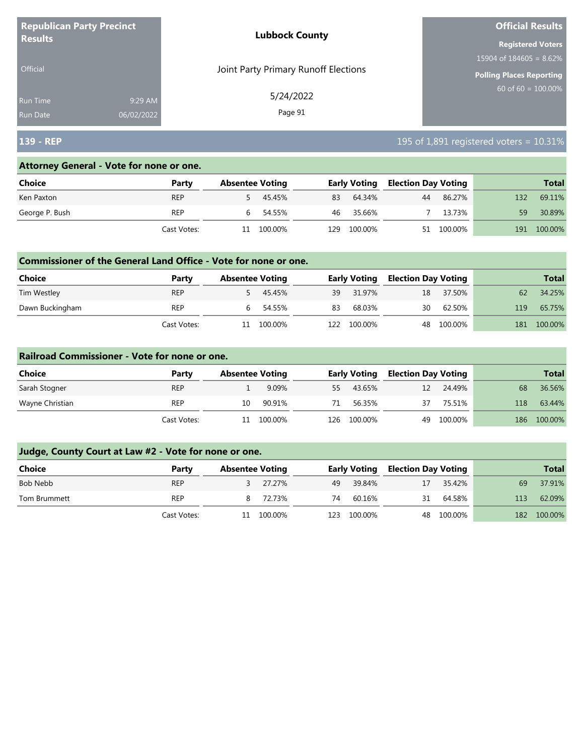| <b>Republican Party Precinct</b><br><b>Results</b> |            | <b>Lubbock County</b>                | <b>Official Results</b>    |  |  |
|----------------------------------------------------|------------|--------------------------------------|----------------------------|--|--|
|                                                    |            |                                      | <b>Registered Voters</b>   |  |  |
|                                                    |            |                                      | 15904 of $184605 = 8.62\%$ |  |  |
| <b>Official</b>                                    |            | Joint Party Primary Runoff Elections | Polling Places Reporting   |  |  |
| <b>Run Time</b>                                    | 9:29 AM    | 5/24/2022                            | $60$ of 60 = 100.00%       |  |  |
| <b>Run Date</b>                                    | 06/02/2022 | Page 91                              |                            |  |  |

# **139 - REP** 195 of 1,891 registered voters = 10.31%

#### **Attorney General - Vote for none or one.**

| Choice         | Party       | <b>Absentee Voting</b> |         |      | <b>Early Voting</b> |    | <b>Election Day Voting</b> |     | <b>Total</b> |  |
|----------------|-------------|------------------------|---------|------|---------------------|----|----------------------------|-----|--------------|--|
| Ken Paxton     | <b>REP</b>  |                        | 45.45%  | 83   | 64.34%              | 44 | 86.27%                     | 132 | 69.11%       |  |
| George P. Bush | <b>REP</b>  |                        | 54.55%  | 46   | 35.66%              |    | 13.73%                     | 59  | 30.89%       |  |
|                | Cast Votes: | 11                     | 100.00% | 129. | 100.00%             | 51 | 100.00%                    | 191 | 100.00%      |  |

#### **Commissioner of the General Land Office - Vote for none or one.**

| Choice          | Party       | <b>Absentee Voting</b> |     | <b>Early Voting</b> | <b>Election Day Voting</b> |         |     | <b>Total</b> |
|-----------------|-------------|------------------------|-----|---------------------|----------------------------|---------|-----|--------------|
| Tim Westley     | <b>REP</b>  | 45.45%                 | 39  | 31.97%              | 18                         | 37.50%  | 62  | 34.25%       |
| Dawn Buckingham | REP         | 6 54.55%               | 83  | 68.03%              | 30                         | 62.50%  | 119 | 65.75%       |
|                 | Cast Votes: | 100.00%                | L22 | 100.00%             | 48                         | 100.00% | 181 | 100.00%      |

#### **Railroad Commissioner - Vote for none or one.**

| Choice          | Party       | <b>Absentee Voting</b> |         |     | <b>Early Voting</b> |    | <b>Election Day Voting</b> |     | <b>Total</b> |
|-----------------|-------------|------------------------|---------|-----|---------------------|----|----------------------------|-----|--------------|
| Sarah Stogner   | <b>REP</b>  |                        | 9.09%   | 55  | 43.65%              | 12 | 24.49%                     | 68  | 36.56%       |
| Wayne Christian | <b>REP</b>  | 10                     | 90.91%  | 71  | 56.35%              | 37 | 75.51%                     | 118 | 63.44%       |
|                 | Cast Votes: | 11                     | 100.00% | 126 | 100.00%             | 49 | 100.00%                    | 186 | 100.00%      |

| <b>Choice</b> | Party       | <b>Absentee Voting</b> |      | <b>Early Voting</b> | <b>Election Day Voting</b> |            |     | <b>Total</b> |
|---------------|-------------|------------------------|------|---------------------|----------------------------|------------|-----|--------------|
| Bob Nebb      | <b>REP</b>  | 27.27%                 | 49   | 39.84%              | 17                         | 35.42%     | 69  | 37.91%       |
| Tom Brummett  | <b>REP</b>  | 8 72.73%               | 74   | 60.16%              | 31                         | 64.58%     | 113 | 62.09%       |
|               | Cast Votes: | 11 100.00%             | 123. | 100.00%             |                            | 48 100.00% | 182 | 100.00%      |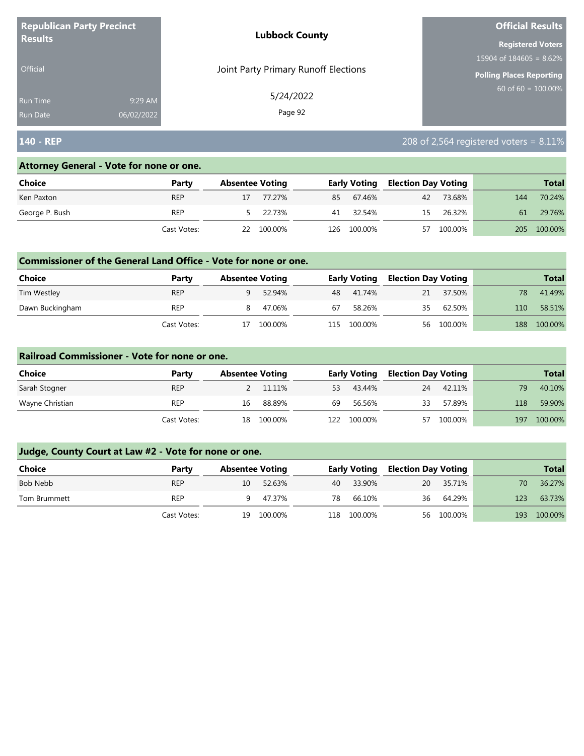| <b>Republican Party Precinct</b><br><b>Results</b> |            | <b>Lubbock County</b>                | <b>Official Results</b>    |  |  |
|----------------------------------------------------|------------|--------------------------------------|----------------------------|--|--|
|                                                    |            |                                      | <b>Registered Voters</b>   |  |  |
|                                                    |            |                                      | 15904 of $184605 = 8.62\%$ |  |  |
| <b>Official</b>                                    |            | Joint Party Primary Runoff Elections | Polling Places Reporting   |  |  |
| <b>Run Time</b>                                    | 9:29 AM    | 5/24/2022                            | $60$ of 60 = 100.00%       |  |  |
| <b>Run Date</b>                                    | 06/02/2022 | Page 92                              |                            |  |  |

# **140 - REP** 208 of 2,564 registered voters = 8.11%

#### **Attorney General - Vote for none or one.**

| Choice         | Party       |    | <b>Absentee Voting</b> |     | <b>Early Voting</b> | <b>Election Day Voting</b> |         |     | <b>Total</b> |
|----------------|-------------|----|------------------------|-----|---------------------|----------------------------|---------|-----|--------------|
| Ken Paxton     | <b>REP</b>  |    | 77.27%                 | 85  | 67.46%              | 42                         | 73.68%  | 144 | 70.24%       |
| George P. Bush | <b>REP</b>  |    | 5 22.73%               | 41  | 32.54%              | 15                         | 26.32%  | 61  | 29.76%       |
|                | Cast Votes: | 22 | 100.00%                | 126 | 100.00%             | 57                         | 100.00% | 205 | 100.00%      |

#### **Commissioner of the General Land Office - Vote for none or one.**

| <b>Choice</b>   | Party       | <b>Absentee Voting</b> |         |    | <b>Early Voting</b> | <b>Election Day Voting</b> |            |     | <b>Total</b> |
|-----------------|-------------|------------------------|---------|----|---------------------|----------------------------|------------|-----|--------------|
| Tim Westley     | <b>REP</b>  | a                      | 52.94%  |    | 48 41.74%           | 21                         | 37.50%     | 78  | 41.49%       |
| Dawn Buckingham | REP         |                        | 47.06%  | 67 | 58.26%              | 35                         | 62.50%     | 110 | 58.51%       |
|                 | Cast Votes: |                        | 100.00% |    | 115 100.00%         |                            | 56 100.00% | 188 | 100.00%      |

#### **Railroad Commissioner - Vote for none or one.**

| Choice          | Party       | <b>Absentee Voting</b> |         | <b>Election Day Voting</b><br><b>Early Voting</b> |         |    |         | <b>Total</b> |         |
|-----------------|-------------|------------------------|---------|---------------------------------------------------|---------|----|---------|--------------|---------|
| Sarah Stogner   | <b>REP</b>  |                        | 11.11%  | 53                                                | 43.44%  | 24 | 42.11%  | 79           | 40.10%  |
| Wayne Christian | REP         | 16                     | 88.89%  | 69                                                | 56.56%  | 33 | 57.89%  | 118          | 59.90%  |
|                 | Cast Votes: | 18                     | 100.00% | 122.                                              | 100.00% | 57 | 100.00% | 197          | 100.00% |

| <b>Choice</b> | Party       | <b>Absentee Voting</b> |            | <b>Early Voting</b> |             | <b>Election Day Voting</b> |            |     | <b>Total</b> |
|---------------|-------------|------------------------|------------|---------------------|-------------|----------------------------|------------|-----|--------------|
| Bob Nebb      | <b>REP</b>  | 10                     | 52.63%     |                     | 40 33.90%   | 20                         | 35.71%     | 70  | 36.27%       |
| Tom Brummett  | <b>REP</b>  |                        | 47.37%     | 78                  | 66.10%      | 36                         | 64.29%     | 123 | 63.73%       |
|               | Cast Votes: |                        | 19 100.00% |                     | 118 100.00% |                            | 56 100.00% | 193 | 100.00%      |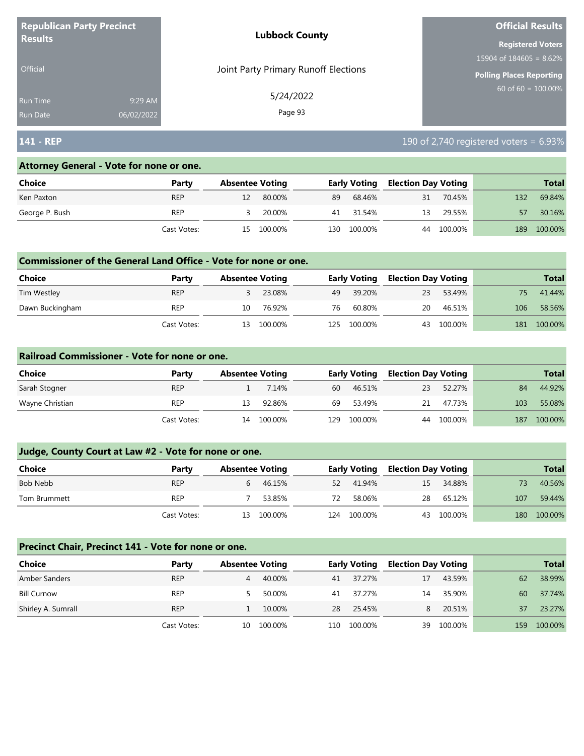| <b>Republican Party Precinct</b><br><b>Results</b> |            | <b>Lubbock County</b>                | <b>Official Results</b>         |
|----------------------------------------------------|------------|--------------------------------------|---------------------------------|
|                                                    |            |                                      | <b>Registered Voters</b>        |
|                                                    |            |                                      | 15904 of $184605 = 8.62\%$      |
| <b>Official</b>                                    |            | Joint Party Primary Runoff Elections | <b>Polling Places Reporting</b> |
| Run Time                                           | 9:29 AM    | 5/24/2022                            | $60$ of 60 = 100.00%            |
| <b>Run Date</b>                                    | 06/02/2022 | Page 93                              |                                 |

# **141 - REP** 190 of 2,740 registered voters = 6.93%

#### **Attorney General - Vote for none or one.**

| Choice         | Party       | <b>Absentee Voting</b> |         |      | <b>Early Voting</b> | <b>Election Day Voting</b> |         |     | <b>Total</b> |
|----------------|-------------|------------------------|---------|------|---------------------|----------------------------|---------|-----|--------------|
| Ken Paxton     | <b>REP</b>  |                        | 80.00%  | 89   | 68.46%              | 31                         | 70.45%  | 132 | 69.84%       |
| George P. Bush | REP         |                        | 20.00%  | 41   | 31.54%              | 13                         | 29.55%  |     | 30.16%       |
|                | Cast Votes: | 15.                    | 100.00% | L30. | 100.00%             | 44                         | 100.00% | 189 | 100.00%      |

#### **Commissioner of the General Land Office - Vote for none or one.**

| <b>Choice</b>   | Party       | <b>Absentee Voting</b> |         |      | <b>Early Voting</b> | <b>Election Day Voting</b> |         |     | <b>Total</b> |
|-----------------|-------------|------------------------|---------|------|---------------------|----------------------------|---------|-----|--------------|
| Tim Westley     | REP         |                        | 23.08%  | 49   | 39.20%              | 23                         | 53.49%  |     | 41.44%       |
| Dawn Buckingham | <b>REP</b>  | 10                     | 76.92%  | 76   | 60.80%              | 20                         | 46.51%  | 106 | 58.56%       |
|                 | Cast Votes: | 13                     | 100.00% | 125. | 100.00%             | 43                         | 100.00% | 181 | 100.00%      |

#### **Railroad Commissioner - Vote for none or one.**

| Choice          | Party       | <b>Absentee Voting</b> |         |      | <b>Early Voting</b> | <b>Election Day Voting</b> |         |     | <b>Total</b> |
|-----------------|-------------|------------------------|---------|------|---------------------|----------------------------|---------|-----|--------------|
| Sarah Stogner   | <b>REP</b>  |                        | 7.14%   | 60   | 46.51%              | 23                         | 52.27%  | 84  | 44.92%       |
| Wayne Christian | <b>REP</b>  | 13.                    | 92.86%  | 69   | 53.49%              | 21                         | 47.73%  | 103 | 55.08%       |
|                 | Cast Votes: | 14                     | 100.00% | 129. | 100.00%             | 44                         | 100.00% | 187 | 100.00%      |

## **Judge, County Court at Law #2 - Vote for none or one.**

| <b>Choice</b> | Party       | <b>Absentee Voting</b> |            |     | <b>Early Voting</b> | <b>Election Day Voting</b> |            |     | <b>Total</b> |
|---------------|-------------|------------------------|------------|-----|---------------------|----------------------------|------------|-----|--------------|
| Bob Nebb      | <b>REP</b>  |                        | 46.15%     | 52  | 41.94%              | 15                         | 34.88%     |     | 40.56%       |
| Tom Brummett  | <b>REP</b>  |                        | 53.85%     | 72  | 58.06%              | 28                         | 65.12%     | 107 | 59.44%       |
|               | Cast Votes: |                        | 13 100.00% | 124 | 100.00%             |                            | 43 100.00% | 180 | 100.00%      |

#### **Precinct Chair, Precinct 141 - Vote for none or one.**

| Choice             | Party       | <b>Absentee Voting</b> |         |     | <b>Early Voting</b> |    | <b>Election Day Voting</b> |      | <b>Total</b> |
|--------------------|-------------|------------------------|---------|-----|---------------------|----|----------------------------|------|--------------|
| Amber Sanders      | <b>REP</b>  | 4                      | 40.00%  | 41  | 37.27%              | 17 | 43.59%                     | 62   | 38.99%       |
| <b>Bill Curnow</b> | <b>REP</b>  |                        | 50.00%  | 41  | 37.27%              | 14 | 35.90%                     | 60   | 37.74%       |
| Shirley A. Sumrall | <b>REP</b>  |                        | 10.00%  | 28  | 25.45%              | 8  | 20.51%                     | 37   | 23.27%       |
|                    | Cast Votes: | 10-                    | 100.00% | 110 | 100.00%             | 39 | 100.00%                    | 159. | 100.00%      |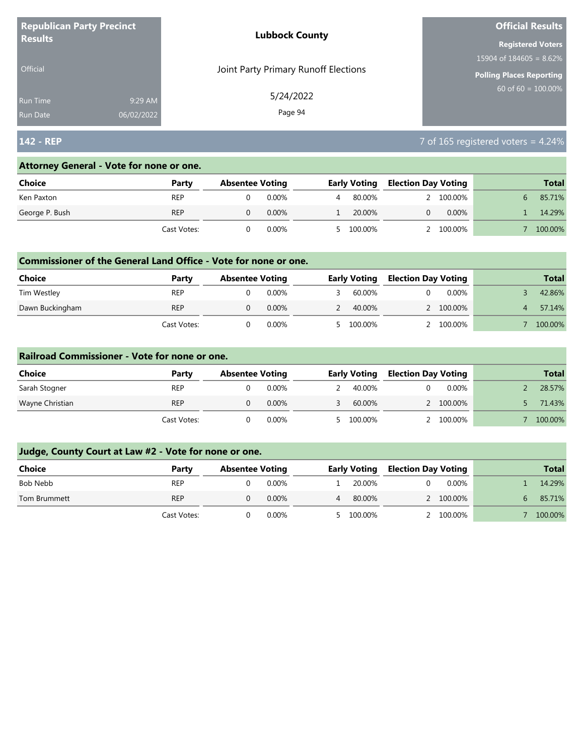| <b>Republican Party Precinct</b><br><b>Results</b> |            | <b>Lubbock County</b>                | <b>Official Results</b>         |  |  |
|----------------------------------------------------|------------|--------------------------------------|---------------------------------|--|--|
|                                                    |            |                                      | <b>Registered Voters</b>        |  |  |
|                                                    |            |                                      | 15904 of $184605 = 8.62\%$      |  |  |
| <b>Official</b>                                    |            | Joint Party Primary Runoff Elections | <b>Polling Places Reporting</b> |  |  |
| <b>Run Time</b>                                    | 9:29 AM    | 5/24/2022                            | $60$ of 60 = $100.00\%$         |  |  |
| <b>Run Date</b>                                    | 06/02/2022 | Page 94                              |                                 |  |  |

# **142 - REP** 7 of 165 registered voters = 4.24%

#### **Attorney General - Vote for none or one.**

| Choice         | Party       | <b>Absentee Voting</b> |          | <b>Early Voting</b> | <b>Election Day Voting</b> |          | <b>Total</b> |
|----------------|-------------|------------------------|----------|---------------------|----------------------------|----------|--------------|
| Ken Paxton     | <b>REP</b>  |                        | $0.00\%$ | 80.00%              |                            | 100.00%  | 85.71%       |
| George P. Bush | <b>REP</b>  |                        | 0.00%    | 20.00%              |                            | $0.00\%$ | 14.29%       |
|                | Cast Votes: |                        | 0.00%    | 5 100.00%           |                            | 100.00%  | 100.00%      |

#### **Commissioner of the General Land Office - Vote for none or one.**

| Choice          | Party       | <b>Absentee Voting</b> |          | <b>Early Voting</b> |  | <b>Election Day Voting</b> | <b>Total</b> |
|-----------------|-------------|------------------------|----------|---------------------|--|----------------------------|--------------|
| Tim Westley     | <b>REP</b>  |                        | $0.00\%$ | 60.00%              |  | 0.00%                      | 42.86%       |
| Dawn Buckingham | <b>REP</b>  |                        | $0.00\%$ | 40.00%              |  | 2 100.00%                  | 57.14%       |
|                 | Cast Votes: |                        | 0.00%    | 100.00%             |  | 100.00%                    | 100.00%      |

#### **Railroad Commissioner - Vote for none or one.**

| Choice          | Party       | <b>Absentee Voting</b> |          | <b>Early Voting</b> | <b>Election Day Voting</b> |           |  | <b>Total</b> |
|-----------------|-------------|------------------------|----------|---------------------|----------------------------|-----------|--|--------------|
| Sarah Stogner   | <b>REP</b>  |                        | 0.00%    | 40.00%              |                            | $0.00\%$  |  | 28.57%       |
| Wayne Christian | <b>REP</b>  |                        | $0.00\%$ | 60.00%              |                            | 2 100.00% |  | 71.43%       |
|                 | Cast Votes: |                        | $0.00\%$ | 5 100.00%           |                            | 2 100,00% |  | 100.00%      |

| <b>Choice</b> | Party       | <b>Absentee Voting</b> |          | <b>Early Voting</b> |  | <b>Election Day Voting</b> | <b>Total</b> |
|---------------|-------------|------------------------|----------|---------------------|--|----------------------------|--------------|
| Bob Nebb      | <b>REP</b>  |                        | $0.00\%$ | 20.00%              |  | $0.00\%$                   | 14.29%       |
| Tom Brummett  | <b>REP</b>  |                        | $0.00\%$ | 80.00%              |  | 2 100.00%                  | 85.71%       |
|               | Cast Votes: |                        | $0.00\%$ | 5 100.00%           |  | 2 100.00%                  | 100.00%      |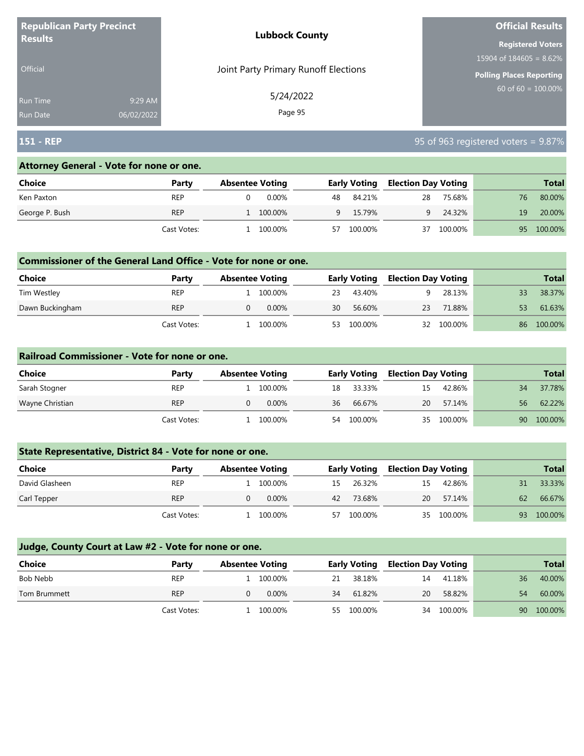| <b>Republican Party Precinct</b><br><b>Results</b> |            | <b>Lubbock County</b>                | <b>Official Results</b>         |  |  |
|----------------------------------------------------|------------|--------------------------------------|---------------------------------|--|--|
|                                                    |            |                                      | <b>Registered Voters</b>        |  |  |
|                                                    |            |                                      | 15904 of $184605 = 8.62\%$      |  |  |
| Official                                           |            | Joint Party Primary Runoff Elections | <b>Polling Places Reporting</b> |  |  |
| <b>Run Time</b>                                    | 9:29 AM    | 5/24/2022                            | $60$ of 60 = 100.00%            |  |  |
| <b>Run Date</b>                                    | 06/02/2022 | Page 95                              |                                 |  |  |

## **151 - REP** 95 of 963 registered voters = 9.87%

#### **Attorney General - Vote for none or one.**

| Choice         | Party       | <b>Absentee Voting</b> |         |     | <b>Early Voting</b> |    | Election Day Voting |    | <b>Total</b> |  |
|----------------|-------------|------------------------|---------|-----|---------------------|----|---------------------|----|--------------|--|
| Ken Paxton     | <b>REP</b>  |                        | 0.00%   | 48. | 84.21%              | 28 | 75.68%              | 76 | 80.00%       |  |
| George P. Bush | <b>REP</b>  |                        | 100.00% | Q   | 15.79%              |    | 24.32%              | 19 | 20.00%       |  |
|                | Cast Votes: |                        | 100.00% | 57  | 100.00%             | 37 | 100.00%             | 95 | 100.00%      |  |

#### **Commissioner of the General Land Office - Vote for none or one.**

| <b>Choice</b>   | Party       | <b>Absentee Voting</b> |          |    | <b>Early Voting</b> | <b>Election Day Voting</b> |         |    | <b>Total</b> |
|-----------------|-------------|------------------------|----------|----|---------------------|----------------------------|---------|----|--------------|
| Tim Westley     | REP         |                        | 100.00%  | 23 | 43.40%              |                            | 28.13%  |    | 38.37%       |
| Dawn Buckingham | <b>REP</b>  |                        | $0.00\%$ | 30 | 56.60%              | 23                         | 71.88%  | 53 | 61.63%       |
|                 | Cast Votes: |                        | 100.00%  | 53 | 100.00%             | 32                         | 100.00% | 86 | 100.00%      |

#### **Railroad Commissioner - Vote for none or one.**

| Choice          | Party       | <b>Absentee Voting</b> |          |    | <b>Early Voting</b> |    | <b>Election Day Voting</b> |    | <b>Total</b> |
|-----------------|-------------|------------------------|----------|----|---------------------|----|----------------------------|----|--------------|
| Sarah Stogner   | <b>REP</b>  |                        | 100.00%  | 18 | 33.33%              | 15 | 42.86%                     | 34 | 37.78%       |
| Wayne Christian | <b>REP</b>  |                        | $0.00\%$ | 36 | 66.67%              | 20 | 57.14%                     | 56 | 62.22%       |
|                 | Cast Votes: |                        | 100.00%  | 54 | 100.00%             | 35 | 100.00%                    | 90 | 100.00%      |

## **State Representative, District 84 - Vote for none or one.**

| Choice         | Party       | <b>Absentee Voting</b> |    | <b>Early Voting</b> |    | <b>Election Day Voting</b> |    | <b>Total</b> |
|----------------|-------------|------------------------|----|---------------------|----|----------------------------|----|--------------|
| David Glasheen | <b>REP</b>  | 1 100.00%              | 15 | 26.32%              | 15 | 42.86%                     | 31 | 33.33%       |
| Carl Tepper    | <b>REP</b>  | $0.00\%$               | 42 | 73.68%              | 20 | 57.14%                     | 62 | 66.67%       |
|                | Cast Votes: | 100.00%                | 57 | 100.00%             |    | 35 100.00%                 | 93 | 100.00%      |

| <b>Choice</b> | Party       | <b>Absentee Voting</b> |           |    | <b>Early Voting</b> |    | <b>Election Day Voting</b> |    | <b>Total</b> |
|---------------|-------------|------------------------|-----------|----|---------------------|----|----------------------------|----|--------------|
| Bob Nebb      | <b>REP</b>  |                        | 1 100.00% | 21 | 38.18%              | 14 | 41.18%                     | 36 | 40.00%       |
| Tom Brummett  | <b>REP</b>  |                        | $0.00\%$  | 34 | 61.82%              | 20 | 58.82%                     | 54 | 60.00%       |
|               | Cast Votes: |                        | 100.00%   |    | 55 100.00%          | 34 | 100.00%                    | 90 | 100.00%      |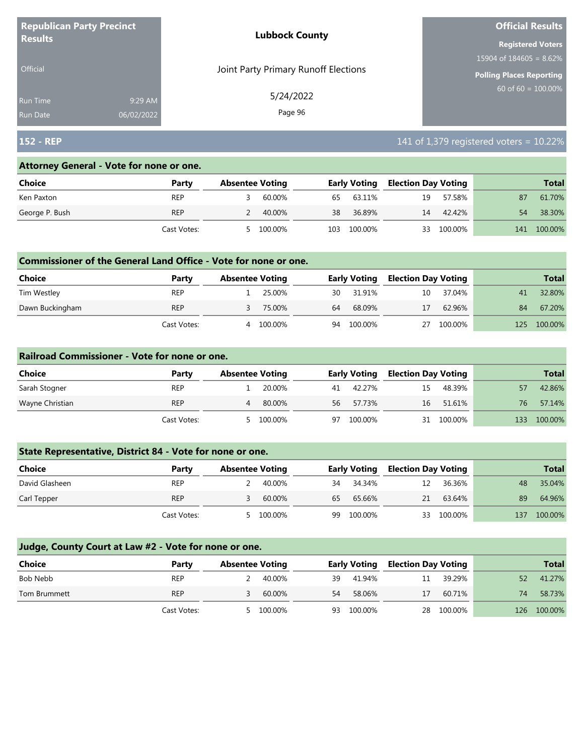| <b>Republican Party Precinct</b><br><b>Results</b> |            | <b>Lubbock County</b>                | <b>Official Results</b>    |  |  |
|----------------------------------------------------|------------|--------------------------------------|----------------------------|--|--|
|                                                    |            |                                      | <b>Registered Voters</b>   |  |  |
|                                                    |            |                                      | 15904 of $184605 = 8.62\%$ |  |  |
| <b>Official</b>                                    |            | Joint Party Primary Runoff Elections | Polling Places Reporting   |  |  |
| <b>Run Time</b>                                    | 9:29 AM    | 5/24/2022                            | 60 of $60 = 100.00\%$      |  |  |
| <b>Run Date</b>                                    | 06/02/2022 | Page 96                              |                            |  |  |

## **152 - REP** 141 of 1,379 registered voters = 10.22%

#### **Attorney General - Vote for none or one.**

| Choice         | Party       | <b>Absentee Voting</b> |         |     | <b>Early Voting</b> |    | Election Day Voting |     | <b>Total</b> |
|----------------|-------------|------------------------|---------|-----|---------------------|----|---------------------|-----|--------------|
| Ken Paxton     | <b>REP</b>  |                        | 60.00%  | 65  | 63.11%              | 19 | 57.58%              | 87  | 61.70%       |
| George P. Bush | <b>REP</b>  |                        | 40.00%  | 38  | 36.89%              | 14 | 42.42%              | 54  | 38.30%       |
|                | Cast Votes: | 5                      | 100.00% | 103 | 100.00%             | 33 | 100.00%             | 141 | 100.00%      |

#### **Commissioner of the General Land Office - Vote for none or one.**

| <b>Choice</b>   | Party       | <b>Absentee Voting</b> |         |    | <b>Early Voting</b> | <b>Election Day Voting</b> |         |     | <b>Total</b> |
|-----------------|-------------|------------------------|---------|----|---------------------|----------------------------|---------|-----|--------------|
| Tim Westley     | <b>REP</b>  |                        | 25.00%  | 30 | 31.91%              | 10                         | 37.04%  | 41  | 32.80%       |
| Dawn Buckingham | <b>REP</b>  |                        | 75.00%  | 64 | 68.09%              | 17                         | 62.96%  | 84  | 67.20%       |
|                 | Cast Votes: | Δ                      | 100.00% | 94 | 100.00%             | 27                         | 100.00% | 125 | 100.00%      |

#### **Railroad Commissioner - Vote for none or one.**

| Choice          | Party       | <b>Absentee Voting</b> |         |    | <b>Early Voting</b> |    | <b>Election Day Voting</b> |     | <b>Total</b> |
|-----------------|-------------|------------------------|---------|----|---------------------|----|----------------------------|-----|--------------|
| Sarah Stogner   | <b>REP</b>  |                        | 20.00%  | 41 | 42.27%              | 15 | 48.39%                     |     | 42.86%       |
| Wayne Christian | <b>REP</b>  | 4                      | 80.00%  | 56 | 57.73%              | 16 | 51.61%                     | 76  | 57.14%       |
|                 | Cast Votes: |                        | 100.00% | 97 | 100.00%             |    | 31 100.00%                 | 133 | 100.00%      |

## **State Representative, District 84 - Vote for none or one.**

| Choice         | Party       | <b>Absentee Voting</b> |         |    | <b>Early Voting</b> |    | <b>Election Day Voting</b> |     | <b>Total</b> |
|----------------|-------------|------------------------|---------|----|---------------------|----|----------------------------|-----|--------------|
| David Glasheen | <b>REP</b>  |                        | 40.00%  | 34 | 34.34%              | 12 | 36.36%                     | 48  | 35.04%       |
| Carl Tepper    | <b>REP</b>  |                        | 60.00%  | 65 | 65.66%              | 21 | 63.64%                     | 89  | 64.96%       |
|                | Cast Votes: |                        | 100.00% | 99 | 100.00%             | 33 | 100.00%                    | 137 | 100.00%      |

| <b>Choice</b> | Party       | <b>Absentee Voting</b> |         |     | <b>Early Voting</b> |    | <b>Election Day Voting</b> |     | <b>Total</b> |
|---------------|-------------|------------------------|---------|-----|---------------------|----|----------------------------|-----|--------------|
| Bob Nebb      | <b>REP</b>  |                        | 40.00%  | -39 | 41.94%              | 11 | 39.29%                     | 52  | 41.27%       |
| Tom Brummett  | <b>REP</b>  |                        | 60.00%  | 54  | 58.06%              | 17 | 60.71%                     | 74  | 58.73%       |
|               | Cast Votes: | ь.                     | 100.00% | 93  | 100.00%             |    | 28 100.00%                 | 126 | $100.00\%$   |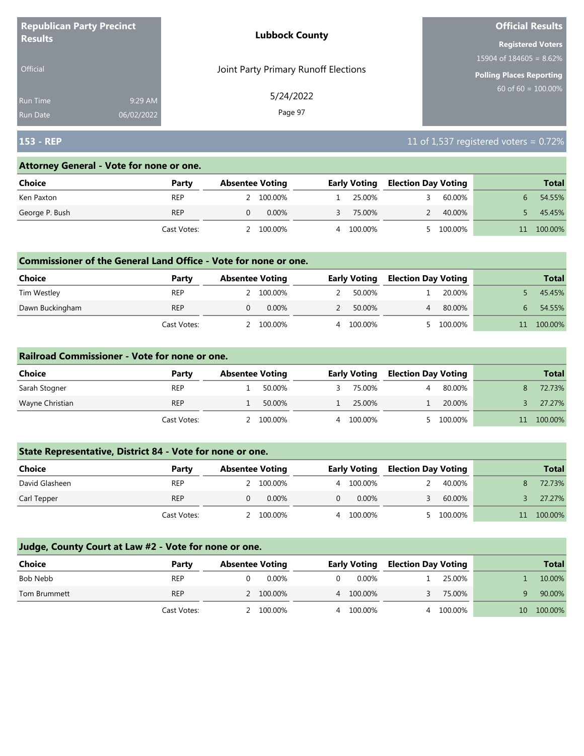| <b>Republican Party Precinct</b><br><b>Lubbock County</b><br><b>Results</b> |            |                                      | <b>Official Results</b>         |
|-----------------------------------------------------------------------------|------------|--------------------------------------|---------------------------------|
|                                                                             |            |                                      | <b>Registered Voters</b>        |
|                                                                             |            |                                      | 15904 of $184605 = 8.62\%$      |
| <b>Official</b>                                                             |            | Joint Party Primary Runoff Elections | <b>Polling Places Reporting</b> |
| <b>Run Time</b>                                                             | 9:29 AM    | 5/24/2022                            | $60$ of 60 = $100.00\%$         |
| <b>Run Date</b>                                                             | 06/02/2022 | Page 97                              |                                 |

# **153 - REP** 11 of 1,537 registered voters = 0.72%

#### **Attorney General - Vote for none or one.**

| Choice         | Party       | <b>Absentee Voting</b> | <b>Early Voting</b> | <b>Election Day Voting</b> | <b>Total</b> |
|----------------|-------------|------------------------|---------------------|----------------------------|--------------|
| Ken Paxton     | <b>REP</b>  | 100.00%                | 25.00%              | 60.00%                     | 54.55%       |
| George P. Bush | <b>REP</b>  | $0.00\%$               | 75.00%              | 40.00%                     | 45.45%       |
|                | Cast Votes: | 100.00%                | 100.00%<br>4        | 100.00%                    | 100.00%      |

#### **Commissioner of the General Land Office - Vote for none or one.**

| <b>Choice</b>   | Party       | <b>Absentee Voting</b> |          |   | <b>Early Voting</b> | <b>Election Day Voting</b> |         | <b>Total</b> |
|-----------------|-------------|------------------------|----------|---|---------------------|----------------------------|---------|--------------|
| Tim Westley     | <b>REP</b>  | 100.00%                |          |   | 50.00%              |                            | 20.00%  | 45.45%       |
| Dawn Buckingham | <b>REP</b>  |                        | $0.00\%$ |   | 50.00%              |                            | 80.00%  | 54.55%       |
|                 | Cast Votes: | 100.00%                |          | 4 | 100.00%             |                            | 100.00% | 100.00%      |

#### **Railroad Commissioner - Vote for none or one.**

| Choice          | Party       | <b>Absentee Voting</b> |         |   | <b>Early Voting</b> |  | <b>Election Day Voting</b> | <b>Total</b> |
|-----------------|-------------|------------------------|---------|---|---------------------|--|----------------------------|--------------|
| Sarah Stogner   | <b>REP</b>  |                        | 50.00%  |   | 75.00%              |  | 80.00%                     | 72.73%       |
| Wayne Christian | <b>REP</b>  |                        | 50.00%  |   | 25.00%              |  | 20.00%                     | 27.27%       |
|                 | Cast Votes: |                        | 100.00% | 4 | 100.00%             |  | 100.00%                    | 100.00%      |

## **State Representative, District 84 - Vote for none or one.**

| <b>Choice</b>  | Party       | <b>Absentee Voting</b> |           |   | <b>Early Voting</b> |  | <b>Election Day Voting</b> |    | <b>Total</b> |
|----------------|-------------|------------------------|-----------|---|---------------------|--|----------------------------|----|--------------|
| David Glasheen | REP         |                        | 2 100.00% | 4 | 100.00%             |  | 40.00%                     |    | 72.73%       |
| Carl Tepper    | <b>REP</b>  |                        | $0.00\%$  |   | $0.00\%$            |  | 60.00%                     |    | 27.27%       |
|                | Cast Votes: |                        | 100.00%   | Д | 100.00%             |  | 5 100.00%                  | 11 | 100.00%      |

| Choice       | Party       | <b>Absentee Voting</b> |           |   | <b>Early Voting</b> |  | <b>Election Day Voting</b> |    | <b>Total</b> |
|--------------|-------------|------------------------|-----------|---|---------------------|--|----------------------------|----|--------------|
| Bob Nebb     | <b>REP</b>  |                        | 0.00%     |   | 0.00%               |  | 25.00%                     |    | 10.00%       |
| Tom Brummett | <b>REP</b>  |                        | 2 100.00% | 4 | 100.00%             |  | 75.00%                     |    | 90.00%       |
|              | Cast Votes: |                        | 100.00%   | 4 | 100.00%             |  | 4 100.00%                  | 10 | 100.00%      |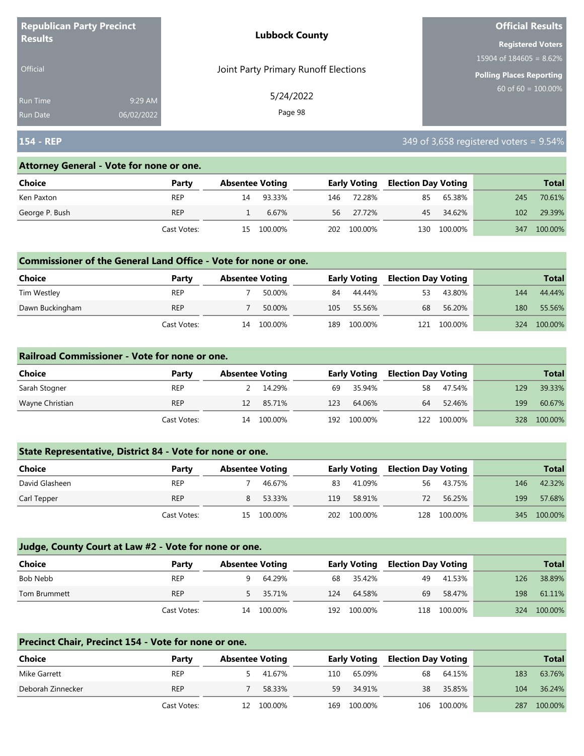|                 | <b>Republican Party Precinct</b><br><b>Lubbock County</b> |                                      | <b>Official Results</b>         |
|-----------------|-----------------------------------------------------------|--------------------------------------|---------------------------------|
| <b>Results</b>  |                                                           |                                      | <b>Registered Voters</b>        |
|                 |                                                           |                                      | 15904 of $184605 = 8.62\%$      |
| <b>Official</b> |                                                           | Joint Party Primary Runoff Elections | <b>Polling Places Reporting</b> |
| Run Time        | 9:29 AM                                                   | 5/24/2022                            | 60 of $60 = 100.00\%$           |
| <b>Run Date</b> | 06/02/2022                                                | Page 98                              |                                 |

## **154 - REP** 349 of 3,658 registered voters = 9.54%

#### **Attorney General - Vote for none or one.**

| Choice         | Party       | <b>Absentee Voting</b> |            |     | <b>Early Voting</b> |     | <b>Election Day Voting</b> |     | <b>Total</b> |
|----------------|-------------|------------------------|------------|-----|---------------------|-----|----------------------------|-----|--------------|
| Ken Paxton     | <b>REP</b>  | 14                     | 93.33%     | 146 | 72.28%              | 85  | 65.38%                     | 245 | 70.61%       |
| George P. Bush | <b>REP</b>  |                        | 6.67%      |     | 56 27.72%           |     | 45 34.62%                  | 102 | 29.39%       |
|                | Cast Votes: |                        | 15 100.00% |     | 202 100.00%         | 130 | 100.00%                    | 347 | 100.00%      |

#### **Commissioner of the General Land Office - Vote for none or one.**

| <b>Choice</b>   | Party       | <b>Absentee Voting</b> |         |      | <b>Early Voting</b> |     | <b>Election Day Voting</b> |     | <b>Total</b> |
|-----------------|-------------|------------------------|---------|------|---------------------|-----|----------------------------|-----|--------------|
| Tim Westley     | <b>REP</b>  |                        | 50.00%  | 84   | 44.44%              | 53  | 43.80%                     | 144 | 44.44%       |
| Dawn Buckingham | <b>REP</b>  |                        | 50.00%  | 105  | 55.56%              | 68  | 56.20%                     | 180 | 55.56%       |
|                 | Cast Votes: | 14                     | 100.00% | 189. | 100.00%             | 121 | 100.00%                    | 324 | 100.00%      |

#### **Railroad Commissioner - Vote for none or one.**

| Choice          | Party       | <b>Absentee Voting</b> |         |     | <b>Early Voting</b> |    | <b>Election Day Voting</b> |     | <b>Total</b> |
|-----------------|-------------|------------------------|---------|-----|---------------------|----|----------------------------|-----|--------------|
| Sarah Stogner   | <b>REP</b>  |                        | 14.29%  | 69  | 35.94%              | 58 | 47.54%                     | 129 | 39.33%       |
| Wayne Christian | <b>REP</b>  | 12                     | 85.71%  | 123 | 64.06%              | 64 | 52.46%                     | 199 | 60.67%       |
|                 | Cast Votes: | 14                     | 100.00% | 192 | 100.00%             |    | 122 100.00%                | 328 | 100.00%      |

#### **State Representative, District 84 - Vote for none or one.**

| Choice         | Party       | <b>Absentee Voting</b> |            |     | <b>Early Voting</b> |     | <b>Election Day Voting</b> |     | <b>Total</b> |
|----------------|-------------|------------------------|------------|-----|---------------------|-----|----------------------------|-----|--------------|
| David Glasheen | <b>REP</b>  |                        | 46.67%     | 83  | 41.09%              | 56  | 43.75%                     | 146 | 42.32%       |
| Carl Tepper    | <b>REP</b>  |                        | 53.33%     | 119 | 58.91%              | 72  | 56.25%                     | 199 | 57.68%       |
|                | Cast Votes: |                        | 15 100.00% | 202 | 100.00%             | 128 | 100.00%                    |     | 345 100.00%  |

#### **Judge, County Court at Law #2 - Vote for none or one.**

| Choice       | Party       | <b>Absentee Voting</b> |          |     | <b>Early Voting</b> |     | <b>Election Day Voting</b> |     | <b>Total</b> |
|--------------|-------------|------------------------|----------|-----|---------------------|-----|----------------------------|-----|--------------|
| Bob Nebb     | <b>REP</b>  |                        | 64.29%   | 68  | 35.42%              | 49  | 41.53%                     | 126 | 38.89%       |
| Tom Brummett | <b>REP</b>  |                        | 5 35.71% | 124 | 64.58%              | 69  | 58.47%                     | 198 | 61.11%       |
|              | Cast Votes: | 14                     | 100.00%  | 192 | 100.00%             | 118 | 100.00%                    | 324 | 100.00%      |

# **Precinct Chair, Precinct 154 - Vote for none or one. Choice Party Absentee Voting Early Voting Election Day Voting Total** Mike Garrett REP 5 41.67% 110 65.09% 68 64.15% 183 63.76% Deborah Zinnecker REP 7 58.33% 59 34.91% 38 35.85% 104 36.24% Cast Votes: 12 100.00% 169 100.00% 106 100.00% 287 100.00%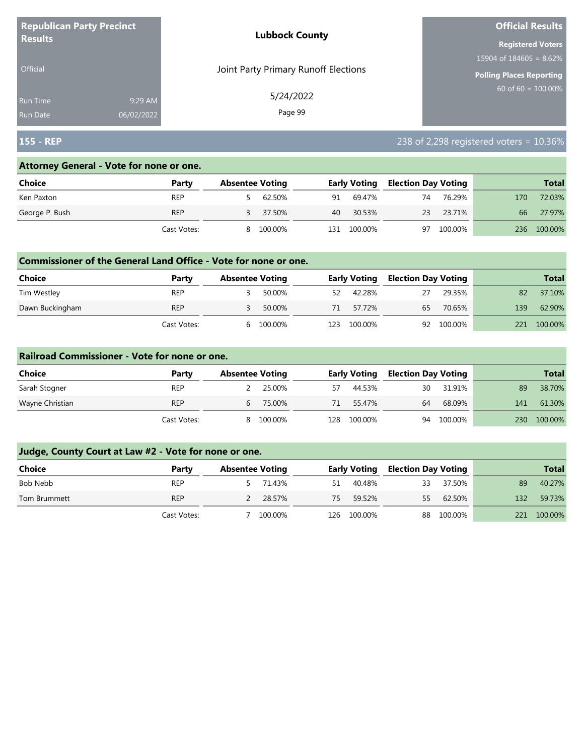| <b>Republican Party Precinct</b> |            | <b>Lubbock County</b>                | <b>Official Results</b>    |  |  |
|----------------------------------|------------|--------------------------------------|----------------------------|--|--|
| <b>Results</b>                   |            |                                      | <b>Registered Voters</b>   |  |  |
|                                  |            |                                      | 15904 of $184605 = 8.62\%$ |  |  |
| <b>Official</b>                  |            | Joint Party Primary Runoff Elections | Polling Places Reporting   |  |  |
| <b>Run Time</b>                  | 9:29 AM    | 5/24/2022                            | 60 of $60 = 100.00\%$      |  |  |
| <b>Run Date</b>                  | 06/02/2022 | Page 99                              |                            |  |  |

# **155 - REP** 238 of 2,298 registered voters = 10.36%

## **Attorney General - Vote for none or one.**

| Choice         | Party       | <b>Absentee Voting</b> |         |     | <b>Early Voting</b> |    | <b>Election Day Voting</b> |     | <b>Total</b> |
|----------------|-------------|------------------------|---------|-----|---------------------|----|----------------------------|-----|--------------|
| Ken Paxton     | REP         |                        | 62.50%  | 91  | 69.47%              | 74 | 76.29%                     | 170 | 72.03%       |
| George P. Bush | <b>REP</b>  |                        | 37.50%  | 40  | 30.53%              | 23 | 23.71%                     | 66  | 27.97%       |
|                | Cast Votes: | 8.                     | 100.00% | 131 | 100.00%             | 97 | 100.00%                    | 236 | 100.00%      |

#### **Commissioner of the General Land Office - Vote for none or one.**

| Choice          | Party       | <b>Absentee Voting</b> |         |      | <b>Early Voting</b> |    | <b>Election Day Voting</b> |     | Total   |
|-----------------|-------------|------------------------|---------|------|---------------------|----|----------------------------|-----|---------|
| Tim Westley     | <b>REP</b>  |                        | 50.00%  | 52   | 42.28%              | 27 | 29.35%                     | 82  | 37.10%  |
| Dawn Buckingham | <b>REP</b>  |                        | 50.00%  | 71   | 57.72%              | 65 | 70.65%                     | 139 | 62.90%  |
|                 | Cast Votes: | h                      | 100.00% | 123. | 100.00%             |    | 92 100.00%                 | 221 | 100.00% |

#### **Railroad Commissioner - Vote for none or one.**

| Choice          | Party       | <b>Absentee Voting</b> |          |     | <b>Early Voting</b> |    | <b>Election Day Voting</b> |     | <b>Total</b> |
|-----------------|-------------|------------------------|----------|-----|---------------------|----|----------------------------|-----|--------------|
| Sarah Stogner   | <b>REP</b>  |                        | 25.00%   | 57  | 44.53%              | 30 | 31.91%                     | 89  | 38.70%       |
| Wayne Christian | <b>REP</b>  |                        | 6 75.00% | 71  | 55.47%              | 64 | 68.09%                     | 141 | 61.30%       |
|                 | Cast Votes: | 8                      | 100.00%  | 128 | 100.00%             | 94 | 100.00%                    | 230 | 100.00%      |

| <b>Choice</b> | Party       | <b>Absentee Voting</b> |          |    | <b>Early Voting</b> |    | <b>Election Day Voting</b> |     | <b>Total</b> |
|---------------|-------------|------------------------|----------|----|---------------------|----|----------------------------|-----|--------------|
| Bob Nebb      | <b>REP</b>  |                        | 5 71.43% | 51 | 40.48%              | 33 | 37.50%                     | 89  | 40.27%       |
| Tom Brummett  | <b>REP</b>  |                        | 2 28.57% | 75 | 59.52%              |    | 55 62.50%                  | 132 | 59.73%       |
|               | Cast Votes: |                        | 100.00%  |    | 126 100.00%         |    | 88 100.00%                 | 221 | 100.00%      |